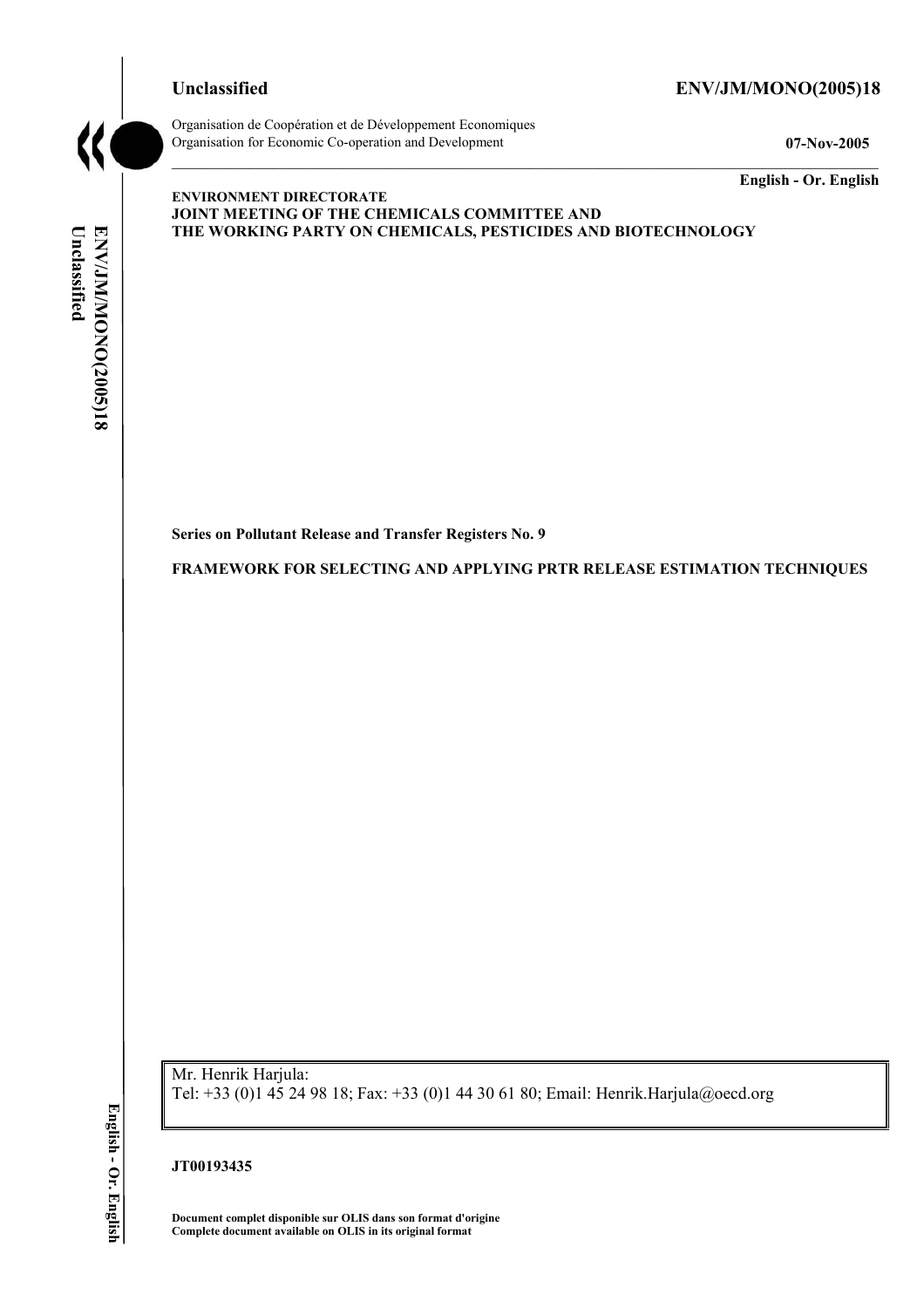### **Unclassified ENV/JM/MONO(2005)18**



Organisation de Coopération et de Développement Economiques Organisation for Economic Co-operation and Development **07-Nov-2005** 

**English - Or. English** 

# Unclassified **Unclassified**  ENV/JM/MONOC2005)18 **ENV/JM/MONO(2005)18 English - Or. English**

**ENVIRONMENT DIRECTORATE JOINT MEETING OF THE CHEMICALS COMMITTEE AND THE WORKING PARTY ON CHEMICALS, PESTICIDES AND BIOTECHNOLOGY** 

**Series on Pollutant Release and Transfer Registers No. 9** 

**FRAMEWORK FOR SELECTING AND APPLYING PRTR RELEASE ESTIMATION TECHNIQUES** 

Mr. Henrik Harjula: Tel: +33 (0)1 45 24 98 18; Fax: +33 (0)1 44 30 61 80; Email: Henrik.Harjula@oecd.org

#### **JT00193435**

**Document complet disponible sur OLIS dans son format d'origine Complete document available on OLIS in its original format**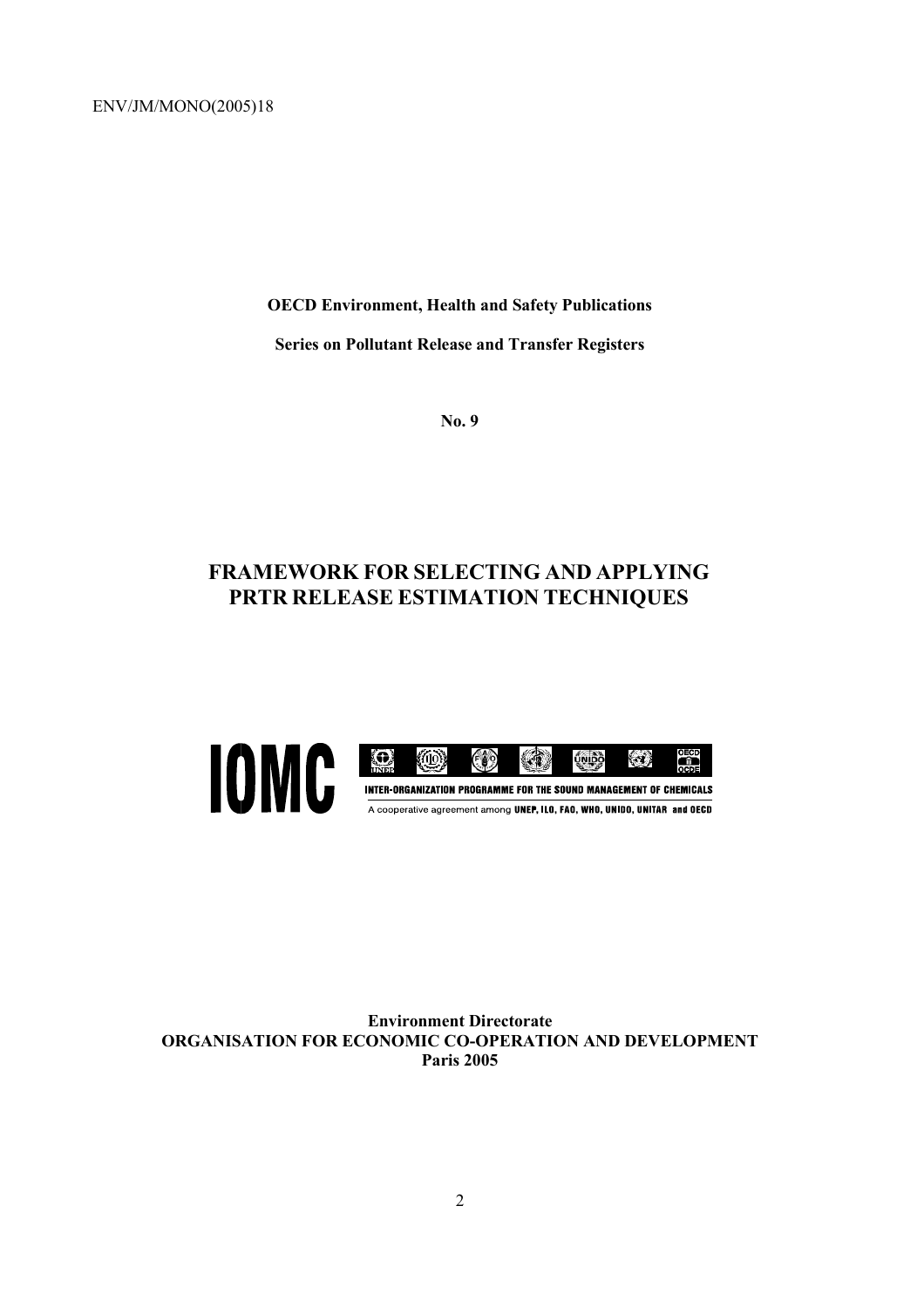**OECD Environment, Health and Safety Publications Series on Pollutant Release and Transfer Registers** 

**No. 9** 

# **FRAMEWORK FOR SELECTING AND APPLYING PRTR RELEASE ESTIMATION TECHNIQUES**



#### **Environment Directorate ORGANISATION FOR ECONOMIC CO-OPERATION AND DEVELOPMENT Paris 2005**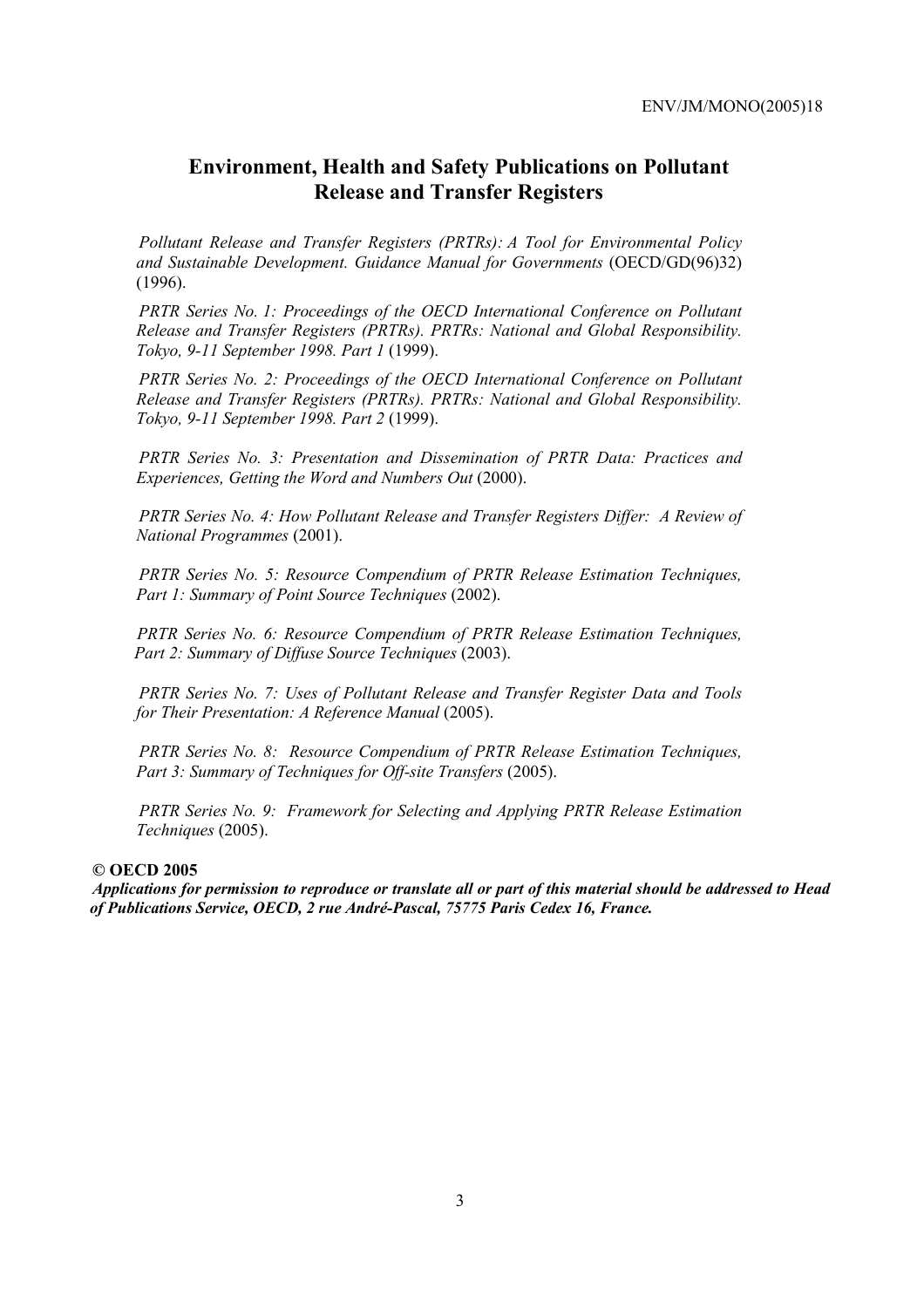# **Environment, Health and Safety Publications on Pollutant Release and Transfer Registers**

*Pollutant Release and Transfer Registers (PRTRs): A Tool for Environmental Policy and Sustainable Development. Guidance Manual for Governments* (OECD/GD(96)32) (1996).

*PRTR Series No. 1: Proceedings of the OECD International Conference on Pollutant Release and Transfer Registers (PRTRs). PRTRs: National and Global Responsibility. Tokyo, 9-11 September 1998. Part 1* (1999).

*PRTR Series No. 2: Proceedings of the OECD International Conference on Pollutant Release and Transfer Registers (PRTRs). PRTRs: National and Global Responsibility. Tokyo, 9-11 September 1998. Part 2* (1999).

*PRTR Series No. 3: Presentation and Dissemination of PRTR Data: Practices and Experiences, Getting the Word and Numbers Out* (2000).

*PRTR Series No. 4: How Pollutant Release and Transfer Registers Differ: A Review of National Programmes* (2001).

*PRTR Series No. 5: Resource Compendium of PRTR Release Estimation Techniques, Part 1: Summary of Point Source Techniques* (2002).

*PRTR Series No. 6: Resource Compendium of PRTR Release Estimation Techniques, Part 2: Summary of Diffuse Source Techniques* (2003).

*PRTR Series No. 7: Uses of Pollutant Release and Transfer Register Data and Tools for Their Presentation: A Reference Manual (2005).* 

*PRTR Series No. 8: Resource Compendium of PRTR Release Estimation Techniques, Part 3: Summary of Techniques for Off-site Transfers (2005).* 

*PRTR Series No. 9: Framework for Selecting and Applying PRTR Release Estimation Techniques* (2005).

#### **© OECD 2005**

*Applications for permission to reproduce or translate all or part of this material should be addressed to Head of Publications Service, OECD, 2 rue André-Pascal, 75775 Paris Cedex 16, France.*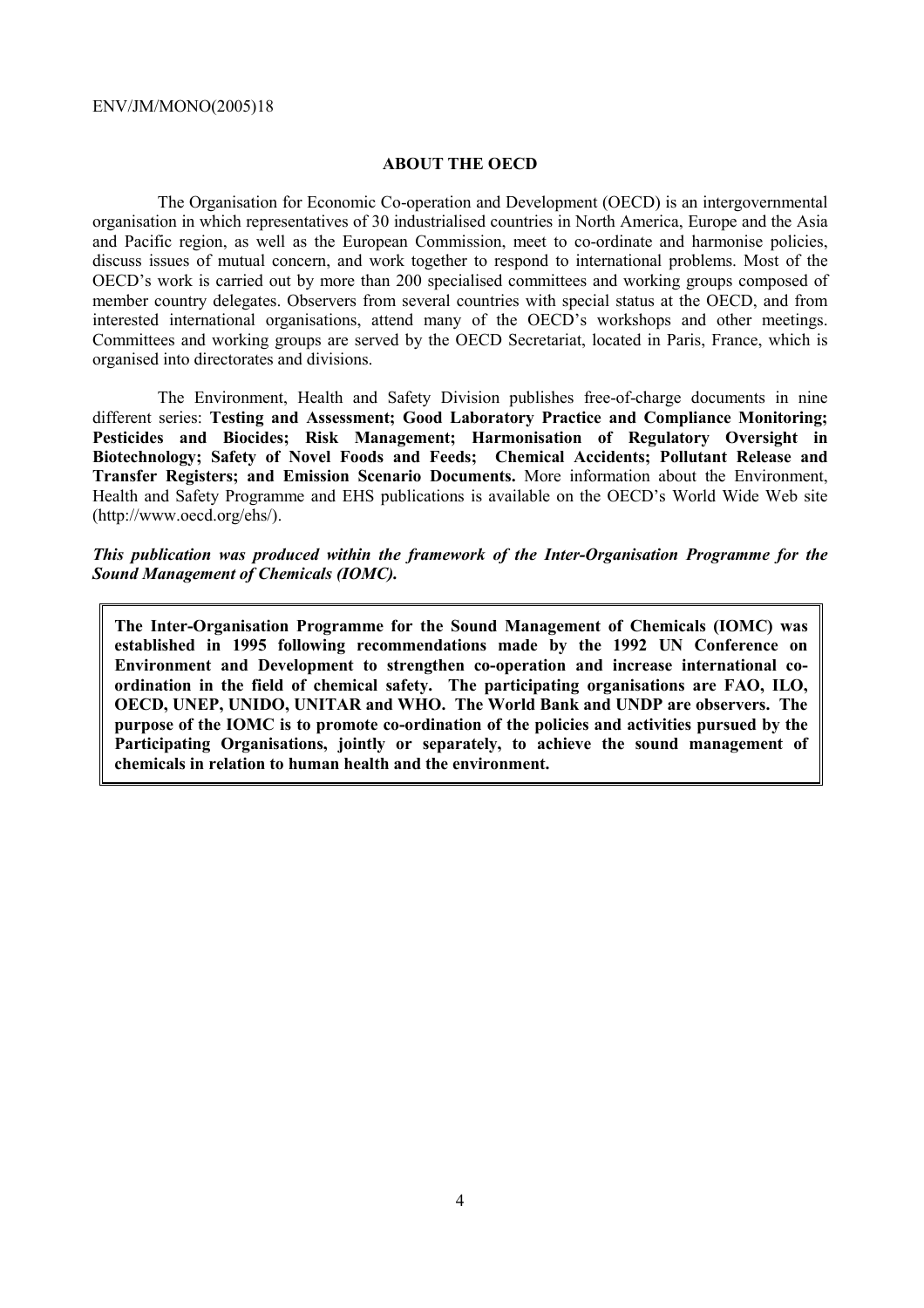#### **ABOUT THE OECD**

The Organisation for Economic Co-operation and Development (OECD) is an intergovernmental organisation in which representatives of 30 industrialised countries in North America, Europe and the Asia and Pacific region, as well as the European Commission, meet to co-ordinate and harmonise policies, discuss issues of mutual concern, and work together to respond to international problems. Most of the OECD's work is carried out by more than 200 specialised committees and working groups composed of member country delegates. Observers from several countries with special status at the OECD, and from interested international organisations, attend many of the OECD's workshops and other meetings. Committees and working groups are served by the OECD Secretariat, located in Paris, France, which is organised into directorates and divisions.

The Environment, Health and Safety Division publishes free-of-charge documents in nine different series: **Testing and Assessment; Good Laboratory Practice and Compliance Monitoring; Pesticides and Biocides; Risk Management; Harmonisation of Regulatory Oversight in Biotechnology; Safety of Novel Foods and Feeds; Chemical Accidents; Pollutant Release and Transfer Registers; and Emission Scenario Documents.** More information about the Environment, Health and Safety Programme and EHS publications is available on the OECD's World Wide Web site (http://www.oecd.org/ehs/).

#### *This publication was produced within the framework of the Inter-Organisation Programme for the Sound Management of Chemicals (IOMC).*

**The Inter-Organisation Programme for the Sound Management of Chemicals (IOMC) was established in 1995 following recommendations made by the 1992 UN Conference on Environment and Development to strengthen co-operation and increase international coordination in the field of chemical safety. The participating organisations are FAO, ILO, OECD, UNEP, UNIDO, UNITAR and WHO. The World Bank and UNDP are observers. The purpose of the IOMC is to promote co-ordination of the policies and activities pursued by the Participating Organisations, jointly or separately, to achieve the sound management of chemicals in relation to human health and the environment.**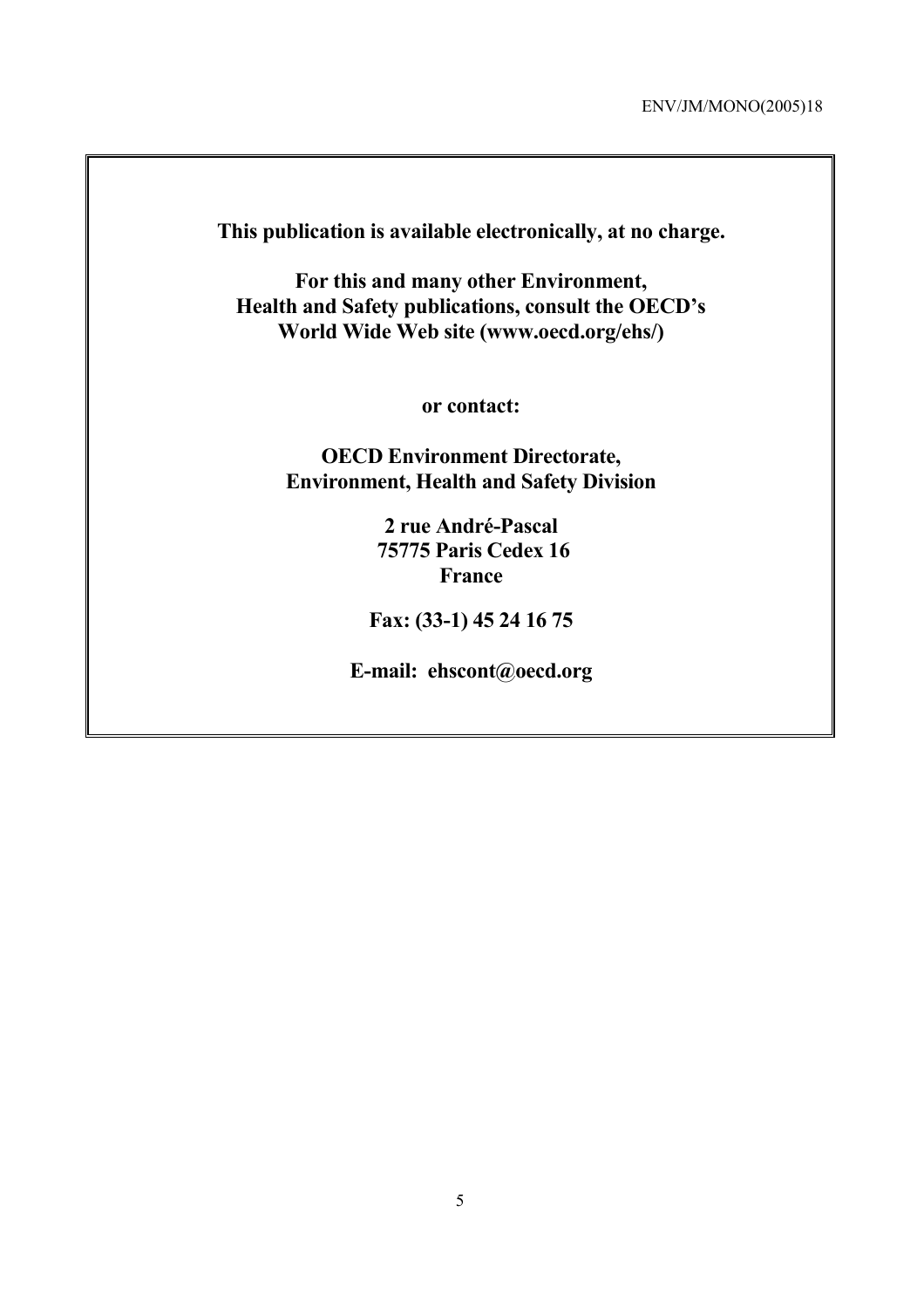**This publication is available electronically, at no charge.** 

**For this and many other Environment, Health and Safety publications, consult the OECD's World Wide Web site (www.oecd.org/ehs/)** 

**or contact:** 

**OECD Environment Directorate, Environment, Health and Safety Division**

> **2 rue André-Pascal 75775 Paris Cedex 16 France**

**Fax: (33-1) 45 24 16 75** 

**E-mail: ehscont@oecd.org**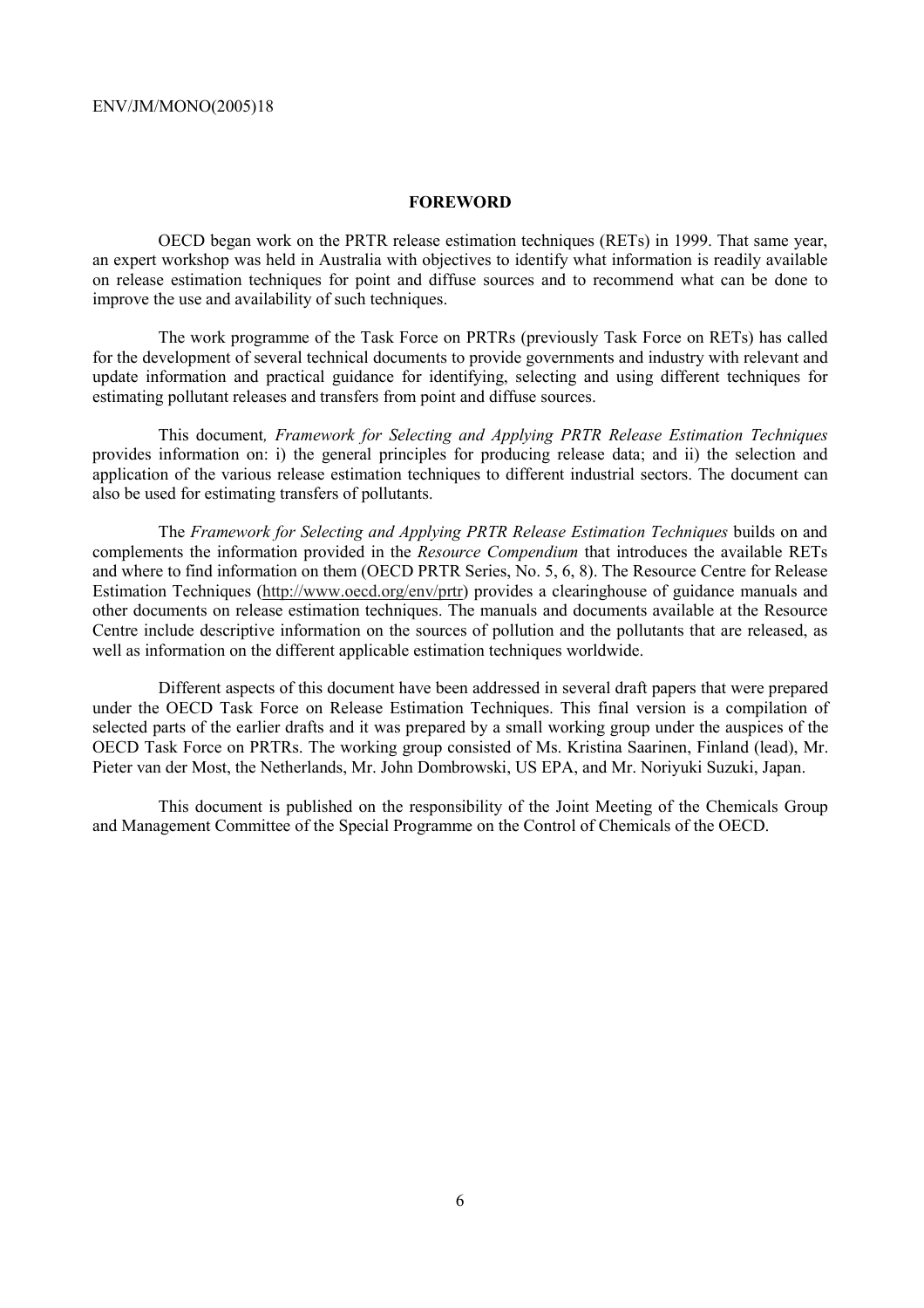#### **FOREWORD**

 OECD began work on the PRTR release estimation techniques (RETs) in 1999. That same year, an expert workshop was held in Australia with objectives to identify what information is readily available on release estimation techniques for point and diffuse sources and to recommend what can be done to improve the use and availability of such techniques.

 The work programme of the Task Force on PRTRs (previously Task Force on RETs) has called for the development of several technical documents to provide governments and industry with relevant and update information and practical guidance for identifying, selecting and using different techniques for estimating pollutant releases and transfers from point and diffuse sources.

 This document*, Framework for Selecting and Applying PRTR Release Estimation Techniques* provides information on: i) the general principles for producing release data; and ii) the selection and application of the various release estimation techniques to different industrial sectors. The document can also be used for estimating transfers of pollutants.

The *Framework for Selecting and Applying PRTR Release Estimation Techniques* builds on and complements the information provided in the *Resource Compendium* that introduces the available RETs and where to find information on them (OECD PRTR Series, No. 5, 6, 8). The Resource Centre for Release Estimation Techniques (http://www.oecd.org/env/prtr) provides a clearinghouse of guidance manuals and other documents on release estimation techniques. The manuals and documents available at the Resource Centre include descriptive information on the sources of pollution and the pollutants that are released, as well as information on the different applicable estimation techniques worldwide.

 Different aspects of this document have been addressed in several draft papers that were prepared under the OECD Task Force on Release Estimation Techniques. This final version is a compilation of selected parts of the earlier drafts and it was prepared by a small working group under the auspices of the OECD Task Force on PRTRs. The working group consisted of Ms. Kristina Saarinen, Finland (lead), Mr. Pieter van der Most, the Netherlands, Mr. John Dombrowski, US EPA, and Mr. Noriyuki Suzuki, Japan.

 This document is published on the responsibility of the Joint Meeting of the Chemicals Group and Management Committee of the Special Programme on the Control of Chemicals of the OECD.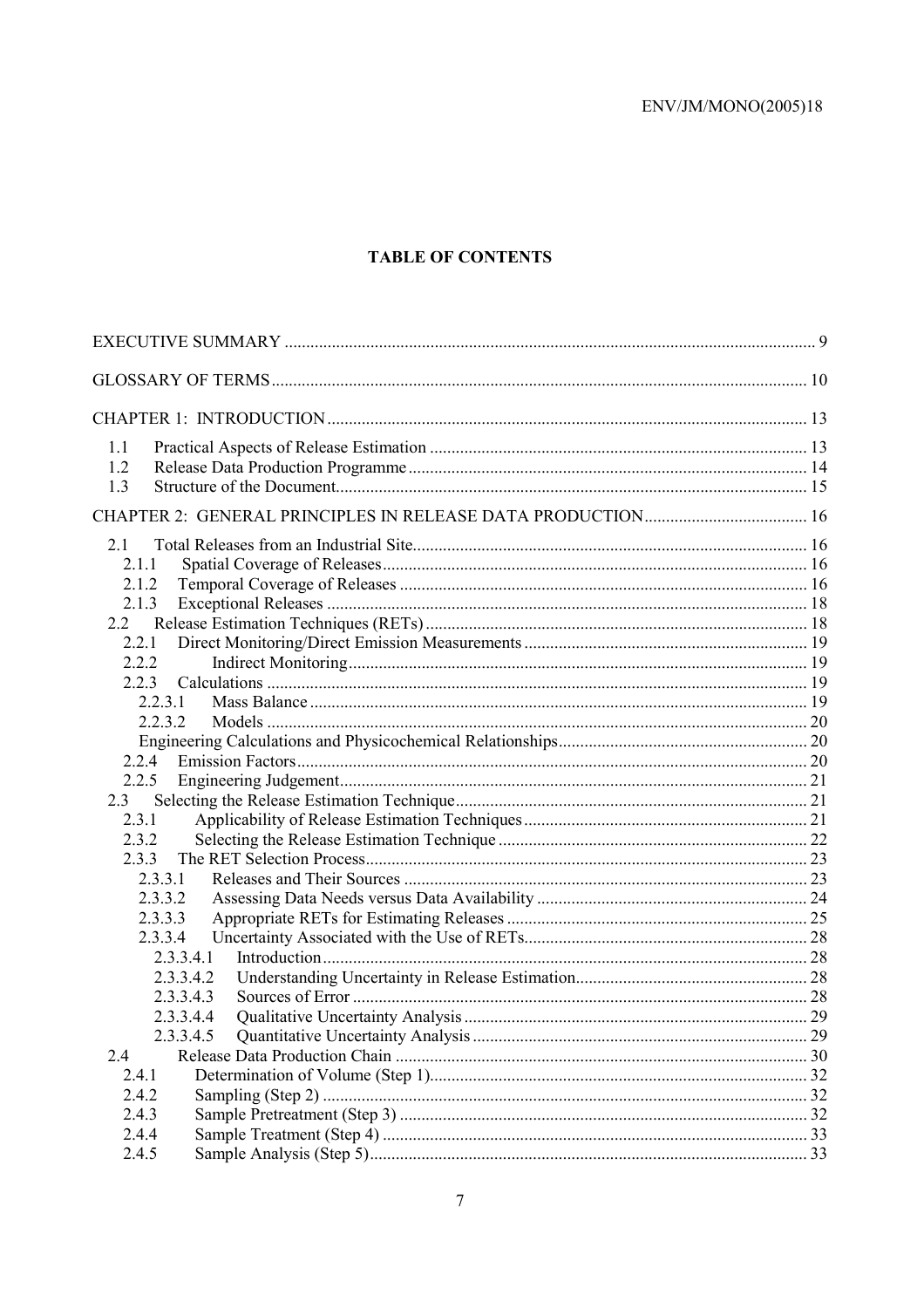# **TABLE OF CONTENTS**

| 1.1       |  |
|-----------|--|
| 1.2       |  |
| 1.3       |  |
|           |  |
| 2.1       |  |
| 2.1.1     |  |
| 2.1.2     |  |
| 2.1.3     |  |
| 2.2       |  |
| 2.2.1     |  |
| 2.2.2     |  |
| 2.2.3     |  |
| 2.2.3.1   |  |
| 2.2.3.2   |  |
|           |  |
| 2.2.4     |  |
| 2.2.5     |  |
| 2.3       |  |
| 2.3.1     |  |
| 2.3.2     |  |
| 2.3.3     |  |
| 2.3.3.1   |  |
| 2.3.3.2   |  |
| 2.3.3.3   |  |
| 2.3.3.4   |  |
| 2.3.3.4.1 |  |
| 2.3.3.4.2 |  |
| 2.3.3.4.3 |  |
| 2.3.3.4.4 |  |
| 2.3.3.4.5 |  |
| 2.4       |  |
| 2.4.1     |  |
| 2.4.2     |  |
| 2.4.3     |  |
| 2.4.4     |  |
| 2.4.5     |  |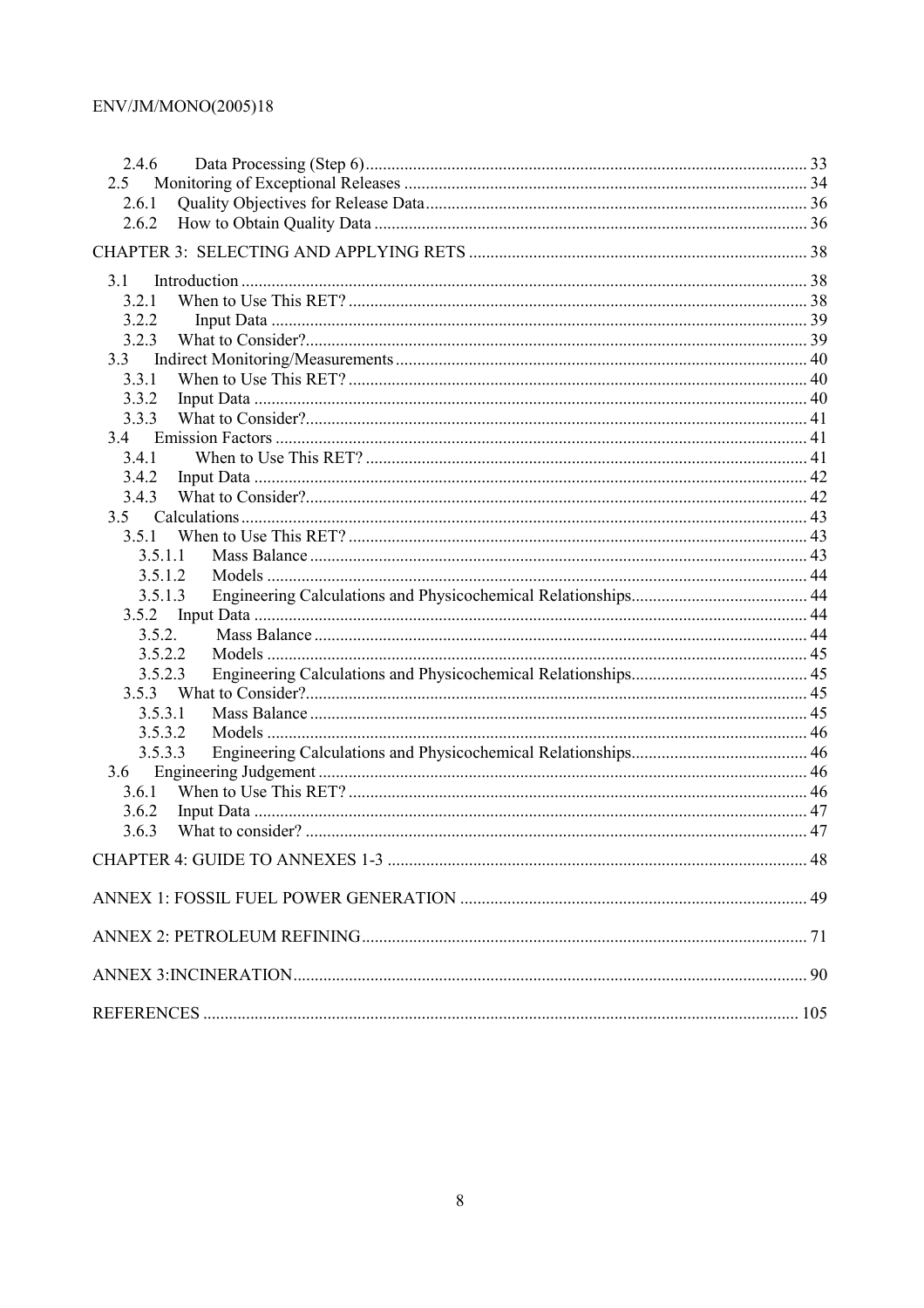| 2.4.6   |  |
|---------|--|
| 2.5     |  |
| 2.6.1   |  |
| 2.6.2   |  |
|         |  |
| 3.1     |  |
| 3.2.1   |  |
| 3.2.2   |  |
| 3.2.3   |  |
|         |  |
| 3.3.1   |  |
| 3.3.2   |  |
| 3.3.3   |  |
|         |  |
| 3.4.1   |  |
| 3.4.2   |  |
| 3.4.3   |  |
|         |  |
| 3.5.1   |  |
| 3.5.1.1 |  |
| 3.5.1.2 |  |
| 3.5.1.3 |  |
|         |  |
|         |  |
| 3.5.2.2 |  |
| 3.5.2.3 |  |
|         |  |
| 3.5.3.1 |  |
| 3.5.3.2 |  |
| 3.5.3.3 |  |
| 3.6     |  |
| 3.6.1   |  |
| 3.6.2   |  |
| 3.6.3   |  |
|         |  |
|         |  |
|         |  |
|         |  |
|         |  |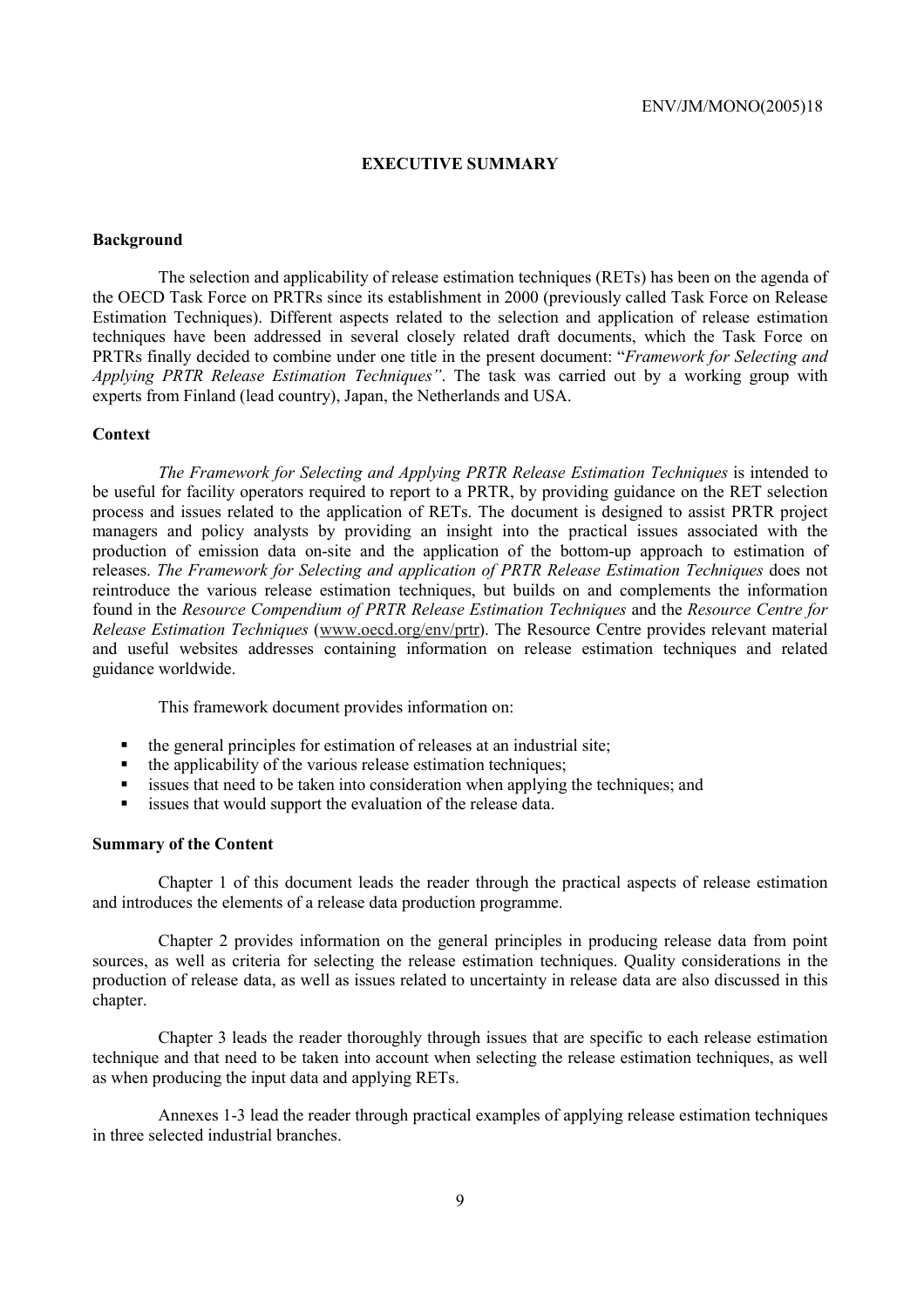#### **EXECUTIVE SUMMARY**

#### **Background**

 The selection and applicability of release estimation techniques (RETs) has been on the agenda of the OECD Task Force on PRTRs since its establishment in 2000 (previously called Task Force on Release Estimation Techniques). Different aspects related to the selection and application of release estimation techniques have been addressed in several closely related draft documents, which the Task Force on PRTRs finally decided to combine under one title in the present document: "*Framework for Selecting and Applying PRTR Release Estimation Techniques"*. The task was carried out by a working group with experts from Finland (lead country), Japan, the Netherlands and USA.

#### **Context**

 *The Framework for Selecting and Applying PRTR Release Estimation Techniques* is intended to be useful for facility operators required to report to a PRTR, by providing guidance on the RET selection process and issues related to the application of RETs. The document is designed to assist PRTR project managers and policy analysts by providing an insight into the practical issues associated with the production of emission data on-site and the application of the bottom-up approach to estimation of releases. *The Framework for Selecting and application of PRTR Release Estimation Techniques* does not reintroduce the various release estimation techniques, but builds on and complements the information found in the *Resource Compendium of PRTR Release Estimation Techniques* and the *Resource Centre for Release Estimation Techniques* (www.oecd.org/env/prtr). The Resource Centre provides relevant material and useful websites addresses containing information on release estimation techniques and related guidance worldwide.

This framework document provides information on:

- $\blacksquare$  the general principles for estimation of releases at an industrial site;
- the applicability of the various release estimation techniques;
- issues that need to be taken into consideration when applying the techniques; and
- **Example 3** issues that would support the evaluation of the release data.

#### **Summary of the Content**

 Chapter 1 of this document leads the reader through the practical aspects of release estimation and introduces the elements of a release data production programme.

 Chapter 2 provides information on the general principles in producing release data from point sources, as well as criteria for selecting the release estimation techniques. Quality considerations in the production of release data, as well as issues related to uncertainty in release data are also discussed in this chapter.

 Chapter 3 leads the reader thoroughly through issues that are specific to each release estimation technique and that need to be taken into account when selecting the release estimation techniques, as well as when producing the input data and applying RETs.

 Annexes 1-3 lead the reader through practical examples of applying release estimation techniques in three selected industrial branches.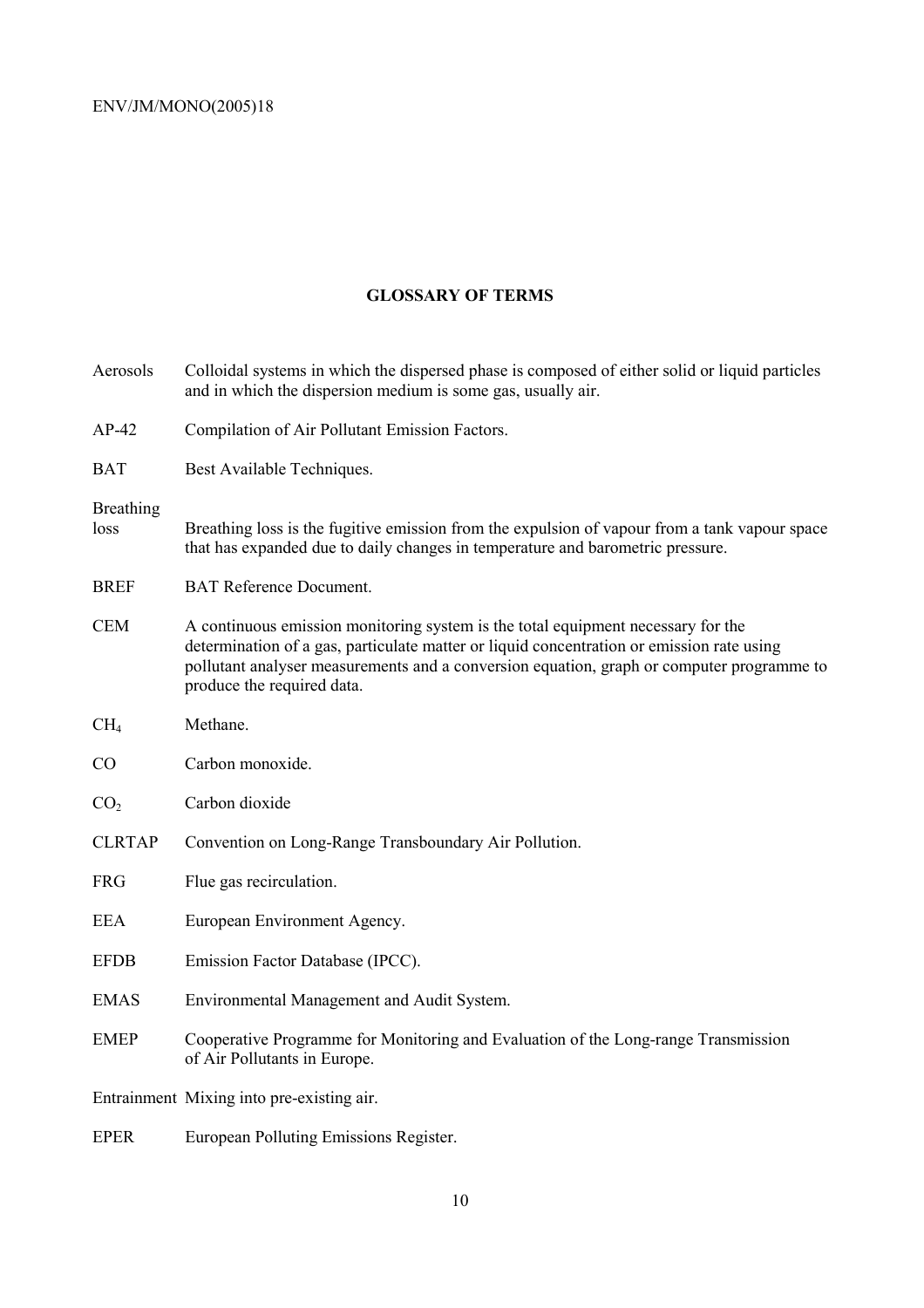#### **GLOSSARY OF TERMS**

| Aerosols                 | Colloidal systems in which the dispersed phase is composed of either solid or liquid particles<br>and in which the dispersion medium is some gas, usually air.                                                                                                                                           |  |  |
|--------------------------|----------------------------------------------------------------------------------------------------------------------------------------------------------------------------------------------------------------------------------------------------------------------------------------------------------|--|--|
| $AP-42$                  | Compilation of Air Pollutant Emission Factors.                                                                                                                                                                                                                                                           |  |  |
| <b>BAT</b>               | Best Available Techniques.                                                                                                                                                                                                                                                                               |  |  |
| <b>Breathing</b><br>loss | Breathing loss is the fugitive emission from the expulsion of vapour from a tank vapour space<br>that has expanded due to daily changes in temperature and barometric pressure.                                                                                                                          |  |  |
| <b>BREF</b>              | <b>BAT Reference Document.</b>                                                                                                                                                                                                                                                                           |  |  |
| <b>CEM</b>               | A continuous emission monitoring system is the total equipment necessary for the<br>determination of a gas, particulate matter or liquid concentration or emission rate using<br>pollutant analyser measurements and a conversion equation, graph or computer programme to<br>produce the required data. |  |  |
| CH <sub>4</sub>          | Methane.                                                                                                                                                                                                                                                                                                 |  |  |
| CO                       | Carbon monoxide.                                                                                                                                                                                                                                                                                         |  |  |
| CO <sub>2</sub>          | Carbon dioxide                                                                                                                                                                                                                                                                                           |  |  |
| <b>CLRTAP</b>            | Convention on Long-Range Transboundary Air Pollution.                                                                                                                                                                                                                                                    |  |  |
| <b>FRG</b>               | Flue gas recirculation.                                                                                                                                                                                                                                                                                  |  |  |
| <b>EEA</b>               | European Environment Agency.                                                                                                                                                                                                                                                                             |  |  |
| <b>EFDB</b>              | Emission Factor Database (IPCC).                                                                                                                                                                                                                                                                         |  |  |
| <b>EMAS</b>              | Environmental Management and Audit System.                                                                                                                                                                                                                                                               |  |  |
| <b>EMEP</b>              | Cooperative Programme for Monitoring and Evaluation of the Long-range Transmission<br>of Air Pollutants in Europe.                                                                                                                                                                                       |  |  |
|                          | Entrainment Mixing into pre-existing air.                                                                                                                                                                                                                                                                |  |  |

EPER European Polluting Emissions Register.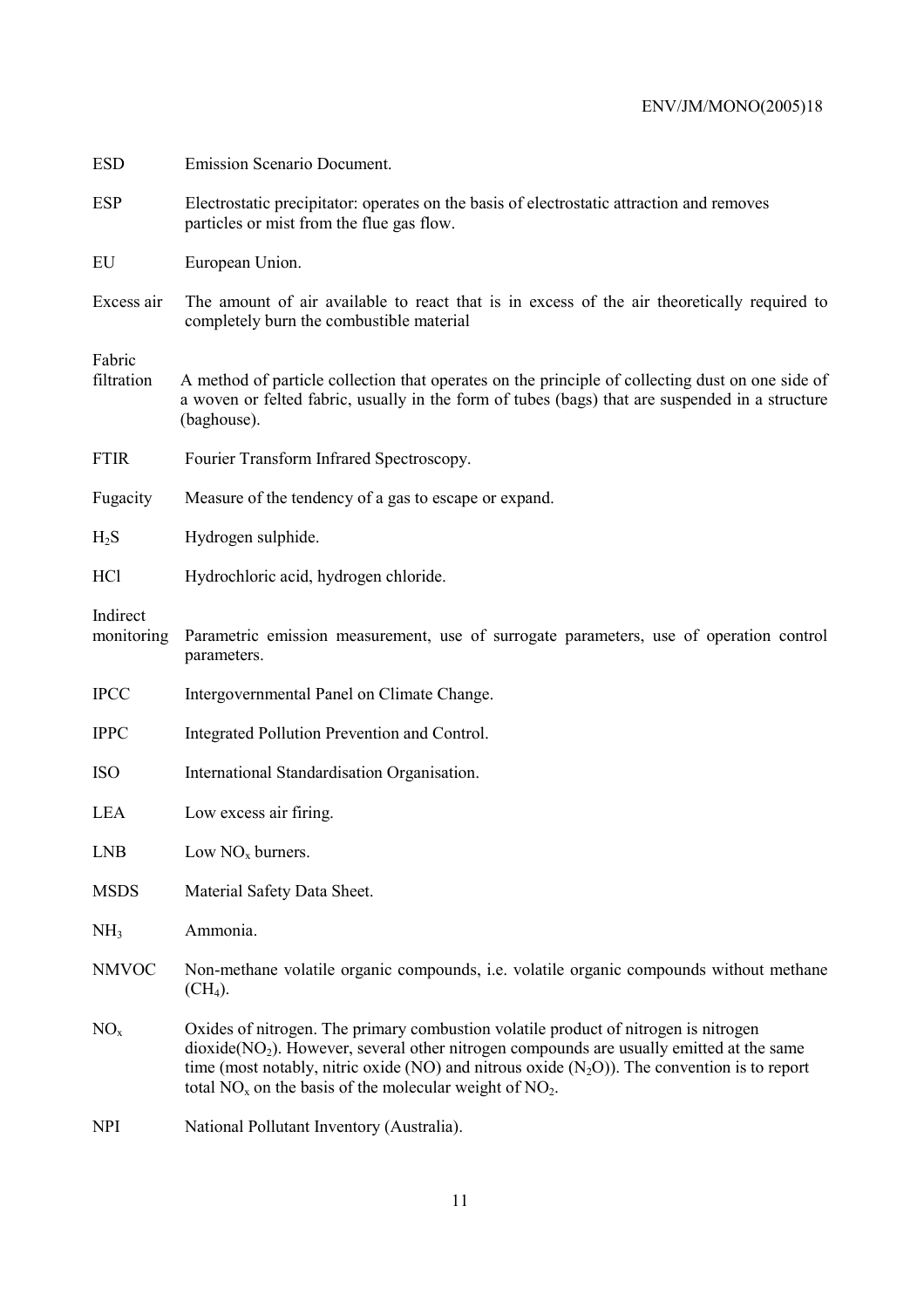| <b>ESD</b>             | <b>Emission Scenario Document.</b>                                                                                                                                                                                                                                                                                                                    |  |  |
|------------------------|-------------------------------------------------------------------------------------------------------------------------------------------------------------------------------------------------------------------------------------------------------------------------------------------------------------------------------------------------------|--|--|
| <b>ESP</b>             | Electrostatic precipitator: operates on the basis of electrostatic attraction and removes<br>particles or mist from the flue gas flow.                                                                                                                                                                                                                |  |  |
| EU                     | European Union.                                                                                                                                                                                                                                                                                                                                       |  |  |
| Excess air             | The amount of air available to react that is in excess of the air theoretically required to<br>completely burn the combustible material                                                                                                                                                                                                               |  |  |
| Fabric<br>filtration   | A method of particle collection that operates on the principle of collecting dust on one side of<br>a woven or felted fabric, usually in the form of tubes (bags) that are suspended in a structure<br>(baghouse).                                                                                                                                    |  |  |
| <b>FTIR</b>            | Fourier Transform Infrared Spectroscopy.                                                                                                                                                                                                                                                                                                              |  |  |
| Fugacity               | Measure of the tendency of a gas to escape or expand.                                                                                                                                                                                                                                                                                                 |  |  |
| $H_2S$                 | Hydrogen sulphide.                                                                                                                                                                                                                                                                                                                                    |  |  |
| <b>HCl</b>             | Hydrochloric acid, hydrogen chloride.                                                                                                                                                                                                                                                                                                                 |  |  |
| Indirect<br>monitoring | Parametric emission measurement, use of surrogate parameters, use of operation control<br>parameters.                                                                                                                                                                                                                                                 |  |  |
| <b>IPCC</b>            | Intergovernmental Panel on Climate Change.                                                                                                                                                                                                                                                                                                            |  |  |
| <b>IPPC</b>            | Integrated Pollution Prevention and Control.                                                                                                                                                                                                                                                                                                          |  |  |
| <b>ISO</b>             | International Standardisation Organisation.                                                                                                                                                                                                                                                                                                           |  |  |
| LEA                    | Low excess air firing.                                                                                                                                                                                                                                                                                                                                |  |  |
| <b>LNB</b>             | Low $NOx$ burners.                                                                                                                                                                                                                                                                                                                                    |  |  |
| <b>MSDS</b>            | Material Safety Data Sheet.                                                                                                                                                                                                                                                                                                                           |  |  |
| NH <sub>3</sub>        | Ammonia.                                                                                                                                                                                                                                                                                                                                              |  |  |
| <b>NMVOC</b>           | Non-methane volatile organic compounds, i.e. volatile organic compounds without methane<br>$(CH_4)$ .                                                                                                                                                                                                                                                 |  |  |
| NO <sub>x</sub>        | Oxides of nitrogen. The primary combustion volatile product of nitrogen is nitrogen<br>$dioxide(NO2)$ . However, several other nitrogen compounds are usually emitted at the same<br>time (most notably, nitric oxide (NO) and nitrous oxide $(N_2O)$ ). The convention is to report<br>total $NO_x$ on the basis of the molecular weight of $NO_2$ . |  |  |
| <b>NPI</b>             | National Pollutant Inventory (Australia).                                                                                                                                                                                                                                                                                                             |  |  |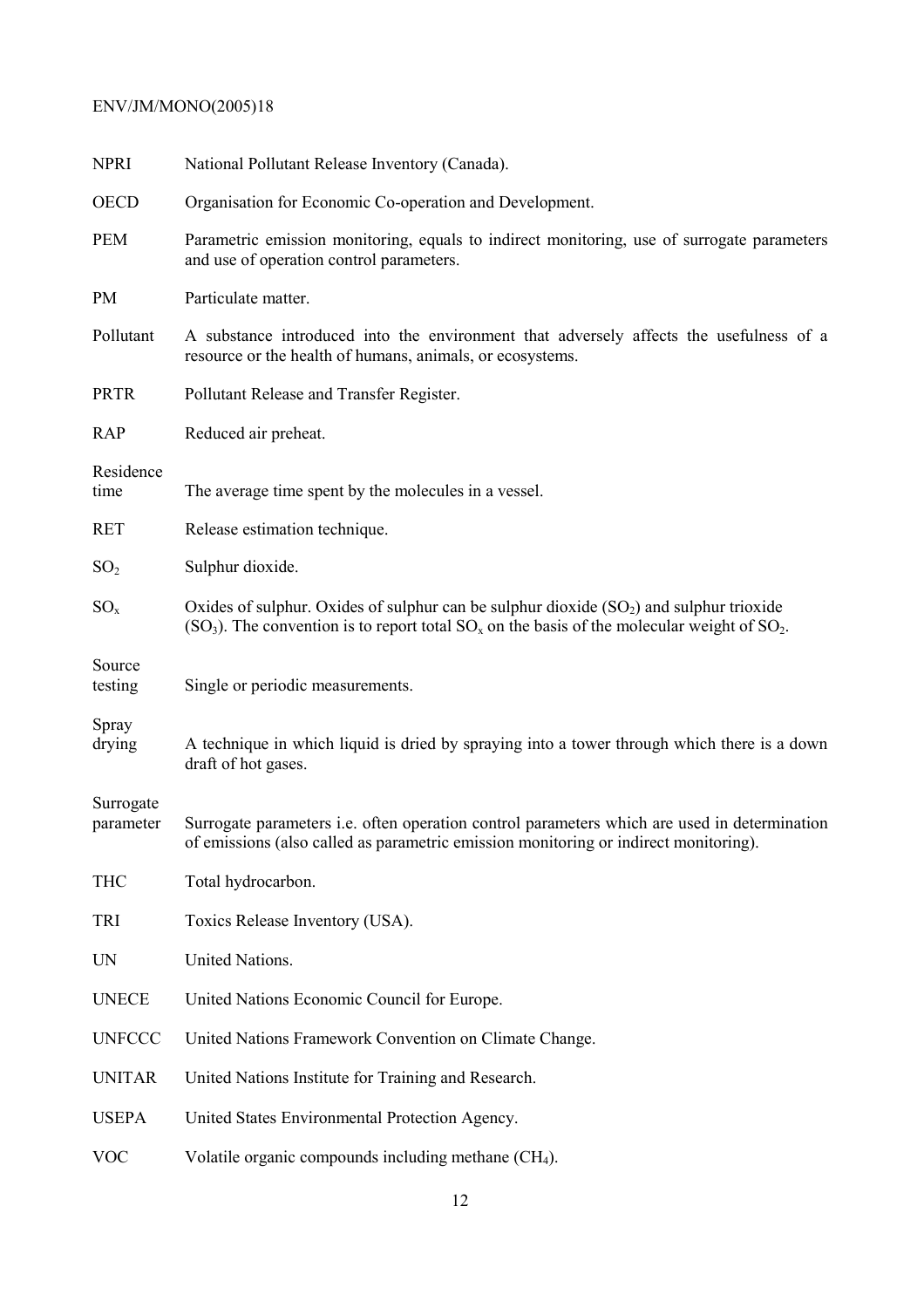| <b>NPRI</b>            | National Pollutant Release Inventory (Canada).                                                                                                                                                                              |  |
|------------------------|-----------------------------------------------------------------------------------------------------------------------------------------------------------------------------------------------------------------------------|--|
| <b>OECD</b>            | Organisation for Economic Co-operation and Development.                                                                                                                                                                     |  |
| <b>PEM</b>             | Parametric emission monitoring, equals to indirect monitoring, use of surrogate parameters<br>and use of operation control parameters.                                                                                      |  |
| <b>PM</b>              | Particulate matter.                                                                                                                                                                                                         |  |
| Pollutant              | A substance introduced into the environment that adversely affects the usefulness of a<br>resource or the health of humans, animals, or ecosystems.                                                                         |  |
| <b>PRTR</b>            | Pollutant Release and Transfer Register.                                                                                                                                                                                    |  |
| <b>RAP</b>             | Reduced air preheat.                                                                                                                                                                                                        |  |
| Residence<br>time      | The average time spent by the molecules in a vessel.                                                                                                                                                                        |  |
| <b>RET</b>             | Release estimation technique.                                                                                                                                                                                               |  |
| SO <sub>2</sub>        | Sulphur dioxide.                                                                                                                                                                                                            |  |
| $SO_{x}$               | Oxides of sulphur. Oxides of sulphur can be sulphur dioxide $(SO2)$ and sulphur trioxide<br>(SO <sub>3</sub> ). The convention is to report total SO <sub>x</sub> on the basis of the molecular weight of SO <sub>2</sub> . |  |
| Source<br>testing      | Single or periodic measurements.                                                                                                                                                                                            |  |
| Spray<br>drying        | A technique in which liquid is dried by spraying into a tower through which there is a down<br>draft of hot gases.                                                                                                          |  |
| Surrogate<br>parameter | Surrogate parameters <i>i.e.</i> often operation control parameters which are used in determination<br>of emissions (also called as parametric emission monitoring or indirect monitoring).                                 |  |
| <b>THC</b>             | Total hydrocarbon.                                                                                                                                                                                                          |  |
| TRI                    | Toxics Release Inventory (USA).                                                                                                                                                                                             |  |
| <b>UN</b>              | <b>United Nations.</b>                                                                                                                                                                                                      |  |
| <b>UNECE</b>           | United Nations Economic Council for Europe.                                                                                                                                                                                 |  |
| <b>UNFCCC</b>          | United Nations Framework Convention on Climate Change.                                                                                                                                                                      |  |
| <b>UNITAR</b>          | United Nations Institute for Training and Research.                                                                                                                                                                         |  |
| <b>USEPA</b>           | United States Environmental Protection Agency.                                                                                                                                                                              |  |
| <b>VOC</b>             | Volatile organic compounds including methane (CH <sub>4</sub> ).                                                                                                                                                            |  |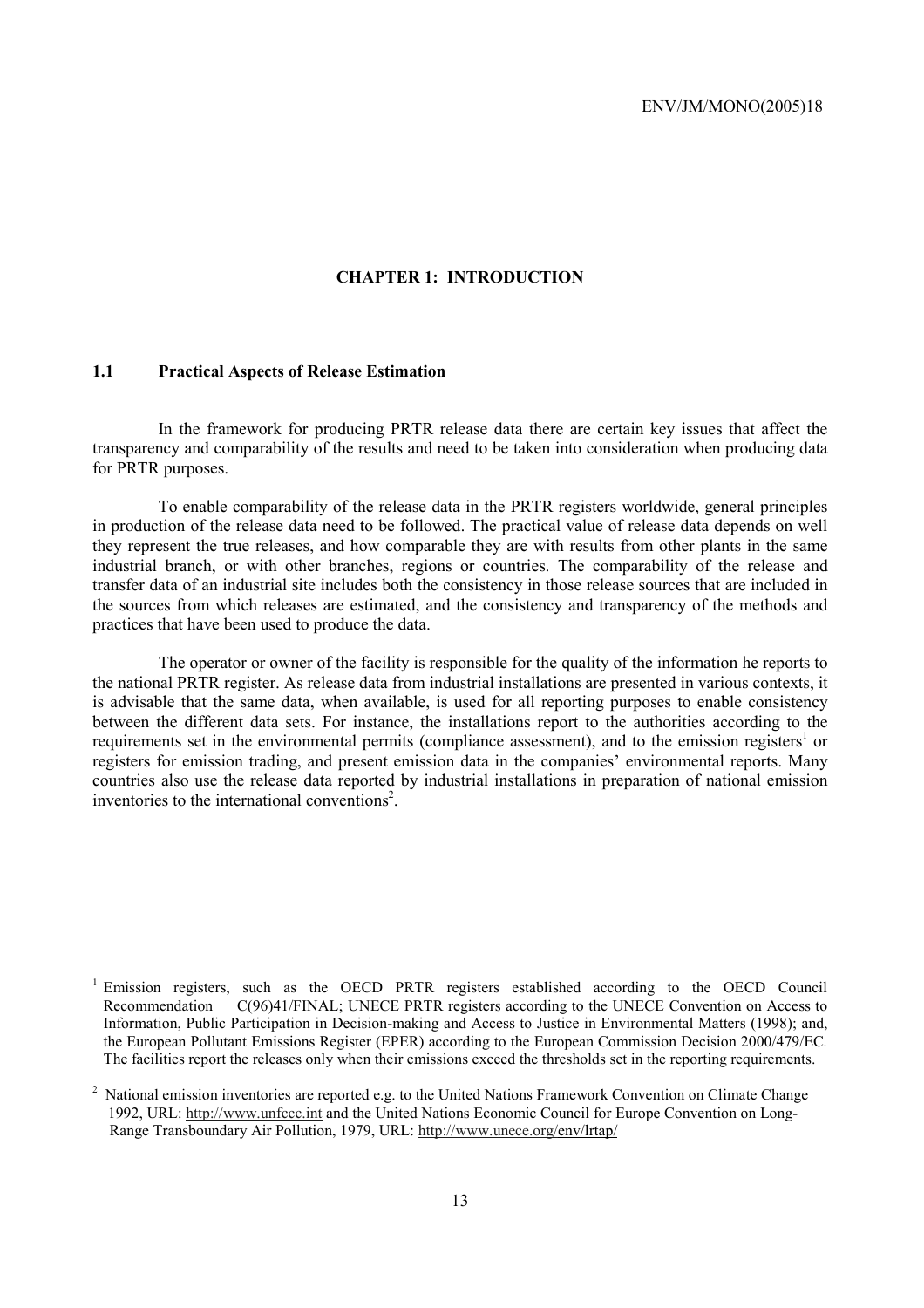#### **CHAPTER 1: INTRODUCTION**

#### **1.1 Practical Aspects of Release Estimation**

 In the framework for producing PRTR release data there are certain key issues that affect the transparency and comparability of the results and need to be taken into consideration when producing data for PRTR purposes.

 To enable comparability of the release data in the PRTR registers worldwide, general principles in production of the release data need to be followed. The practical value of release data depends on well they represent the true releases, and how comparable they are with results from other plants in the same industrial branch, or with other branches, regions or countries. The comparability of the release and transfer data of an industrial site includes both the consistency in those release sources that are included in the sources from which releases are estimated, and the consistency and transparency of the methods and practices that have been used to produce the data.

The operator or owner of the facility is responsible for the quality of the information he reports to the national PRTR register. As release data from industrial installations are presented in various contexts, it is advisable that the same data, when available, is used for all reporting purposes to enable consistency between the different data sets. For instance, the installations report to the authorities according to the requirements set in the environmental permits (compliance assessment), and to the emission registers<sup>1</sup> or registers for emission trading, and present emission data in the companies' environmental reports. Many countries also use the release data reported by industrial installations in preparation of national emission inventories to the international conventions<sup>2</sup>.

<sup>1</sup> Emission registers, such as the OECD PRTR registers established according to the OECD Council Recommendation C(96)41/FINAL; UNECE PRTR registers according to the UNECE Convention on Access to Information, Public Participation in Decision-making and Access to Justice in Environmental Matters (1998); and, the European Pollutant Emissions Register (EPER) according to the European Commission Decision 2000/479/EC*.*  The facilities report the releases only when their emissions exceed the thresholds set in the reporting requirements.

<sup>&</sup>lt;sup>2</sup> National emission inventories are reported e.g. to the United Nations Framework Convention on Climate Change 1992, URL: http://www.unfccc.int and the United Nations Economic Council for Europe Convention on Long- Range Transboundary Air Pollution, 1979, URL: http://www.unece.org/env/lrtap/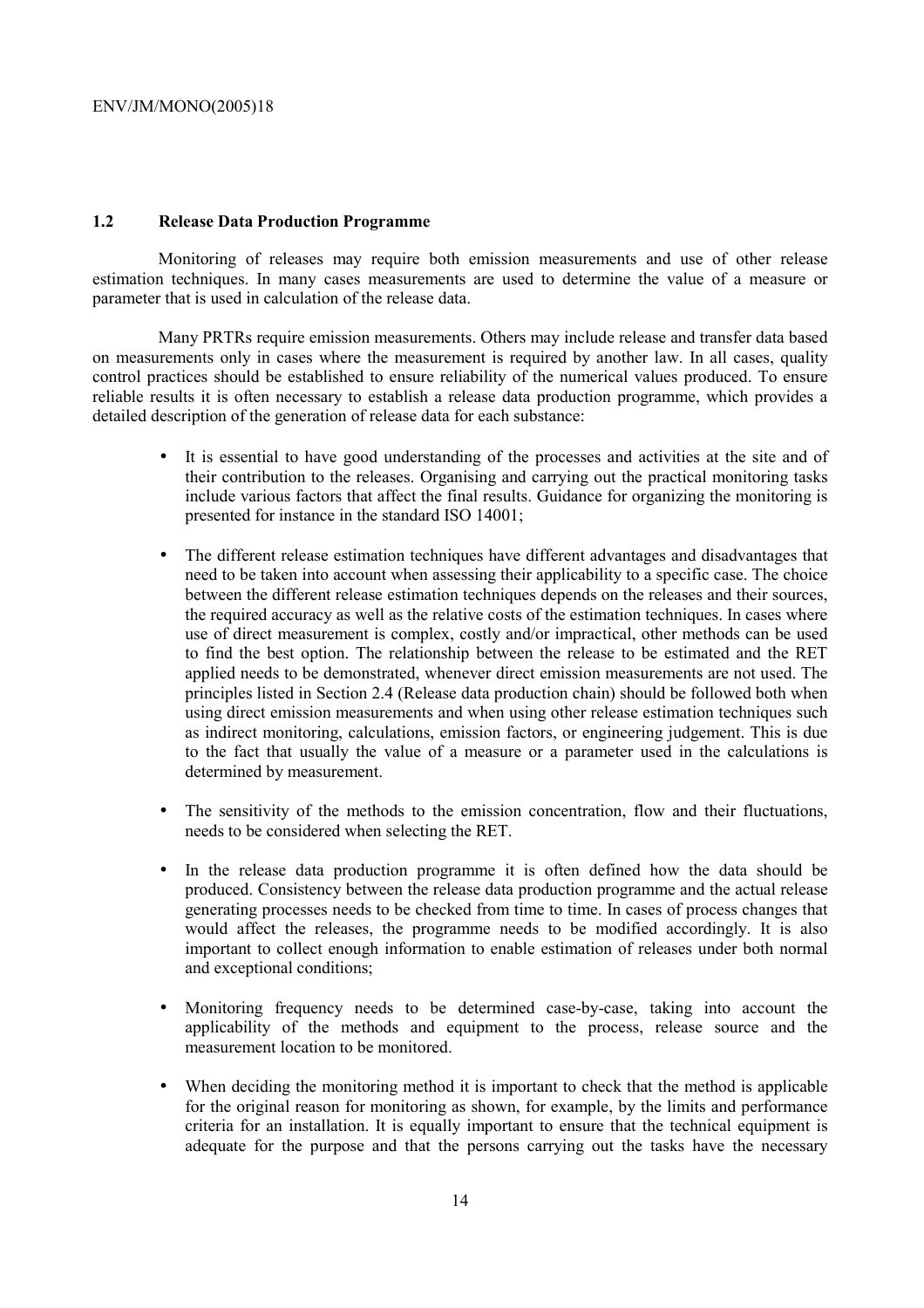#### **1.2 Release Data Production Programme**

 Monitoring of releases may require both emission measurements and use of other release estimation techniques. In many cases measurements are used to determine the value of a measure or parameter that is used in calculation of the release data.

 Many PRTRs require emission measurements. Others may include release and transfer data based on measurements only in cases where the measurement is required by another law. In all cases, quality control practices should be established to ensure reliability of the numerical values produced. To ensure reliable results it is often necessary to establish a release data production programme, which provides a detailed description of the generation of release data for each substance:

- It is essential to have good understanding of the processes and activities at the site and of their contribution to the releases. Organising and carrying out the practical monitoring tasks include various factors that affect the final results. Guidance for organizing the monitoring is presented for instance in the standard ISO 14001;
- The different release estimation techniques have different advantages and disadvantages that need to be taken into account when assessing their applicability to a specific case. The choice between the different release estimation techniques depends on the releases and their sources, the required accuracy as well as the relative costs of the estimation techniques. In cases where use of direct measurement is complex, costly and/or impractical, other methods can be used to find the best option. The relationship between the release to be estimated and the RET applied needs to be demonstrated, whenever direct emission measurements are not used. The principles listed in Section 2.4 (Release data production chain) should be followed both when using direct emission measurements and when using other release estimation techniques such as indirect monitoring, calculations, emission factors, or engineering judgement. This is due to the fact that usually the value of a measure or a parameter used in the calculations is determined by measurement.
- The sensitivity of the methods to the emission concentration, flow and their fluctuations, needs to be considered when selecting the RET.
- In the release data production programme it is often defined how the data should be produced. Consistency between the release data production programme and the actual release generating processes needs to be checked from time to time. In cases of process changes that would affect the releases, the programme needs to be modified accordingly. It is also important to collect enough information to enable estimation of releases under both normal and exceptional conditions;
- Monitoring frequency needs to be determined case-by-case, taking into account the applicability of the methods and equipment to the process, release source and the measurement location to be monitored.
- When deciding the monitoring method it is important to check that the method is applicable for the original reason for monitoring as shown, for example, by the limits and performance criteria for an installation. It is equally important to ensure that the technical equipment is adequate for the purpose and that the persons carrying out the tasks have the necessary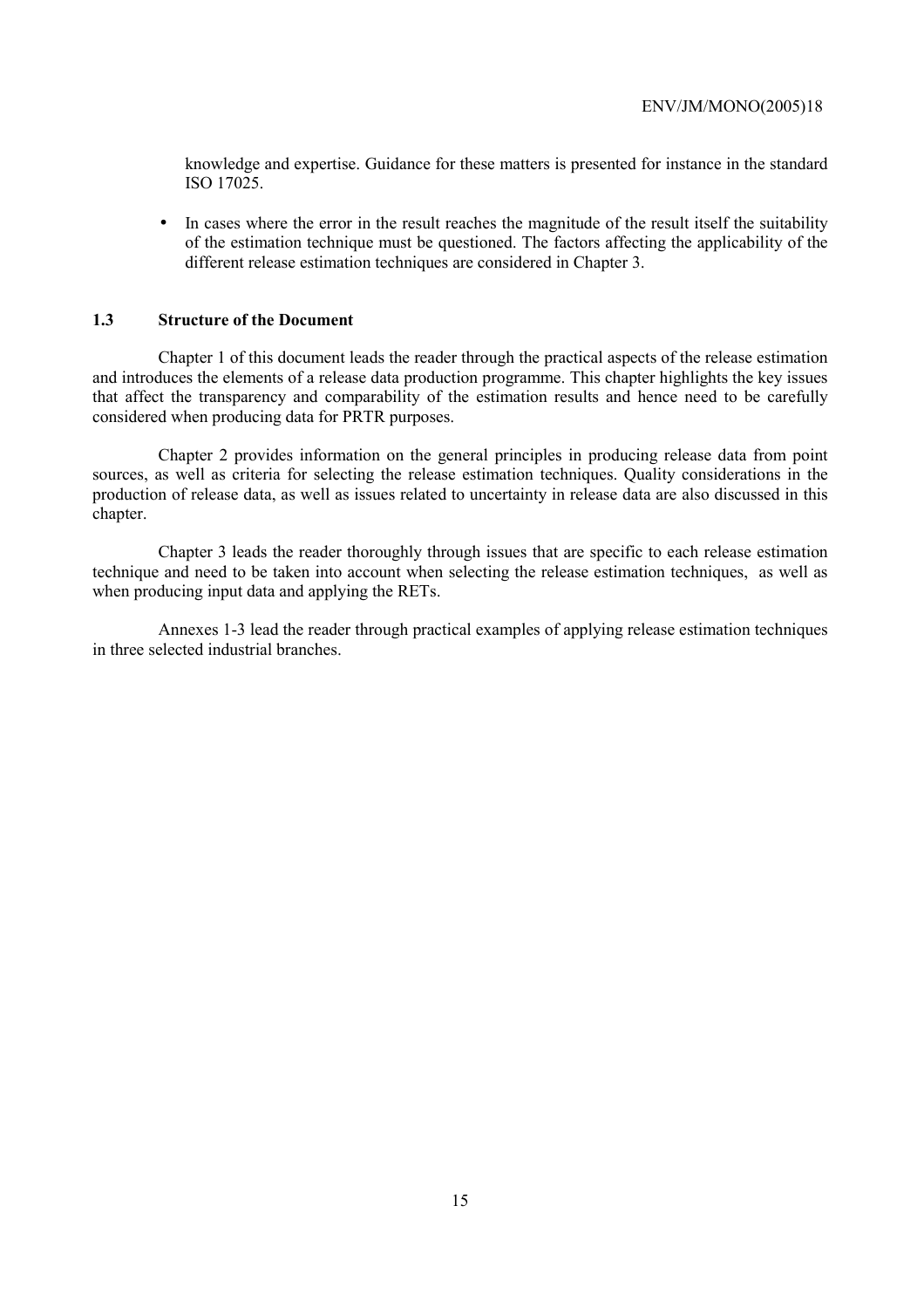knowledge and expertise. Guidance for these matters is presented for instance in the standard ISO 17025.

In cases where the error in the result reaches the magnitude of the result itself the suitability of the estimation technique must be questioned. The factors affecting the applicability of the different release estimation techniques are considered in Chapter 3.

#### **1.3 Structure of the Document**

 Chapter 1 of this document leads the reader through the practical aspects of the release estimation and introduces the elements of a release data production programme. This chapter highlights the key issues that affect the transparency and comparability of the estimation results and hence need to be carefully considered when producing data for PRTR purposes.

 Chapter 2 provides information on the general principles in producing release data from point sources, as well as criteria for selecting the release estimation techniques. Quality considerations in the production of release data, as well as issues related to uncertainty in release data are also discussed in this chapter.

 Chapter 3 leads the reader thoroughly through issues that are specific to each release estimation technique and need to be taken into account when selecting the release estimation techniques, as well as when producing input data and applying the RETs.

 Annexes 1-3 lead the reader through practical examples of applying release estimation techniques in three selected industrial branches.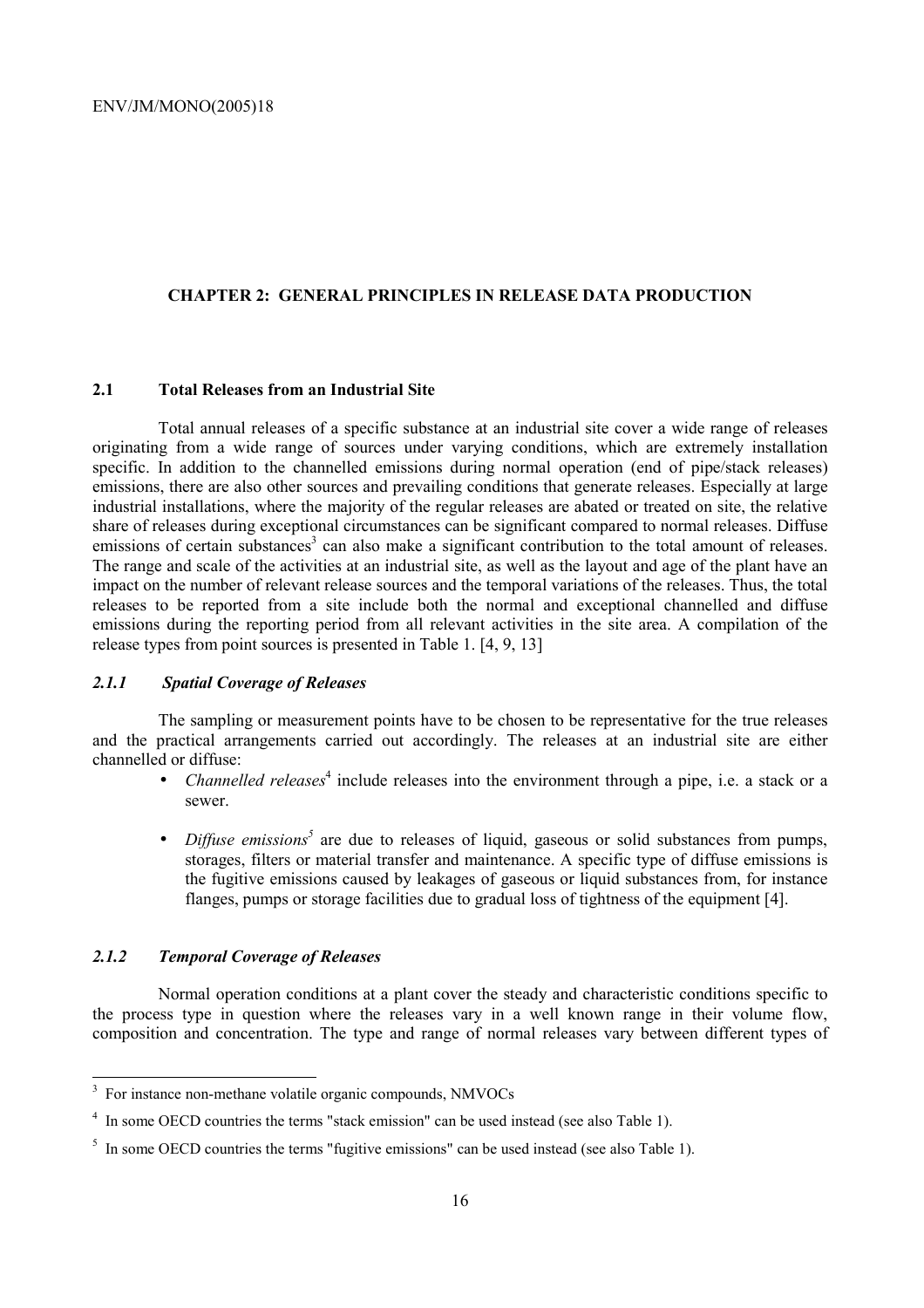#### **CHAPTER 2: GENERAL PRINCIPLES IN RELEASE DATA PRODUCTION**

#### **2.1 Total Releases from an Industrial Site**

 Total annual releases of a specific substance at an industrial site cover a wide range of releases originating from a wide range of sources under varying conditions, which are extremely installation specific. In addition to the channelled emissions during normal operation (end of pipe/stack releases) emissions, there are also other sources and prevailing conditions that generate releases. Especially at large industrial installations, where the majority of the regular releases are abated or treated on site, the relative share of releases during exceptional circumstances can be significant compared to normal releases. Diffuse emissions of certain substances<sup>3</sup> can also make a significant contribution to the total amount of releases. The range and scale of the activities at an industrial site, as well as the layout and age of the plant have an impact on the number of relevant release sources and the temporal variations of the releases. Thus, the total releases to be reported from a site include both the normal and exceptional channelled and diffuse emissions during the reporting period from all relevant activities in the site area. A compilation of the release types from point sources is presented in Table 1. [4, 9, 13]

#### *2.1.1 Spatial Coverage of Releases*

 The sampling or measurement points have to be chosen to be representative for the true releases and the practical arrangements carried out accordingly. The releases at an industrial site are either channelled or diffuse:

- *Channelled releases*<sup>4</sup> include releases into the environment through a pipe, i.e. a stack or a sewer.
- *Diffuse emissions*<sup>5</sup> are due to releases of liquid, gaseous or solid substances from pumps, storages, filters or material transfer and maintenance. A specific type of diffuse emissions is the fugitive emissions caused by leakages of gaseous or liquid substances from, for instance flanges, pumps or storage facilities due to gradual loss of tightness of the equipment [4].

#### *2.1.2 Temporal Coverage of Releases*

 $\overline{a}$ 

 Normal operation conditions at a plant cover the steady and characteristic conditions specific to the process type in question where the releases vary in a well known range in their volume flow, composition and concentration. The type and range of normal releases vary between different types of

<sup>&</sup>lt;sup>3</sup> For instance non-methane volatile organic compounds, NMVOCs

<sup>&</sup>lt;sup>4</sup> In some OECD countries the terms "stack emission" can be used instead (see also Table 1).

<sup>&</sup>lt;sup>5</sup> In some OECD countries the terms "fugitive emissions" can be used instead (see also Table 1).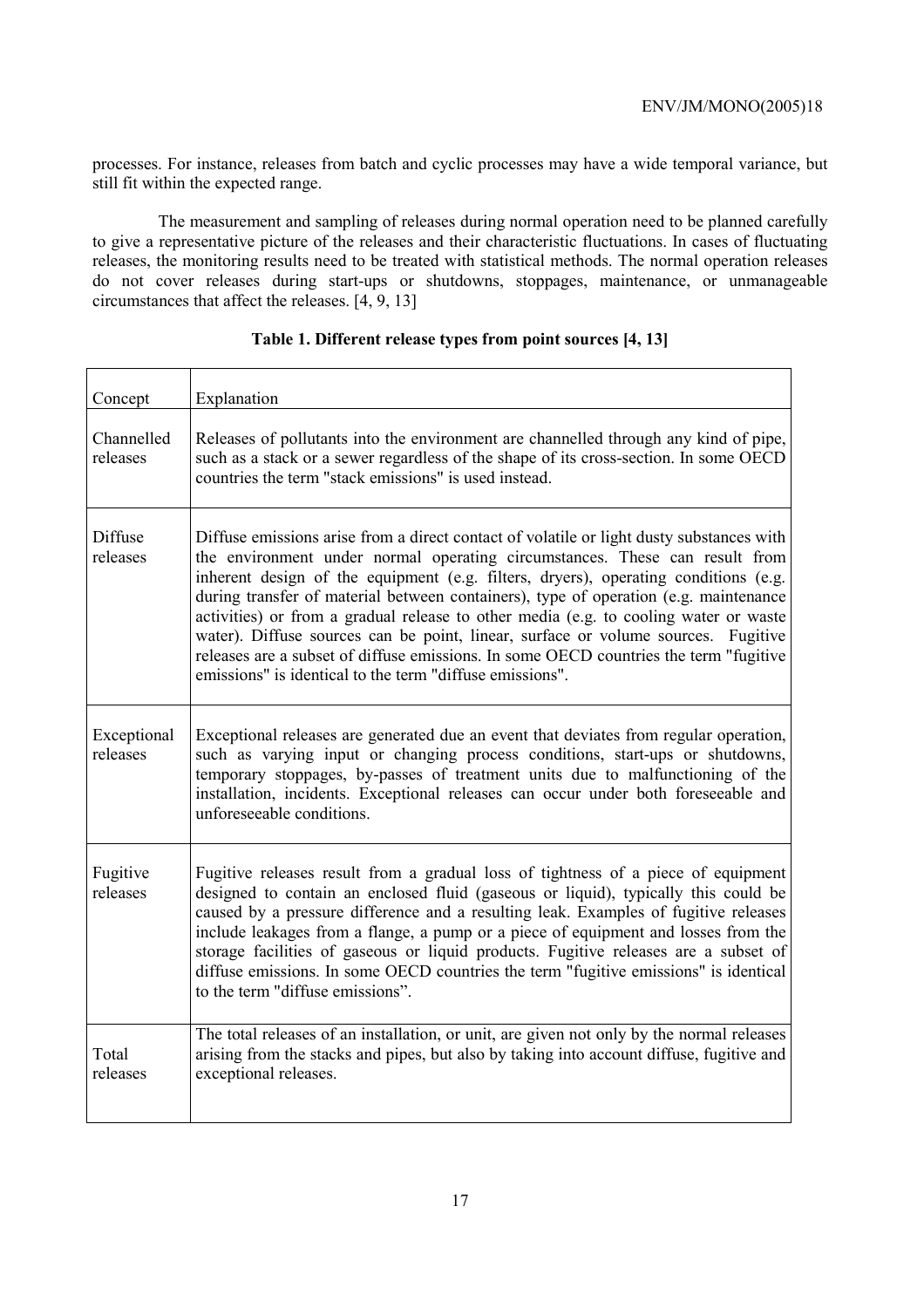processes. For instance, releases from batch and cyclic processes may have a wide temporal variance, but still fit within the expected range.

 The measurement and sampling of releases during normal operation need to be planned carefully to give a representative picture of the releases and their characteristic fluctuations. In cases of fluctuating releases, the monitoring results need to be treated with statistical methods. The normal operation releases do not cover releases during start-ups or shutdowns, stoppages, maintenance, or unmanageable circumstances that affect the releases.  $[4, 9, 13]$ 

| Concept                    | Explanation                                                                                                                                                                                                                                                                                                                                                                                                                                                                                                                                                                                                                                                                              |
|----------------------------|------------------------------------------------------------------------------------------------------------------------------------------------------------------------------------------------------------------------------------------------------------------------------------------------------------------------------------------------------------------------------------------------------------------------------------------------------------------------------------------------------------------------------------------------------------------------------------------------------------------------------------------------------------------------------------------|
| Channelled<br>releases     | Releases of pollutants into the environment are channelled through any kind of pipe,<br>such as a stack or a sewer regardless of the shape of its cross-section. In some OECD<br>countries the term "stack emissions" is used instead.                                                                                                                                                                                                                                                                                                                                                                                                                                                   |
| <b>Diffuse</b><br>releases | Diffuse emissions arise from a direct contact of volatile or light dusty substances with<br>the environment under normal operating circumstances. These can result from<br>inherent design of the equipment (e.g. filters, dryers), operating conditions (e.g.<br>during transfer of material between containers), type of operation (e.g. maintenance<br>activities) or from a gradual release to other media (e.g. to cooling water or waste<br>water). Diffuse sources can be point, linear, surface or volume sources. Fugitive<br>releases are a subset of diffuse emissions. In some OECD countries the term "fugitive<br>emissions" is identical to the term "diffuse emissions". |
| Exceptional<br>releases    | Exceptional releases are generated due an event that deviates from regular operation,<br>such as varying input or changing process conditions, start-ups or shutdowns,<br>temporary stoppages, by-passes of treatment units due to malfunctioning of the<br>installation, incidents. Exceptional releases can occur under both foreseeable and<br>unforeseeable conditions.                                                                                                                                                                                                                                                                                                              |
| Fugitive<br>releases       | Fugitive releases result from a gradual loss of tightness of a piece of equipment<br>designed to contain an enclosed fluid (gaseous or liquid), typically this could be<br>caused by a pressure difference and a resulting leak. Examples of fugitive releases<br>include leakages from a flange, a pump or a piece of equipment and losses from the<br>storage facilities of gaseous or liquid products. Fugitive releases are a subset of<br>diffuse emissions. In some OECD countries the term "fugitive emissions" is identical<br>to the term "diffuse emissions".                                                                                                                  |
| Total<br>releases          | The total releases of an installation, or unit, are given not only by the normal releases<br>arising from the stacks and pipes, but also by taking into account diffuse, fugitive and<br>exceptional releases.                                                                                                                                                                                                                                                                                                                                                                                                                                                                           |

#### **Table 1. Different release types from point sources [4, 13]**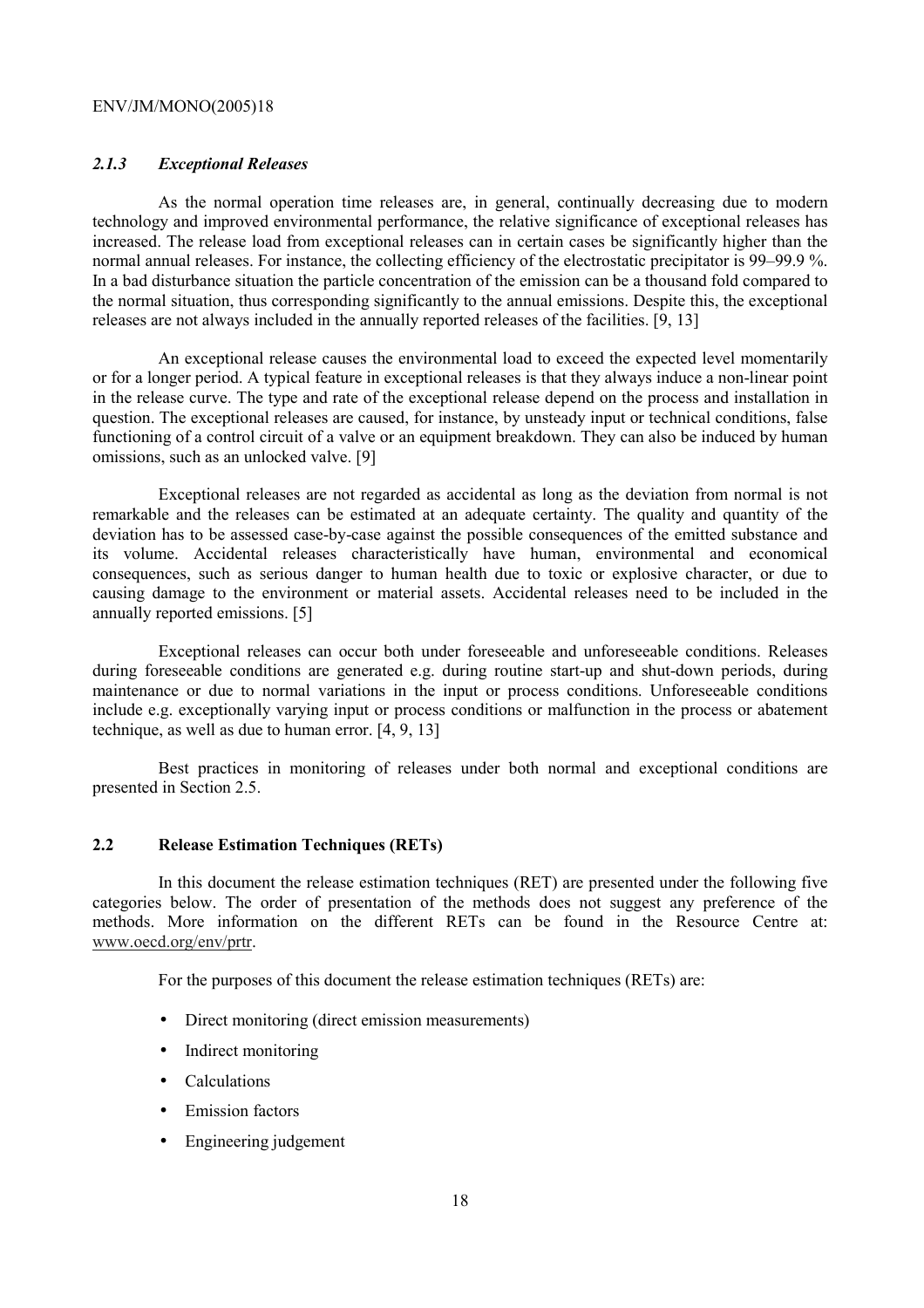#### *2.1.3 Exceptional Releases*

 As the normal operation time releases are, in general, continually decreasing due to modern technology and improved environmental performance, the relative significance of exceptional releases has increased. The release load from exceptional releases can in certain cases be significantly higher than the normal annual releases. For instance, the collecting efficiency of the electrostatic precipitator is 99–99.9 %. In a bad disturbance situation the particle concentration of the emission can be a thousand fold compared to the normal situation, thus corresponding significantly to the annual emissions. Despite this, the exceptional releases are not always included in the annually reported releases of the facilities. [9, 13]

 An exceptional release causes the environmental load to exceed the expected level momentarily or for a longer period. A typical feature in exceptional releases is that they always induce a non-linear point in the release curve. The type and rate of the exceptional release depend on the process and installation in question. The exceptional releases are caused, for instance, by unsteady input or technical conditions, false functioning of a control circuit of a valve or an equipment breakdown. They can also be induced by human omissions, such as an unlocked valve. [9]

 Exceptional releases are not regarded as accidental as long as the deviation from normal is not remarkable and the releases can be estimated at an adequate certainty. The quality and quantity of the deviation has to be assessed case-by-case against the possible consequences of the emitted substance and its volume. Accidental releases characteristically have human, environmental and economical consequences, such as serious danger to human health due to toxic or explosive character, or due to causing damage to the environment or material assets. Accidental releases need to be included in the annually reported emissions. [5]

 Exceptional releases can occur both under foreseeable and unforeseeable conditions. Releases during foreseeable conditions are generated e.g. during routine start-up and shut-down periods, during maintenance or due to normal variations in the input or process conditions. Unforeseeable conditions include e.g. exceptionally varying input or process conditions or malfunction in the process or abatement technique, as well as due to human error. [4, 9, 13]

 Best practices in monitoring of releases under both normal and exceptional conditions are presented in Section 2.5.

#### **2.2 Release Estimation Techniques (RETs)**

 In this document the release estimation techniques (RET) are presented under the following five categories below. The order of presentation of the methods does not suggest any preference of the methods. More information on the different RETs can be found in the Resource Centre at: www.oecd.org/env/prtr.

For the purposes of this document the release estimation techniques (RETs) are:

- Direct monitoring (direct emission measurements)
- Indirect monitoring
- Calculations
- Emission factors
- Engineering judgement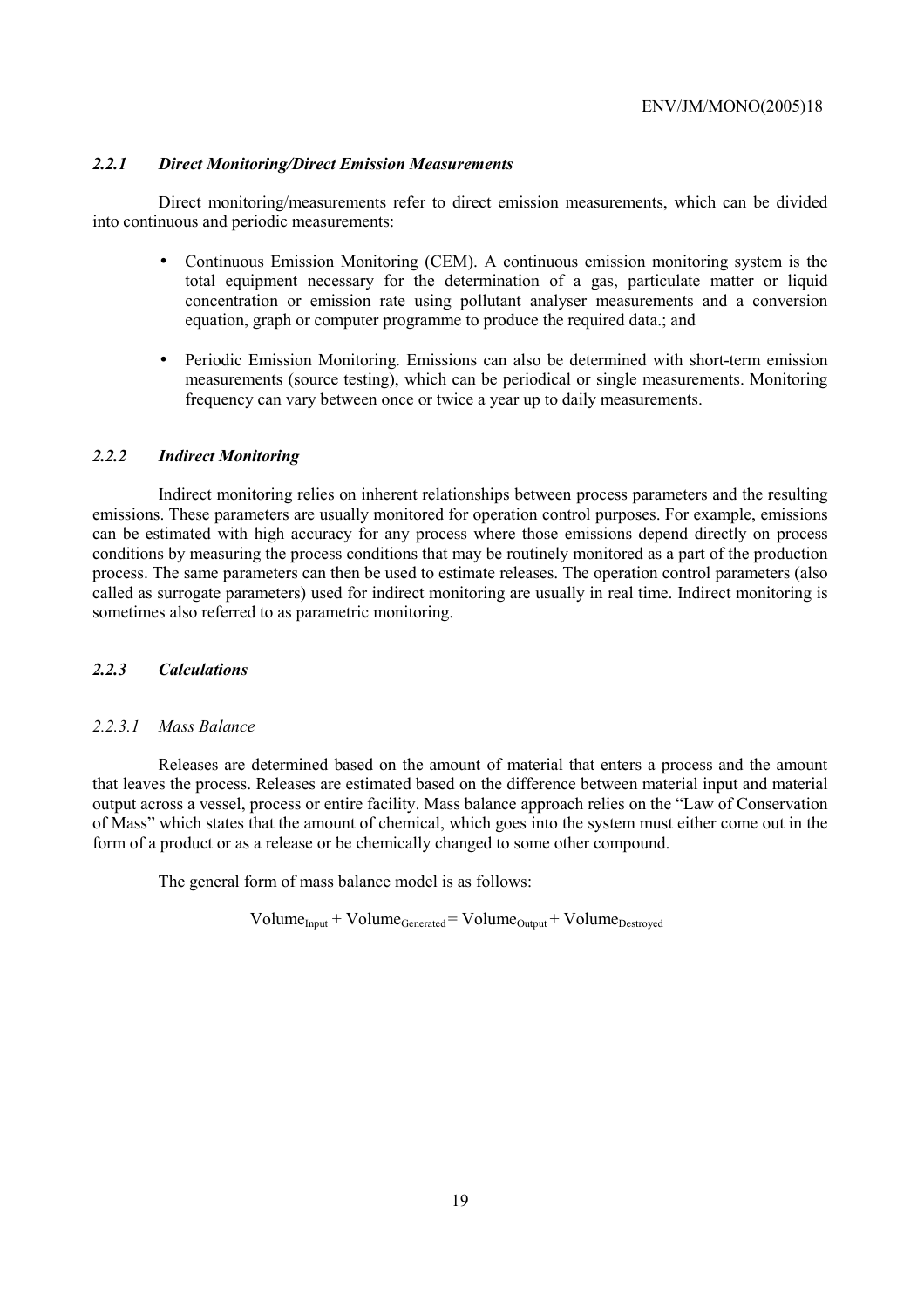#### *2.2.1 Direct Monitoring/Direct Emission Measurements*

 Direct monitoring/measurements refer to direct emission measurements, which can be divided into continuous and periodic measurements:

- Continuous Emission Monitoring (CEM). A continuous emission monitoring system is the total equipment necessary for the determination of a gas, particulate matter or liquid concentration or emission rate using pollutant analyser measurements and a conversion equation, graph or computer programme to produce the required data.; and
- Periodic Emission Monitoring. Emissions can also be determined with short-term emission measurements (source testing), which can be periodical or single measurements. Monitoring frequency can vary between once or twice a year up to daily measurements.

#### *2.2.2 Indirect Monitoring*

Indirect monitoring relies on inherent relationships between process parameters and the resulting emissions. These parameters are usually monitored for operation control purposes. For example, emissions can be estimated with high accuracy for any process where those emissions depend directly on process conditions by measuring the process conditions that may be routinely monitored as a part of the production process. The same parameters can then be used to estimate releases. The operation control parameters (also called as surrogate parameters) used for indirect monitoring are usually in real time. Indirect monitoring is sometimes also referred to as parametric monitoring.

#### *2.2.3 Calculations*

#### *2.2.3.1 Mass Balance*

 Releases are determined based on the amount of material that enters a process and the amount that leaves the process. Releases are estimated based on the difference between material input and material output across a vessel, process or entire facility. Mass balance approach relies on the "Law of Conservation of Mass" which states that the amount of chemical, which goes into the system must either come out in the form of a product or as a release or be chemically changed to some other compound.

The general form of mass balance model is as follows:

 $Volume_{Input} + Volume_{General} = Volume_{Output} + Volume_{Destroved}$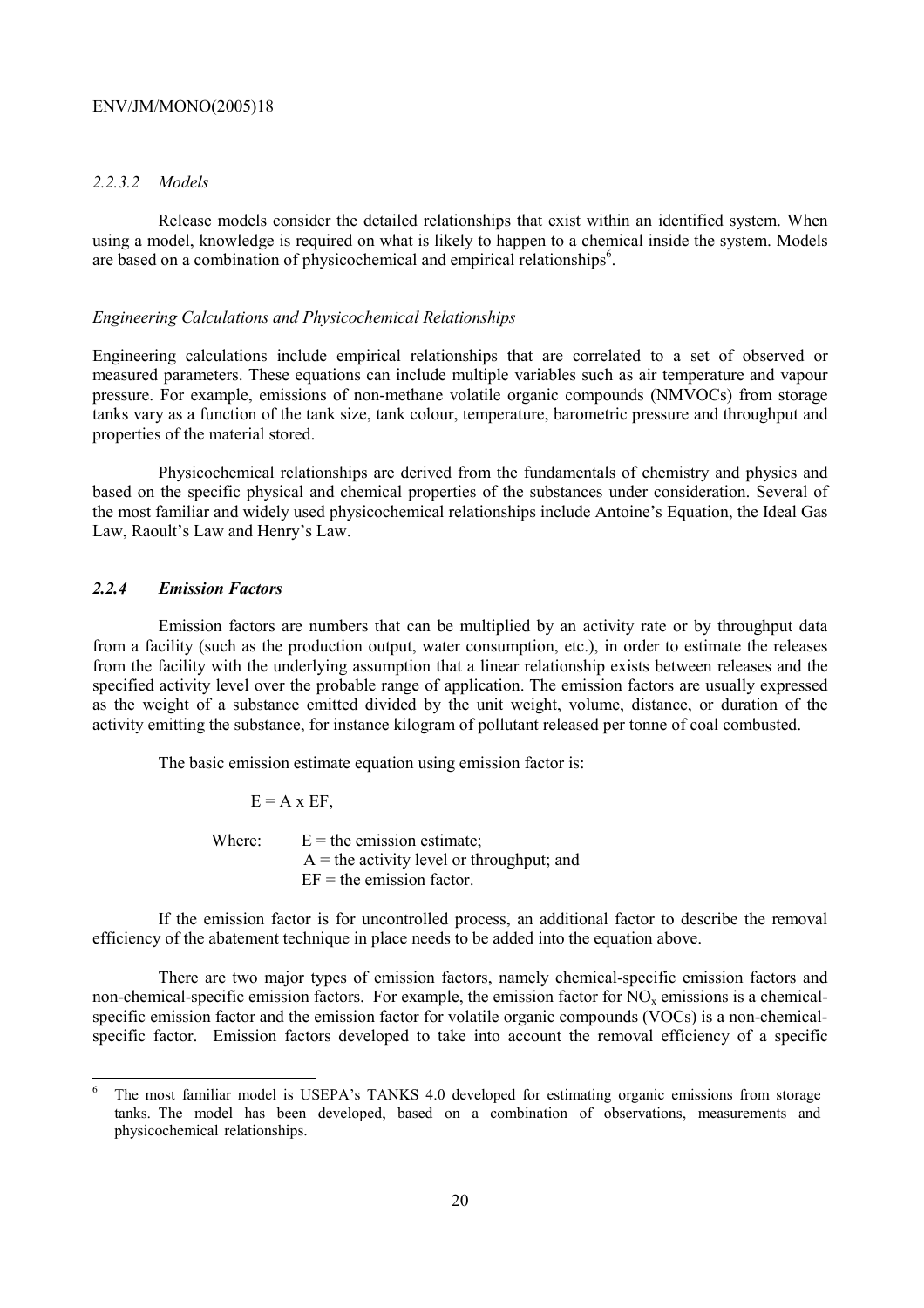#### *2.2.3.2 Models*

 Release models consider the detailed relationships that exist within an identified system. When using a model, knowledge is required on what is likely to happen to a chemical inside the system. Models are based on a combination of physicochemical and empirical relationships<sup>6</sup>.

#### *Engineering Calculations and Physicochemical Relationships*

Engineering calculations include empirical relationships that are correlated to a set of observed or measured parameters. These equations can include multiple variables such as air temperature and vapour pressure. For example, emissions of non-methane volatile organic compounds (NMVOCs) from storage tanks vary as a function of the tank size, tank colour, temperature, barometric pressure and throughput and properties of the material stored.

 Physicochemical relationships are derived from the fundamentals of chemistry and physics and based on the specific physical and chemical properties of the substances under consideration. Several of the most familiar and widely used physicochemical relationships include Antoine's Equation, the Ideal Gas Law, Raoult's Law and Henry's Law.

#### *2.2.4 Emission Factors*

 Emission factors are numbers that can be multiplied by an activity rate or by throughput data from a facility (such as the production output, water consumption, etc.), in order to estimate the releases from the facility with the underlying assumption that a linear relationship exists between releases and the specified activity level over the probable range of application. The emission factors are usually expressed as the weight of a substance emitted divided by the unit weight, volume, distance, or duration of the activity emitting the substance, for instance kilogram of pollutant released per tonne of coal combusted.

The basic emission estimate equation using emission factor is:

 $E = A x EF$ ,

Where:  $E =$  the emission estimate:  $A =$  the activity level or throughput; and  $EF =$  the emission factor.

 If the emission factor is for uncontrolled process, an additional factor to describe the removal efficiency of the abatement technique in place needs to be added into the equation above.

 There are two major types of emission factors, namely chemical-specific emission factors and non-chemical-specific emission factors. For example, the emission factor for  $\overline{NO_x}$  emissions is a chemicalspecific emission factor and the emission factor for volatile organic compounds (VOCs) is a non-chemicalspecific factor. Emission factors developed to take into account the removal efficiency of a specific

 6 The most familiar model is USEPA's TANKS 4.0 developed for estimating organic emissions from storage tanks. The model has been developed, based on a combination of observations, measurements and physicochemical relationships.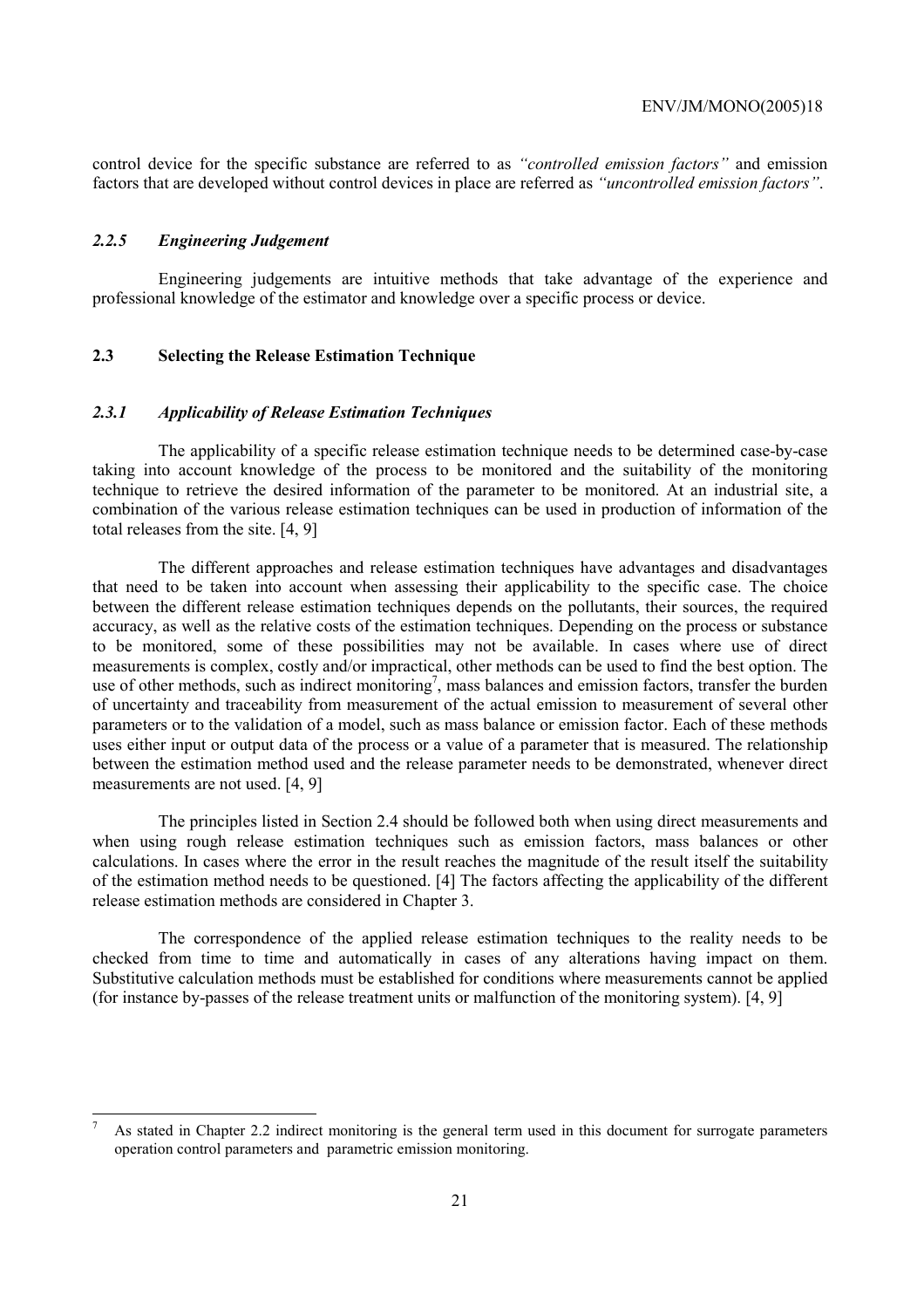control device for the specific substance are referred to as *"controlled emission factors"* and emission factors that are developed without control devices in place are referred as *"uncontrolled emission factors"*.

#### *2.2.5 Engineering Judgement*

 $\overline{a}$ 

 Engineering judgements are intuitive methods that take advantage of the experience and professional knowledge of the estimator and knowledge over a specific process or device.

#### **2.3 Selecting the Release Estimation Technique**

#### *2.3.1 Applicability of Release Estimation Techniques*

 The applicability of a specific release estimation technique needs to be determined case-by-case taking into account knowledge of the process to be monitored and the suitability of the monitoring technique to retrieve the desired information of the parameter to be monitored. At an industrial site, a combination of the various release estimation techniques can be used in production of information of the total releases from the site. [4, 9]

 The different approaches and release estimation techniques have advantages and disadvantages that need to be taken into account when assessing their applicability to the specific case. The choice between the different release estimation techniques depends on the pollutants, their sources, the required accuracy, as well as the relative costs of the estimation techniques. Depending on the process or substance to be monitored, some of these possibilities may not be available. In cases where use of direct measurements is complex, costly and/or impractical, other methods can be used to find the best option. The use of other methods, such as indirect monitoring<sup>7</sup>, mass balances and emission factors, transfer the burden of uncertainty and traceability from measurement of the actual emission to measurement of several other parameters or to the validation of a model, such as mass balance or emission factor. Each of these methods uses either input or output data of the process or a value of a parameter that is measured. The relationship between the estimation method used and the release parameter needs to be demonstrated, whenever direct measurements are not used. [4, 9]

 The principles listed in Section 2.4 should be followed both when using direct measurements and when using rough release estimation techniques such as emission factors, mass balances or other calculations. In cases where the error in the result reaches the magnitude of the result itself the suitability of the estimation method needs to be questioned. [4] The factors affecting the applicability of the different release estimation methods are considered in Chapter 3.

 The correspondence of the applied release estimation techniques to the reality needs to be checked from time to time and automatically in cases of any alterations having impact on them. Substitutive calculation methods must be established for conditions where measurements cannot be applied (for instance by-passes of the release treatment units or malfunction of the monitoring system). [4, 9]

<sup>7</sup> As stated in Chapter 2.2 indirect monitoring is the general term used in this document for surrogate parameters operation control parameters and parametric emission monitoring.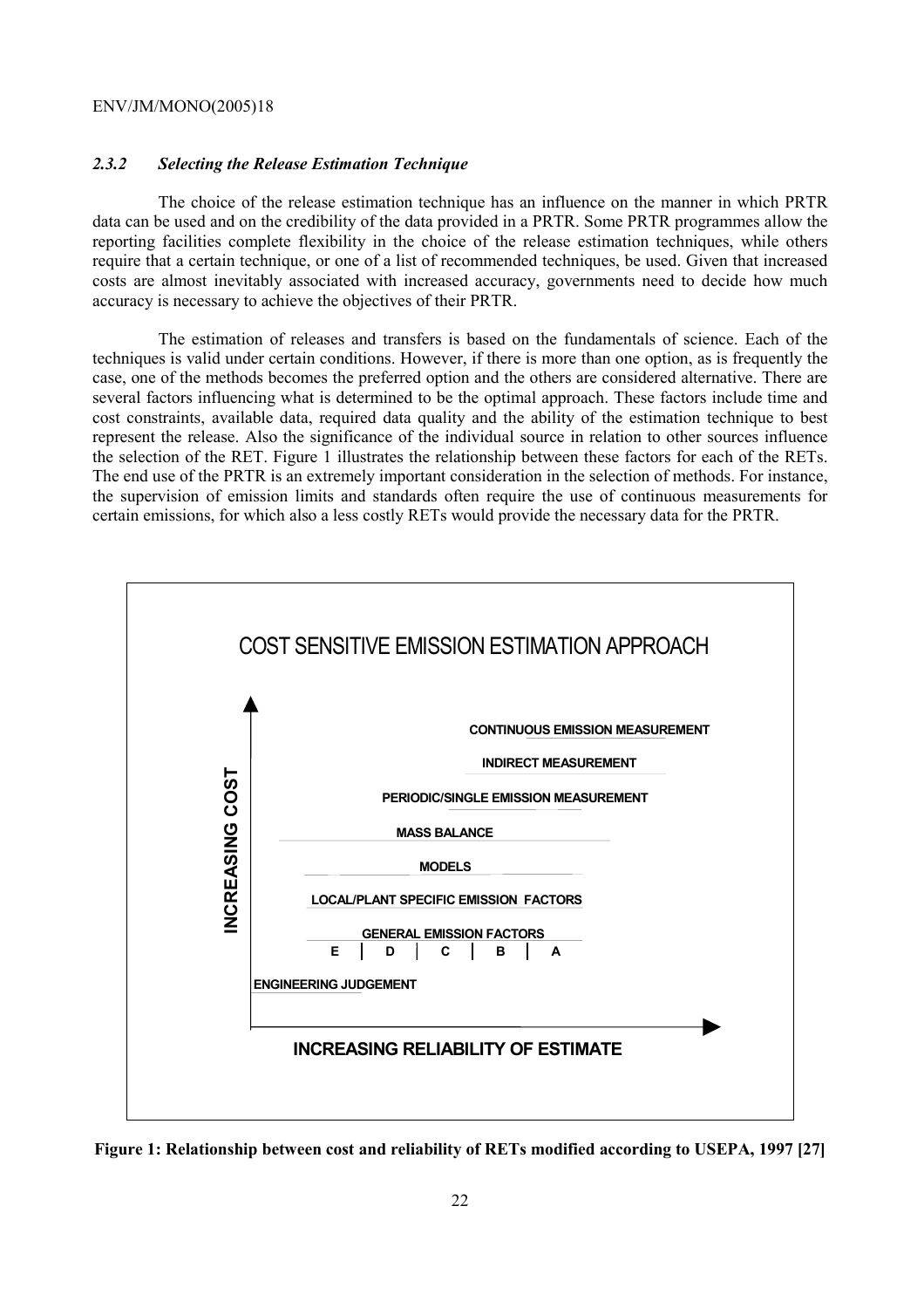#### *2.3.2 Selecting the Release Estimation Technique*

 The choice of the release estimation technique has an influence on the manner in which PRTR data can be used and on the credibility of the data provided in a PRTR. Some PRTR programmes allow the reporting facilities complete flexibility in the choice of the release estimation techniques, while others require that a certain technique, or one of a list of recommended techniques, be used. Given that increased costs are almost inevitably associated with increased accuracy, governments need to decide how much accuracy is necessary to achieve the objectives of their PRTR.

 The estimation of releases and transfers is based on the fundamentals of science. Each of the techniques is valid under certain conditions. However, if there is more than one option, as is frequently the case, one of the methods becomes the preferred option and the others are considered alternative. There are several factors influencing what is determined to be the optimal approach. These factors include time and cost constraints, available data, required data quality and the ability of the estimation technique to best represent the release. Also the significance of the individual source in relation to other sources influence the selection of the RET. Figure 1 illustrates the relationship between these factors for each of the RETs. The end use of the PRTR is an extremely important consideration in the selection of methods. For instance, the supervision of emission limits and standards often require the use of continuous measurements for certain emissions, for which also a less costly RETs would provide the necessary data for the PRTR.



**Figure 1: Relationship between cost and reliability of RETs modified according to USEPA, 1997 [27]**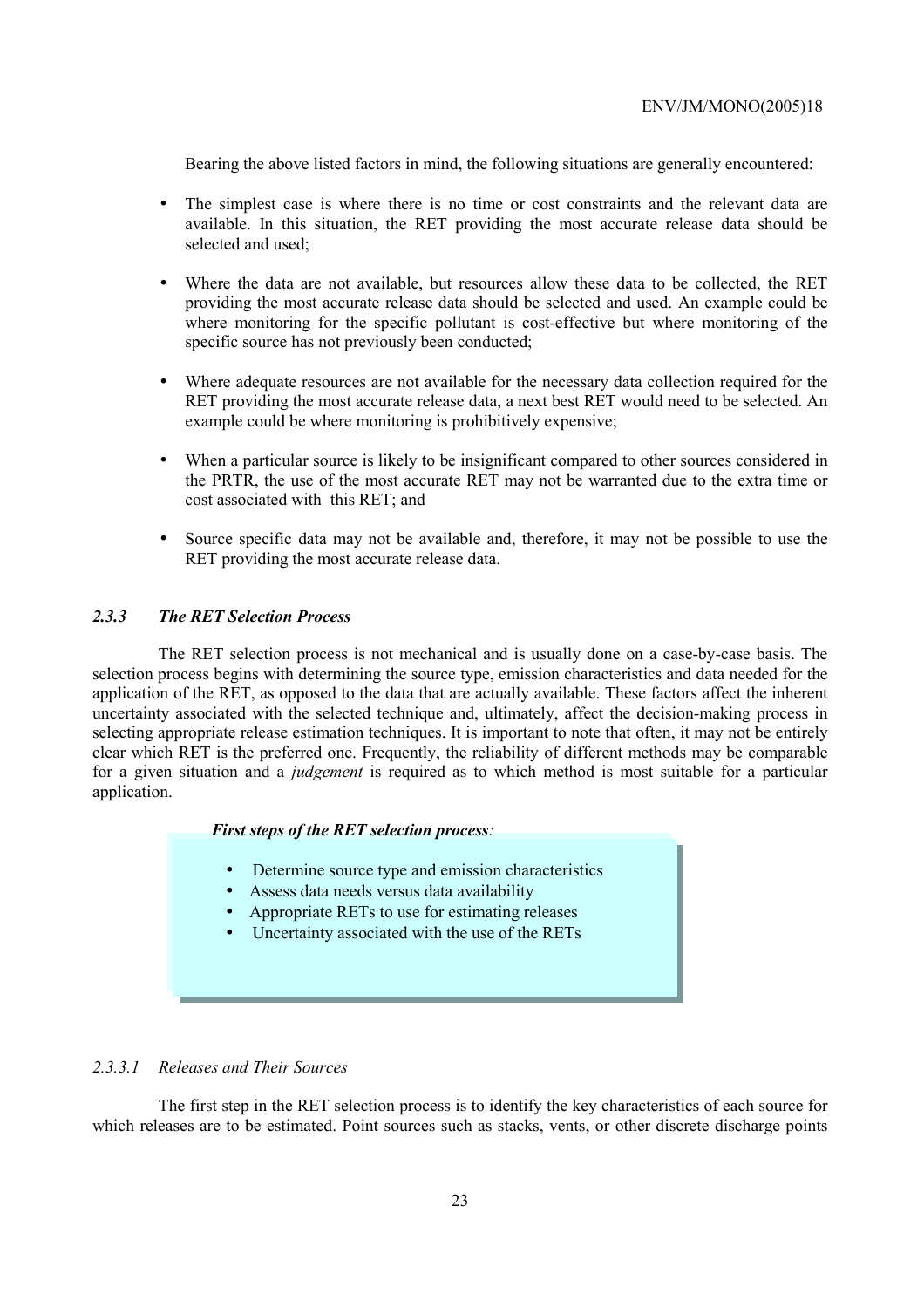Bearing the above listed factors in mind, the following situations are generally encountered:

- The simplest case is where there is no time or cost constraints and the relevant data are available. In this situation, the RET providing the most accurate release data should be selected and used;
- Where the data are not available, but resources allow these data to be collected, the RET providing the most accurate release data should be selected and used. An example could be where monitoring for the specific pollutant is cost-effective but where monitoring of the specific source has not previously been conducted;
- Where adequate resources are not available for the necessary data collection required for the RET providing the most accurate release data, a next best RET would need to be selected. An example could be where monitoring is prohibitively expensive;
- When a particular source is likely to be insignificant compared to other sources considered in the PRTR, the use of the most accurate RET may not be warranted due to the extra time or cost associated with this RET; and
- Source specific data may not be available and, therefore, it may not be possible to use the RET providing the most accurate release data.

#### *2.3.3 The RET Selection Process*

 The RET selection process is not mechanical and is usually done on a case-by-case basis. The selection process begins with determining the source type, emission characteristics and data needed for the application of the RET, as opposed to the data that are actually available. These factors affect the inherent uncertainty associated with the selected technique and, ultimately, affect the decision-making process in selecting appropriate release estimation techniques. It is important to note that often, it may not be entirely clear which RET is the preferred one. Frequently, the reliability of different methods may be comparable for a given situation and a *judgement* is required as to which method is most suitable for a particular application.

#### *First steps of the RET selection process:*

- Determine source type and emission characteristics
- Assess data needs versus data availability
- Appropriate RETs to use for estimating releases
- Uncertainty associated with the use of the RETs

#### *2.3.3.1 Releases and Their Sources*

 The first step in the RET selection process is to identify the key characteristics of each source for which releases are to be estimated. Point sources such as stacks, vents, or other discrete discharge points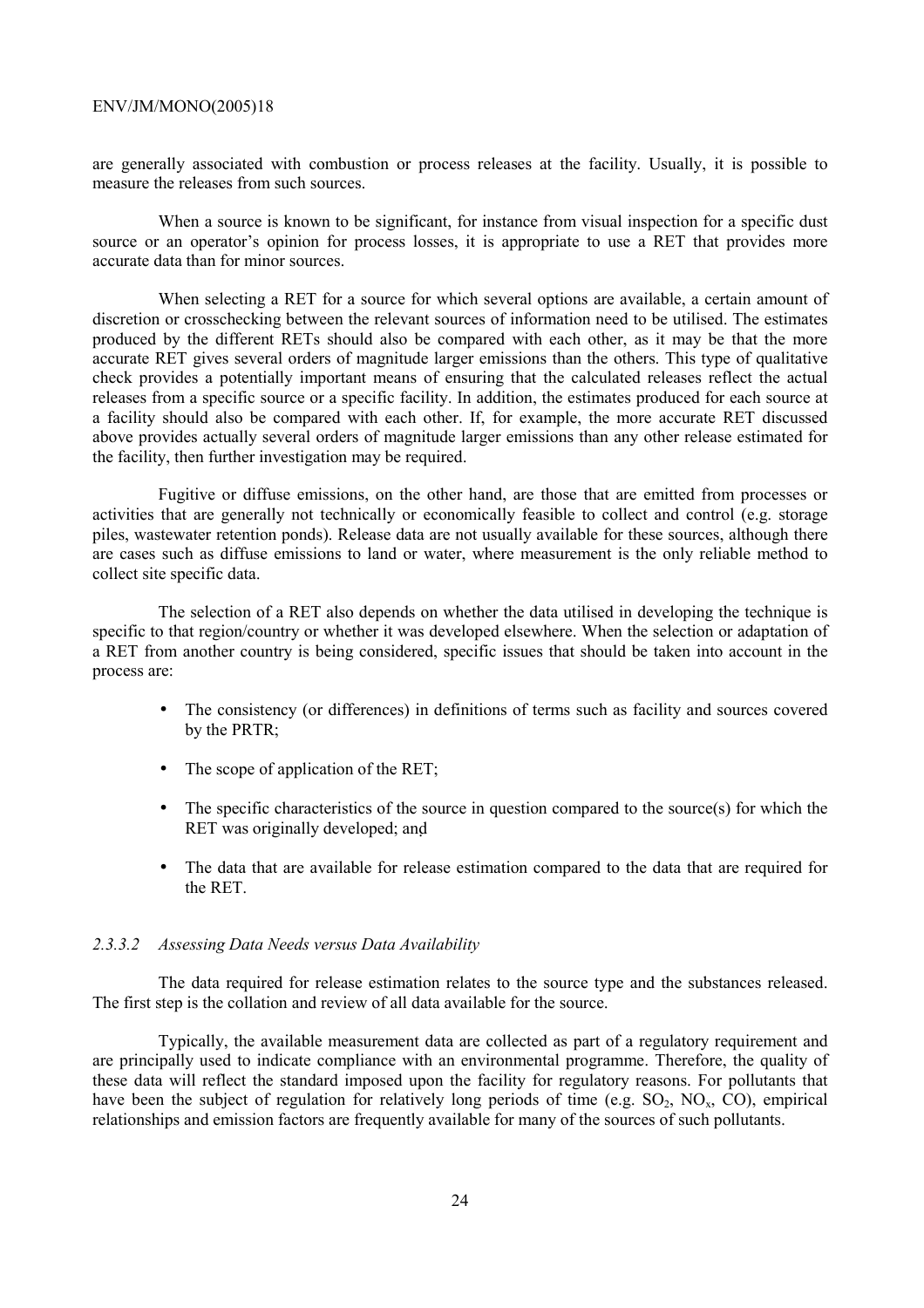are generally associated with combustion or process releases at the facility. Usually, it is possible to measure the releases from such sources.

When a source is known to be significant, for instance from visual inspection for a specific dust source or an operator's opinion for process losses, it is appropriate to use a RET that provides more accurate data than for minor sources.

When selecting a RET for a source for which several options are available, a certain amount of discretion or crosschecking between the relevant sources of information need to be utilised. The estimates produced by the different RETs should also be compared with each other, as it may be that the more accurate RET gives several orders of magnitude larger emissions than the others. This type of qualitative check provides a potentially important means of ensuring that the calculated releases reflect the actual releases from a specific source or a specific facility. In addition, the estimates produced for each source at a facility should also be compared with each other. If, for example, the more accurate RET discussed above provides actually several orders of magnitude larger emissions than any other release estimated for the facility, then further investigation may be required.

 Fugitive or diffuse emissions, on the other hand, are those that are emitted from processes or activities that are generally not technically or economically feasible to collect and control (e.g. storage piles, wastewater retention ponds). Release data are not usually available for these sources, although there are cases such as diffuse emissions to land or water, where measurement is the only reliable method to collect site specific data.

 The selection of a RET also depends on whether the data utilised in developing the technique is specific to that region/country or whether it was developed elsewhere. When the selection or adaptation of a RET from another country is being considered, specific issues that should be taken into account in the process are:

- The consistency (or differences) in definitions of terms such as facility and sources covered by the PRTR;
- The scope of application of the RET;
- The specific characteristics of the source in question compared to the source(s) for which the RET was originally developed; and
- The data that are available for release estimation compared to the data that are required for the RET.

#### *2.3.3.2 Assessing Data Needs versus Data Availability*

 The data required for release estimation relates to the source type and the substances released. The first step is the collation and review of all data available for the source.

 Typically, the available measurement data are collected as part of a regulatory requirement and are principally used to indicate compliance with an environmental programme. Therefore, the quality of these data will reflect the standard imposed upon the facility for regulatory reasons. For pollutants that have been the subject of regulation for relatively long periods of time (e.g.  $SO_2$ ,  $NO_x$ ,  $CO$ ), empirical relationships and emission factors are frequently available for many of the sources of such pollutants.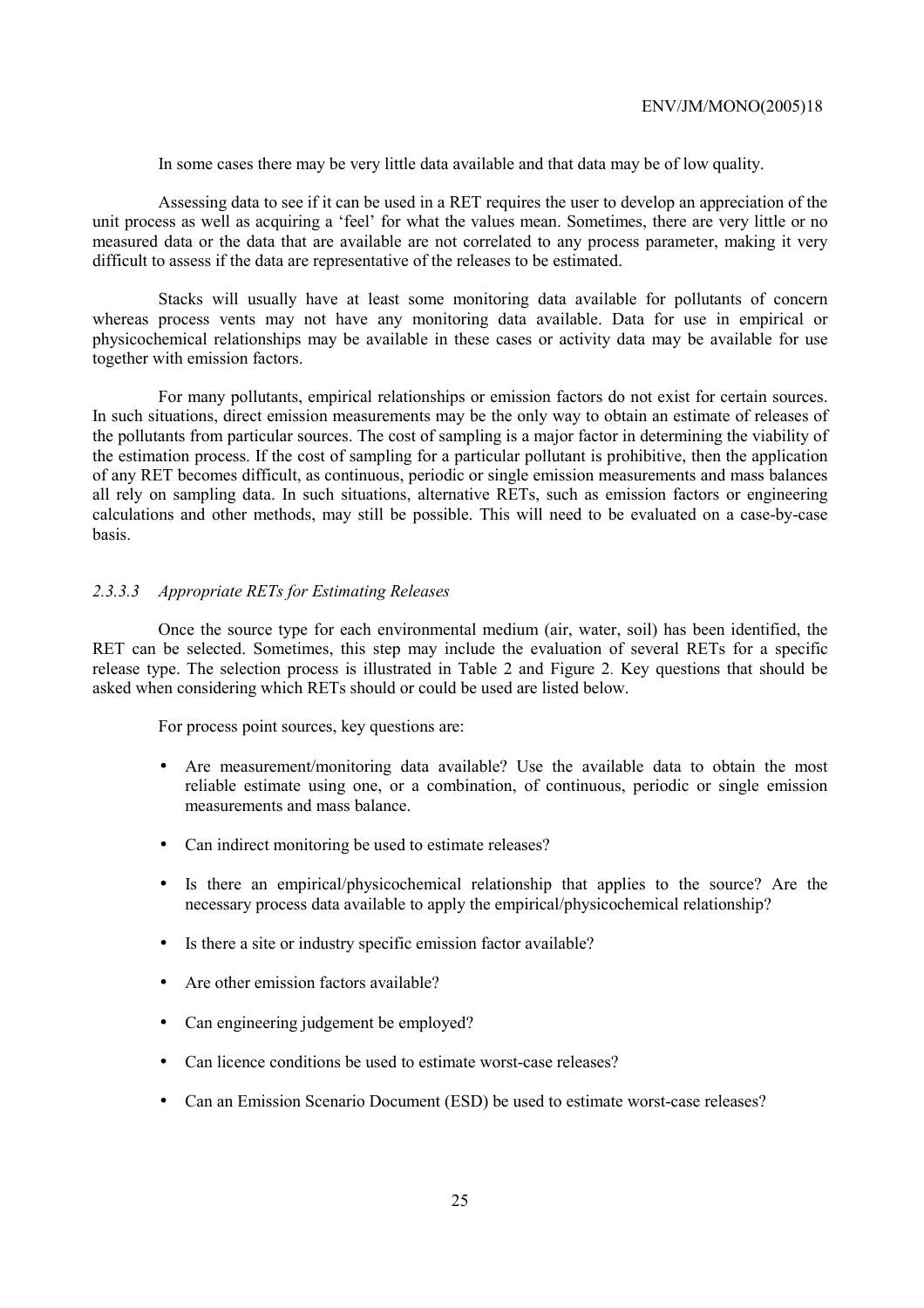In some cases there may be very little data available and that data may be of low quality.

 Assessing data to see if it can be used in a RET requires the user to develop an appreciation of the unit process as well as acquiring a 'feel' for what the values mean. Sometimes, there are very little or no measured data or the data that are available are not correlated to any process parameter, making it very difficult to assess if the data are representative of the releases to be estimated.

 Stacks will usually have at least some monitoring data available for pollutants of concern whereas process vents may not have any monitoring data available. Data for use in empirical or physicochemical relationships may be available in these cases or activity data may be available for use together with emission factors.

 For many pollutants, empirical relationships or emission factors do not exist for certain sources. In such situations, direct emission measurements may be the only way to obtain an estimate of releases of the pollutants from particular sources. The cost of sampling is a major factor in determining the viability of the estimation process. If the cost of sampling for a particular pollutant is prohibitive, then the application of any RET becomes difficult, as continuous, periodic or single emission measurements and mass balances all rely on sampling data. In such situations, alternative RETs, such as emission factors or engineering calculations and other methods, may still be possible. This will need to be evaluated on a case-by-case basis.

#### *2.3.3.3 Appropriate RETs for Estimating Releases*

 Once the source type for each environmental medium (air, water, soil) has been identified, the RET can be selected. Sometimes, this step may include the evaluation of several RETs for a specific release type. The selection process is illustrated in Table 2 and Figure 2. Key questions that should be asked when considering which RETs should or could be used are listed below.

For process point sources, key questions are:

- Are measurement/monitoring data available? Use the available data to obtain the most reliable estimate using one, or a combination, of continuous, periodic or single emission measurements and mass balance.
- Can indirect monitoring be used to estimate releases?
- Is there an empirical/physicochemical relationship that applies to the source? Are the necessary process data available to apply the empirical/physicochemical relationship?
- Is there a site or industry specific emission factor available?
- Are other emission factors available?
- Can engineering judgement be employed?
- Can licence conditions be used to estimate worst-case releases?
- Can an Emission Scenario Document (ESD) be used to estimate worst-case releases?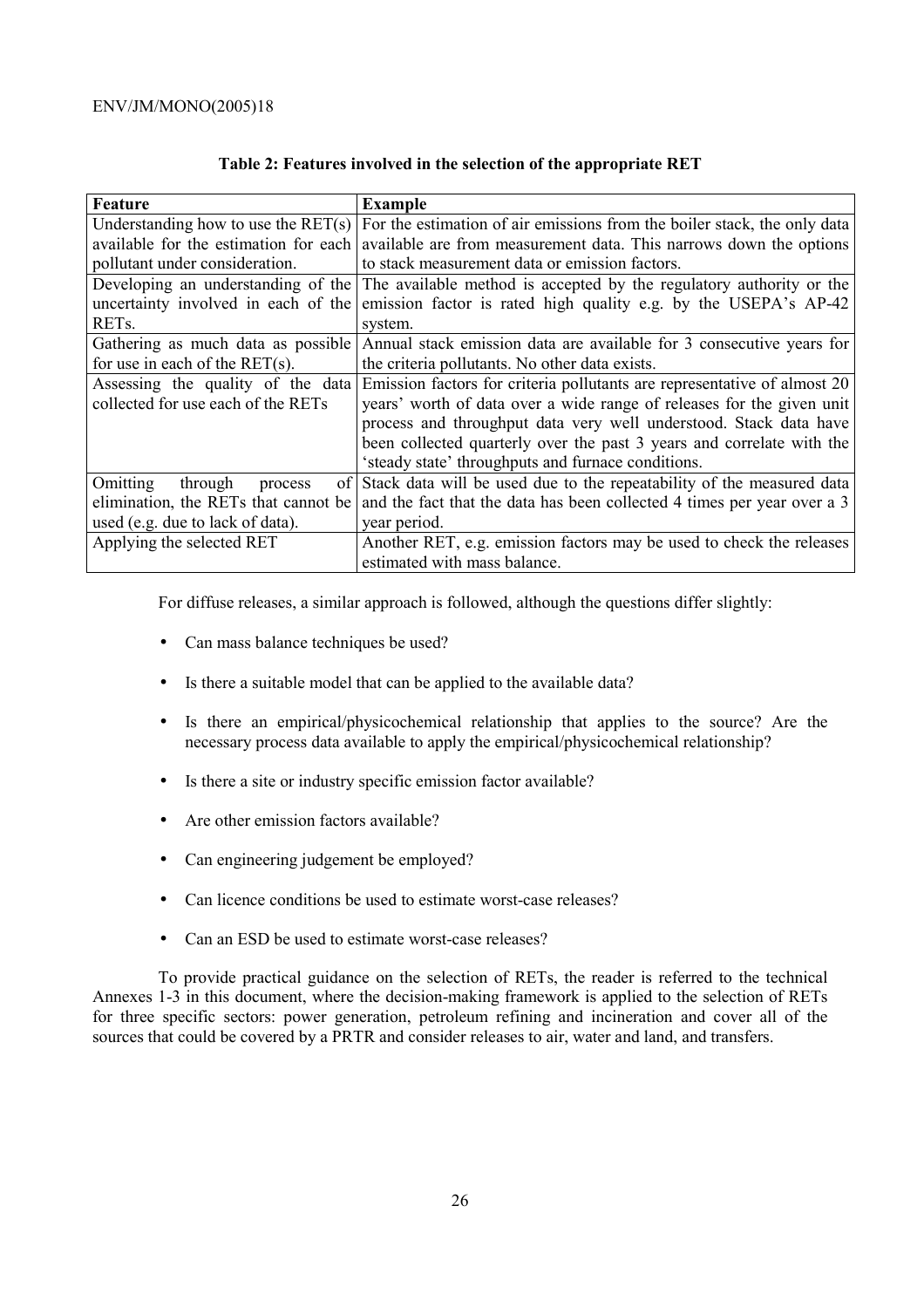| Feature                                      | <b>Example</b>                                                           |  |  |
|----------------------------------------------|--------------------------------------------------------------------------|--|--|
| Understanding how to use the $\text{RET}(s)$ | For the estimation of air emissions from the boiler stack, the only data |  |  |
| available for the estimation for each        | available are from measurement data. This narrows down the options       |  |  |
| pollutant under consideration.               | to stack measurement data or emission factors.                           |  |  |
| Developing an understanding of the           | The available method is accepted by the regulatory authority or the      |  |  |
| uncertainty involved in each of the          | emission factor is rated high quality e.g. by the USEPA's AP-42          |  |  |
| RET <sub>s</sub> .                           | system.                                                                  |  |  |
| Gathering as much data as possible           | Annual stack emission data are available for 3 consecutive years for     |  |  |
| for use in each of the $RET(s)$ .            | the criteria pollutants. No other data exists.                           |  |  |
| Assessing the quality of the data            | Emission factors for criteria pollutants are representative of almost 20 |  |  |
| collected for use each of the RETs           | years' worth of data over a wide range of releases for the given unit    |  |  |
|                                              | process and throughput data very well understood. Stack data have        |  |  |
|                                              | been collected quarterly over the past 3 years and correlate with the    |  |  |
|                                              | 'steady state' throughputs and furnace conditions.                       |  |  |
| Omitting<br>through<br>of<br>process         | Stack data will be used due to the repeatability of the measured data    |  |  |
| elimination, the RETs that cannot be         | and the fact that the data has been collected 4 times per year over a 3  |  |  |
| used (e.g. due to lack of data).             | year period.                                                             |  |  |
| Applying the selected RET                    | Another RET, e.g. emission factors may be used to check the releases     |  |  |
|                                              | estimated with mass balance.                                             |  |  |

#### **Table 2: Features involved in the selection of the appropriate RET**

For diffuse releases, a similar approach is followed, although the questions differ slightly:

- Can mass balance techniques be used?
- Is there a suitable model that can be applied to the available data?
- Is there an empirical/physicochemical relationship that applies to the source? Are the necessary process data available to apply the empirical/physicochemical relationship?
- Is there a site or industry specific emission factor available?
- Are other emission factors available?
- Can engineering judgement be employed?
- Can licence conditions be used to estimate worst-case releases?
- Can an ESD be used to estimate worst-case releases?

 To provide practical guidance on the selection of RETs, the reader is referred to the technical Annexes 1-3 in this document, where the decision-making framework is applied to the selection of RETs for three specific sectors: power generation, petroleum refining and incineration and cover all of the sources that could be covered by a PRTR and consider releases to air, water and land, and transfers.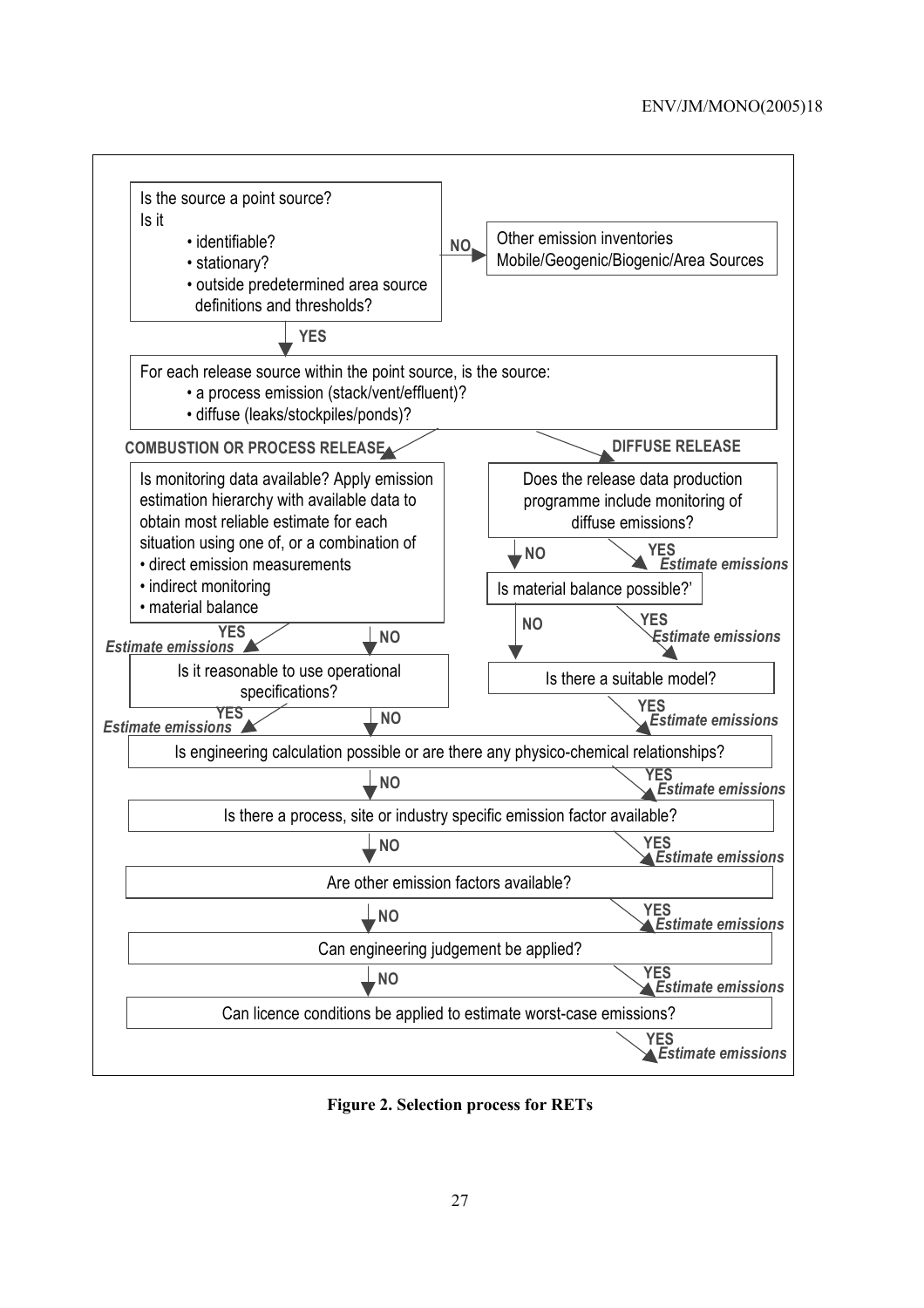

**Figure 2. Selection process for RETs**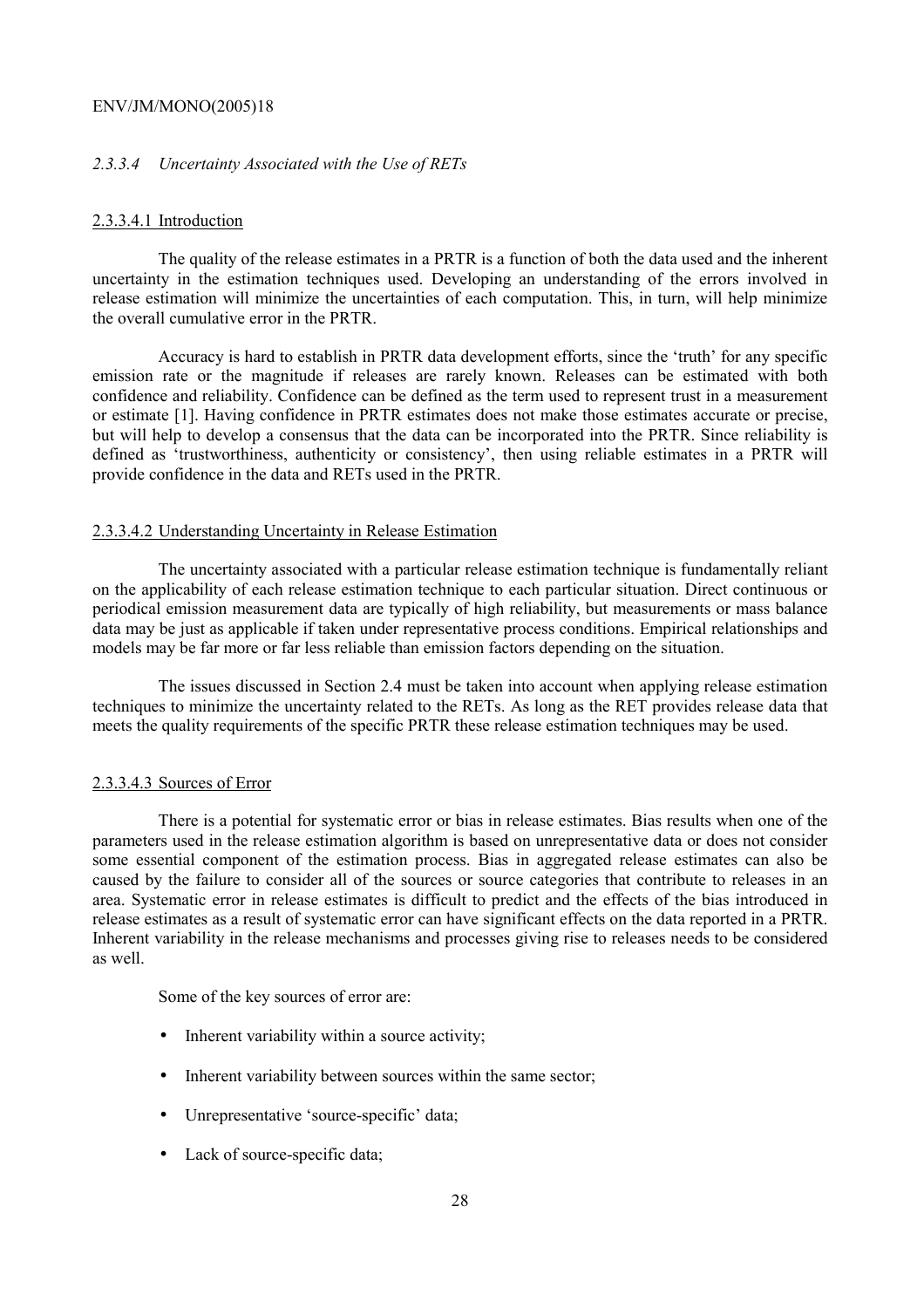#### *2.3.3.4 Uncertainty Associated with the Use of RETs*

#### 2.3.3.4.1 Introduction

 The quality of the release estimates in a PRTR is a function of both the data used and the inherent uncertainty in the estimation techniques used. Developing an understanding of the errors involved in release estimation will minimize the uncertainties of each computation. This, in turn, will help minimize the overall cumulative error in the PRTR.

 Accuracy is hard to establish in PRTR data development efforts, since the 'truth' for any specific emission rate or the magnitude if releases are rarely known. Releases can be estimated with both confidence and reliability. Confidence can be defined as the term used to represent trust in a measurement or estimate [1]. Having confidence in PRTR estimates does not make those estimates accurate or precise, but will help to develop a consensus that the data can be incorporated into the PRTR. Since reliability is defined as 'trustworthiness, authenticity or consistency', then using reliable estimates in a PRTR will provide confidence in the data and RETs used in the PRTR.

#### 2.3.3.4.2 Understanding Uncertainty in Release Estimation

 The uncertainty associated with a particular release estimation technique is fundamentally reliant on the applicability of each release estimation technique to each particular situation. Direct continuous or periodical emission measurement data are typically of high reliability, but measurements or mass balance data may be just as applicable if taken under representative process conditions. Empirical relationships and models may be far more or far less reliable than emission factors depending on the situation.

 The issues discussed in Section 2.4 must be taken into account when applying release estimation techniques to minimize the uncertainty related to the RETs. As long as the RET provides release data that meets the quality requirements of the specific PRTR these release estimation techniques may be used.

#### 2.3.3.4.3 Sources of Error

 There is a potential for systematic error or bias in release estimates. Bias results when one of the parameters used in the release estimation algorithm is based on unrepresentative data or does not consider some essential component of the estimation process. Bias in aggregated release estimates can also be caused by the failure to consider all of the sources or source categories that contribute to releases in an area. Systematic error in release estimates is difficult to predict and the effects of the bias introduced in release estimates as a result of systematic error can have significant effects on the data reported in a PRTR. Inherent variability in the release mechanisms and processes giving rise to releases needs to be considered as well.

Some of the key sources of error are:

- Inherent variability within a source activity;
- Inherent variability between sources within the same sector;
- Unrepresentative 'source-specific' data;
- Lack of source-specific data;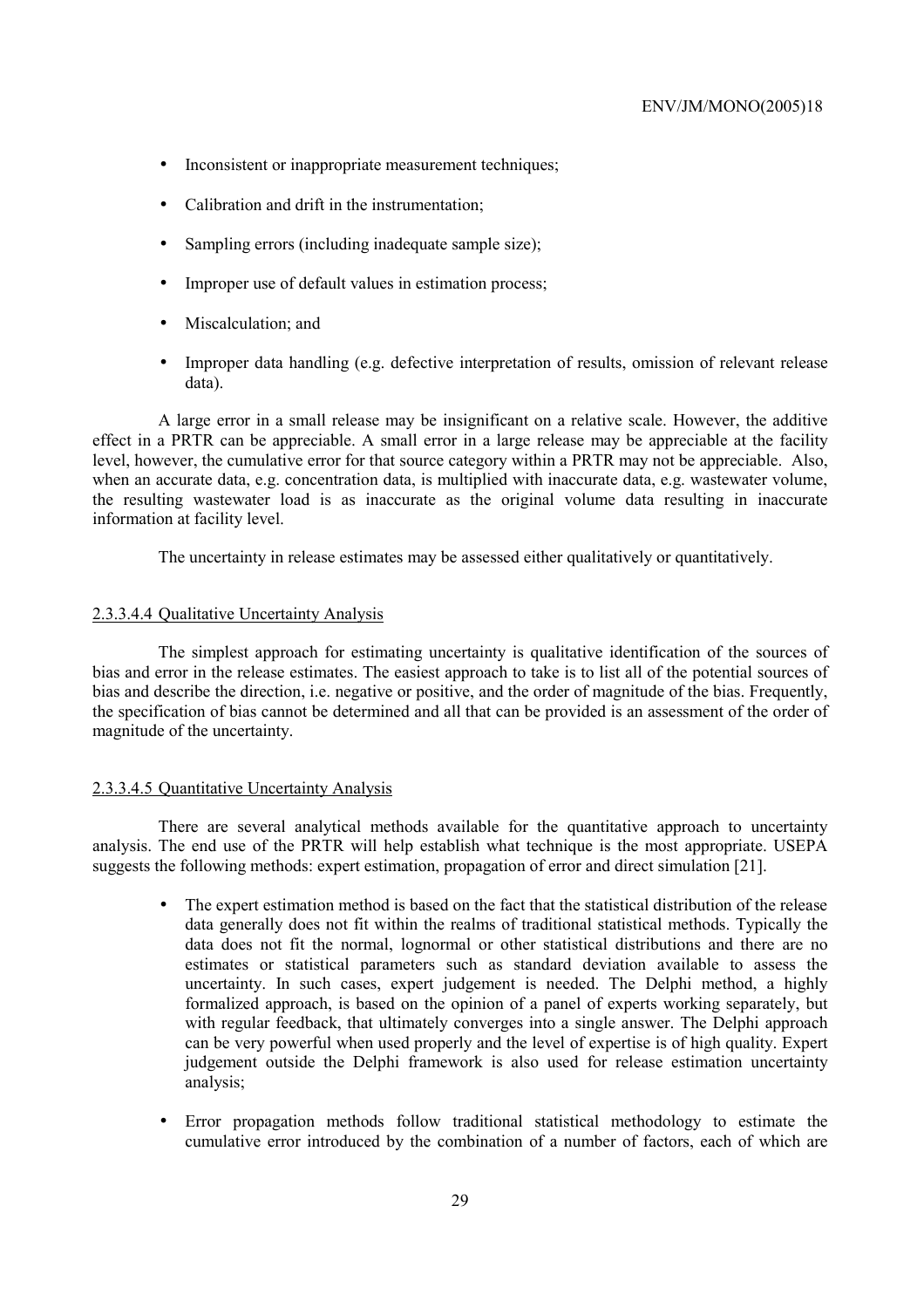- Inconsistent or inappropriate measurement techniques;
- Calibration and drift in the instrumentation;
- Sampling errors (including inadequate sample size);
- Improper use of default values in estimation process:
- Miscalculation; and
- Improper data handling (e.g. defective interpretation of results, omission of relevant release data).

 A large error in a small release may be insignificant on a relative scale. However, the additive effect in a PRTR can be appreciable. A small error in a large release may be appreciable at the facility level, however, the cumulative error for that source category within a PRTR may not be appreciable. Also, when an accurate data, e.g. concentration data, is multiplied with inaccurate data, e.g. wastewater volume, the resulting wastewater load is as inaccurate as the original volume data resulting in inaccurate information at facility level.

The uncertainty in release estimates may be assessed either qualitatively or quantitatively.

#### 2.3.3.4.4 Qualitative Uncertainty Analysis

 The simplest approach for estimating uncertainty is qualitative identification of the sources of bias and error in the release estimates. The easiest approach to take is to list all of the potential sources of bias and describe the direction, i.e. negative or positive, and the order of magnitude of the bias. Frequently, the specification of bias cannot be determined and all that can be provided is an assessment of the order of magnitude of the uncertainty.

#### 2.3.3.4.5 Quantitative Uncertainty Analysis

 There are several analytical methods available for the quantitative approach to uncertainty analysis. The end use of the PRTR will help establish what technique is the most appropriate. USEPA suggests the following methods: expert estimation, propagation of error and direct simulation [21].

- The expert estimation method is based on the fact that the statistical distribution of the release data generally does not fit within the realms of traditional statistical methods. Typically the data does not fit the normal, lognormal or other statistical distributions and there are no estimates or statistical parameters such as standard deviation available to assess the uncertainty. In such cases, expert judgement is needed. The Delphi method, a highly formalized approach, is based on the opinion of a panel of experts working separately, but with regular feedback, that ultimately converges into a single answer. The Delphi approach can be very powerful when used properly and the level of expertise is of high quality. Expert judgement outside the Delphi framework is also used for release estimation uncertainty analysis;
- Error propagation methods follow traditional statistical methodology to estimate the cumulative error introduced by the combination of a number of factors, each of which are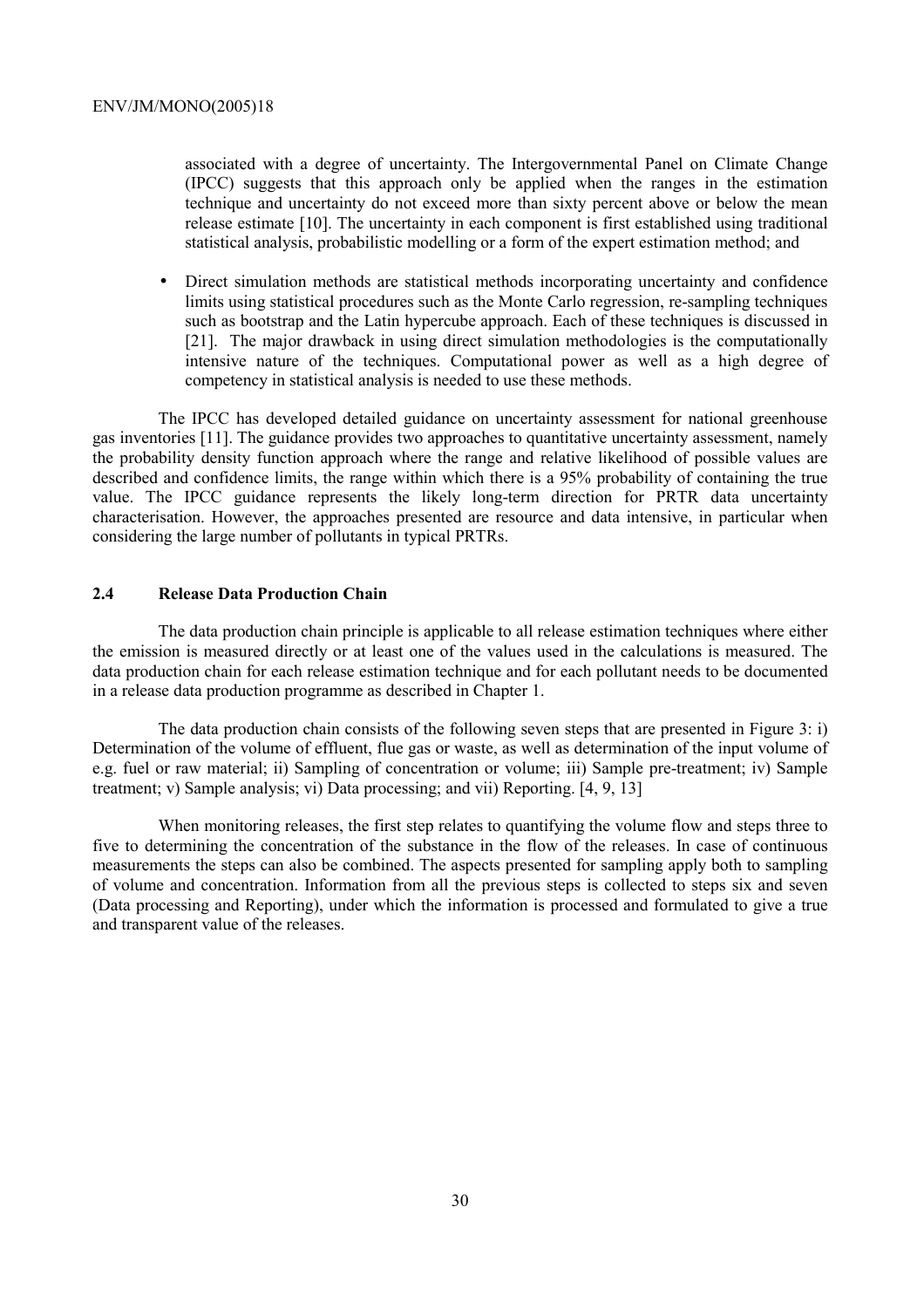associated with a degree of uncertainty. The Intergovernmental Panel on Climate Change (IPCC) suggests that this approach only be applied when the ranges in the estimation technique and uncertainty do not exceed more than sixty percent above or below the mean release estimate [10]. The uncertainty in each component is first established using traditional statistical analysis, probabilistic modelling or a form of the expert estimation method; and

• Direct simulation methods are statistical methods incorporating uncertainty and confidence limits using statistical procedures such as the Monte Carlo regression, re-sampling techniques such as bootstrap and the Latin hypercube approach. Each of these techniques is discussed in [21]. The major drawback in using direct simulation methodologies is the computationally intensive nature of the techniques. Computational power as well as a high degree of competency in statistical analysis is needed to use these methods.

 The IPCC has developed detailed guidance on uncertainty assessment for national greenhouse gas inventories [11]. The guidance provides two approaches to quantitative uncertainty assessment, namely the probability density function approach where the range and relative likelihood of possible values are described and confidence limits, the range within which there is a 95% probability of containing the true value. The IPCC guidance represents the likely long-term direction for PRTR data uncertainty characterisation. However, the approaches presented are resource and data intensive, in particular when considering the large number of pollutants in typical PRTRs.

#### **2.4 Release Data Production Chain**

 The data production chain principle is applicable to all release estimation techniques where either the emission is measured directly or at least one of the values used in the calculations is measured. The data production chain for each release estimation technique and for each pollutant needs to be documented in a release data production programme as described in Chapter 1.

 The data production chain consists of the following seven steps that are presented in Figure 3: i) Determination of the volume of effluent, flue gas or waste, as well as determination of the input volume of e.g. fuel or raw material; ii) Sampling of concentration or volume; iii) Sample pre-treatment; iv) Sample treatment; v) Sample analysis; vi) Data processing; and vii) Reporting. [4, 9, 13]

When monitoring releases, the first step relates to quantifying the volume flow and steps three to five to determining the concentration of the substance in the flow of the releases. In case of continuous measurements the steps can also be combined. The aspects presented for sampling apply both to sampling of volume and concentration. Information from all the previous steps is collected to steps six and seven (Data processing and Reporting), under which the information is processed and formulated to give a true and transparent value of the releases.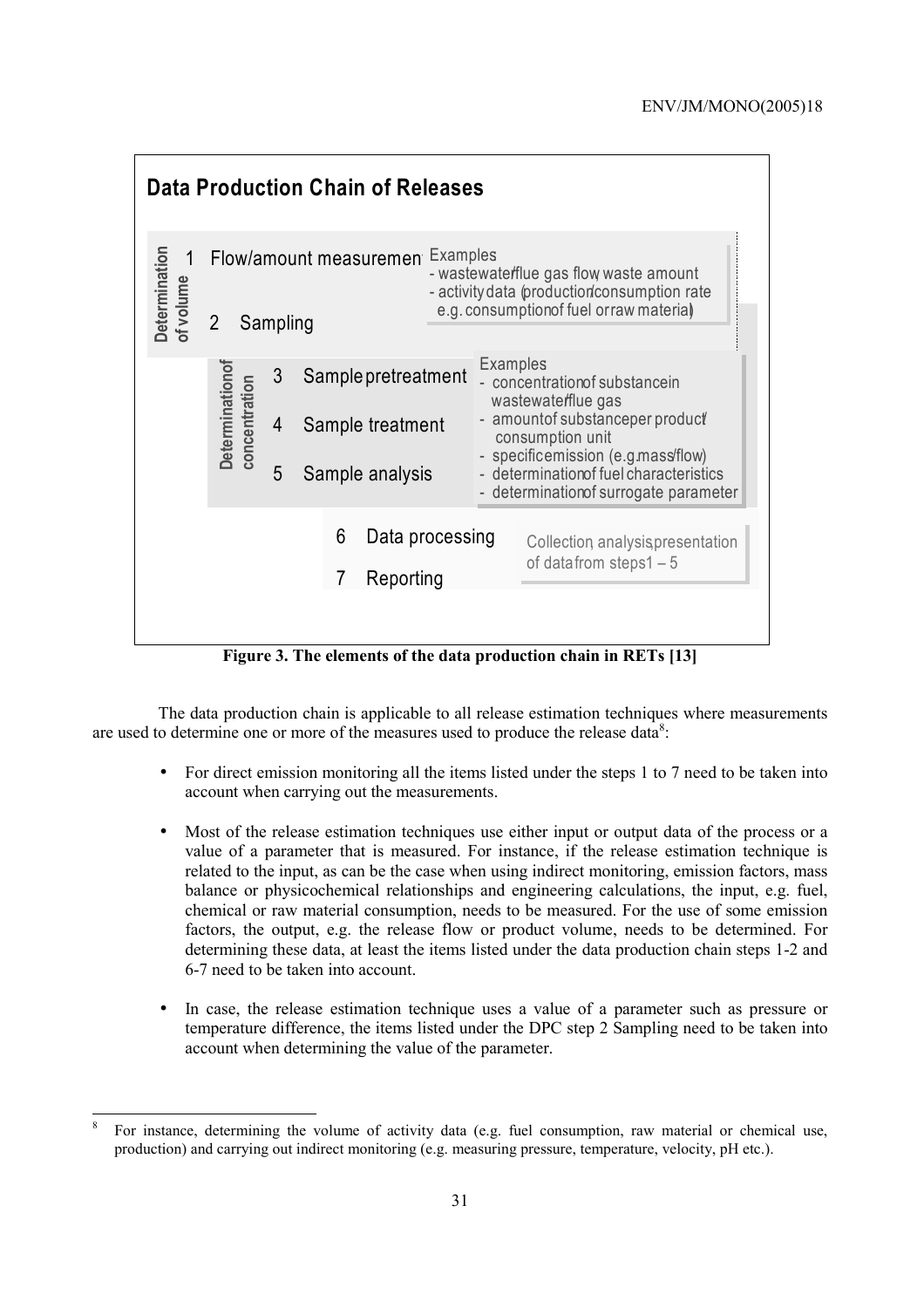

**Figure 3. The elements of the data production chain in RETs [13]** 

 The data production chain is applicable to all release estimation techniques where measurements are used to determine one or more of the measures used to produce the release data $8$ .

- For direct emission monitoring all the items listed under the steps 1 to 7 need to be taken into account when carrying out the measurements.
- Most of the release estimation techniques use either input or output data of the process or a value of a parameter that is measured. For instance, if the release estimation technique is related to the input, as can be the case when using indirect monitoring, emission factors, mass balance or physicochemical relationships and engineering calculations, the input, e.g. fuel, chemical or raw material consumption, needs to be measured. For the use of some emission factors, the output, e.g. the release flow or product volume, needs to be determined. For determining these data, at least the items listed under the data production chain steps 1-2 and 6-7 need to be taken into account.
- In case, the release estimation technique uses a value of a parameter such as pressure or temperature difference, the items listed under the DPC step 2 Sampling need to be taken into account when determining the value of the parameter.

 $\overline{a}$ 

<sup>8</sup> For instance, determining the volume of activity data (e.g. fuel consumption, raw material or chemical use, production) and carrying out indirect monitoring (e.g. measuring pressure, temperature, velocity, pH etc.).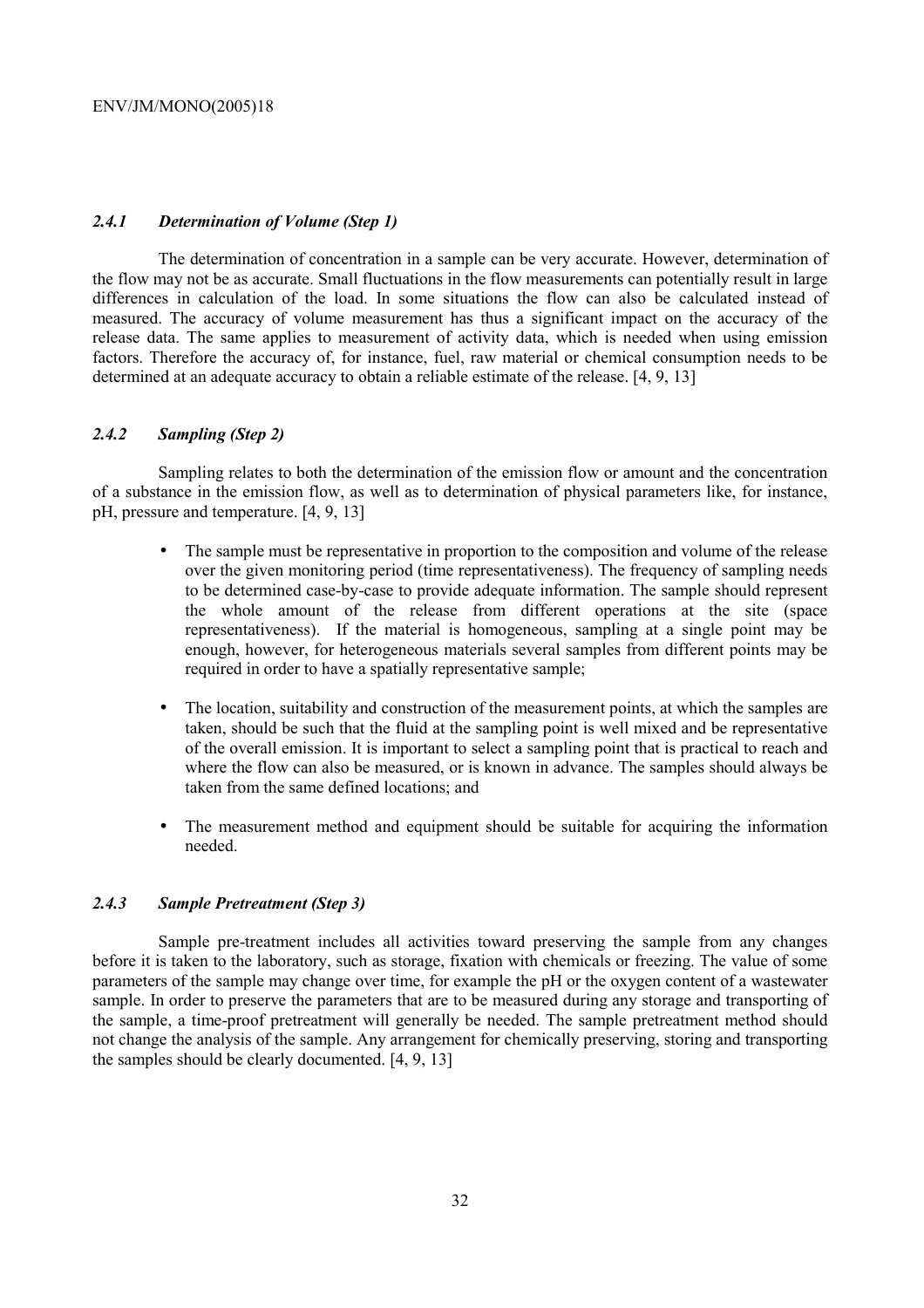#### *2.4.1 Determination of Volume (Step 1)*

 The determination of concentration in a sample can be very accurate. However, determination of the flow may not be as accurate. Small fluctuations in the flow measurements can potentially result in large differences in calculation of the load. In some situations the flow can also be calculated instead of measured. The accuracy of volume measurement has thus a significant impact on the accuracy of the release data. The same applies to measurement of activity data, which is needed when using emission factors. Therefore the accuracy of, for instance, fuel, raw material or chemical consumption needs to be determined at an adequate accuracy to obtain a reliable estimate of the release. [4, 9, 13]

### *2.4.2 Sampling (Step 2)*

 Sampling relates to both the determination of the emission flow or amount and the concentration of a substance in the emission flow, as well as to determination of physical parameters like, for instance, pH, pressure and temperature. [4, 9, 13]

- The sample must be representative in proportion to the composition and volume of the release over the given monitoring period (time representativeness). The frequency of sampling needs to be determined case-by-case to provide adequate information. The sample should represent the whole amount of the release from different operations at the site (space representativeness). If the material is homogeneous, sampling at a single point may be enough, however, for heterogeneous materials several samples from different points may be required in order to have a spatially representative sample;
- The location, suitability and construction of the measurement points, at which the samples are taken, should be such that the fluid at the sampling point is well mixed and be representative of the overall emission. It is important to select a sampling point that is practical to reach and where the flow can also be measured, or is known in advance. The samples should always be taken from the same defined locations; and
- The measurement method and equipment should be suitable for acquiring the information needed.

#### *2.4.3 Sample Pretreatment (Step 3)*

 Sample pre-treatment includes all activities toward preserving the sample from any changes before it is taken to the laboratory, such as storage, fixation with chemicals or freezing. The value of some parameters of the sample may change over time, for example the pH or the oxygen content of a wastewater sample. In order to preserve the parameters that are to be measured during any storage and transporting of the sample, a time-proof pretreatment will generally be needed. The sample pretreatment method should not change the analysis of the sample. Any arrangement for chemically preserving, storing and transporting the samples should be clearly documented. [4, 9, 13]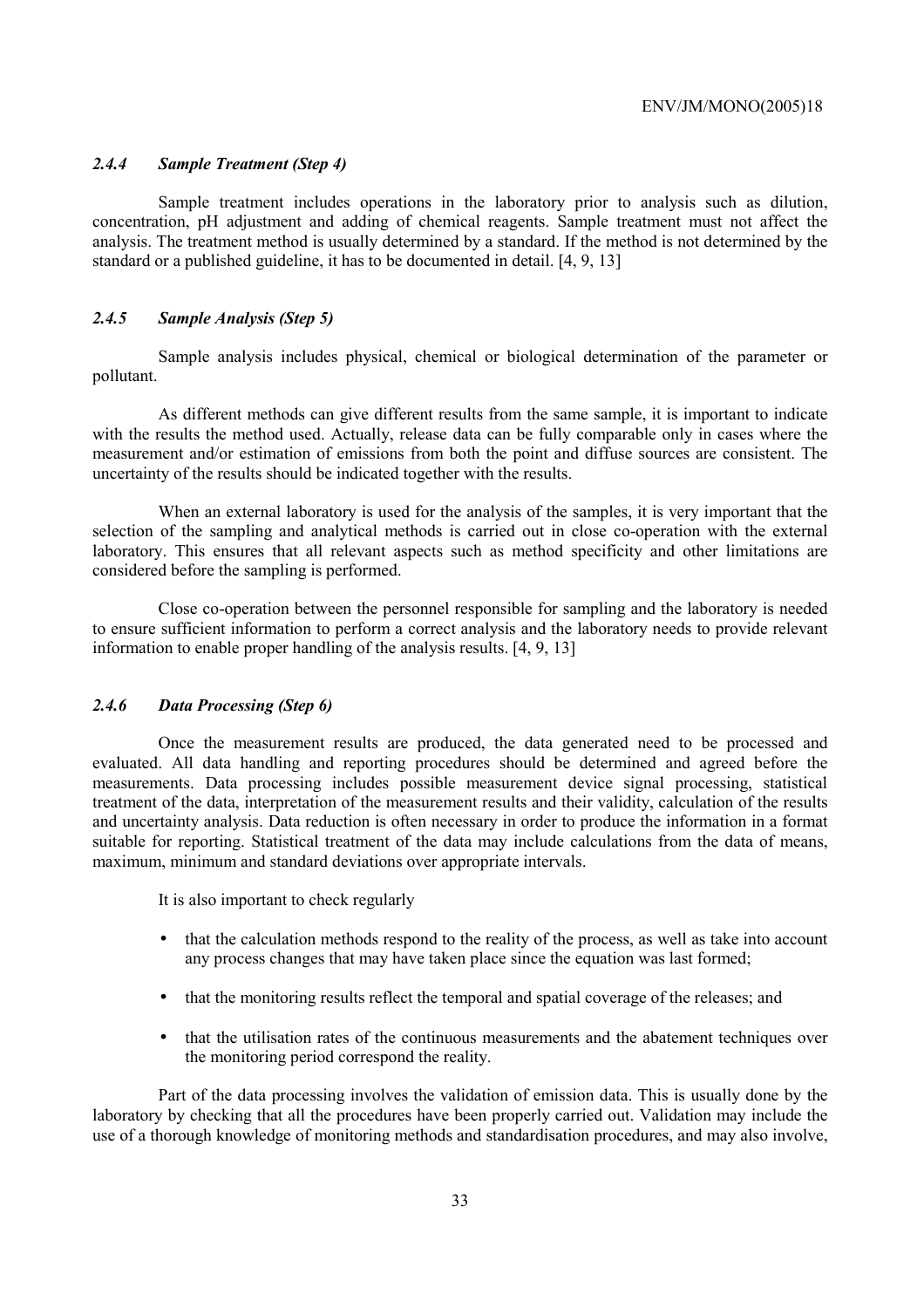#### *2.4.4 Sample Treatment (Step 4)*

 Sample treatment includes operations in the laboratory prior to analysis such as dilution, concentration, pH adjustment and adding of chemical reagents. Sample treatment must not affect the analysis. The treatment method is usually determined by a standard. If the method is not determined by the standard or a published guideline, it has to be documented in detail. [4, 9, 13]

#### *2.4.5 Sample Analysis (Step 5)*

 Sample analysis includes physical, chemical or biological determination of the parameter or pollutant.

 As different methods can give different results from the same sample, it is important to indicate with the results the method used. Actually, release data can be fully comparable only in cases where the measurement and/or estimation of emissions from both the point and diffuse sources are consistent. The uncertainty of the results should be indicated together with the results.

 When an external laboratory is used for the analysis of the samples, it is very important that the selection of the sampling and analytical methods is carried out in close co-operation with the external laboratory. This ensures that all relevant aspects such as method specificity and other limitations are considered before the sampling is performed.

 Close co-operation between the personnel responsible for sampling and the laboratory is needed to ensure sufficient information to perform a correct analysis and the laboratory needs to provide relevant information to enable proper handling of the analysis results. [4, 9, 13]

#### *2.4.6 Data Processing (Step 6)*

 Once the measurement results are produced, the data generated need to be processed and evaluated. All data handling and reporting procedures should be determined and agreed before the measurements. Data processing includes possible measurement device signal processing, statistical treatment of the data, interpretation of the measurement results and their validity, calculation of the results and uncertainty analysis. Data reduction is often necessary in order to produce the information in a format suitable for reporting. Statistical treatment of the data may include calculations from the data of means, maximum, minimum and standard deviations over appropriate intervals.

It is also important to check regularly

- that the calculation methods respond to the reality of the process, as well as take into account any process changes that may have taken place since the equation was last formed;
- that the monitoring results reflect the temporal and spatial coverage of the releases; and
- that the utilisation rates of the continuous measurements and the abatement techniques over the monitoring period correspond the reality.

 Part of the data processing involves the validation of emission data. This is usually done by the laboratory by checking that all the procedures have been properly carried out. Validation may include the use of a thorough knowledge of monitoring methods and standardisation procedures, and may also involve,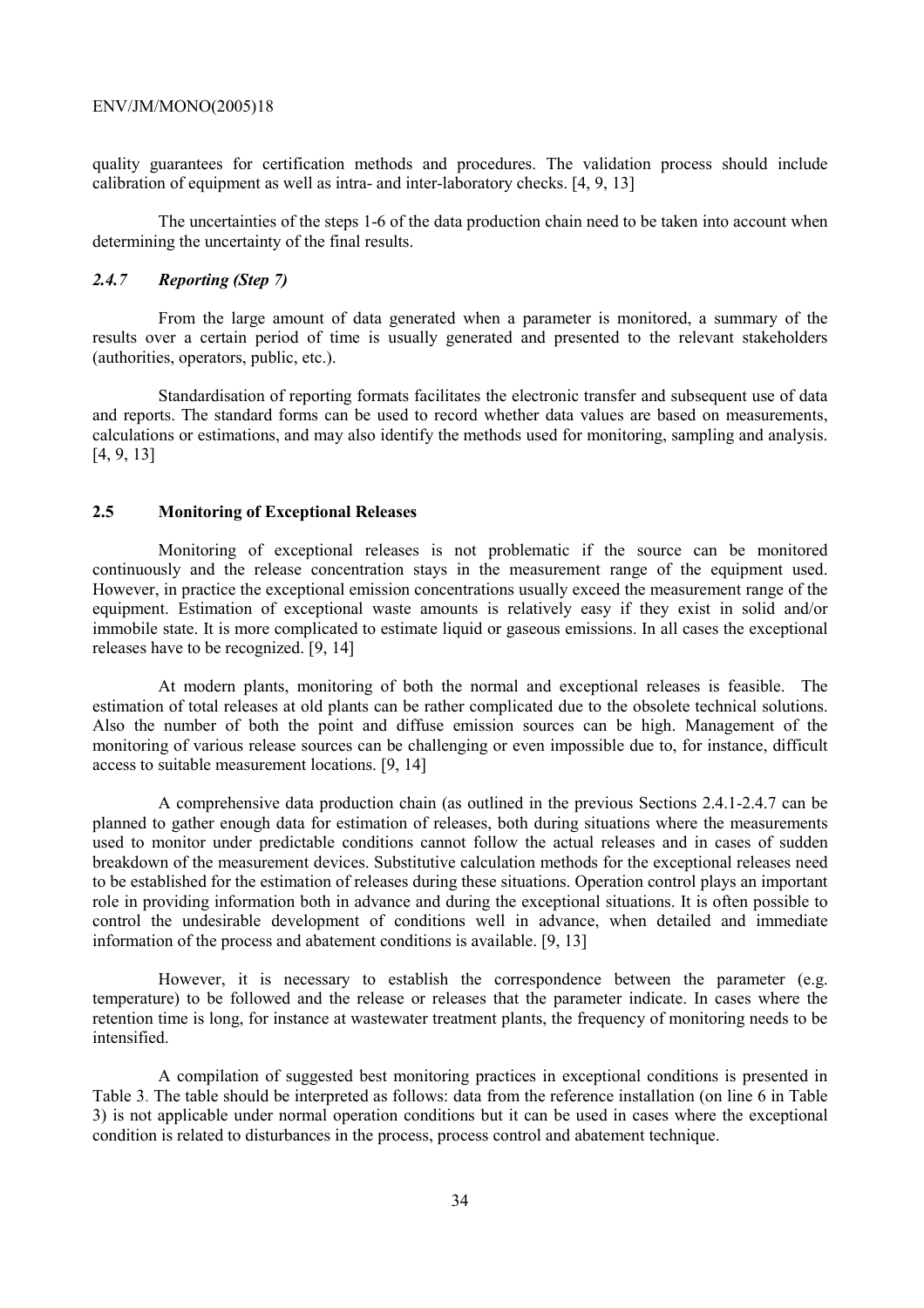quality guarantees for certification methods and procedures. The validation process should include calibration of equipment as well as intra- and inter-laboratory checks. [4, 9, 13]

 The uncertainties of the steps 1-6 of the data production chain need to be taken into account when determining the uncertainty of the final results.

#### *2.4.7 Reporting (Step 7)*

 From the large amount of data generated when a parameter is monitored, a summary of the results over a certain period of time is usually generated and presented to the relevant stakeholders (authorities, operators, public, etc.).

 Standardisation of reporting formats facilitates the electronic transfer and subsequent use of data and reports. The standard forms can be used to record whether data values are based on measurements, calculations or estimations, and may also identify the methods used for monitoring, sampling and analysis. [4, 9, 13]

#### **2.5 Monitoring of Exceptional Releases**

 Monitoring of exceptional releases is not problematic if the source can be monitored continuously and the release concentration stays in the measurement range of the equipment used. However, in practice the exceptional emission concentrations usually exceed the measurement range of the equipment. Estimation of exceptional waste amounts is relatively easy if they exist in solid and/or immobile state. It is more complicated to estimate liquid or gaseous emissions. In all cases the exceptional releases have to be recognized. [9, 14]

 At modern plants, monitoring of both the normal and exceptional releases is feasible. The estimation of total releases at old plants can be rather complicated due to the obsolete technical solutions. Also the number of both the point and diffuse emission sources can be high. Management of the monitoring of various release sources can be challenging or even impossible due to, for instance, difficult access to suitable measurement locations. [9, 14]

 A comprehensive data production chain (as outlined in the previous Sections 2.4.1-2.4.7 can be planned to gather enough data for estimation of releases, both during situations where the measurements used to monitor under predictable conditions cannot follow the actual releases and in cases of sudden breakdown of the measurement devices. Substitutive calculation methods for the exceptional releases need to be established for the estimation of releases during these situations. Operation control plays an important role in providing information both in advance and during the exceptional situations. It is often possible to control the undesirable development of conditions well in advance, when detailed and immediate information of the process and abatement conditions is available. [9, 13]

 However, it is necessary to establish the correspondence between the parameter (e.g. temperature) to be followed and the release or releases that the parameter indicate. In cases where the retention time is long, for instance at wastewater treatment plants, the frequency of monitoring needs to be intensified.

 A compilation of suggested best monitoring practices in exceptional conditions is presented in Table 3. The table should be interpreted as follows: data from the reference installation (on line 6 in Table 3) is not applicable under normal operation conditions but it can be used in cases where the exceptional condition is related to disturbances in the process, process control and abatement technique.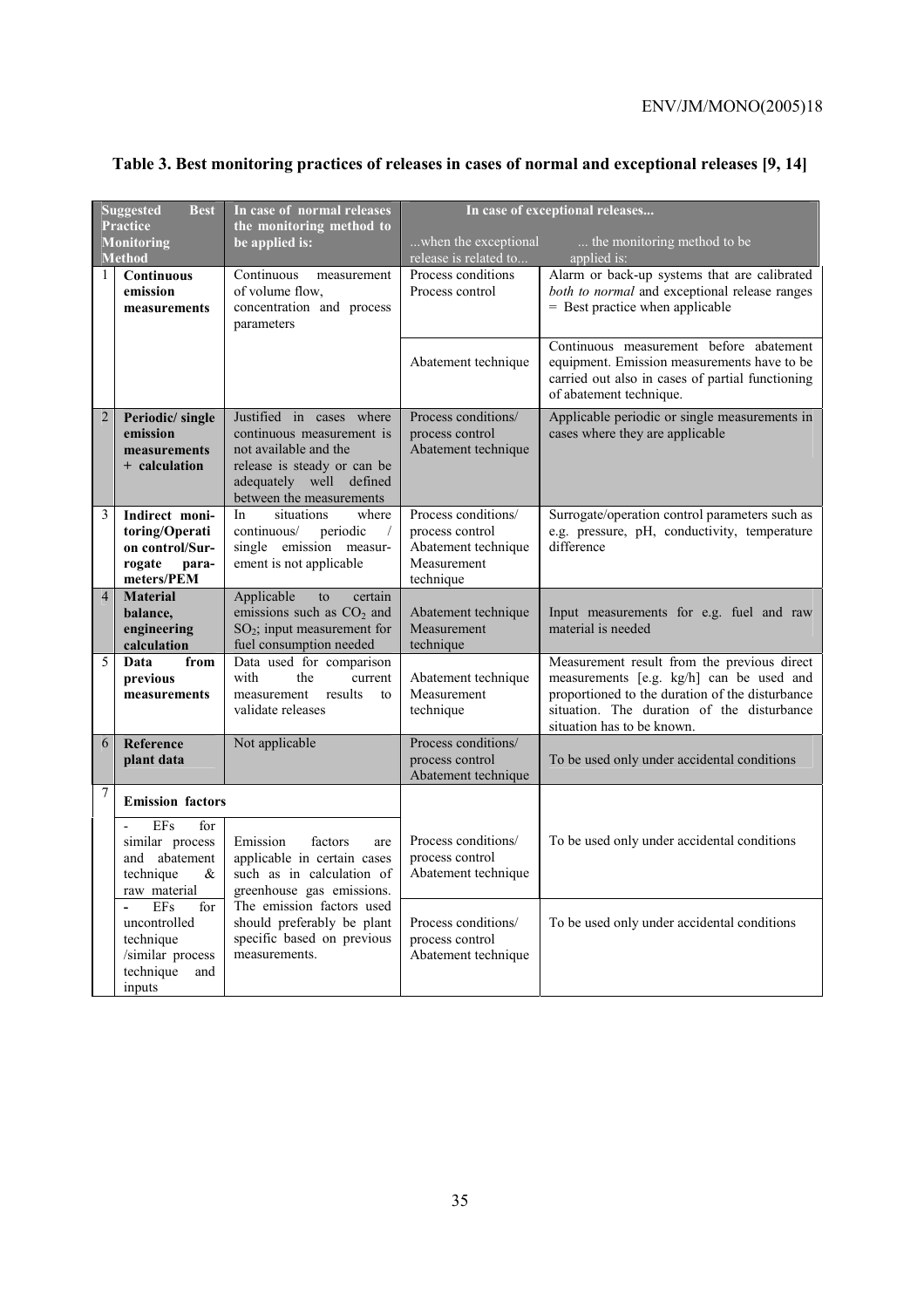|                | <b>Suggested</b><br><b>Best</b><br>Practice                                                                        | In case of normal releases<br>the monitoring method to                                                                                                               | In case of exceptional releases                                                           |                                                                                                                                                                                                                        |
|----------------|--------------------------------------------------------------------------------------------------------------------|----------------------------------------------------------------------------------------------------------------------------------------------------------------------|-------------------------------------------------------------------------------------------|------------------------------------------------------------------------------------------------------------------------------------------------------------------------------------------------------------------------|
|                | <b>Monitoring</b><br><b>Method</b>                                                                                 | be applied is:                                                                                                                                                       | when the exceptional<br>release is related to                                             | the monitoring method to be<br>applied is:                                                                                                                                                                             |
| 1              | <b>Continuous</b><br>emission<br>measurements                                                                      | Continuous<br>measurement<br>of volume flow,<br>concentration and process<br>parameters                                                                              | Process conditions<br>Process control                                                     | Alarm or back-up systems that are calibrated<br>both to normal and exceptional release ranges<br>$=$ Best practice when applicable                                                                                     |
|                |                                                                                                                    |                                                                                                                                                                      | Abatement technique                                                                       | Continuous measurement before abatement<br>equipment. Emission measurements have to be<br>carried out also in cases of partial functioning<br>of abatement technique.                                                  |
| $\overline{c}$ | Periodic/single<br>emission<br>measurements<br>+ calculation                                                       | Justified in cases where<br>continuous measurement is<br>not available and the<br>release is steady or can be<br>adequately well defined<br>between the measurements | Process conditions/<br>process control<br>Abatement technique                             | Applicable periodic or single measurements in<br>cases where they are applicable                                                                                                                                       |
| 3              | Indirect moni-<br>toring/Operati<br>on control/Sur-<br>rogate<br>para-<br>meters/PEM                               | where<br>In<br>situations<br>continuous/<br>periodic<br>single emission measur-<br>ement is not applicable                                                           | Process conditions/<br>process control<br>Abatement technique<br>Measurement<br>technique | Surrogate/operation control parameters such as<br>e.g. pressure, pH, conductivity, temperature<br>difference                                                                                                           |
| $\overline{4}$ | <b>Material</b><br>balance,<br>engineering<br>calculation                                                          | Applicable<br>to<br>certain<br>emissions such as $CO2$ and<br>$SO_2$ ; input measurement for<br>fuel consumption needed                                              | Abatement technique<br>Measurement<br>technique                                           | Input measurements for e.g. fuel and raw<br>material is needed                                                                                                                                                         |
| 5              | Data<br>from<br>previous<br>measurements                                                                           | Data used for comparison<br>with<br>the<br>current<br>measurement<br>results<br>to<br>validate releases                                                              | Abatement technique<br>Measurement<br>technique                                           | Measurement result from the previous direct<br>measurements [e.g. kg/h] can be used and<br>proportioned to the duration of the disturbance<br>situation. The duration of the disturbance<br>situation has to be known. |
| 6              | Reference<br>plant data                                                                                            | Not applicable                                                                                                                                                       | Process conditions/<br>process control<br>Abatement technique                             | To be used only under accidental conditions                                                                                                                                                                            |
| 7              | <b>Emission factors</b>                                                                                            |                                                                                                                                                                      |                                                                                           |                                                                                                                                                                                                                        |
|                | <b>EFs</b><br>for<br>similar process<br>and abatement<br>technique<br>&<br>raw material                            | factors<br>Emission<br>are<br>applicable in certain cases<br>such as in calculation of<br>greenhouse gas emissions.                                                  | Process conditions/<br>process control<br>Abatement technique                             | To be used only under accidental conditions                                                                                                                                                                            |
|                | $\overline{a}$<br><b>EFs</b><br>for<br>uncontrolled<br>technique<br>/similar process<br>technique<br>and<br>inputs | The emission factors used<br>should preferably be plant<br>specific based on previous<br>measurements.                                                               | Process conditions/<br>process control<br>Abatement technique                             | To be used only under accidental conditions                                                                                                                                                                            |

# **Table 3. Best monitoring practices of releases in cases of normal and exceptional releases [9, 14]**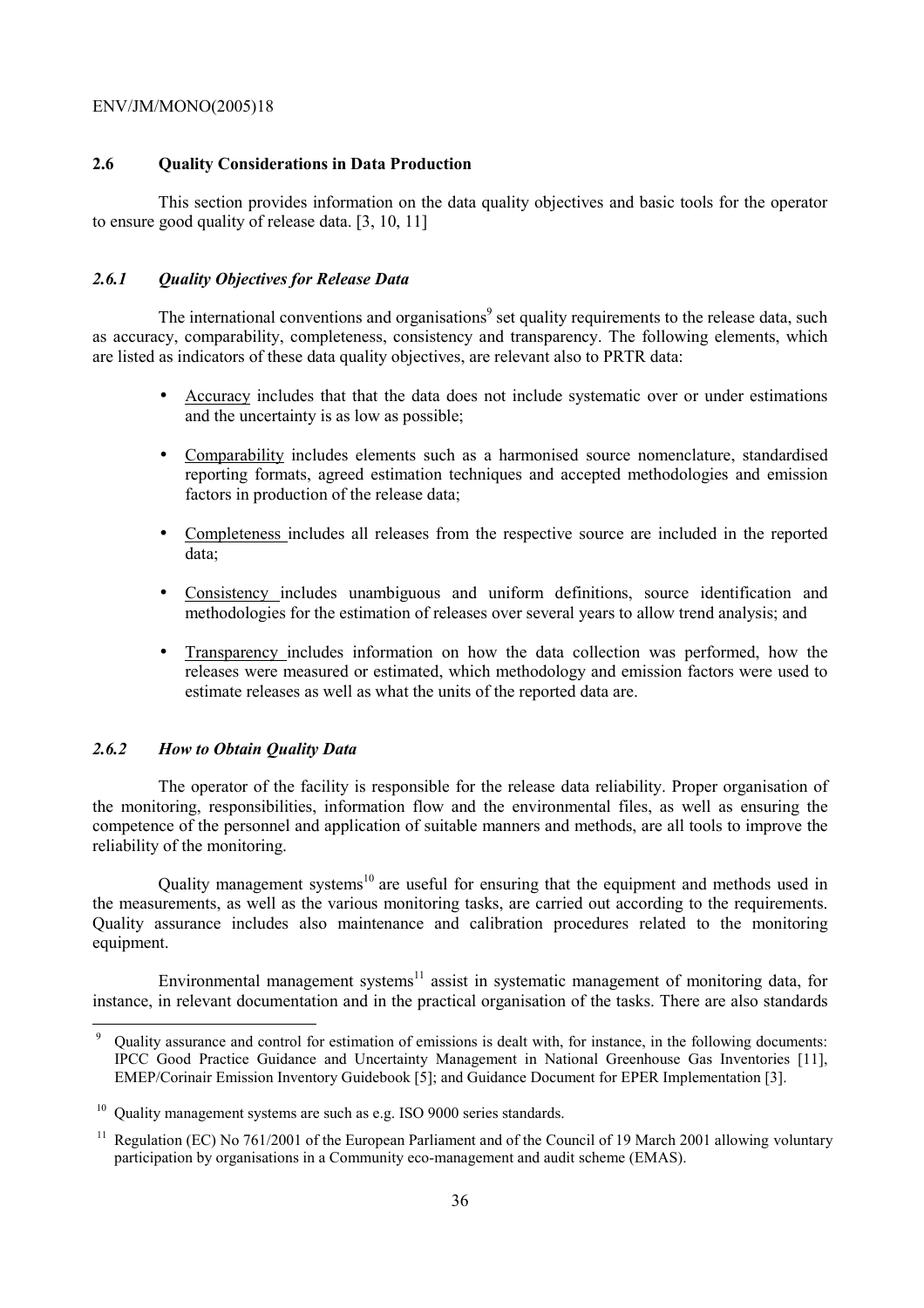#### **2.6 Quality Considerations in Data Production**

 This section provides information on the data quality objectives and basic tools for the operator to ensure good quality of release data. [3, 10, 11]

#### *2.6.1 Quality Objectives for Release Data*

The international conventions and organisations<sup>9</sup> set quality requirements to the release data, such as accuracy, comparability, completeness, consistency and transparency. The following elements, which are listed as indicators of these data quality objectives, are relevant also to PRTR data:

- Accuracy includes that that the data does not include systematic over or under estimations and the uncertainty is as low as possible;
- Comparability includes elements such as a harmonised source nomenclature, standardised reporting formats, agreed estimation techniques and accepted methodologies and emission factors in production of the release data;
- Completeness includes all releases from the respective source are included in the reported data;
- Consistency includes unambiguous and uniform definitions, source identification and methodologies for the estimation of releases over several years to allow trend analysis; and
- Transparency includes information on how the data collection was performed, how the releases were measured or estimated, which methodology and emission factors were used to estimate releases as well as what the units of the reported data are.

#### *2.6.2 How to Obtain Quality Data*

 The operator of the facility is responsible for the release data reliability. Proper organisation of the monitoring, responsibilities, information flow and the environmental files, as well as ensuring the competence of the personnel and application of suitable manners and methods, are all tools to improve the reliability of the monitoring.

Quality management systems<sup>10</sup> are useful for ensuring that the equipment and methods used in the measurements, as well as the various monitoring tasks, are carried out according to the requirements. Quality assurance includes also maintenance and calibration procedures related to the monitoring equipment.

Environmental management systems<sup>11</sup> assist in systematic management of monitoring data, for instance, in relevant documentation and in the practical organisation of the tasks. There are also standards

 $\overline{9}$  Quality assurance and control for estimation of emissions is dealt with, for instance, in the following documents: IPCC Good Practice Guidance and Uncertainty Management in National Greenhouse Gas Inventories [11], EMEP/Corinair Emission Inventory Guidebook [5]; and Guidance Document for EPER Implementation [3].

<sup>&</sup>lt;sup>10</sup> Quality management systems are such as e.g. ISO 9000 series standards.

 <sup>11</sup> Regulation (EC) No 761/2001 of the European Parliament and of the Council of 19 March 2001 allowing voluntary participation by organisations in a Community eco-management and audit scheme (EMAS).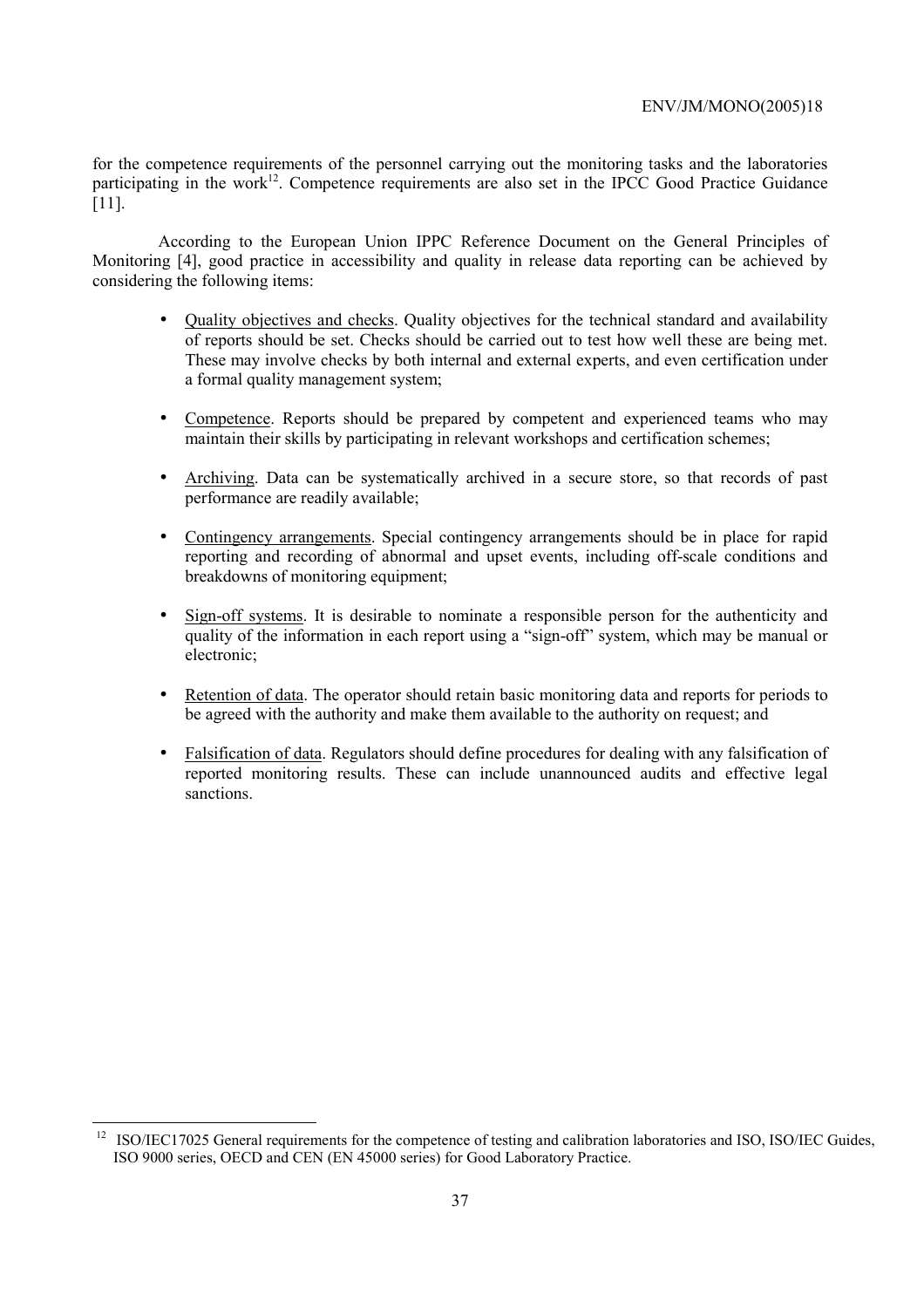for the competence requirements of the personnel carrying out the monitoring tasks and the laboratories participating in the work<sup>12</sup>. Competence requirements are also set in the IPCC Good Practice Guidance [11].

 According to the European Union IPPC Reference Document on the General Principles of Monitoring [4], good practice in accessibility and quality in release data reporting can be achieved by considering the following items:

- Quality objectives and checks. Quality objectives for the technical standard and availability of reports should be set. Checks should be carried out to test how well these are being met. These may involve checks by both internal and external experts, and even certification under a formal quality management system;
- Competence. Reports should be prepared by competent and experienced teams who may maintain their skills by participating in relevant workshops and certification schemes;
- Archiving. Data can be systematically archived in a secure store, so that records of past performance are readily available;
- Contingency arrangements. Special contingency arrangements should be in place for rapid reporting and recording of abnormal and upset events, including off-scale conditions and breakdowns of monitoring equipment;
- Sign-off systems. It is desirable to nominate a responsible person for the authenticity and quality of the information in each report using a "sign-off" system, which may be manual or electronic;
- Retention of data. The operator should retain basic monitoring data and reports for periods to be agreed with the authority and make them available to the authority on request; and
- Falsification of data. Regulators should define procedures for dealing with any falsification of reported monitoring results. These can include unannounced audits and effective legal sanctions.

<sup>&</sup>lt;sup>12</sup> ISO/IEC17025 General requirements for the competence of testing and calibration laboratories and ISO, ISO/IEC Guides, ISO 9000 series, OECD and CEN (EN 45000 series) for Good Laboratory Practice.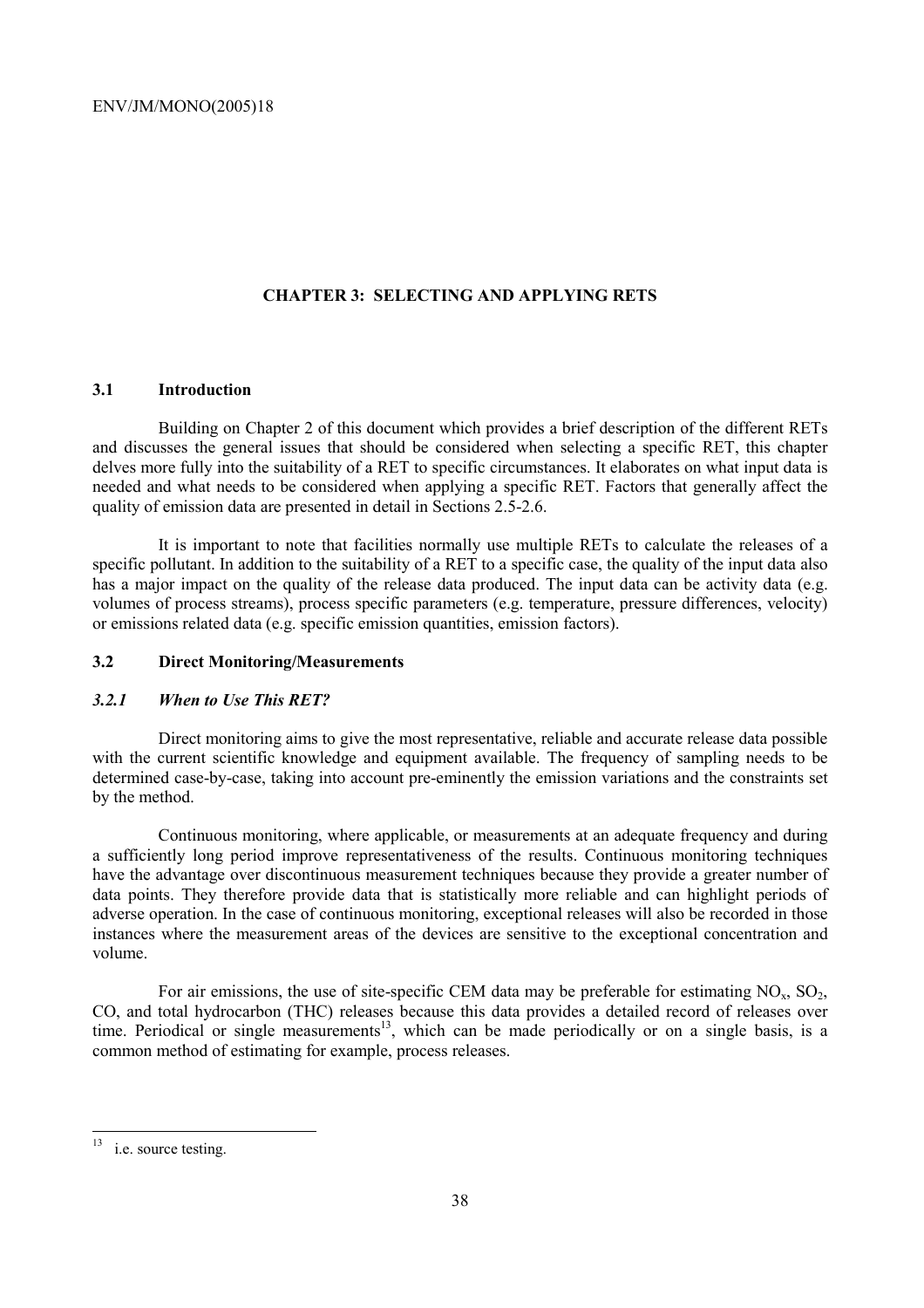# **CHAPTER 3: SELECTING AND APPLYING RETS**

## **3.1 Introduction**

 Building on Chapter 2 of this document which provides a brief description of the different RETs and discusses the general issues that should be considered when selecting a specific RET, this chapter delves more fully into the suitability of a RET to specific circumstances. It elaborates on what input data is needed and what needs to be considered when applying a specific RET. Factors that generally affect the quality of emission data are presented in detail in Sections 2.5-2.6.

 It is important to note that facilities normally use multiple RETs to calculate the releases of a specific pollutant. In addition to the suitability of a RET to a specific case, the quality of the input data also has a major impact on the quality of the release data produced. The input data can be activity data (e.g. volumes of process streams), process specific parameters (e.g. temperature, pressure differences, velocity) or emissions related data (e.g. specific emission quantities, emission factors).

## **3.2 Direct Monitoring/Measurements**

## *3.2.1 When to Use This RET?*

 Direct monitoring aims to give the most representative, reliable and accurate release data possible with the current scientific knowledge and equipment available. The frequency of sampling needs to be determined case-by-case, taking into account pre-eminently the emission variations and the constraints set by the method.

 Continuous monitoring, where applicable, or measurements at an adequate frequency and during a sufficiently long period improve representativeness of the results. Continuous monitoring techniques have the advantage over discontinuous measurement techniques because they provide a greater number of data points. They therefore provide data that is statistically more reliable and can highlight periods of adverse operation. In the case of continuous monitoring, exceptional releases will also be recorded in those instances where the measurement areas of the devices are sensitive to the exceptional concentration and volume.

For air emissions, the use of site-specific CEM data may be preferable for estimating  $NO<sub>x</sub>$ ,  $SO<sub>2</sub>$ , CO, and total hydrocarbon (THC) releases because this data provides a detailed record of releases over time. Periodical or single measurements<sup>13</sup>, which can be made periodically or on a single basis, is a common method of estimating for example, process releases.

i.e. source testing.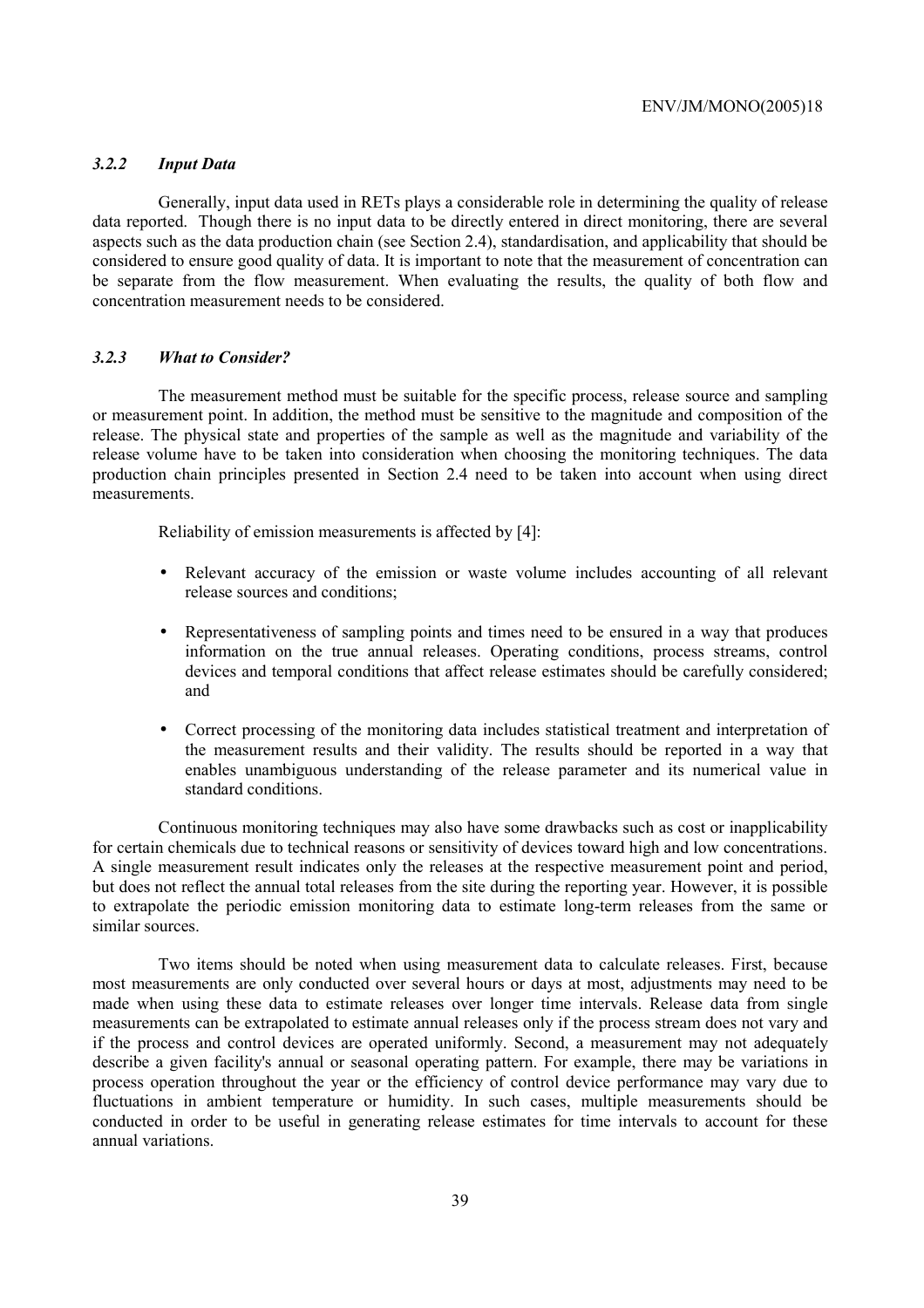## *3.2.2 Input Data*

 Generally, input data used in RETs plays a considerable role in determining the quality of release data reported. Though there is no input data to be directly entered in direct monitoring, there are several aspects such as the data production chain (see Section 2.4), standardisation, and applicability that should be considered to ensure good quality of data. It is important to note that the measurement of concentration can be separate from the flow measurement. When evaluating the results, the quality of both flow and concentration measurement needs to be considered.

### *3.2.3 What to Consider?*

 The measurement method must be suitable for the specific process, release source and sampling or measurement point. In addition, the method must be sensitive to the magnitude and composition of the release. The physical state and properties of the sample as well as the magnitude and variability of the release volume have to be taken into consideration when choosing the monitoring techniques. The data production chain principles presented in Section 2.4 need to be taken into account when using direct measurements.

Reliability of emission measurements is affected by [4]:

- Relevant accuracy of the emission or waste volume includes accounting of all relevant release sources and conditions;
- Representativeness of sampling points and times need to be ensured in a way that produces information on the true annual releases. Operating conditions, process streams, control devices and temporal conditions that affect release estimates should be carefully considered; and
- Correct processing of the monitoring data includes statistical treatment and interpretation of the measurement results and their validity. The results should be reported in a way that enables unambiguous understanding of the release parameter and its numerical value in standard conditions.

 Continuous monitoring techniques may also have some drawbacks such as cost or inapplicability for certain chemicals due to technical reasons or sensitivity of devices toward high and low concentrations. A single measurement result indicates only the releases at the respective measurement point and period, but does not reflect the annual total releases from the site during the reporting year. However, it is possible to extrapolate the periodic emission monitoring data to estimate long-term releases from the same or similar sources.

 Two items should be noted when using measurement data to calculate releases. First, because most measurements are only conducted over several hours or days at most, adjustments may need to be made when using these data to estimate releases over longer time intervals. Release data from single measurements can be extrapolated to estimate annual releases only if the process stream does not vary and if the process and control devices are operated uniformly. Second, a measurement may not adequately describe a given facility's annual or seasonal operating pattern. For example, there may be variations in process operation throughout the year or the efficiency of control device performance may vary due to fluctuations in ambient temperature or humidity. In such cases, multiple measurements should be conducted in order to be useful in generating release estimates for time intervals to account for these annual variations.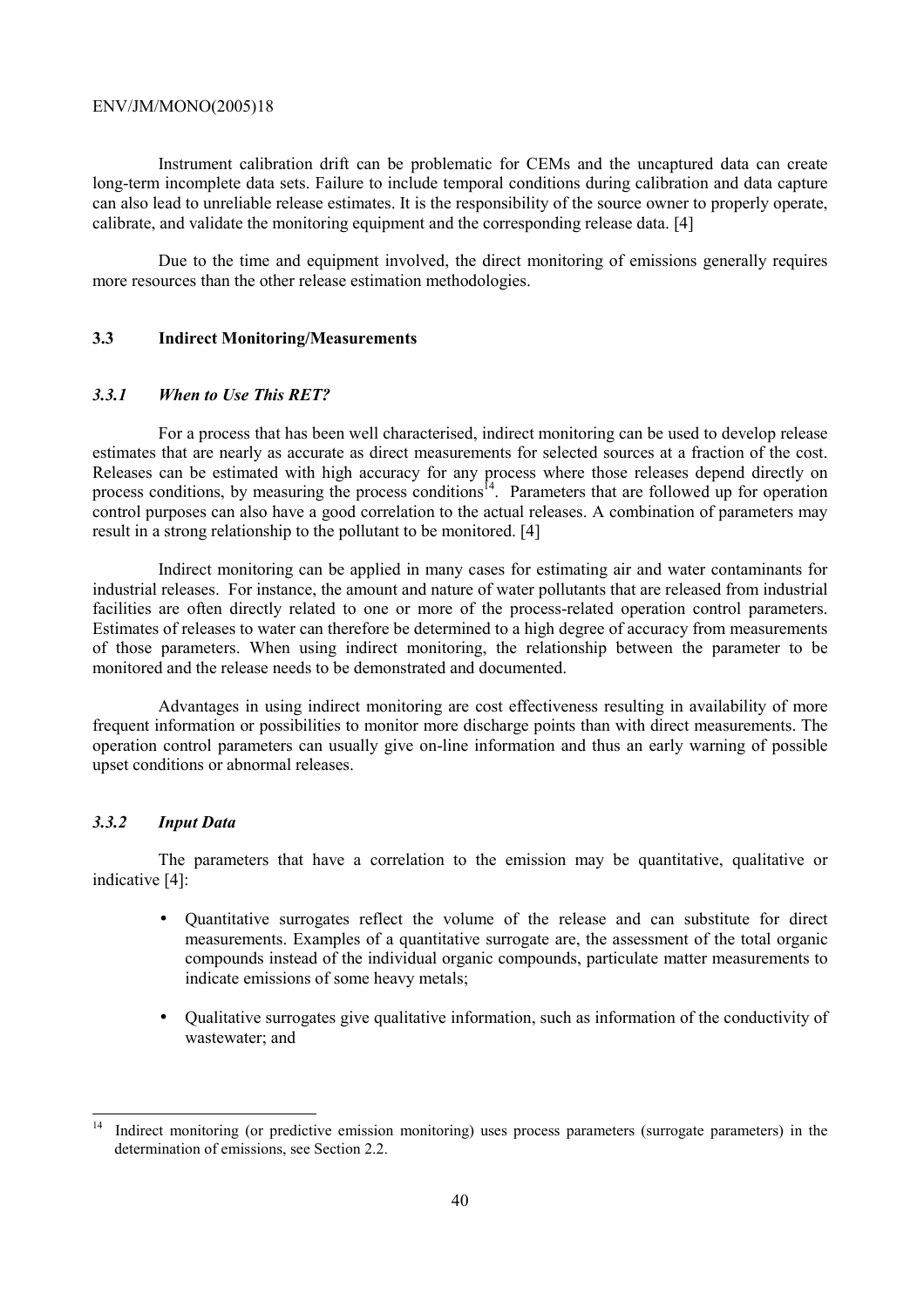Instrument calibration drift can be problematic for CEMs and the uncaptured data can create long-term incomplete data sets. Failure to include temporal conditions during calibration and data capture can also lead to unreliable release estimates. It is the responsibility of the source owner to properly operate, calibrate, and validate the monitoring equipment and the corresponding release data. [4]

 Due to the time and equipment involved, the direct monitoring of emissions generally requires more resources than the other release estimation methodologies.

### **3.3 Indirect Monitoring/Measurements**

#### *3.3.1 When to Use This RET?*

 For a process that has been well characterised, indirect monitoring can be used to develop release estimates that are nearly as accurate as direct measurements for selected sources at a fraction of the cost. Releases can be estimated with high accuracy for any process where those releases depend directly on process conditions, by measuring the process conditions<sup>14</sup>. Parameters that are followed up for operation control purposes can also have a good correlation to the actual releases. A combination of parameters may result in a strong relationship to the pollutant to be monitored. [4]

 Indirect monitoring can be applied in many cases for estimating air and water contaminants for industrial releases. For instance, the amount and nature of water pollutants that are released from industrial facilities are often directly related to one or more of the process-related operation control parameters. Estimates of releases to water can therefore be determined to a high degree of accuracy from measurements of those parameters. When using indirect monitoring, the relationship between the parameter to be monitored and the release needs to be demonstrated and documented.

 Advantages in using indirect monitoring are cost effectiveness resulting in availability of more frequent information or possibilities to monitor more discharge points than with direct measurements. The operation control parameters can usually give on-line information and thus an early warning of possible upset conditions or abnormal releases.

#### *3.3.2 Input Data*

 $\overline{a}$ 

 The parameters that have a correlation to the emission may be quantitative, qualitative or indicative [4]:

- Quantitative surrogates reflect the volume of the release and can substitute for direct measurements. Examples of a quantitative surrogate are, the assessment of the total organic compounds instead of the individual organic compounds, particulate matter measurements to indicate emissions of some heavy metals;
- Qualitative surrogates give qualitative information, such as information of the conductivity of wastewater; and

<sup>14</sup> Indirect monitoring (or predictive emission monitoring) uses process parameters (surrogate parameters) in the determination of emissions, see Section 2.2.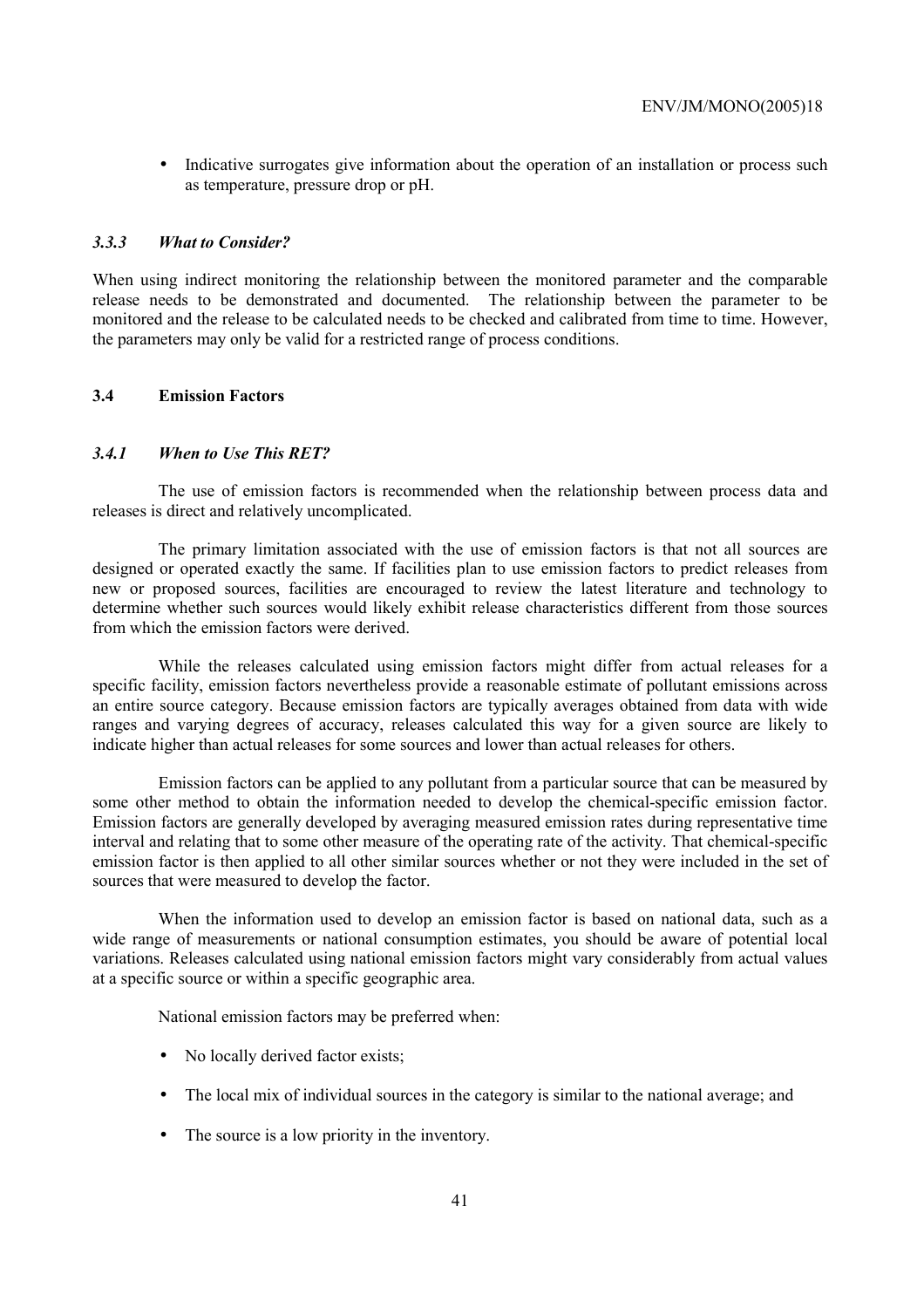• Indicative surrogates give information about the operation of an installation or process such as temperature, pressure drop or pH.

### *3.3.3 What to Consider?*

When using indirect monitoring the relationship between the monitored parameter and the comparable release needs to be demonstrated and documented. The relationship between the parameter to be monitored and the release to be calculated needs to be checked and calibrated from time to time. However, the parameters may only be valid for a restricted range of process conditions.

## **3.4 Emission Factors**

### *3.4.1 When to Use This RET?*

 The use of emission factors is recommended when the relationship between process data and releases is direct and relatively uncomplicated.

 The primary limitation associated with the use of emission factors is that not all sources are designed or operated exactly the same. If facilities plan to use emission factors to predict releases from new or proposed sources, facilities are encouraged to review the latest literature and technology to determine whether such sources would likely exhibit release characteristics different from those sources from which the emission factors were derived.

 While the releases calculated using emission factors might differ from actual releases for a specific facility, emission factors nevertheless provide a reasonable estimate of pollutant emissions across an entire source category. Because emission factors are typically averages obtained from data with wide ranges and varying degrees of accuracy, releases calculated this way for a given source are likely to indicate higher than actual releases for some sources and lower than actual releases for others.

 Emission factors can be applied to any pollutant from a particular source that can be measured by some other method to obtain the information needed to develop the chemical-specific emission factor. Emission factors are generally developed by averaging measured emission rates during representative time interval and relating that to some other measure of the operating rate of the activity. That chemical-specific emission factor is then applied to all other similar sources whether or not they were included in the set of sources that were measured to develop the factor.

 When the information used to develop an emission factor is based on national data, such as a wide range of measurements or national consumption estimates, you should be aware of potential local variations. Releases calculated using national emission factors might vary considerably from actual values at a specific source or within a specific geographic area.

National emission factors may be preferred when:

- No locally derived factor exists:
- The local mix of individual sources in the category is similar to the national average; and
- The source is a low priority in the inventory.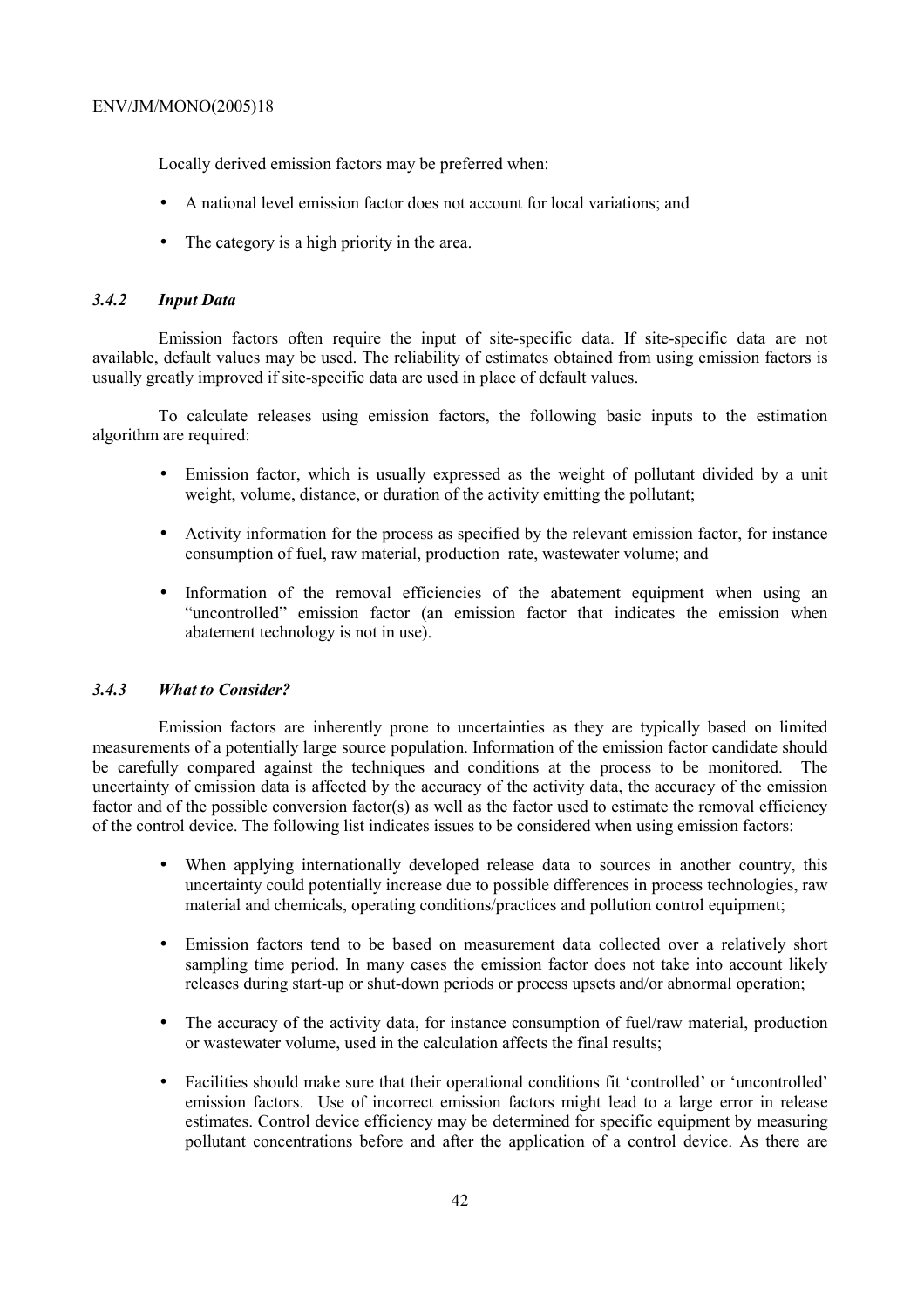Locally derived emission factors may be preferred when:

- A national level emission factor does not account for local variations; and
- The category is a high priority in the area.

### *3.4.2 Input Data*

 Emission factors often require the input of site-specific data. If site-specific data are not available, default values may be used. The reliability of estimates obtained from using emission factors is usually greatly improved if site-specific data are used in place of default values.

 To calculate releases using emission factors, the following basic inputs to the estimation algorithm are required:

- Emission factor, which is usually expressed as the weight of pollutant divided by a unit weight, volume, distance, or duration of the activity emitting the pollutant;
- Activity information for the process as specified by the relevant emission factor, for instance consumption of fuel, raw material, production rate, wastewater volume; and
- Information of the removal efficiencies of the abatement equipment when using an "uncontrolled" emission factor (an emission factor that indicates the emission when abatement technology is not in use).

#### *3.4.3 What to Consider?*

 Emission factors are inherently prone to uncertainties as they are typically based on limited measurements of a potentially large source population. Information of the emission factor candidate should be carefully compared against the techniques and conditions at the process to be monitored. The uncertainty of emission data is affected by the accuracy of the activity data, the accuracy of the emission factor and of the possible conversion factor(s) as well as the factor used to estimate the removal efficiency of the control device. The following list indicates issues to be considered when using emission factors:

- When applying internationally developed release data to sources in another country, this uncertainty could potentially increase due to possible differences in process technologies, raw material and chemicals, operating conditions/practices and pollution control equipment;
- Emission factors tend to be based on measurement data collected over a relatively short sampling time period. In many cases the emission factor does not take into account likely releases during start-up or shut-down periods or process upsets and/or abnormal operation;
- The accuracy of the activity data, for instance consumption of fuel/raw material, production or wastewater volume, used in the calculation affects the final results;
- Facilities should make sure that their operational conditions fit 'controlled' or 'uncontrolled' emission factors. Use of incorrect emission factors might lead to a large error in release estimates. Control device efficiency may be determined for specific equipment by measuring pollutant concentrations before and after the application of a control device. As there are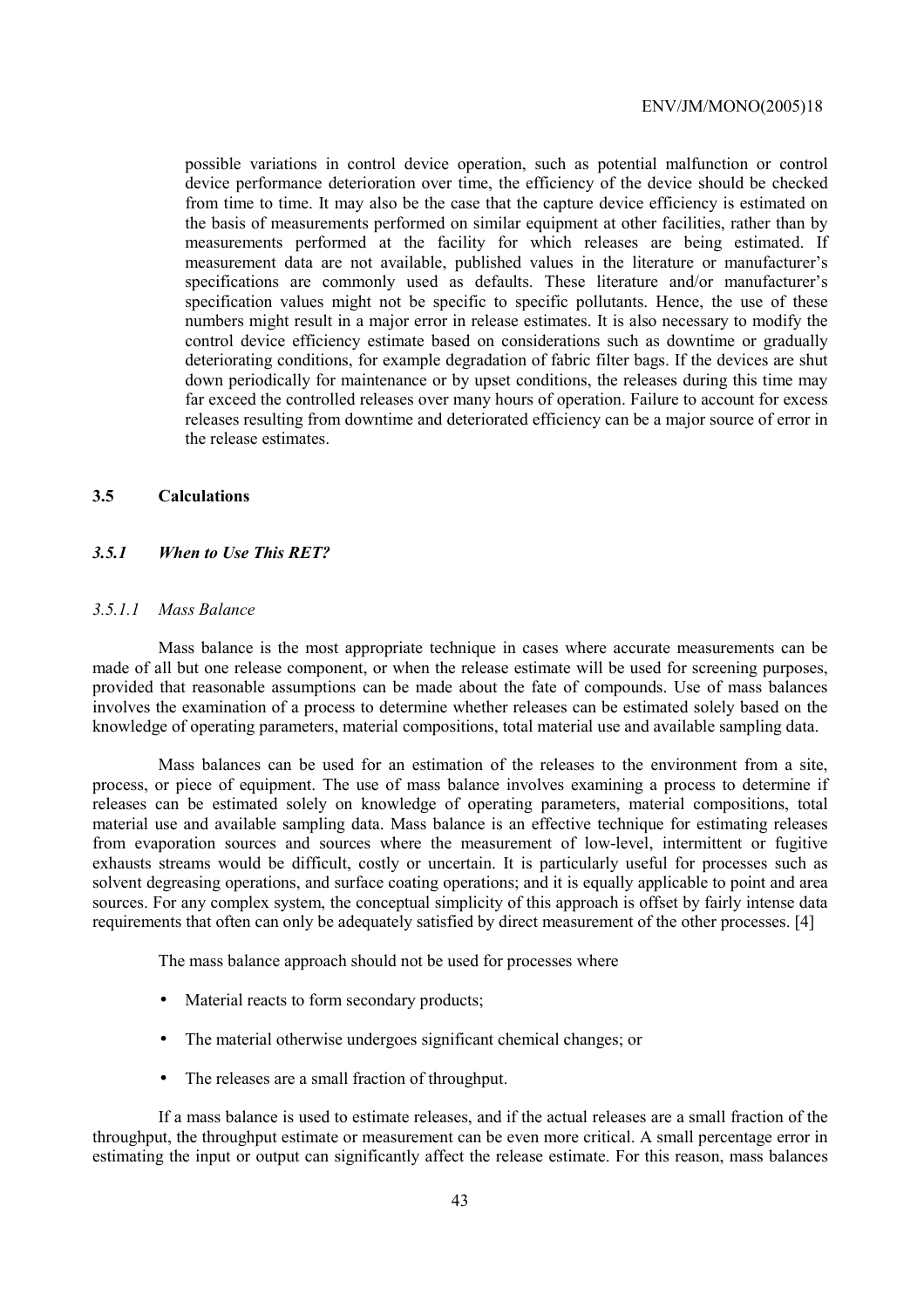possible variations in control device operation, such as potential malfunction or control device performance deterioration over time, the efficiency of the device should be checked from time to time. It may also be the case that the capture device efficiency is estimated on the basis of measurements performed on similar equipment at other facilities, rather than by measurements performed at the facility for which releases are being estimated. If measurement data are not available, published values in the literature or manufacturer's specifications are commonly used as defaults. These literature and/or manufacturer's specification values might not be specific to specific pollutants. Hence, the use of these numbers might result in a major error in release estimates. It is also necessary to modify the control device efficiency estimate based on considerations such as downtime or gradually deteriorating conditions, for example degradation of fabric filter bags. If the devices are shut down periodically for maintenance or by upset conditions, the releases during this time may far exceed the controlled releases over many hours of operation. Failure to account for excess releases resulting from downtime and deteriorated efficiency can be a major source of error in the release estimates.

## **3.5 Calculations**

### *3.5.1 When to Use This RET?*

### *3.5.1.1 Mass Balance*

 Mass balance is the most appropriate technique in cases where accurate measurements can be made of all but one release component, or when the release estimate will be used for screening purposes, provided that reasonable assumptions can be made about the fate of compounds. Use of mass balances involves the examination of a process to determine whether releases can be estimated solely based on the knowledge of operating parameters, material compositions, total material use and available sampling data.

 Mass balances can be used for an estimation of the releases to the environment from a site, process, or piece of equipment. The use of mass balance involves examining a process to determine if releases can be estimated solely on knowledge of operating parameters, material compositions, total material use and available sampling data. Mass balance is an effective technique for estimating releases from evaporation sources and sources where the measurement of low-level, intermittent or fugitive exhausts streams would be difficult, costly or uncertain. It is particularly useful for processes such as solvent degreasing operations, and surface coating operations; and it is equally applicable to point and area sources. For any complex system, the conceptual simplicity of this approach is offset by fairly intense data requirements that often can only be adequately satisfied by direct measurement of the other processes. [4]

The mass balance approach should not be used for processes where

- Material reacts to form secondary products;
- The material otherwise undergoes significant chemical changes; or
- The releases are a small fraction of throughput.

 If a mass balance is used to estimate releases, and if the actual releases are a small fraction of the throughput, the throughput estimate or measurement can be even more critical. A small percentage error in estimating the input or output can significantly affect the release estimate. For this reason, mass balances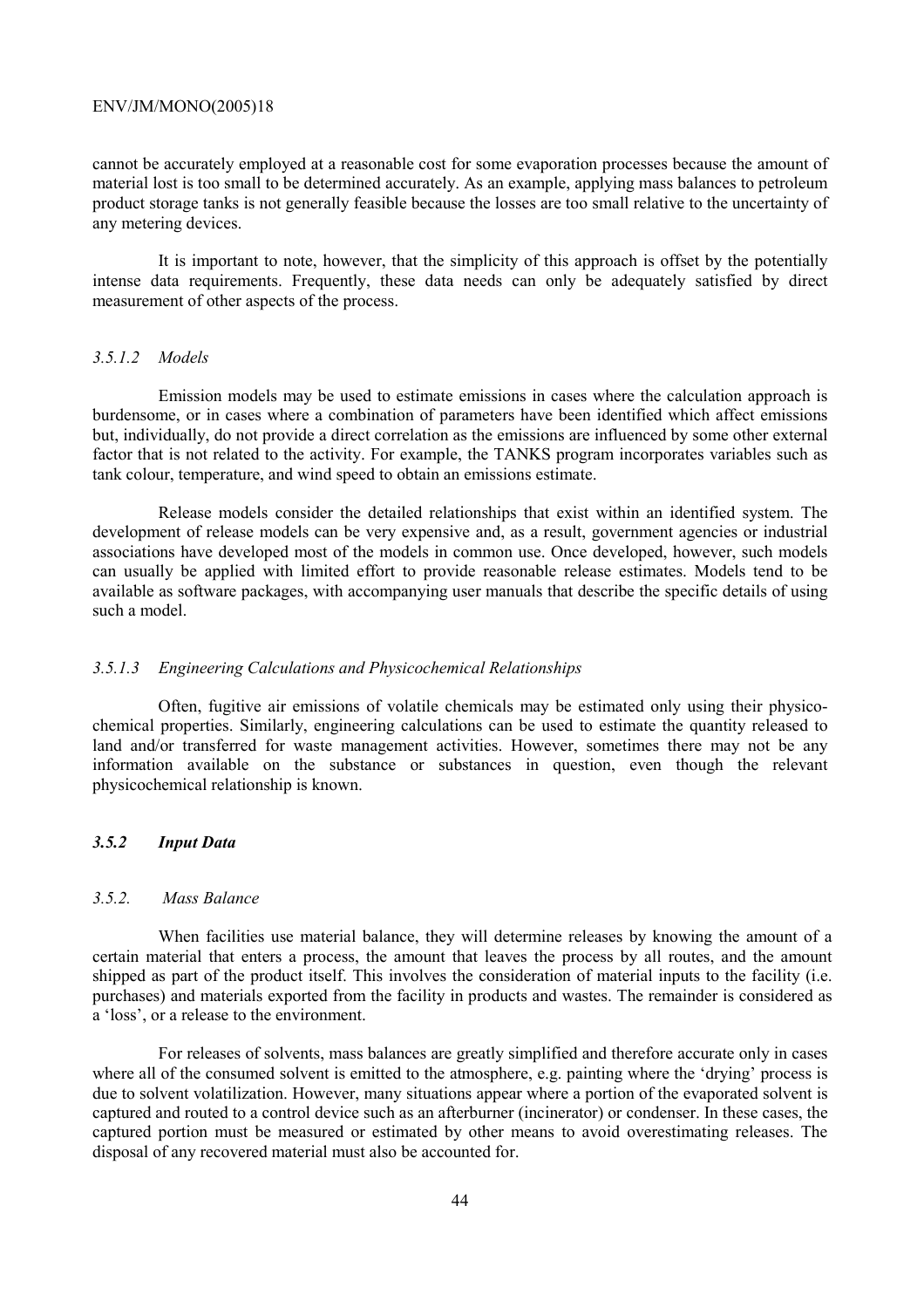cannot be accurately employed at a reasonable cost for some evaporation processes because the amount of material lost is too small to be determined accurately. As an example, applying mass balances to petroleum product storage tanks is not generally feasible because the losses are too small relative to the uncertainty of any metering devices.

 It is important to note, however, that the simplicity of this approach is offset by the potentially intense data requirements. Frequently, these data needs can only be adequately satisfied by direct measurement of other aspects of the process.

### *3.5.1.2 Models*

 Emission models may be used to estimate emissions in cases where the calculation approach is burdensome, or in cases where a combination of parameters have been identified which affect emissions but, individually, do not provide a direct correlation as the emissions are influenced by some other external factor that is not related to the activity. For example, the TANKS program incorporates variables such as tank colour, temperature, and wind speed to obtain an emissions estimate.

 Release models consider the detailed relationships that exist within an identified system. The development of release models can be very expensive and, as a result, government agencies or industrial associations have developed most of the models in common use. Once developed, however, such models can usually be applied with limited effort to provide reasonable release estimates. Models tend to be available as software packages, with accompanying user manuals that describe the specific details of using such a model.

#### *3.5.1.3 Engineering Calculations and Physicochemical Relationships*

 Often, fugitive air emissions of volatile chemicals may be estimated only using their physicochemical properties. Similarly, engineering calculations can be used to estimate the quantity released to land and/or transferred for waste management activities. However, sometimes there may not be any information available on the substance or substances in question, even though the relevant physicochemical relationship is known.

## *3.5.2 Input Data*

### *3.5.2. Mass Balance*

 When facilities use material balance, they will determine releases by knowing the amount of a certain material that enters a process, the amount that leaves the process by all routes, and the amount shipped as part of the product itself. This involves the consideration of material inputs to the facility (i.e. purchases) and materials exported from the facility in products and wastes. The remainder is considered as a 'loss', or a release to the environment.

 For releases of solvents, mass balances are greatly simplified and therefore accurate only in cases where all of the consumed solvent is emitted to the atmosphere, e.g. painting where the 'drying' process is due to solvent volatilization. However, many situations appear where a portion of the evaporated solvent is captured and routed to a control device such as an afterburner (incinerator) or condenser. In these cases, the captured portion must be measured or estimated by other means to avoid overestimating releases. The disposal of any recovered material must also be accounted for.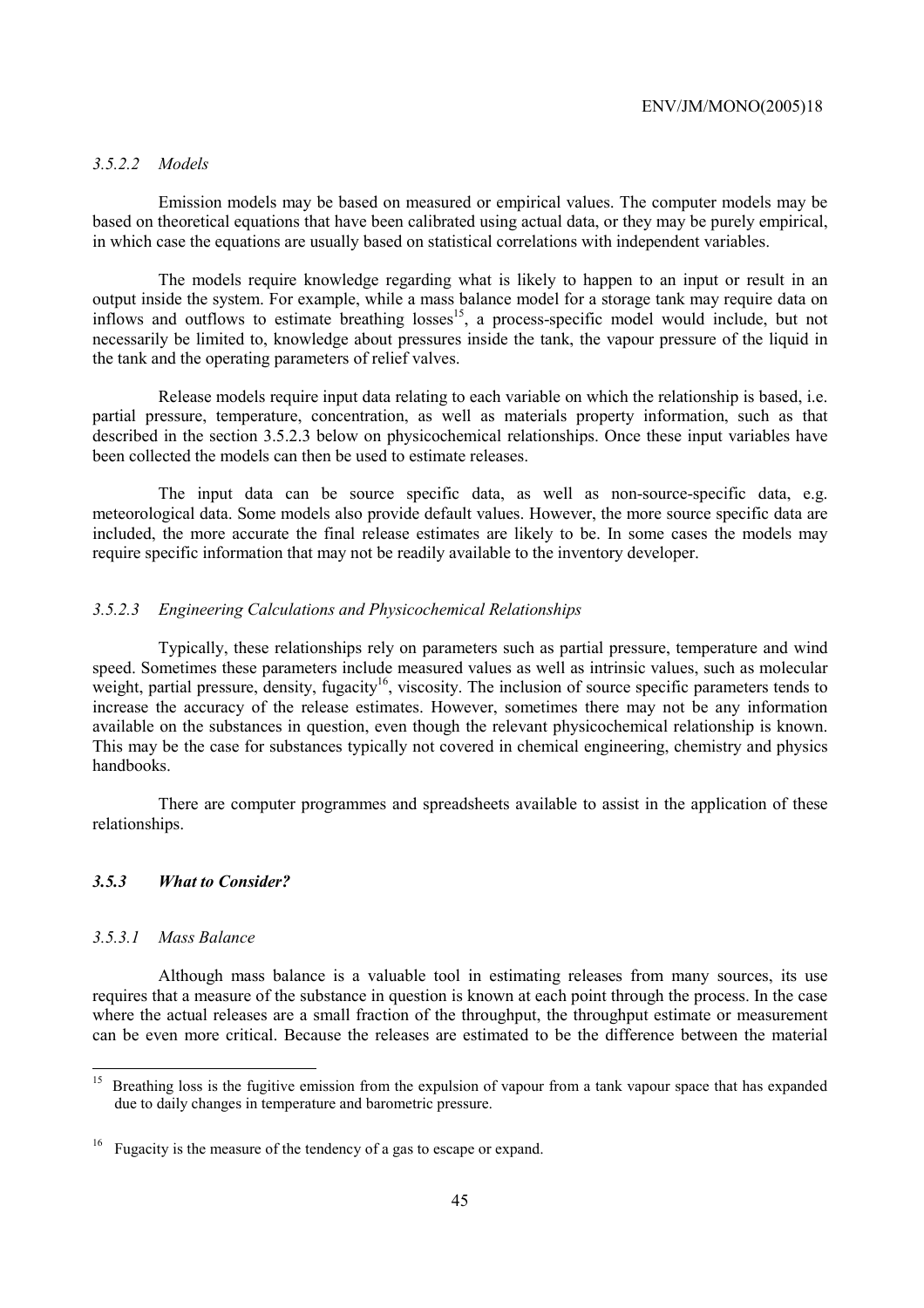### *3.5.2.2 Models*

 Emission models may be based on measured or empirical values. The computer models may be based on theoretical equations that have been calibrated using actual data, or they may be purely empirical, in which case the equations are usually based on statistical correlations with independent variables.

 The models require knowledge regarding what is likely to happen to an input or result in an output inside the system. For example, while a mass balance model for a storage tank may require data on inflows and outflows to estimate breathing losses<sup>15</sup>, a process-specific model would include, but not necessarily be limited to, knowledge about pressures inside the tank, the vapour pressure of the liquid in the tank and the operating parameters of relief valves.

 Release models require input data relating to each variable on which the relationship is based, i.e. partial pressure, temperature, concentration, as well as materials property information, such as that described in the section 3.5.2.3 below on physicochemical relationships. Once these input variables have been collected the models can then be used to estimate releases.

 The input data can be source specific data, as well as non-source-specific data, e.g. meteorological data. Some models also provide default values. However, the more source specific data are included, the more accurate the final release estimates are likely to be. In some cases the models may require specific information that may not be readily available to the inventory developer.

#### *3.5.2.3 Engineering Calculations and Physicochemical Relationships*

 Typically, these relationships rely on parameters such as partial pressure, temperature and wind speed. Sometimes these parameters include measured values as well as intrinsic values, such as molecular weight, partial pressure, density, fugacity<sup>16</sup>, viscosity. The inclusion of source specific parameters tends to increase the accuracy of the release estimates. However, sometimes there may not be any information available on the substances in question, even though the relevant physicochemical relationship is known. This may be the case for substances typically not covered in chemical engineering, chemistry and physics handbooks.

 There are computer programmes and spreadsheets available to assist in the application of these relationships.

### *3.5.3 What to Consider?*

#### *3.5.3.1 Mass Balance*

 Although mass balance is a valuable tool in estimating releases from many sources, its use requires that a measure of the substance in question is known at each point through the process. In the case where the actual releases are a small fraction of the throughput, the throughput estimate or measurement can be even more critical. Because the releases are estimated to be the difference between the material

 $15\,$ <sup>15</sup> Breathing loss is the fugitive emission from the expulsion of vapour from a tank vapour space that has expanded due to daily changes in temperature and barometric pressure.

<sup>16</sup> Fugacity is the measure of the tendency of a gas to escape or expand.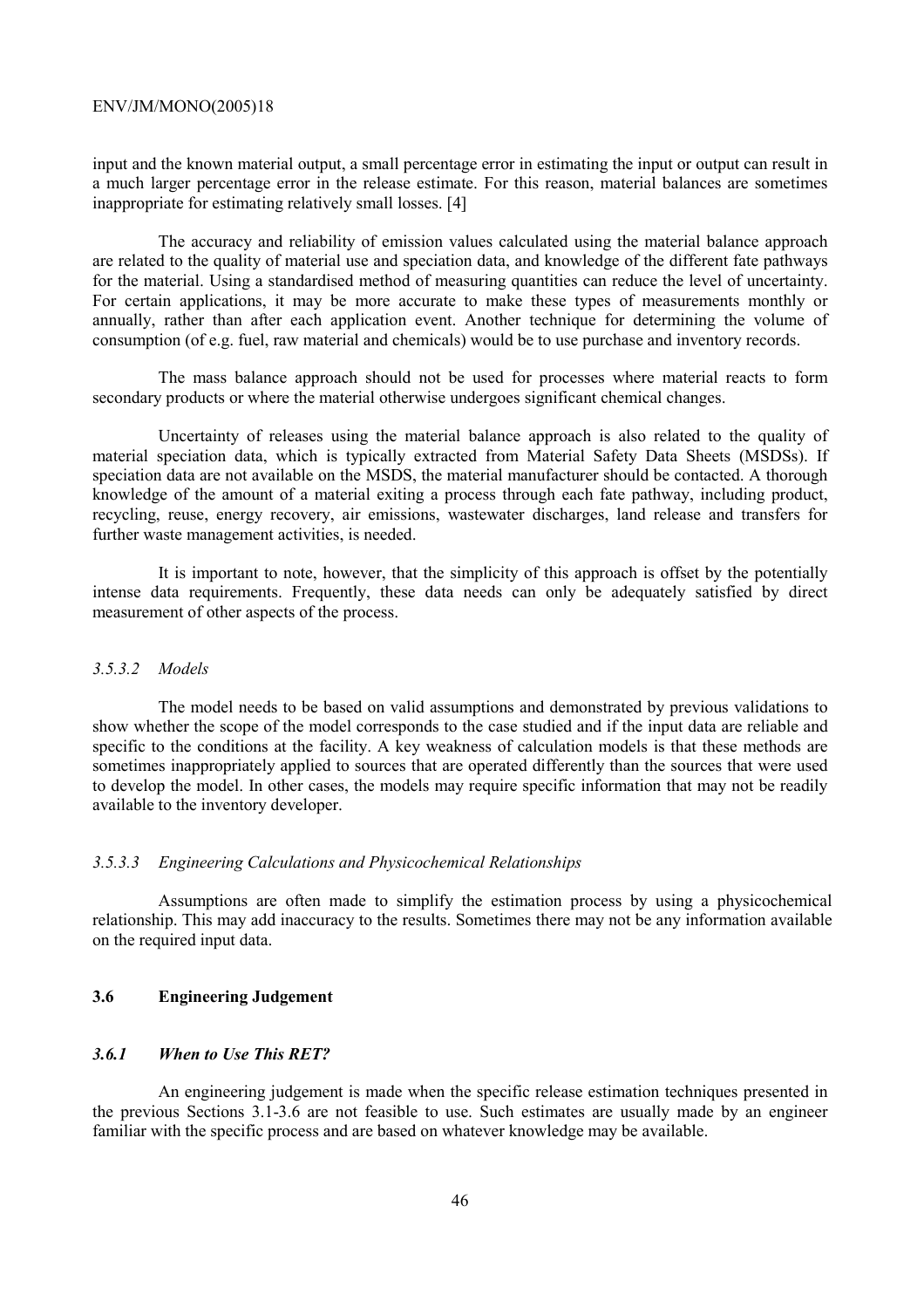input and the known material output, a small percentage error in estimating the input or output can result in a much larger percentage error in the release estimate. For this reason, material balances are sometimes inappropriate for estimating relatively small losses. [4]

 The accuracy and reliability of emission values calculated using the material balance approach are related to the quality of material use and speciation data, and knowledge of the different fate pathways for the material. Using a standardised method of measuring quantities can reduce the level of uncertainty. For certain applications, it may be more accurate to make these types of measurements monthly or annually, rather than after each application event. Another technique for determining the volume of consumption (of e.g. fuel, raw material and chemicals) would be to use purchase and inventory records.

 The mass balance approach should not be used for processes where material reacts to form secondary products or where the material otherwise undergoes significant chemical changes.

 Uncertainty of releases using the material balance approach is also related to the quality of material speciation data, which is typically extracted from Material Safety Data Sheets (MSDSs). If speciation data are not available on the MSDS, the material manufacturer should be contacted. A thorough knowledge of the amount of a material exiting a process through each fate pathway, including product, recycling, reuse, energy recovery, air emissions, wastewater discharges, land release and transfers for further waste management activities, is needed.

 It is important to note, however, that the simplicity of this approach is offset by the potentially intense data requirements. Frequently, these data needs can only be adequately satisfied by direct measurement of other aspects of the process.

#### *3.5.3.2 Models*

 The model needs to be based on valid assumptions and demonstrated by previous validations to show whether the scope of the model corresponds to the case studied and if the input data are reliable and specific to the conditions at the facility. A key weakness of calculation models is that these methods are sometimes inappropriately applied to sources that are operated differently than the sources that were used to develop the model. In other cases, the models may require specific information that may not be readily available to the inventory developer.

#### *3.5.3.3 Engineering Calculations and Physicochemical Relationships*

 Assumptions are often made to simplify the estimation process by using a physicochemical relationship. This may add inaccuracy to the results. Sometimes there may not be any information available on the required input data.

## **3.6 Engineering Judgement**

### *3.6.1 When to Use This RET?*

 An engineering judgement is made when the specific release estimation techniques presented in the previous Sections 3.1-3.6 are not feasible to use. Such estimates are usually made by an engineer familiar with the specific process and are based on whatever knowledge may be available.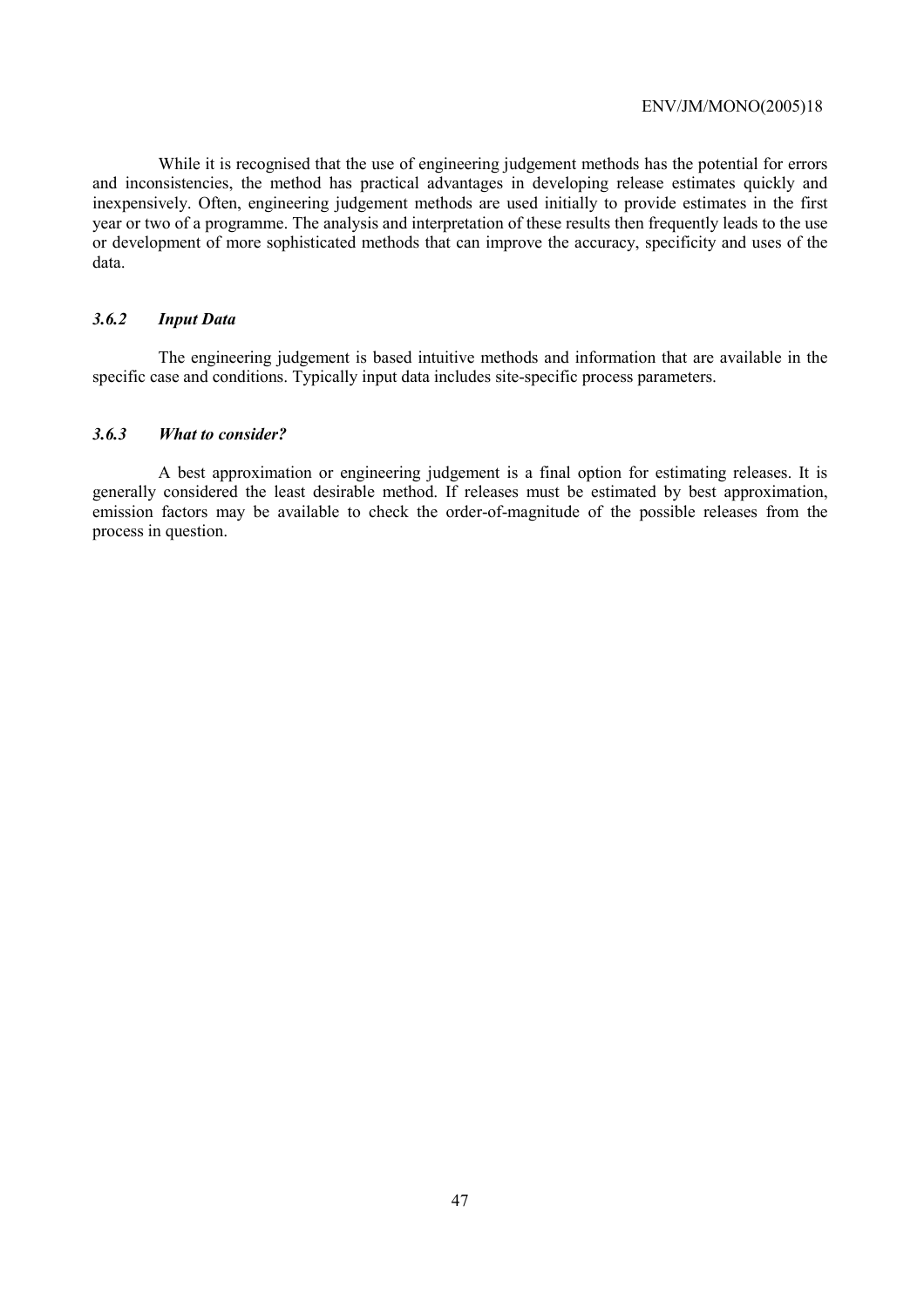While it is recognised that the use of engineering judgement methods has the potential for errors and inconsistencies, the method has practical advantages in developing release estimates quickly and inexpensively. Often, engineering judgement methods are used initially to provide estimates in the first year or two of a programme. The analysis and interpretation of these results then frequently leads to the use or development of more sophisticated methods that can improve the accuracy, specificity and uses of the data.

## *3.6.2 Input Data*

 The engineering judgement is based intuitive methods and information that are available in the specific case and conditions. Typically input data includes site-specific process parameters.

## *3.6.3 What to consider?*

 A best approximation or engineering judgement is a final option for estimating releases. It is generally considered the least desirable method. If releases must be estimated by best approximation, emission factors may be available to check the order-of-magnitude of the possible releases from the process in question.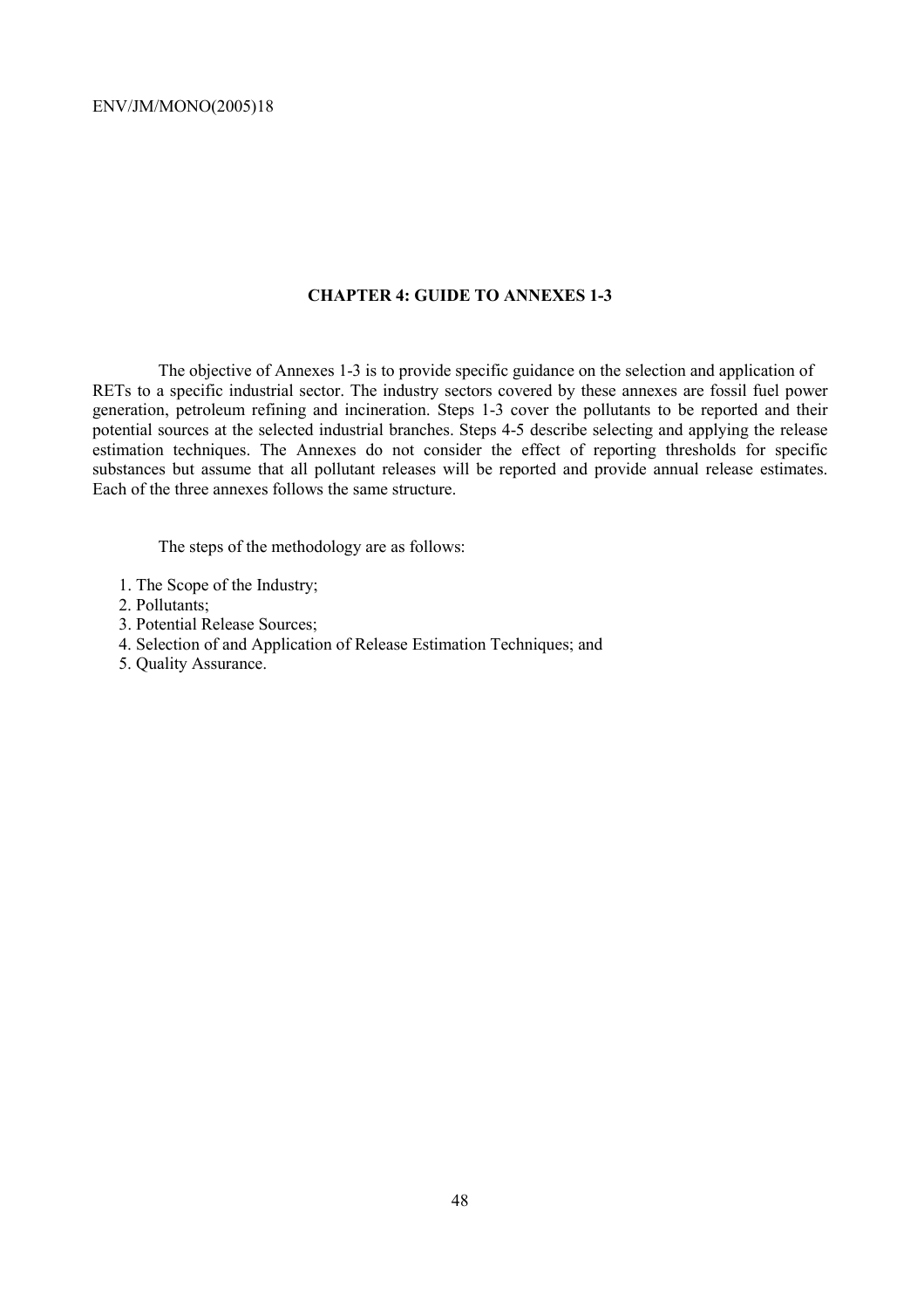#### **CHAPTER 4: GUIDE TO ANNEXES 1-3**

The objective of Annexes 1-3 is to provide specific guidance on the selection and application of RETs to a specific industrial sector. The industry sectors covered by these annexes are fossil fuel power generation, petroleum refining and incineration. Steps 1-3 cover the pollutants to be reported and their potential sources at the selected industrial branches. Steps 4-5 describe selecting and applying the release estimation techniques. The Annexes do not consider the effect of reporting thresholds for specific substances but assume that all pollutant releases will be reported and provide annual release estimates. Each of the three annexes follows the same structure.

The steps of the methodology are as follows:

- 1. The Scope of the Industry;
- 2. Pollutants;
- 3. Potential Release Sources;
- 4. Selection of and Application of Release Estimation Techniques; and
- 5. Quality Assurance.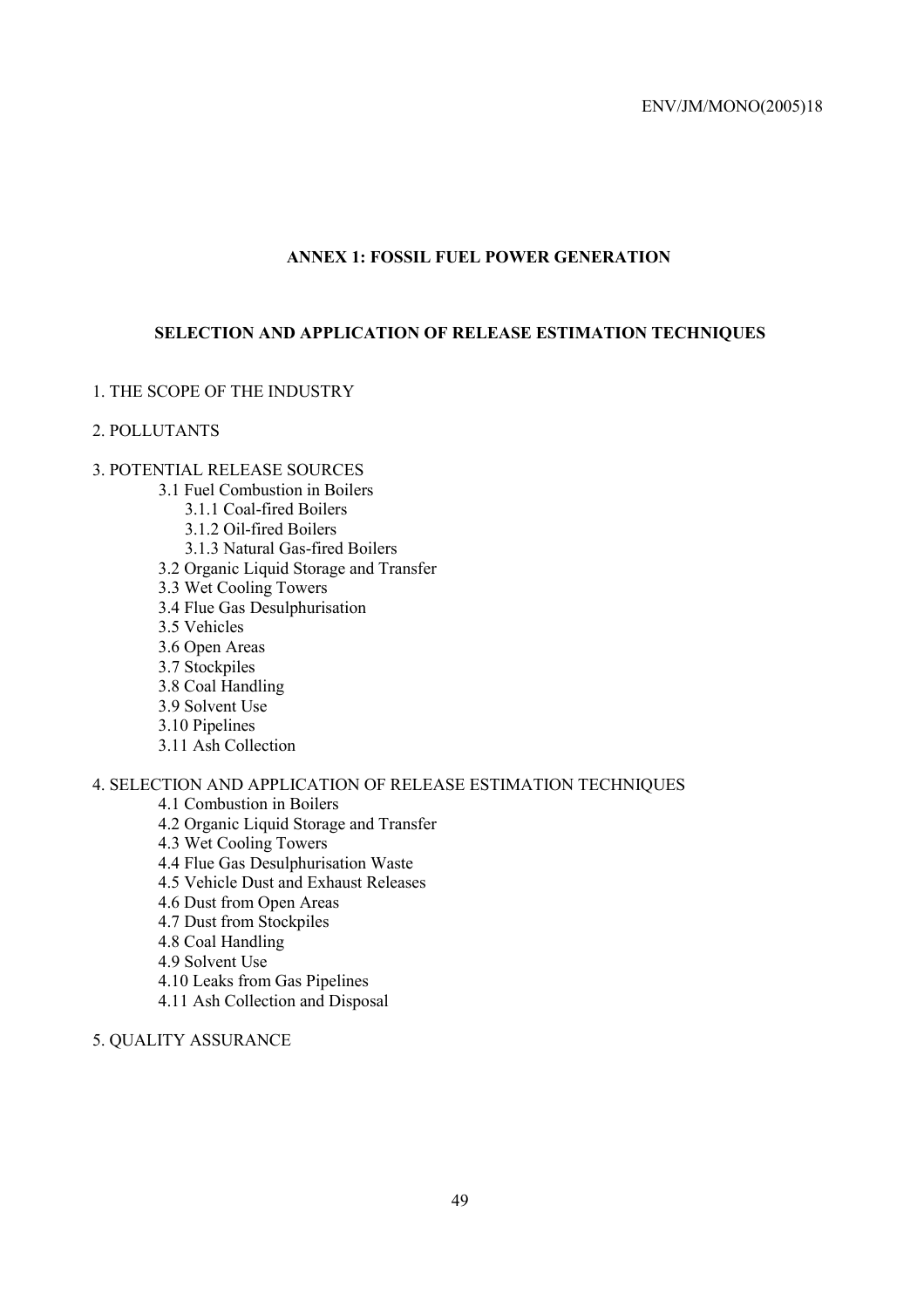## **ANNEX 1: FOSSIL FUEL POWER GENERATION**

## **SELECTION AND APPLICATION OF RELEASE ESTIMATION TECHNIQUES**

## 1. THE SCOPE OF THE INDUSTRY

## 2. POLLUTANTS

# 3. POTENTIAL RELEASE SOURCES

- 3.1 Fuel Combustion in Boilers
	- 3.1.1 Coal-fired Boilers
	- 3.1.2 Oil-fired Boilers
	- 3.1.3 Natural Gas-fired Boilers
	- 3.2 Organic Liquid Storage and Transfer
	- 3.3 Wet Cooling Towers
	- 3.4 Flue Gas Desulphurisation
	- 3.5 Vehicles
	- 3.6 Open Areas
	- 3.7 Stockpiles
	- 3.8 Coal Handling
	- 3.9 Solvent Use
	- 3.10 Pipelines
	- 3.11 Ash Collection

## 4. SELECTION AND APPLICATION OF RELEASE ESTIMATION TECHNIQUES

- 4.1 Combustion in Boilers
- 4.2 Organic Liquid Storage and Transfer
- 4.3 Wet Cooling Towers
- 4.4 Flue Gas Desulphurisation Waste
- 4.5 Vehicle Dust and Exhaust Releases
- 4.6 Dust from Open Areas
- 4.7 Dust from Stockpiles
- 4.8 Coal Handling
- 4.9 Solvent Use
- 4.10 Leaks from Gas Pipelines
- 4.11 Ash Collection and Disposal

## 5. QUALITY ASSURANCE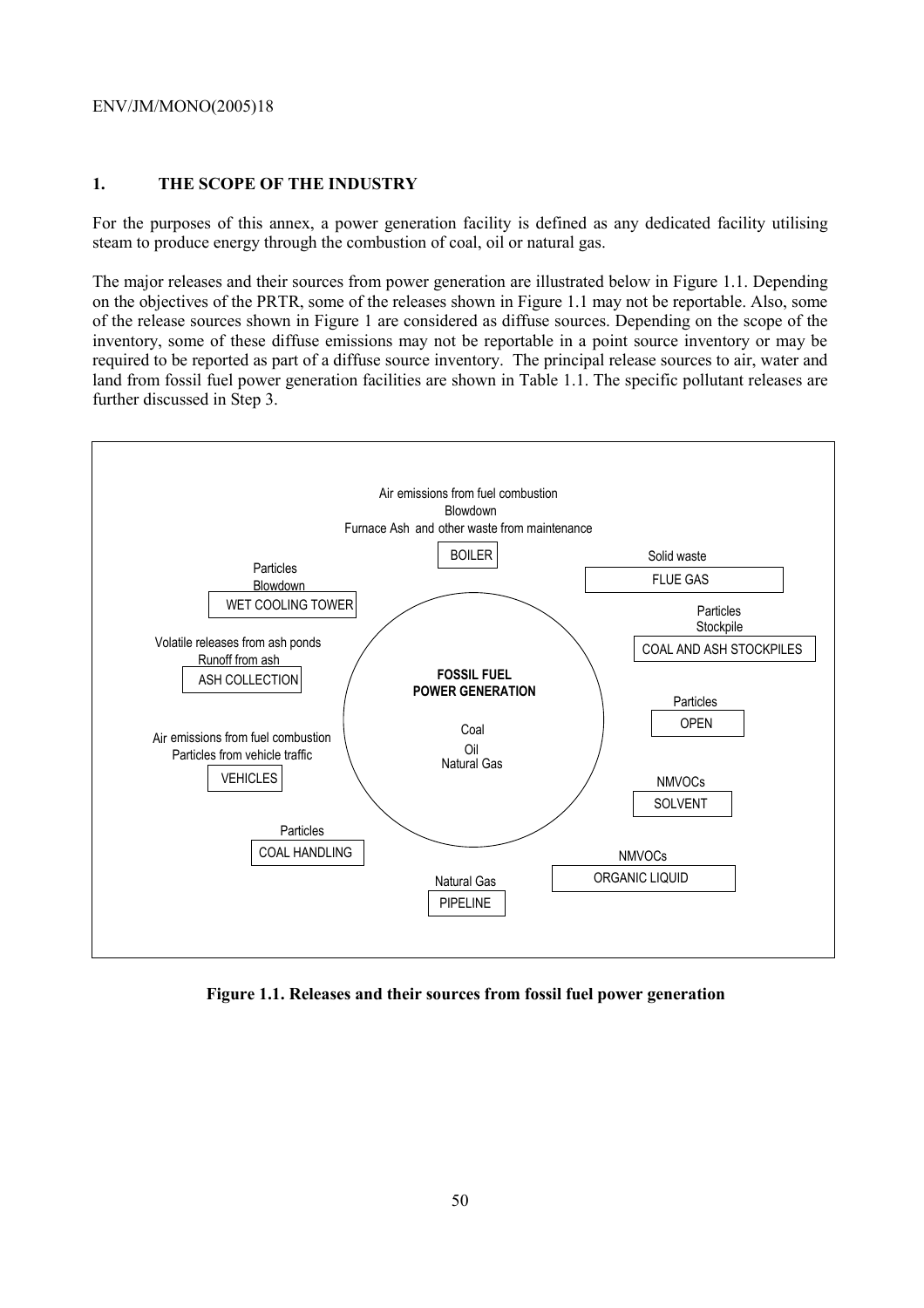## **1. THE SCOPE OF THE INDUSTRY**

For the purposes of this annex, a power generation facility is defined as any dedicated facility utilising steam to produce energy through the combustion of coal, oil or natural gas.

The major releases and their sources from power generation are illustrated below in Figure 1.1. Depending on the objectives of the PRTR, some of the releases shown in Figure 1.1 may not be reportable. Also, some of the release sources shown in Figure 1 are considered as diffuse sources. Depending on the scope of the inventory, some of these diffuse emissions may not be reportable in a point source inventory or may be required to be reported as part of a diffuse source inventory. The principal release sources to air, water and land from fossil fuel power generation facilities are shown in Table 1.1. The specific pollutant releases are further discussed in Step 3.



**Figure 1.1. Releases and their sources from fossil fuel power generation**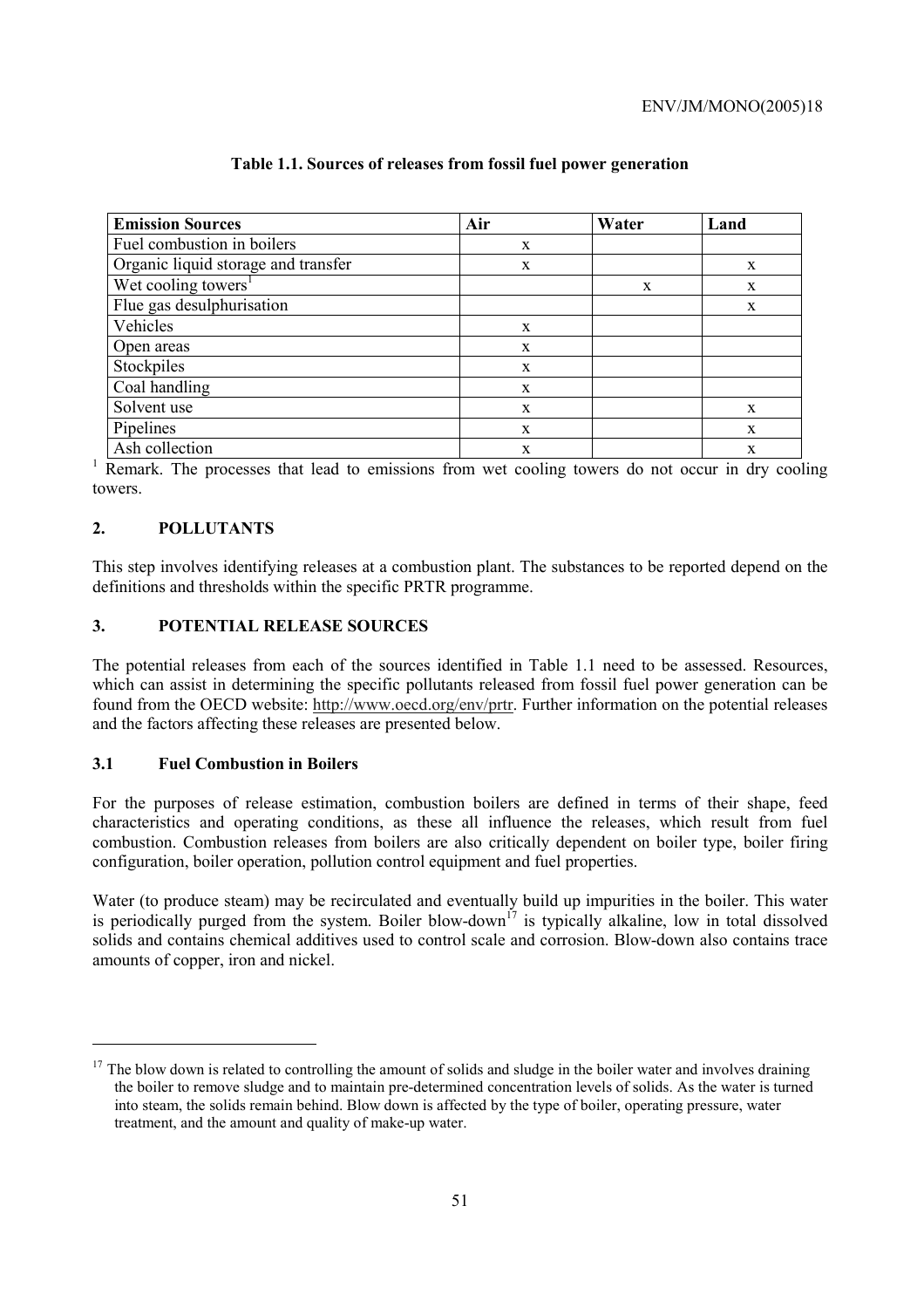| <b>Emission Sources</b>             | Air         | Water | Land         |
|-------------------------------------|-------------|-------|--------------|
| Fuel combustion in boilers          | X           |       |              |
| Organic liquid storage and transfer | X           |       | X            |
| Wet cooling towers <sup>1</sup>     |             | X     | X            |
| Flue gas desulphurisation           |             |       | X            |
| Vehicles                            | X           |       |              |
| Open areas                          | X           |       |              |
| Stockpiles                          | X           |       |              |
| Coal handling                       | X           |       |              |
| Solvent use                         | $\mathbf x$ |       | $\mathbf{x}$ |
| Pipelines                           | $\mathbf x$ |       | $\mathbf{x}$ |
| Ash collection                      | $\mathbf x$ |       | X            |

## **Table 1.1. Sources of releases from fossil fuel power generation**

<sup>1</sup> Remark. The processes that lead to emissions from wet cooling towers do not occur in dry cooling towers.

#### **2. POLLUTANTS**

This step involves identifying releases at a combustion plant. The substances to be reported depend on the definitions and thresholds within the specific PRTR programme.

## **3. POTENTIAL RELEASE SOURCES**

The potential releases from each of the sources identified in Table 1.1 need to be assessed. Resources, which can assist in determining the specific pollutants released from fossil fuel power generation can be found from the OECD website: http://www.oecd.org/env/prtr. Further information on the potential releases and the factors affecting these releases are presented below.

### **3.1 Fuel Combustion in Boilers**

 $\overline{a}$ 

For the purposes of release estimation, combustion boilers are defined in terms of their shape, feed characteristics and operating conditions, as these all influence the releases, which result from fuel combustion. Combustion releases from boilers are also critically dependent on boiler type, boiler firing configuration, boiler operation, pollution control equipment and fuel properties.

Water (to produce steam) may be recirculated and eventually build up impurities in the boiler. This water is periodically purged from the system. Boiler blow-down<sup>17</sup> is typically alkaline, low in total dissolved solids and contains chemical additives used to control scale and corrosion. Blow-down also contains trace amounts of copper, iron and nickel.

 $17$  The blow down is related to controlling the amount of solids and sludge in the boiler water and involves draining the boiler to remove sludge and to maintain pre-determined concentration levels of solids. As the water is turned into steam, the solids remain behind. Blow down is affected by the type of boiler, operating pressure, water treatment, and the amount and quality of make-up water.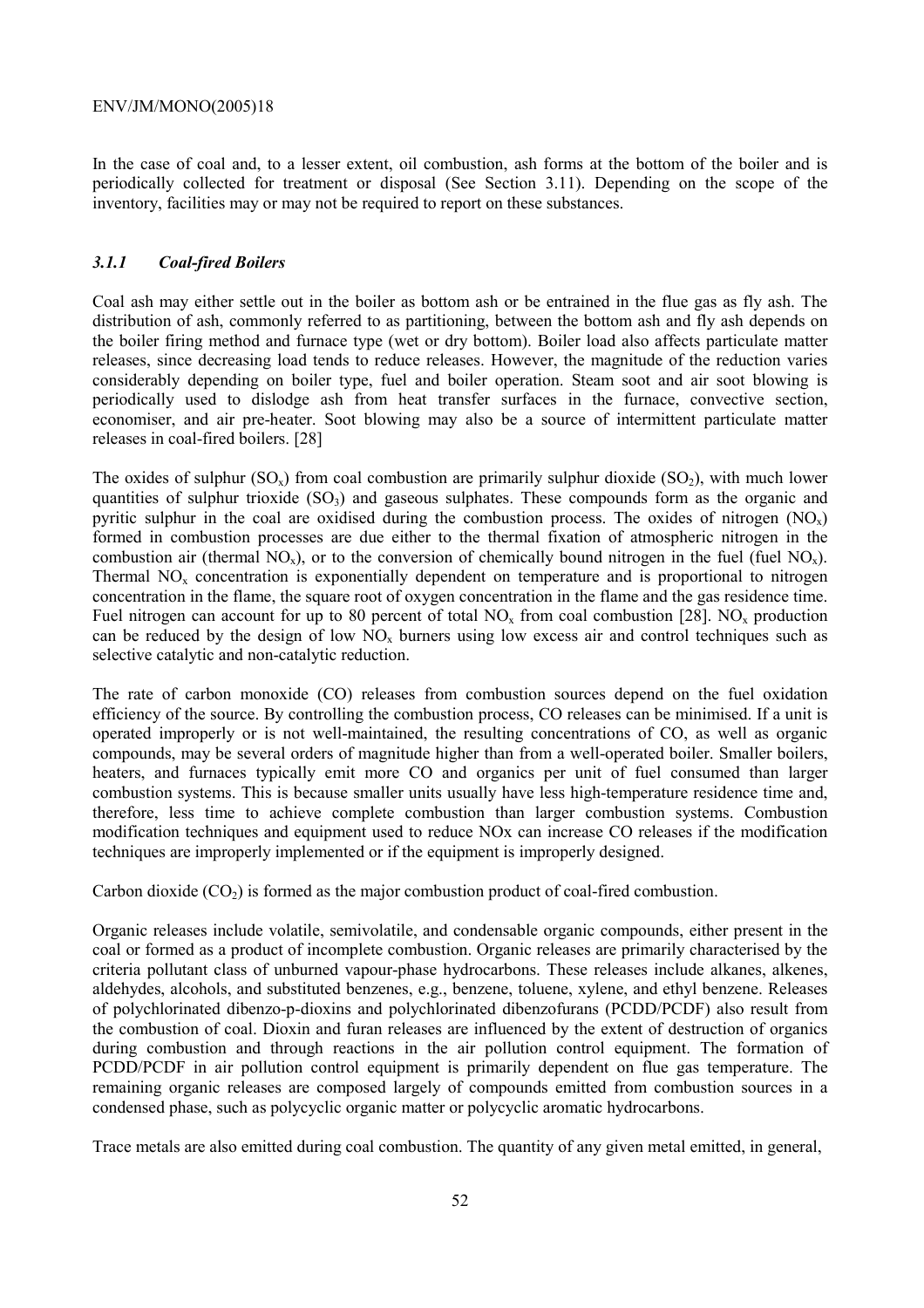In the case of coal and, to a lesser extent, oil combustion, ash forms at the bottom of the boiler and is periodically collected for treatment or disposal (See Section 3.11). Depending on the scope of the inventory, facilities may or may not be required to report on these substances.

## *3.1.1 Coal-fired Boilers*

Coal ash may either settle out in the boiler as bottom ash or be entrained in the flue gas as fly ash. The distribution of ash, commonly referred to as partitioning, between the bottom ash and fly ash depends on the boiler firing method and furnace type (wet or dry bottom). Boiler load also affects particulate matter releases, since decreasing load tends to reduce releases. However, the magnitude of the reduction varies considerably depending on boiler type, fuel and boiler operation. Steam soot and air soot blowing is periodically used to dislodge ash from heat transfer surfaces in the furnace, convective section, economiser, and air pre-heater. Soot blowing may also be a source of intermittent particulate matter releases in coal-fired boilers. [28]

The oxides of sulphur  $(SO_x)$  from coal combustion are primarily sulphur dioxide  $(SO_2)$ , with much lower quantities of sulphur trioxide  $(SO<sub>3</sub>)$  and gaseous sulphates. These compounds form as the organic and pyritic sulphur in the coal are oxidised during the combustion process. The oxides of nitrogen  $(NO_x)$ formed in combustion processes are due either to the thermal fixation of atmospheric nitrogen in the combustion air (thermal  $NO_x$ ), or to the conversion of chemically bound nitrogen in the fuel (fuel  $NO_x$ ). Thermal  $NO<sub>x</sub>$  concentration is exponentially dependent on temperature and is proportional to nitrogen concentration in the flame, the square root of oxygen concentration in the flame and the gas residence time. Fuel nitrogen can account for up to 80 percent of total  $NO_x$  from coal combustion [28].  $NO_x$  production can be reduced by the design of low  $NO<sub>x</sub>$  burners using low excess air and control techniques such as selective catalytic and non-catalytic reduction.

The rate of carbon monoxide (CO) releases from combustion sources depend on the fuel oxidation efficiency of the source. By controlling the combustion process, CO releases can be minimised. If a unit is operated improperly or is not well-maintained, the resulting concentrations of CO, as well as organic compounds, may be several orders of magnitude higher than from a well-operated boiler. Smaller boilers, heaters, and furnaces typically emit more CO and organics per unit of fuel consumed than larger combustion systems. This is because smaller units usually have less high-temperature residence time and, therefore, less time to achieve complete combustion than larger combustion systems. Combustion modification techniques and equipment used to reduce NOx can increase CO releases if the modification techniques are improperly implemented or if the equipment is improperly designed.

Carbon dioxide  $(CO_2)$  is formed as the major combustion product of coal-fired combustion.

Organic releases include volatile, semivolatile, and condensable organic compounds, either present in the coal or formed as a product of incomplete combustion. Organic releases are primarily characterised by the criteria pollutant class of unburned vapour-phase hydrocarbons. These releases include alkanes, alkenes, aldehydes, alcohols, and substituted benzenes, e.g., benzene, toluene, xylene, and ethyl benzene. Releases of polychlorinated dibenzo-p-dioxins and polychlorinated dibenzofurans (PCDD/PCDF) also result from the combustion of coal. Dioxin and furan releases are influenced by the extent of destruction of organics during combustion and through reactions in the air pollution control equipment. The formation of PCDD/PCDF in air pollution control equipment is primarily dependent on flue gas temperature. The remaining organic releases are composed largely of compounds emitted from combustion sources in a condensed phase, such as polycyclic organic matter or polycyclic aromatic hydrocarbons.

Trace metals are also emitted during coal combustion. The quantity of any given metal emitted, in general,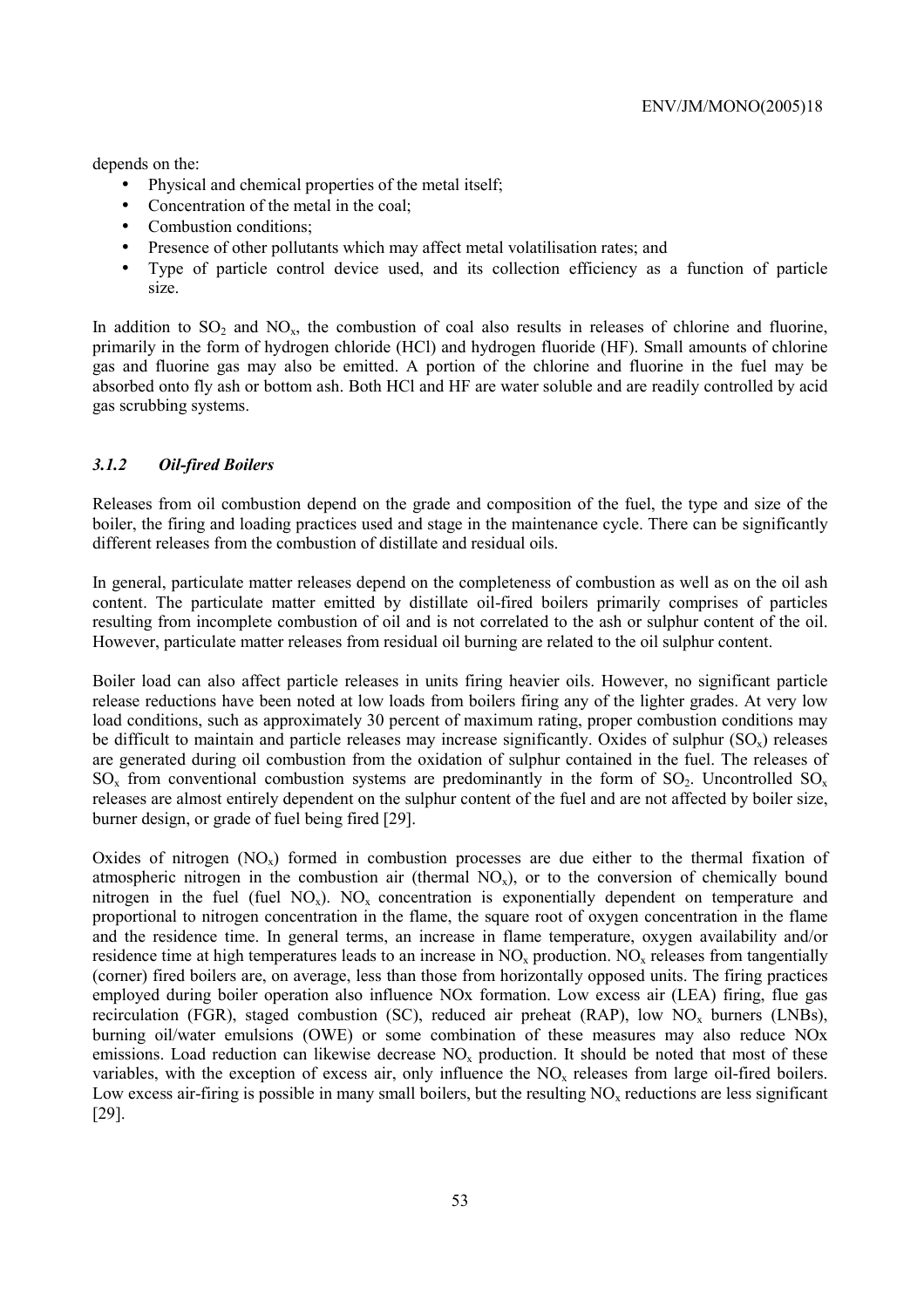depends on the:

- Physical and chemical properties of the metal itself;
- Concentration of the metal in the coal:
- Combustion conditions:
- Presence of other pollutants which may affect metal volatilisation rates; and
- Type of particle control device used, and its collection efficiency as a function of particle size.

In addition to  $SO_2$  and  $NO_x$ , the combustion of coal also results in releases of chlorine and fluorine, primarily in the form of hydrogen chloride (HCl) and hydrogen fluoride (HF). Small amounts of chlorine gas and fluorine gas may also be emitted. A portion of the chlorine and fluorine in the fuel may be absorbed onto fly ash or bottom ash. Both HCl and HF are water soluble and are readily controlled by acid gas scrubbing systems.

## *3.1.2 Oil-fired Boilers*

Releases from oil combustion depend on the grade and composition of the fuel, the type and size of the boiler, the firing and loading practices used and stage in the maintenance cycle. There can be significantly different releases from the combustion of distillate and residual oils.

In general, particulate matter releases depend on the completeness of combustion as well as on the oil ash content. The particulate matter emitted by distillate oil-fired boilers primarily comprises of particles resulting from incomplete combustion of oil and is not correlated to the ash or sulphur content of the oil. However, particulate matter releases from residual oil burning are related to the oil sulphur content.

Boiler load can also affect particle releases in units firing heavier oils. However, no significant particle release reductions have been noted at low loads from boilers firing any of the lighter grades. At very low load conditions, such as approximately 30 percent of maximum rating, proper combustion conditions may be difficult to maintain and particle releases may increase significantly. Oxides of sulphur  $(SO<sub>x</sub>)$  releases are generated during oil combustion from the oxidation of sulphur contained in the fuel. The releases of  $SO_{v}$  from conventional combustion systems are predominantly in the form of  $SO_{2}$ . Uncontrolled  $SO_{v}$ releases are almost entirely dependent on the sulphur content of the fuel and are not affected by boiler size, burner design, or grade of fuel being fired [29].

Oxides of nitrogen  $(NO<sub>x</sub>)$  formed in combustion processes are due either to the thermal fixation of atmospheric nitrogen in the combustion air (thermal  $NO<sub>x</sub>$ ), or to the conversion of chemically bound nitrogen in the fuel (fuel  $NO_x$ ).  $NO_x$  concentration is exponentially dependent on temperature and proportional to nitrogen concentration in the flame, the square root of oxygen concentration in the flame and the residence time. In general terms, an increase in flame temperature, oxygen availability and/or residence time at high temperatures leads to an increase in  $NO<sub>x</sub>$  production.  $NO<sub>x</sub>$  releases from tangentially (corner) fired boilers are, on average, less than those from horizontally opposed units. The firing practices employed during boiler operation also influence NOx formation. Low excess air (LEA) firing, flue gas recirculation (FGR), staged combustion (SC), reduced air preheat (RAP), low NO<sub>x</sub> burners (LNBs), burning oil/water emulsions (OWE) or some combination of these measures may also reduce NOx emissions. Load reduction can likewise decrease  $NO<sub>x</sub>$  production. It should be noted that most of these variables, with the exception of excess air, only influence the  $NO<sub>x</sub>$  releases from large oil-fired boilers. Low excess air-firing is possible in many small boilers, but the resulting  $NO<sub>x</sub>$  reductions are less significant [29].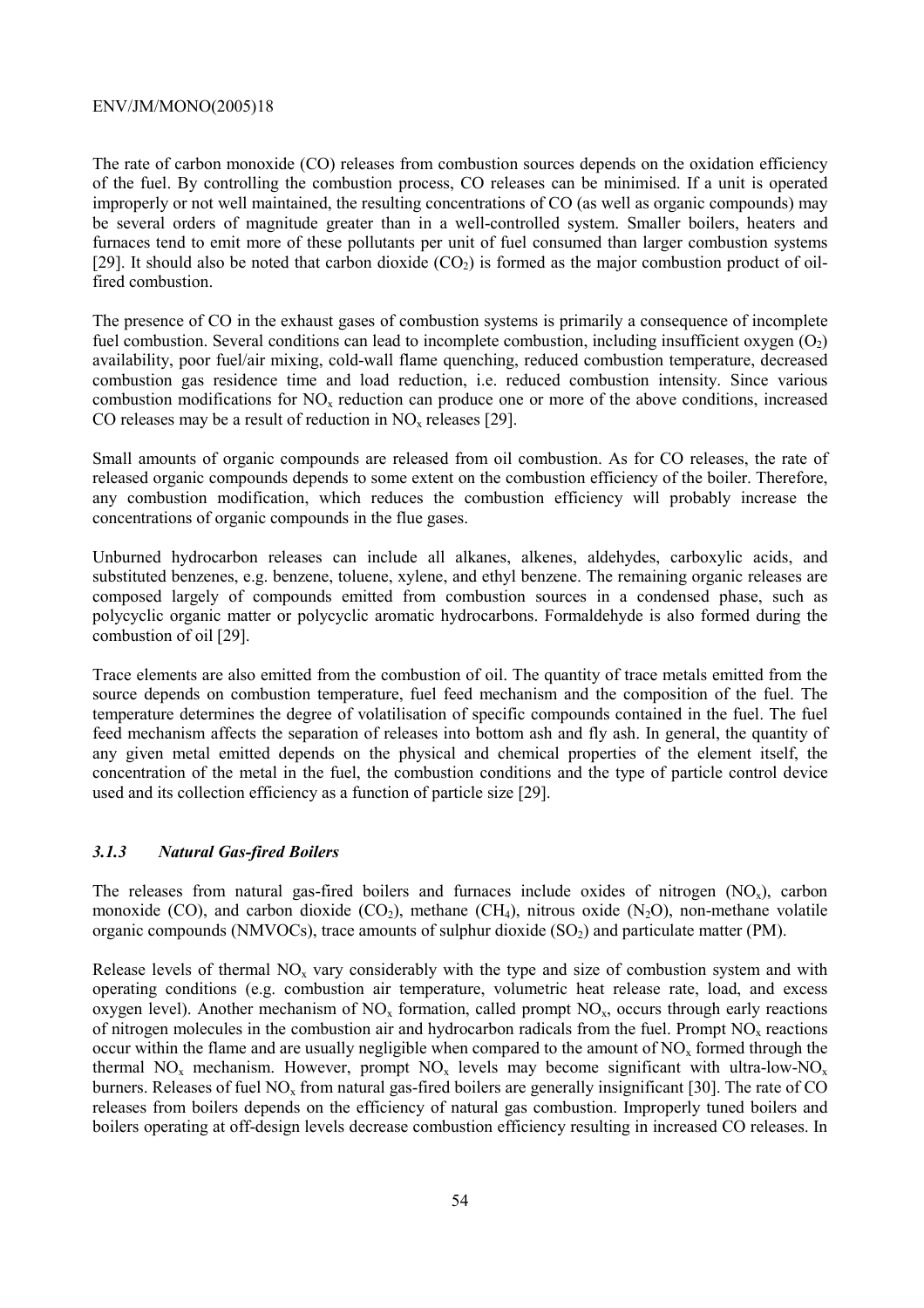The rate of carbon monoxide (CO) releases from combustion sources depends on the oxidation efficiency of the fuel. By controlling the combustion process, CO releases can be minimised. If a unit is operated improperly or not well maintained, the resulting concentrations of CO (as well as organic compounds) may be several orders of magnitude greater than in a well-controlled system. Smaller boilers, heaters and furnaces tend to emit more of these pollutants per unit of fuel consumed than larger combustion systems [29]. It should also be noted that carbon dioxide  $(CO<sub>2</sub>)$  is formed as the major combustion product of oilfired combustion.

The presence of CO in the exhaust gases of combustion systems is primarily a consequence of incomplete fuel combustion. Several conditions can lead to incomplete combustion, including insufficient oxygen  $(O<sub>2</sub>)$ availability, poor fuel/air mixing, cold-wall flame quenching, reduced combustion temperature, decreased combustion gas residence time and load reduction, i.e. reduced combustion intensity. Since various combustion modifications for  $NO<sub>x</sub>$  reduction can produce one or more of the above conditions, increased CO releases may be a result of reduction in  $NO<sub>x</sub>$  releases [29].

Small amounts of organic compounds are released from oil combustion. As for CO releases, the rate of released organic compounds depends to some extent on the combustion efficiency of the boiler. Therefore, any combustion modification, which reduces the combustion efficiency will probably increase the concentrations of organic compounds in the flue gases.

Unburned hydrocarbon releases can include all alkanes, alkenes, aldehydes, carboxylic acids, and substituted benzenes, e.g. benzene, toluene, xylene, and ethyl benzene. The remaining organic releases are composed largely of compounds emitted from combustion sources in a condensed phase, such as polycyclic organic matter or polycyclic aromatic hydrocarbons. Formaldehyde is also formed during the combustion of oil [29].

Trace elements are also emitted from the combustion of oil. The quantity of trace metals emitted from the source depends on combustion temperature, fuel feed mechanism and the composition of the fuel. The temperature determines the degree of volatilisation of specific compounds contained in the fuel. The fuel feed mechanism affects the separation of releases into bottom ash and fly ash. In general, the quantity of any given metal emitted depends on the physical and chemical properties of the element itself, the concentration of the metal in the fuel, the combustion conditions and the type of particle control device used and its collection efficiency as a function of particle size [29].

## *3.1.3 Natural Gas-fired Boilers*

The releases from natural gas-fired boilers and furnaces include oxides of nitrogen  $(NO<sub>x</sub>)$ , carbon monoxide (CO), and carbon dioxide (CO<sub>2</sub>), methane (CH<sub>4</sub>), nitrous oxide (N<sub>2</sub>O), non-methane volatile organic compounds (NMVOCs), trace amounts of sulphur dioxide  $(SO<sub>2</sub>)$  and particulate matter (PM).

Release levels of thermal  $NO<sub>x</sub>$  vary considerably with the type and size of combustion system and with operating conditions (e.g. combustion air temperature, volumetric heat release rate, load, and excess oxygen level). Another mechanism of  $NO<sub>x</sub>$  formation, called prompt  $NO<sub>x</sub>$ , occurs through early reactions of nitrogen molecules in the combustion air and hydrocarbon radicals from the fuel. Prompt NOx reactions occur within the flame and are usually negligible when compared to the amount of  $NO<sub>x</sub>$  formed through the thermal  $NO_x$  mechanism. However, prompt  $NO_x$  levels may become significant with ultra-low- $NO_x$ burners. Releases of fuel  $NO_x$  from natural gas-fired boilers are generally insignificant [30]. The rate of CO releases from boilers depends on the efficiency of natural gas combustion. Improperly tuned boilers and boilers operating at off-design levels decrease combustion efficiency resulting in increased CO releases. In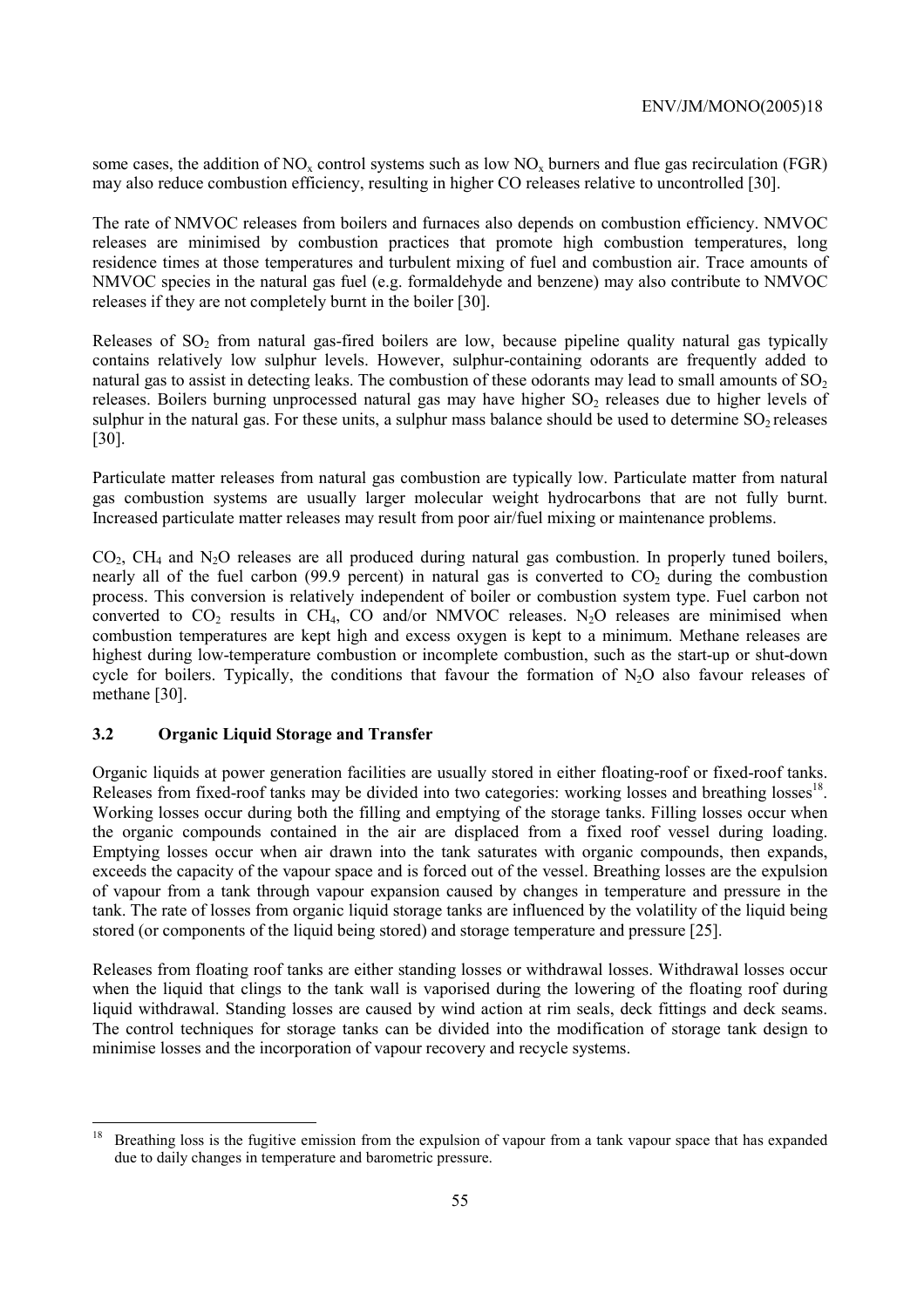some cases, the addition of  $NO_x$  control systems such as low  $NO_x$  burners and flue gas recirculation (FGR) may also reduce combustion efficiency, resulting in higher CO releases relative to uncontrolled [30].

The rate of NMVOC releases from boilers and furnaces also depends on combustion efficiency. NMVOC releases are minimised by combustion practices that promote high combustion temperatures, long residence times at those temperatures and turbulent mixing of fuel and combustion air. Trace amounts of NMVOC species in the natural gas fuel (e.g. formaldehyde and benzene) may also contribute to NMVOC releases if they are not completely burnt in the boiler [30].

Releases of  $SO<sub>2</sub>$  from natural gas-fired boilers are low, because pipeline quality natural gas typically contains relatively low sulphur levels. However, sulphur-containing odorants are frequently added to natural gas to assist in detecting leaks. The combustion of these odorants may lead to small amounts of  $SO<sub>2</sub>$ releases. Boilers burning unprocessed natural gas may have higher  $SO<sub>2</sub>$  releases due to higher levels of sulphur in the natural gas. For these units, a sulphur mass balance should be used to determine  $SO<sub>2</sub>$  releases [30].

Particulate matter releases from natural gas combustion are typically low. Particulate matter from natural gas combustion systems are usually larger molecular weight hydrocarbons that are not fully burnt. Increased particulate matter releases may result from poor air/fuel mixing or maintenance problems.

 $CO<sub>2</sub>$ , CH<sub>4</sub> and N<sub>2</sub>O releases are all produced during natural gas combustion. In properly tuned boilers, nearly all of the fuel carbon (99.9 percent) in natural gas is converted to  $CO<sub>2</sub>$  during the combustion process. This conversion is relatively independent of boiler or combustion system type. Fuel carbon not converted to  $CO<sub>2</sub>$  results in CH<sub>4</sub>, CO and/or NMVOC releases. N<sub>2</sub>O releases are minimised when combustion temperatures are kept high and excess oxygen is kept to a minimum. Methane releases are highest during low-temperature combustion or incomplete combustion, such as the start-up or shut-down cycle for boilers. Typically, the conditions that favour the formation of N<sub>2</sub>O also favour releases of methane [30].

## **3.2 Organic Liquid Storage and Transfer**

Organic liquids at power generation facilities are usually stored in either floating-roof or fixed-roof tanks. Releases from fixed-roof tanks may be divided into two categories: working losses and breathing losses<sup>18</sup>. Working losses occur during both the filling and emptying of the storage tanks. Filling losses occur when the organic compounds contained in the air are displaced from a fixed roof vessel during loading. Emptying losses occur when air drawn into the tank saturates with organic compounds, then expands, exceeds the capacity of the vapour space and is forced out of the vessel. Breathing losses are the expulsion of vapour from a tank through vapour expansion caused by changes in temperature and pressure in the tank. The rate of losses from organic liquid storage tanks are influenced by the volatility of the liquid being stored (or components of the liquid being stored) and storage temperature and pressure [25].

Releases from floating roof tanks are either standing losses or withdrawal losses. Withdrawal losses occur when the liquid that clings to the tank wall is vaporised during the lowering of the floating roof during liquid withdrawal. Standing losses are caused by wind action at rim seals, deck fittings and deck seams. The control techniques for storage tanks can be divided into the modification of storage tank design to minimise losses and the incorporation of vapour recovery and recycle systems.

<sup>18</sup> 18 Breathing loss is the fugitive emission from the expulsion of vapour from a tank vapour space that has expanded due to daily changes in temperature and barometric pressure.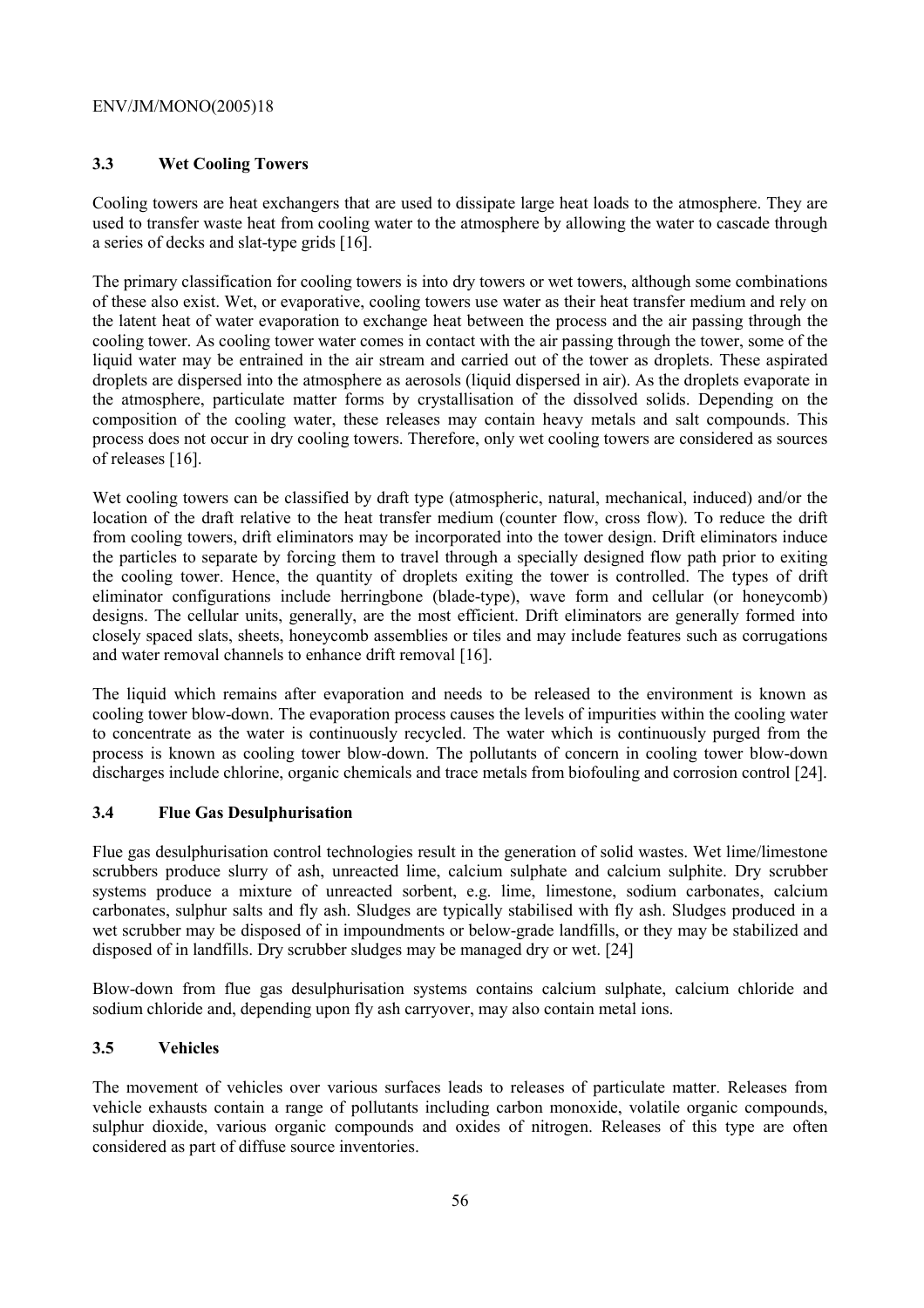# **3.3 Wet Cooling Towers**

Cooling towers are heat exchangers that are used to dissipate large heat loads to the atmosphere. They are used to transfer waste heat from cooling water to the atmosphere by allowing the water to cascade through a series of decks and slat-type grids [16].

The primary classification for cooling towers is into dry towers or wet towers, although some combinations of these also exist. Wet, or evaporative, cooling towers use water as their heat transfer medium and rely on the latent heat of water evaporation to exchange heat between the process and the air passing through the cooling tower. As cooling tower water comes in contact with the air passing through the tower, some of the liquid water may be entrained in the air stream and carried out of the tower as droplets. These aspirated droplets are dispersed into the atmosphere as aerosols (liquid dispersed in air). As the droplets evaporate in the atmosphere, particulate matter forms by crystallisation of the dissolved solids. Depending on the composition of the cooling water, these releases may contain heavy metals and salt compounds. This process does not occur in dry cooling towers. Therefore, only wet cooling towers are considered as sources of releases [16].

Wet cooling towers can be classified by draft type (atmospheric, natural, mechanical, induced) and/or the location of the draft relative to the heat transfer medium (counter flow, cross flow). To reduce the drift from cooling towers, drift eliminators may be incorporated into the tower design. Drift eliminators induce the particles to separate by forcing them to travel through a specially designed flow path prior to exiting the cooling tower. Hence, the quantity of droplets exiting the tower is controlled. The types of drift eliminator configurations include herringbone (blade-type), wave form and cellular (or honeycomb) designs. The cellular units, generally, are the most efficient. Drift eliminators are generally formed into closely spaced slats, sheets, honeycomb assemblies or tiles and may include features such as corrugations and water removal channels to enhance drift removal [16].

The liquid which remains after evaporation and needs to be released to the environment is known as cooling tower blow-down. The evaporation process causes the levels of impurities within the cooling water to concentrate as the water is continuously recycled. The water which is continuously purged from the process is known as cooling tower blow-down. The pollutants of concern in cooling tower blow-down discharges include chlorine, organic chemicals and trace metals from biofouling and corrosion control [24].

# **3.4 Flue Gas Desulphurisation**

Flue gas desulphurisation control technologies result in the generation of solid wastes. Wet lime/limestone scrubbers produce slurry of ash, unreacted lime, calcium sulphate and calcium sulphite. Dry scrubber systems produce a mixture of unreacted sorbent, e.g. lime, limestone, sodium carbonates, calcium carbonates, sulphur salts and fly ash. Sludges are typically stabilised with fly ash. Sludges produced in a wet scrubber may be disposed of in impoundments or below-grade landfills, or they may be stabilized and disposed of in landfills. Dry scrubber sludges may be managed dry or wet. [24]

Blow-down from flue gas desulphurisation systems contains calcium sulphate, calcium chloride and sodium chloride and, depending upon fly ash carryover, may also contain metal ions.

## **3.5 Vehicles**

The movement of vehicles over various surfaces leads to releases of particulate matter. Releases from vehicle exhausts contain a range of pollutants including carbon monoxide, volatile organic compounds, sulphur dioxide, various organic compounds and oxides of nitrogen. Releases of this type are often considered as part of diffuse source inventories.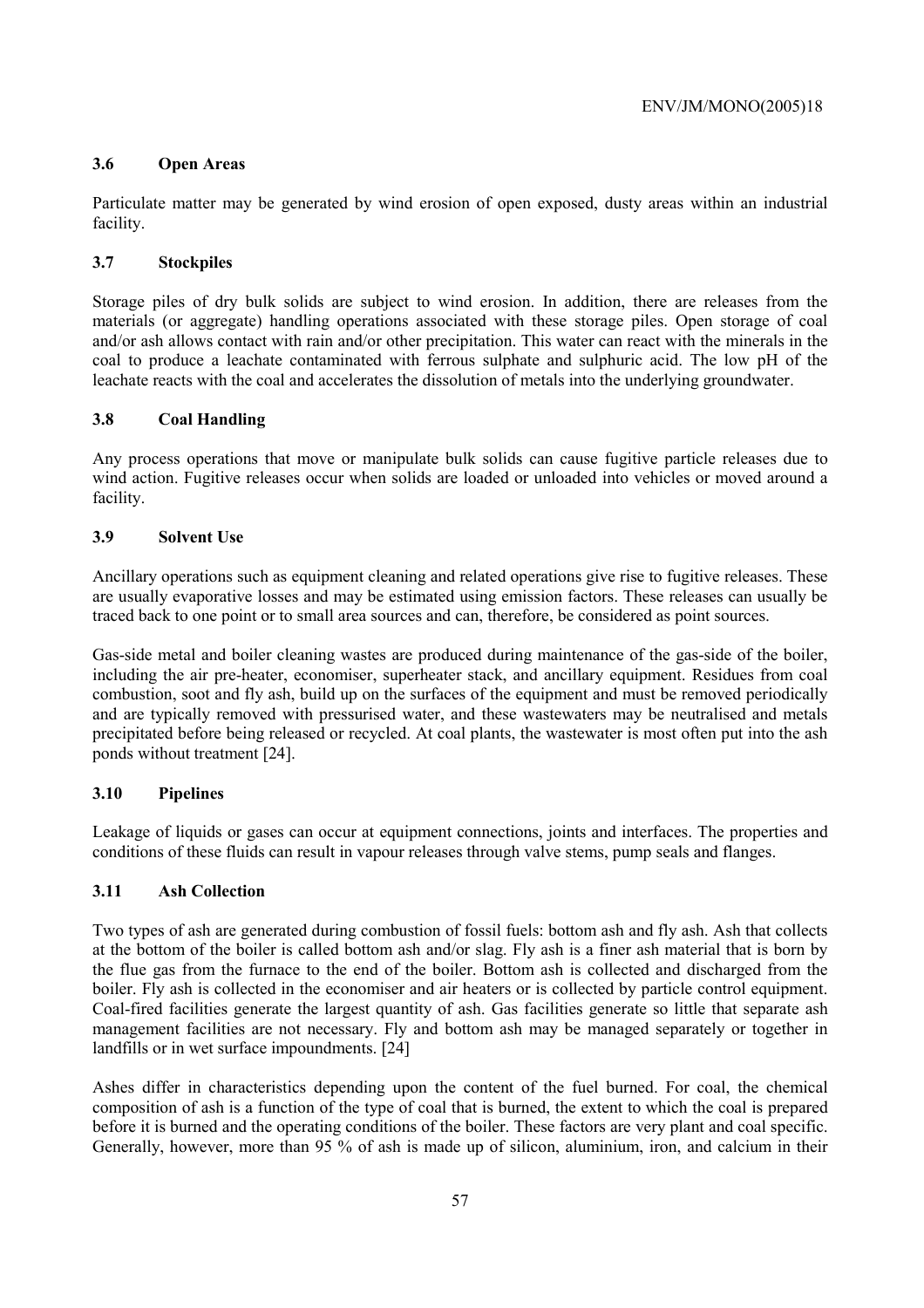# **3.6 Open Areas**

Particulate matter may be generated by wind erosion of open exposed, dusty areas within an industrial facility.

## **3.7 Stockpiles**

Storage piles of dry bulk solids are subject to wind erosion. In addition, there are releases from the materials (or aggregate) handling operations associated with these storage piles. Open storage of coal and/or ash allows contact with rain and/or other precipitation. This water can react with the minerals in the coal to produce a leachate contaminated with ferrous sulphate and sulphuric acid. The low pH of the leachate reacts with the coal and accelerates the dissolution of metals into the underlying groundwater.

## **3.8 Coal Handling**

Any process operations that move or manipulate bulk solids can cause fugitive particle releases due to wind action. Fugitive releases occur when solids are loaded or unloaded into vehicles or moved around a facility.

## **3.9 Solvent Use**

Ancillary operations such as equipment cleaning and related operations give rise to fugitive releases. These are usually evaporative losses and may be estimated using emission factors. These releases can usually be traced back to one point or to small area sources and can, therefore, be considered as point sources.

Gas-side metal and boiler cleaning wastes are produced during maintenance of the gas-side of the boiler, including the air pre-heater, economiser, superheater stack, and ancillary equipment. Residues from coal combustion, soot and fly ash, build up on the surfaces of the equipment and must be removed periodically and are typically removed with pressurised water, and these wastewaters may be neutralised and metals precipitated before being released or recycled. At coal plants, the wastewater is most often put into the ash ponds without treatment [24].

## **3.10 Pipelines**

Leakage of liquids or gases can occur at equipment connections, joints and interfaces. The properties and conditions of these fluids can result in vapour releases through valve stems, pump seals and flanges.

## **3.11 Ash Collection**

Two types of ash are generated during combustion of fossil fuels: bottom ash and fly ash. Ash that collects at the bottom of the boiler is called bottom ash and/or slag. Fly ash is a finer ash material that is born by the flue gas from the furnace to the end of the boiler. Bottom ash is collected and discharged from the boiler. Fly ash is collected in the economiser and air heaters or is collected by particle control equipment. Coal-fired facilities generate the largest quantity of ash. Gas facilities generate so little that separate ash management facilities are not necessary. Fly and bottom ash may be managed separately or together in landfills or in wet surface impoundments. [24]

Ashes differ in characteristics depending upon the content of the fuel burned. For coal, the chemical composition of ash is a function of the type of coal that is burned, the extent to which the coal is prepared before it is burned and the operating conditions of the boiler. These factors are very plant and coal specific. Generally, however, more than 95 % of ash is made up of silicon, aluminium, iron, and calcium in their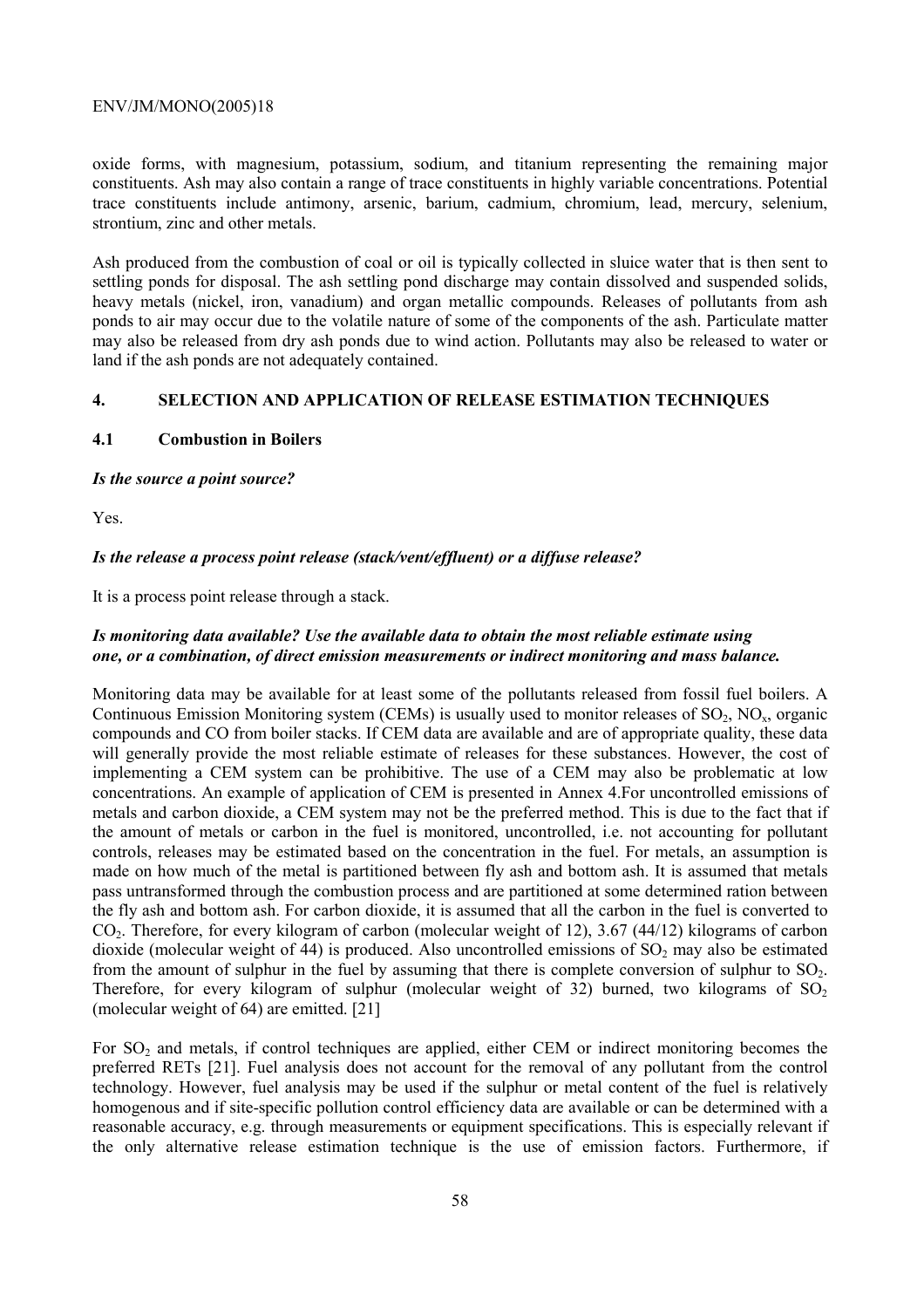oxide forms, with magnesium, potassium, sodium, and titanium representing the remaining major constituents. Ash may also contain a range of trace constituents in highly variable concentrations. Potential trace constituents include antimony, arsenic, barium, cadmium, chromium, lead, mercury, selenium, strontium, zinc and other metals.

Ash produced from the combustion of coal or oil is typically collected in sluice water that is then sent to settling ponds for disposal. The ash settling pond discharge may contain dissolved and suspended solids, heavy metals (nickel, iron, vanadium) and organ metallic compounds. Releases of pollutants from ash ponds to air may occur due to the volatile nature of some of the components of the ash. Particulate matter may also be released from dry ash ponds due to wind action. Pollutants may also be released to water or land if the ash ponds are not adequately contained.

## **4. SELECTION AND APPLICATION OF RELEASE ESTIMATION TECHNIQUES**

### **4.1 Combustion in Boilers**

### *Is the source a point source?*

Yes.

### *Is the release a process point release (stack/vent/effluent) or a diffuse release?*

It is a process point release through a stack.

## *Is monitoring data available? Use the available data to obtain the most reliable estimate using one, or a combination, of direct emission measurements or indirect monitoring and mass balance.*

Monitoring data may be available for at least some of the pollutants released from fossil fuel boilers. A Continuous Emission Monitoring system (CEMs) is usually used to monitor releases of  $SO_2$ ,  $NO_x$ , organic compounds and CO from boiler stacks. If CEM data are available and are of appropriate quality, these data will generally provide the most reliable estimate of releases for these substances. However, the cost of implementing a CEM system can be prohibitive. The use of a CEM may also be problematic at low concentrations. An example of application of CEM is presented in Annex 4.For uncontrolled emissions of metals and carbon dioxide, a CEM system may not be the preferred method. This is due to the fact that if the amount of metals or carbon in the fuel is monitored, uncontrolled, i.e. not accounting for pollutant controls, releases may be estimated based on the concentration in the fuel. For metals, an assumption is made on how much of the metal is partitioned between fly ash and bottom ash. It is assumed that metals pass untransformed through the combustion process and are partitioned at some determined ration between the fly ash and bottom ash. For carbon dioxide, it is assumed that all the carbon in the fuel is converted to CO2. Therefore, for every kilogram of carbon (molecular weight of 12), 3.67 (44/12) kilograms of carbon dioxide (molecular weight of  $44$ ) is produced. Also uncontrolled emissions of SO<sub>2</sub> may also be estimated from the amount of sulphur in the fuel by assuming that there is complete conversion of sulphur to  $SO<sub>2</sub>$ . Therefore, for every kilogram of sulphur (molecular weight of 32) burned, two kilograms of  $SO<sub>2</sub>$ (molecular weight of 64) are emitted. [21]

For  $SO_2$  and metals, if control techniques are applied, either CEM or indirect monitoring becomes the preferred RETs [21]. Fuel analysis does not account for the removal of any pollutant from the control technology. However, fuel analysis may be used if the sulphur or metal content of the fuel is relatively homogenous and if site-specific pollution control efficiency data are available or can be determined with a reasonable accuracy, e.g. through measurements or equipment specifications. This is especially relevant if the only alternative release estimation technique is the use of emission factors. Furthermore, if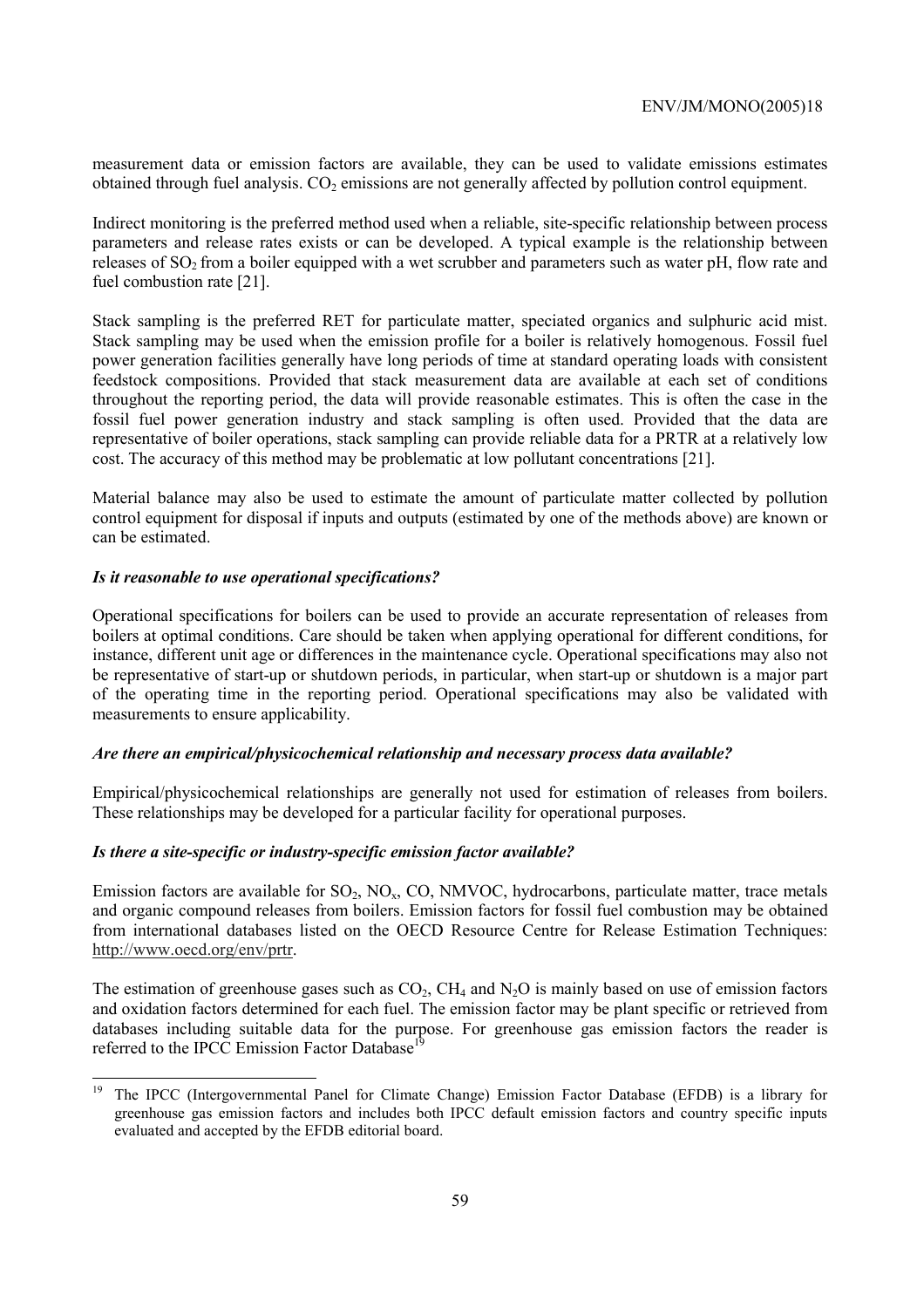measurement data or emission factors are available, they can be used to validate emissions estimates obtained through fuel analysis.  $CO<sub>2</sub>$  emissions are not generally affected by pollution control equipment.

Indirect monitoring is the preferred method used when a reliable, site-specific relationship between process parameters and release rates exists or can be developed. A typical example is the relationship between releases of SO<sub>2</sub> from a boiler equipped with a wet scrubber and parameters such as water pH, flow rate and fuel combustion rate [21].

Stack sampling is the preferred RET for particulate matter, speciated organics and sulphuric acid mist. Stack sampling may be used when the emission profile for a boiler is relatively homogenous. Fossil fuel power generation facilities generally have long periods of time at standard operating loads with consistent feedstock compositions. Provided that stack measurement data are available at each set of conditions throughout the reporting period, the data will provide reasonable estimates. This is often the case in the fossil fuel power generation industry and stack sampling is often used. Provided that the data are representative of boiler operations, stack sampling can provide reliable data for a PRTR at a relatively low cost. The accuracy of this method may be problematic at low pollutant concentrations [21].

Material balance may also be used to estimate the amount of particulate matter collected by pollution control equipment for disposal if inputs and outputs (estimated by one of the methods above) are known or can be estimated.

## *Is it reasonable to use operational specifications?*

Operational specifications for boilers can be used to provide an accurate representation of releases from boilers at optimal conditions. Care should be taken when applying operational for different conditions, for instance, different unit age or differences in the maintenance cycle. Operational specifications may also not be representative of start-up or shutdown periods, in particular, when start-up or shutdown is a major part of the operating time in the reporting period. Operational specifications may also be validated with measurements to ensure applicability.

#### *Are there an empirical/physicochemical relationship and necessary process data available?*

Empirical/physicochemical relationships are generally not used for estimation of releases from boilers. These relationships may be developed for a particular facility for operational purposes.

#### *Is there a site-specific or industry-specific emission factor available?*

Emission factors are available for  $SO_2$ ,  $NO_x$ ,  $CO$ ,  $NMVOC$ , hydrocarbons, particulate matter, trace metals and organic compound releases from boilers. Emission factors for fossil fuel combustion may be obtained from international databases listed on the OECD Resource Centre for Release Estimation Techniques: http://www.oecd.org/env/prtr.

The estimation of greenhouse gases such as  $CO<sub>2</sub>$ , CH<sub>4</sub> and N<sub>2</sub>O is mainly based on use of emission factors and oxidation factors determined for each fuel. The emission factor may be plant specific or retrieved from databases including suitable data for the purpose. For greenhouse gas emission factors the reader is referred to the IPCC Emission Factor Database<sup>1</sup>

<sup>19</sup> <sup>19</sup> The IPCC (Intergovernmental Panel for Climate Change) Emission Factor Database (EFDB) is a library for greenhouse gas emission factors and includes both IPCC default emission factors and country specific inputs evaluated and accepted by the EFDB editorial board.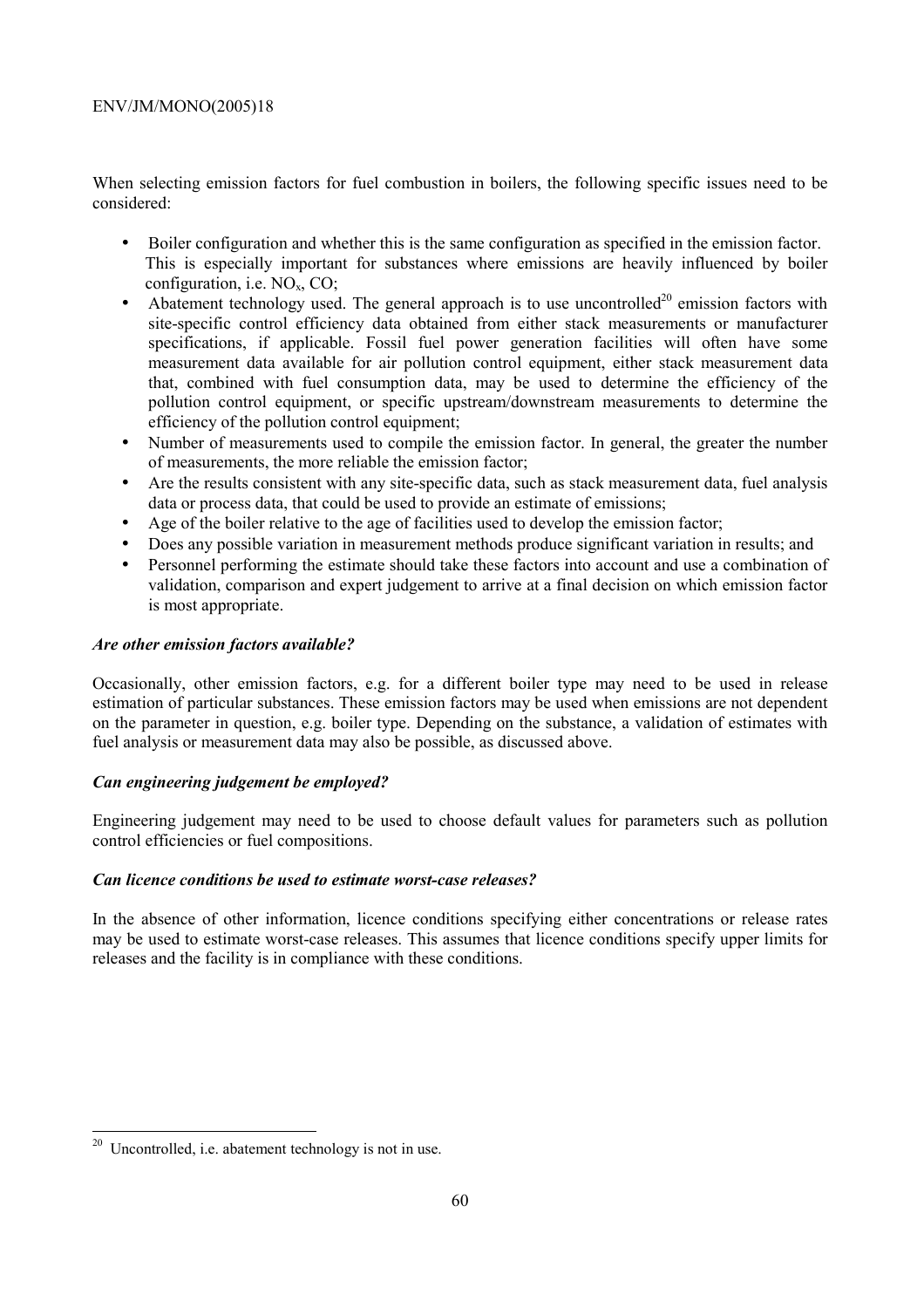When selecting emission factors for fuel combustion in boilers, the following specific issues need to be considered:

- Boiler configuration and whether this is the same configuration as specified in the emission factor. This is especially important for substances where emissions are heavily influenced by boiler configuration, i.e.  $NO<sub>x</sub>$ ,  $CO<sub>z</sub>$
- Abatement technology used. The general approach is to use uncontrolled<sup>20</sup> emission factors with site-specific control efficiency data obtained from either stack measurements or manufacturer specifications, if applicable. Fossil fuel power generation facilities will often have some measurement data available for air pollution control equipment, either stack measurement data that, combined with fuel consumption data, may be used to determine the efficiency of the pollution control equipment, or specific upstream/downstream measurements to determine the efficiency of the pollution control equipment;
- Number of measurements used to compile the emission factor. In general, the greater the number of measurements, the more reliable the emission factor;
- Are the results consistent with any site-specific data, such as stack measurement data, fuel analysis data or process data, that could be used to provide an estimate of emissions;
- Age of the boiler relative to the age of facilities used to develop the emission factor;
- Does any possible variation in measurement methods produce significant variation in results; and
- Personnel performing the estimate should take these factors into account and use a combination of validation, comparison and expert judgement to arrive at a final decision on which emission factor is most appropriate.

## *Are other emission factors available?*

Occasionally, other emission factors, e.g. for a different boiler type may need to be used in release estimation of particular substances. These emission factors may be used when emissions are not dependent on the parameter in question, e.g. boiler type. Depending on the substance, a validation of estimates with fuel analysis or measurement data may also be possible, as discussed above.

## *Can engineering judgement be employed?*

Engineering judgement may need to be used to choose default values for parameters such as pollution control efficiencies or fuel compositions.

## *Can licence conditions be used to estimate worst-case releases?*

In the absence of other information, licence conditions specifying either concentrations or release rates may be used to estimate worst-case releases. This assumes that licence conditions specify upper limits for releases and the facility is in compliance with these conditions.

Uncontrolled, i.e. abatement technology is not in use.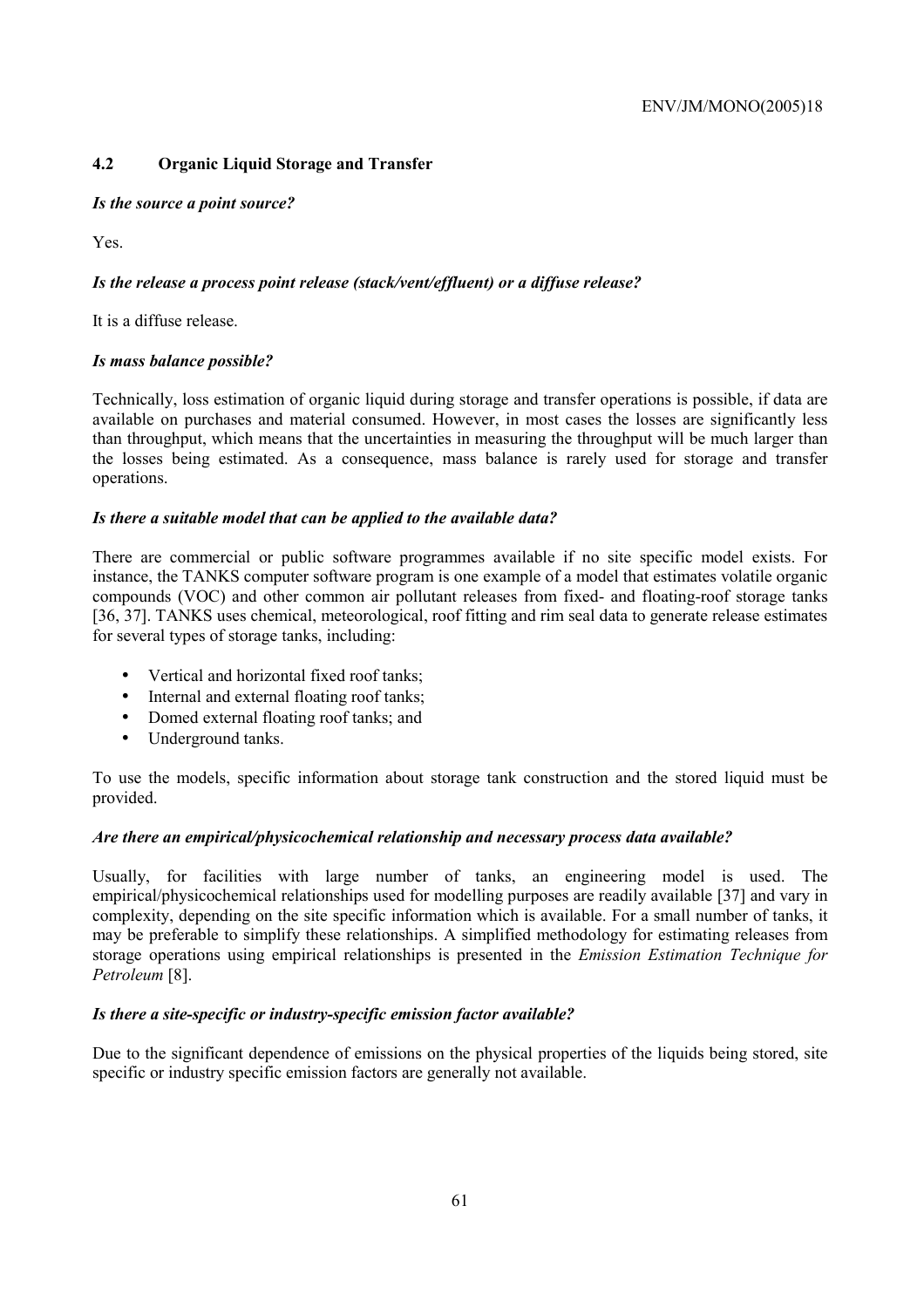## **4.2 Organic Liquid Storage and Transfer**

### *Is the source a point source?*

Yes.

## *Is the release a process point release (stack/vent/effluent) or a diffuse release?*

It is a diffuse release.

## *Is mass balance possible?*

Technically, loss estimation of organic liquid during storage and transfer operations is possible, if data are available on purchases and material consumed. However, in most cases the losses are significantly less than throughput, which means that the uncertainties in measuring the throughput will be much larger than the losses being estimated. As a consequence, mass balance is rarely used for storage and transfer operations.

## *Is there a suitable model that can be applied to the available data?*

There are commercial or public software programmes available if no site specific model exists. For instance, the TANKS computer software program is one example of a model that estimates volatile organic compounds (VOC) and other common air pollutant releases from fixed- and floating-roof storage tanks [36, 37]. TANKS uses chemical, meteorological, roof fitting and rim seal data to generate release estimates for several types of storage tanks, including:

- Vertical and horizontal fixed roof tanks;
- Internal and external floating roof tanks;
- Domed external floating roof tanks; and
- Underground tanks.

To use the models, specific information about storage tank construction and the stored liquid must be provided.

## *Are there an empirical/physicochemical relationship and necessary process data available?*

Usually, for facilities with large number of tanks, an engineering model is used. The empirical/physicochemical relationships used for modelling purposes are readily available [37] and vary in complexity, depending on the site specific information which is available. For a small number of tanks, it may be preferable to simplify these relationships. A simplified methodology for estimating releases from storage operations using empirical relationships is presented in the *Emission Estimation Technique for Petroleum* [8].

## *Is there a site-specific or industry-specific emission factor available?*

Due to the significant dependence of emissions on the physical properties of the liquids being stored, site specific or industry specific emission factors are generally not available.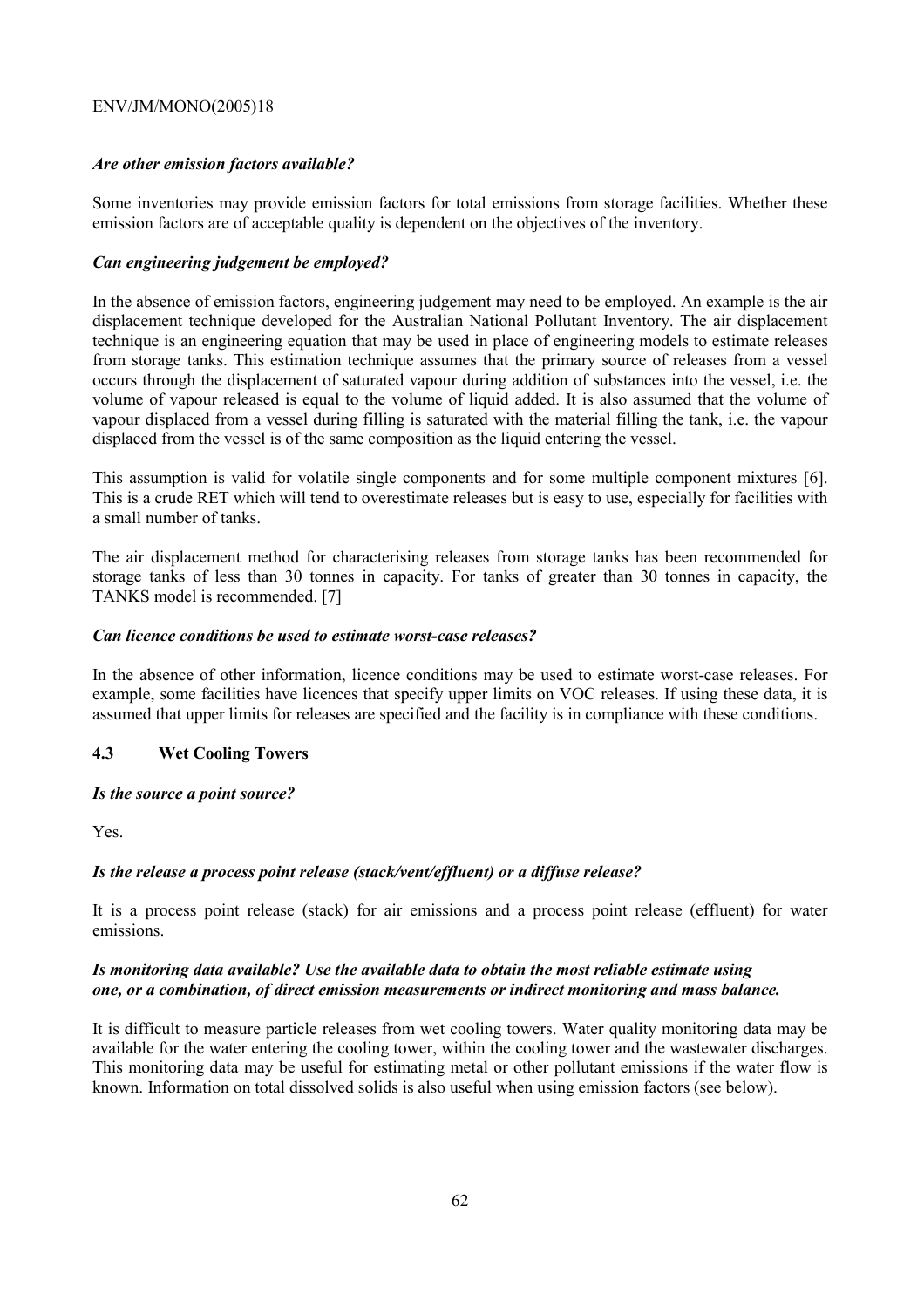## *Are other emission factors available?*

Some inventories may provide emission factors for total emissions from storage facilities. Whether these emission factors are of acceptable quality is dependent on the objectives of the inventory.

## *Can engineering judgement be employed?*

In the absence of emission factors, engineering judgement may need to be employed. An example is the air displacement technique developed for the Australian National Pollutant Inventory. The air displacement technique is an engineering equation that may be used in place of engineering models to estimate releases from storage tanks. This estimation technique assumes that the primary source of releases from a vessel occurs through the displacement of saturated vapour during addition of substances into the vessel, i.e. the volume of vapour released is equal to the volume of liquid added. It is also assumed that the volume of vapour displaced from a vessel during filling is saturated with the material filling the tank, i.e. the vapour displaced from the vessel is of the same composition as the liquid entering the vessel.

This assumption is valid for volatile single components and for some multiple component mixtures [6]. This is a crude RET which will tend to overestimate releases but is easy to use, especially for facilities with a small number of tanks.

The air displacement method for characterising releases from storage tanks has been recommended for storage tanks of less than 30 tonnes in capacity. For tanks of greater than 30 tonnes in capacity, the TANKS model is recommended. [7]

## *Can licence conditions be used to estimate worst-case releases?*

In the absence of other information, licence conditions may be used to estimate worst-case releases. For example, some facilities have licences that specify upper limits on VOC releases. If using these data, it is assumed that upper limits for releases are specified and the facility is in compliance with these conditions.

## **4.3 Wet Cooling Towers**

## *Is the source a point source?*

Yes.

## *Is the release a process point release (stack/vent/effluent) or a diffuse release?*

It is a process point release (stack) for air emissions and a process point release (effluent) for water emissions.

### *Is monitoring data available? Use the available data to obtain the most reliable estimate using one, or a combination, of direct emission measurements or indirect monitoring and mass balance.*

It is difficult to measure particle releases from wet cooling towers. Water quality monitoring data may be available for the water entering the cooling tower, within the cooling tower and the wastewater discharges. This monitoring data may be useful for estimating metal or other pollutant emissions if the water flow is known. Information on total dissolved solids is also useful when using emission factors (see below).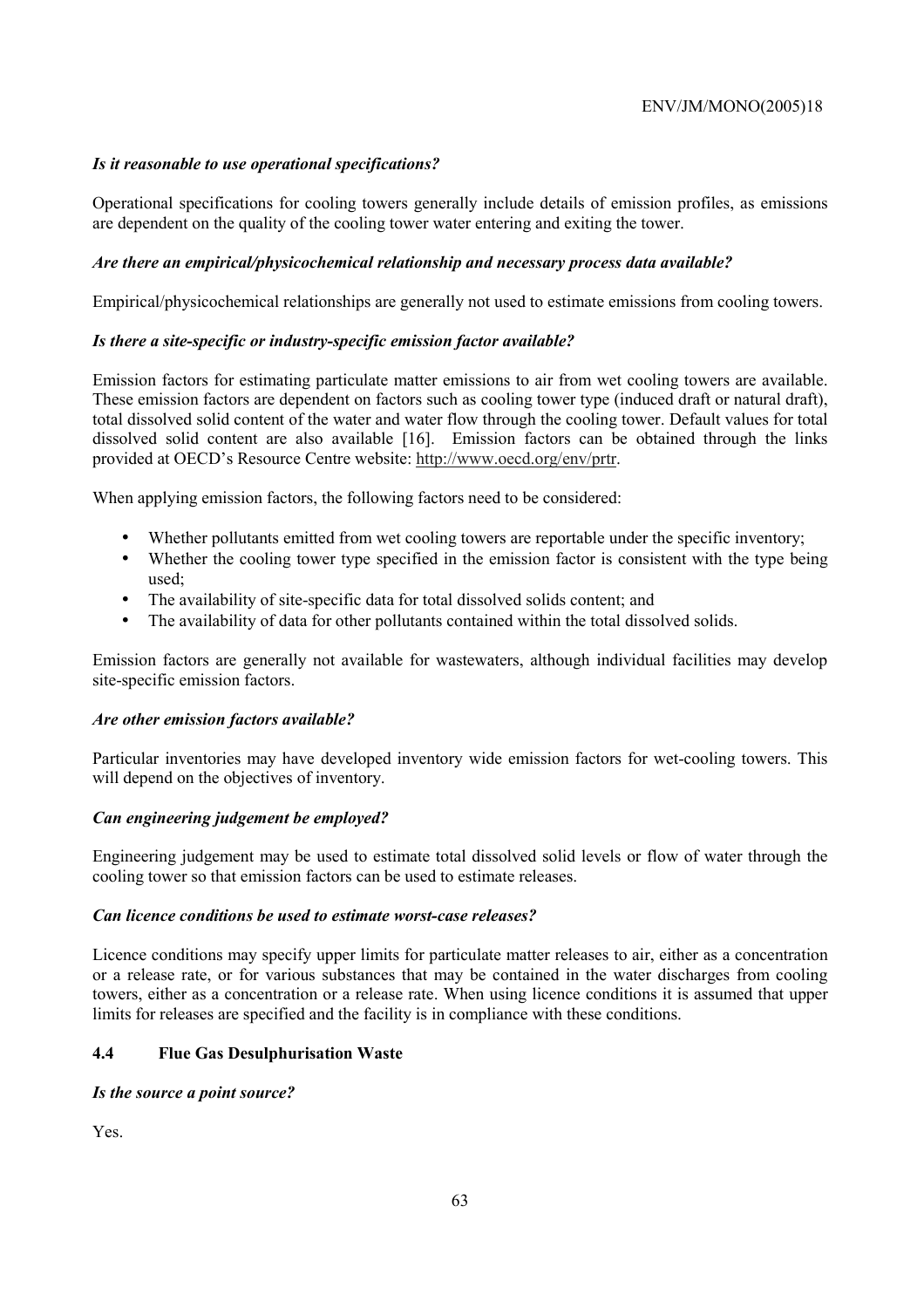# *Is it reasonable to use operational specifications?*

Operational specifications for cooling towers generally include details of emission profiles, as emissions are dependent on the quality of the cooling tower water entering and exiting the tower.

## *Are there an empirical/physicochemical relationship and necessary process data available?*

Empirical/physicochemical relationships are generally not used to estimate emissions from cooling towers.

## *Is there a site-specific or industry-specific emission factor available?*

Emission factors for estimating particulate matter emissions to air from wet cooling towers are available. These emission factors are dependent on factors such as cooling tower type (induced draft or natural draft), total dissolved solid content of the water and water flow through the cooling tower. Default values for total dissolved solid content are also available [16]. Emission factors can be obtained through the links provided at OECD's Resource Centre website: http://www.oecd.org/env/prtr.

When applying emission factors, the following factors need to be considered:

- Whether pollutants emitted from wet cooling towers are reportable under the specific inventory;
- Whether the cooling tower type specified in the emission factor is consistent with the type being used;
- The availability of site-specific data for total dissolved solids content; and
- The availability of data for other pollutants contained within the total dissolved solids.

Emission factors are generally not available for wastewaters, although individual facilities may develop site-specific emission factors.

## *Are other emission factors available?*

Particular inventories may have developed inventory wide emission factors for wet-cooling towers. This will depend on the objectives of inventory.

# *Can engineering judgement be employed?*

Engineering judgement may be used to estimate total dissolved solid levels or flow of water through the cooling tower so that emission factors can be used to estimate releases.

## *Can licence conditions be used to estimate worst-case releases?*

Licence conditions may specify upper limits for particulate matter releases to air, either as a concentration or a release rate, or for various substances that may be contained in the water discharges from cooling towers, either as a concentration or a release rate. When using licence conditions it is assumed that upper limits for releases are specified and the facility is in compliance with these conditions.

# **4.4 Flue Gas Desulphurisation Waste**

## *Is the source a point source?*

Yes.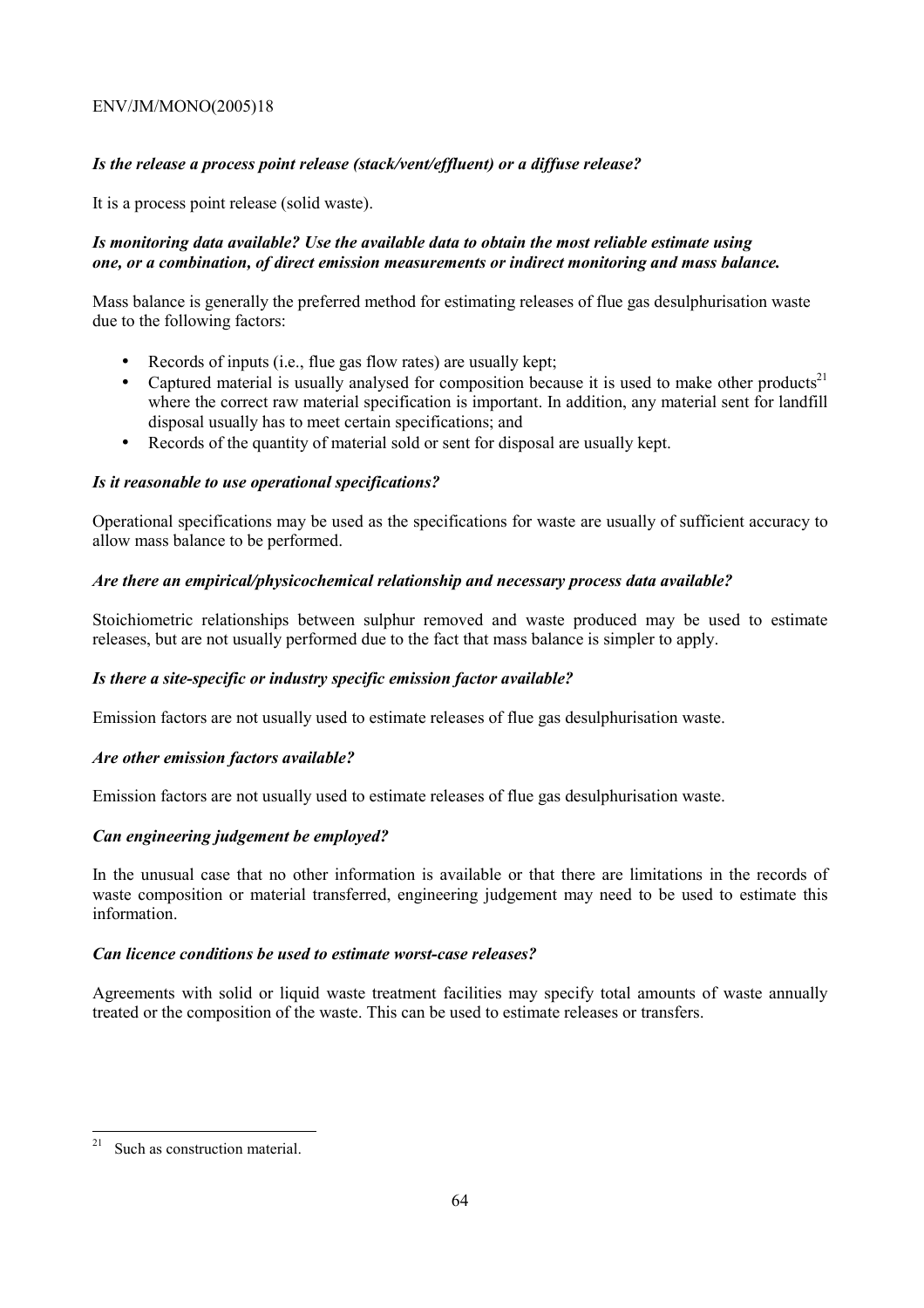## *Is the release a process point release (stack/vent/effluent) or a diffuse release?*

It is a process point release (solid waste).

## *Is monitoring data available? Use the available data to obtain the most reliable estimate using one, or a combination, of direct emission measurements or indirect monitoring and mass balance.*

Mass balance is generally the preferred method for estimating releases of flue gas desulphurisation waste due to the following factors:

- Records of inputs (i.e., flue gas flow rates) are usually kept;
- Captured material is usually analysed for composition because it is used to make other products<sup>21</sup> where the correct raw material specification is important. In addition, any material sent for landfill disposal usually has to meet certain specifications; and
- Records of the quantity of material sold or sent for disposal are usually kept.

## *Is it reasonable to use operational specifications?*

Operational specifications may be used as the specifications for waste are usually of sufficient accuracy to allow mass balance to be performed.

## *Are there an empirical/physicochemical relationship and necessary process data available?*

Stoichiometric relationships between sulphur removed and waste produced may be used to estimate releases, but are not usually performed due to the fact that mass balance is simpler to apply.

# *Is there a site-specific or industry specific emission factor available?*

Emission factors are not usually used to estimate releases of flue gas desulphurisation waste.

## *Are other emission factors available?*

Emission factors are not usually used to estimate releases of flue gas desulphurisation waste.

## *Can engineering judgement be employed?*

In the unusual case that no other information is available or that there are limitations in the records of waste composition or material transferred, engineering judgement may need to be used to estimate this information.

## *Can licence conditions be used to estimate worst-case releases?*

Agreements with solid or liquid waste treatment facilities may specify total amounts of waste annually treated or the composition of the waste. This can be used to estimate releases or transfers.

Such as construction material.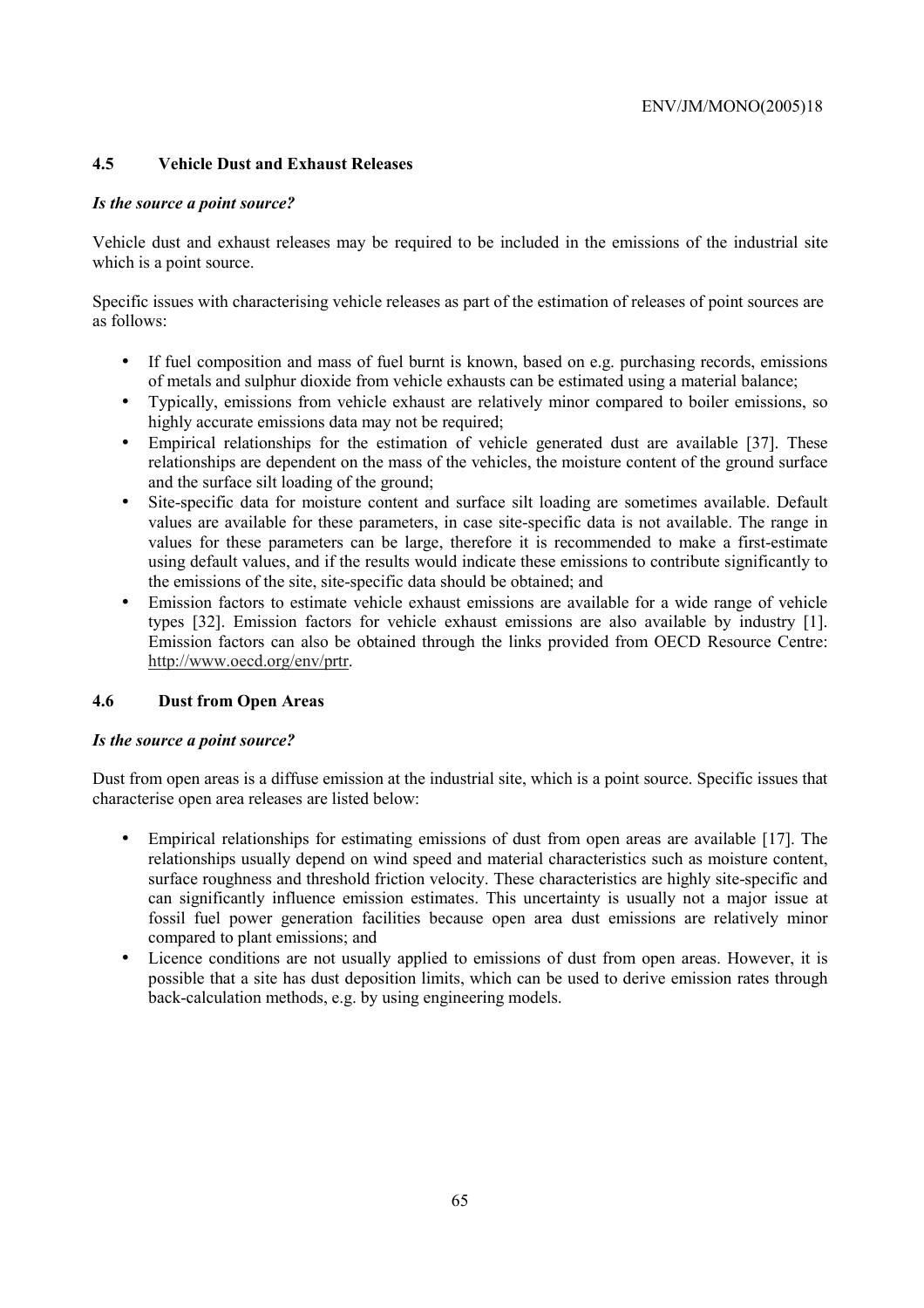# **4.5 Vehicle Dust and Exhaust Releases**

### *Is the source a point source?*

Vehicle dust and exhaust releases may be required to be included in the emissions of the industrial site which is a point source.

Specific issues with characterising vehicle releases as part of the estimation of releases of point sources are as follows:

- If fuel composition and mass of fuel burnt is known, based on e.g. purchasing records, emissions of metals and sulphur dioxide from vehicle exhausts can be estimated using a material balance;
- Typically, emissions from vehicle exhaust are relatively minor compared to boiler emissions, so highly accurate emissions data may not be required;
- Empirical relationships for the estimation of vehicle generated dust are available [37]. These relationships are dependent on the mass of the vehicles, the moisture content of the ground surface and the surface silt loading of the ground;
- Site-specific data for moisture content and surface silt loading are sometimes available. Default values are available for these parameters, in case site-specific data is not available. The range in values for these parameters can be large, therefore it is recommended to make a first-estimate using default values, and if the results would indicate these emissions to contribute significantly to the emissions of the site, site-specific data should be obtained; and
- Emission factors to estimate vehicle exhaust emissions are available for a wide range of vehicle types [32]. Emission factors for vehicle exhaust emissions are also available by industry [1]. Emission factors can also be obtained through the links provided from OECD Resource Centre: http://www.oecd.org/env/prtr.

## **4.6 Dust from Open Areas**

#### *Is the source a point source?*

Dust from open areas is a diffuse emission at the industrial site, which is a point source. Specific issues that characterise open area releases are listed below:

- Empirical relationships for estimating emissions of dust from open areas are available [17]. The relationships usually depend on wind speed and material characteristics such as moisture content, surface roughness and threshold friction velocity. These characteristics are highly site-specific and can significantly influence emission estimates. This uncertainty is usually not a major issue at fossil fuel power generation facilities because open area dust emissions are relatively minor compared to plant emissions; and
- Licence conditions are not usually applied to emissions of dust from open areas. However, it is possible that a site has dust deposition limits, which can be used to derive emission rates through back-calculation methods, e.g. by using engineering models.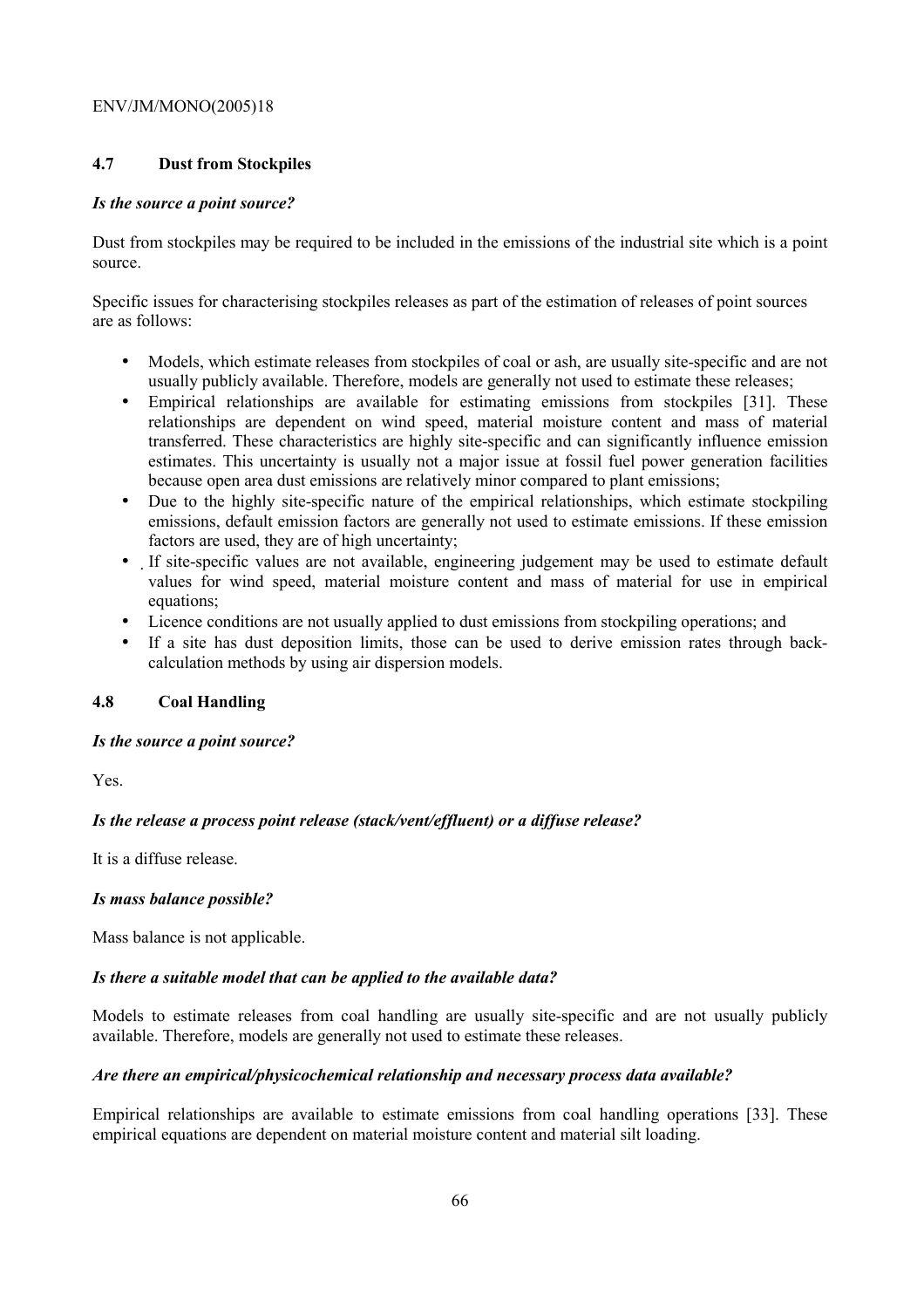## **4.7 Dust from Stockpiles**

## *Is the source a point source?*

Dust from stockpiles may be required to be included in the emissions of the industrial site which is a point source.

Specific issues for characterising stockpiles releases as part of the estimation of releases of point sources are as follows:

- Models, which estimate releases from stockpiles of coal or ash, are usually site-specific and are not usually publicly available. Therefore, models are generally not used to estimate these releases;
- Empirical relationships are available for estimating emissions from stockpiles [31]. These relationships are dependent on wind speed, material moisture content and mass of material transferred. These characteristics are highly site-specific and can significantly influence emission estimates. This uncertainty is usually not a major issue at fossil fuel power generation facilities because open area dust emissions are relatively minor compared to plant emissions;
- Due to the highly site-specific nature of the empirical relationships, which estimate stockpiling emissions, default emission factors are generally not used to estimate emissions. If these emission factors are used, they are of high uncertainty;
- If site-specific values are not available, engineering judgement may be used to estimate default values for wind speed, material moisture content and mass of material for use in empirical equations;
- Licence conditions are not usually applied to dust emissions from stockpiling operations; and
- If a site has dust deposition limits, those can be used to derive emission rates through backcalculation methods by using air dispersion models.

# **4.8 Coal Handling**

## *Is the source a point source?*

Yes.

# *Is the release a process point release (stack/vent/effluent) or a diffuse release?*

It is a diffuse release.

## *Is mass balance possible?*

Mass balance is not applicable.

## *Is there a suitable model that can be applied to the available data?*

Models to estimate releases from coal handling are usually site-specific and are not usually publicly available. Therefore, models are generally not used to estimate these releases.

## *Are there an empirical/physicochemical relationship and necessary process data available?*

Empirical relationships are available to estimate emissions from coal handling operations [33]. These empirical equations are dependent on material moisture content and material silt loading.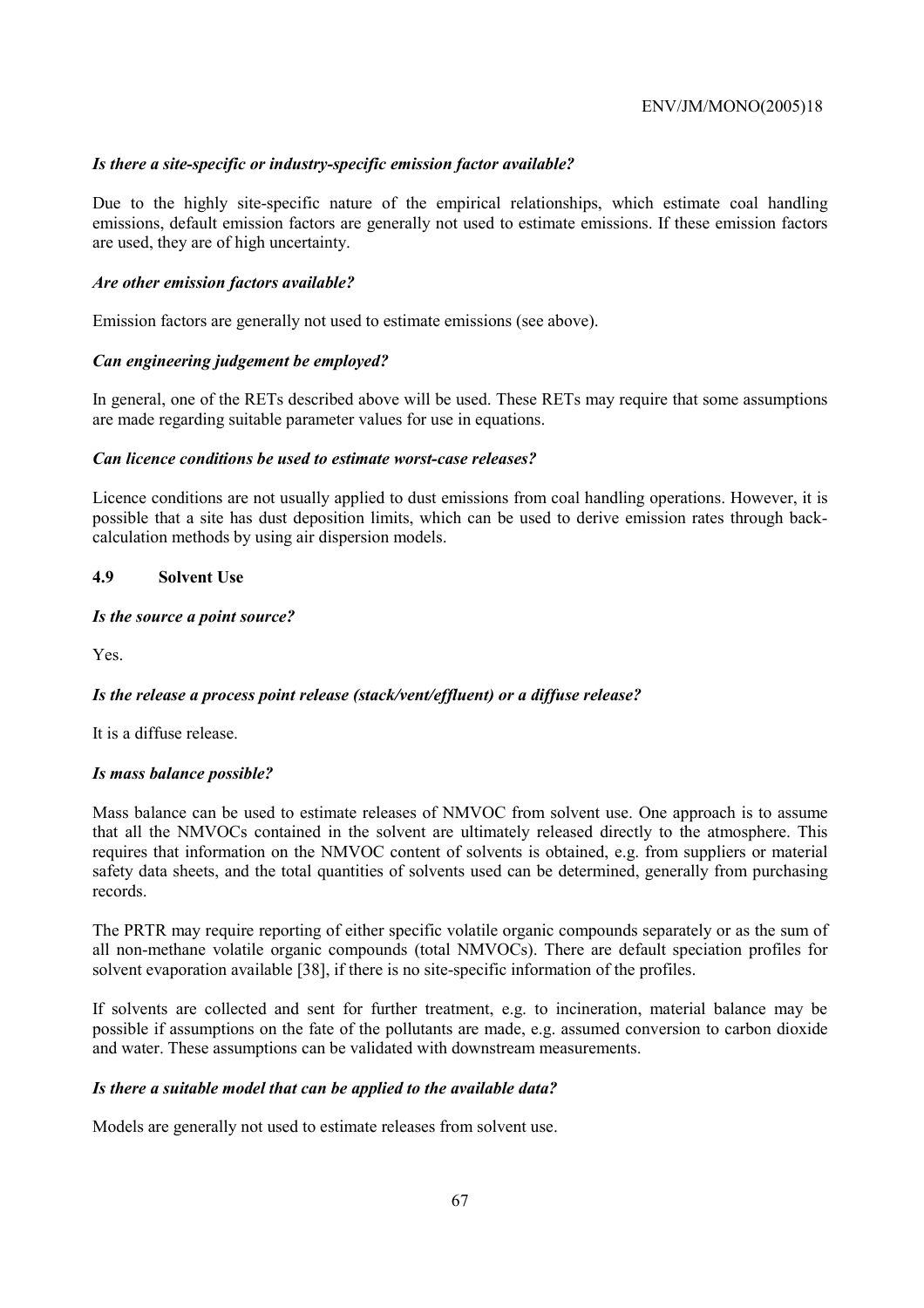## *Is there a site-specific or industry-specific emission factor available?*

Due to the highly site-specific nature of the empirical relationships, which estimate coal handling emissions, default emission factors are generally not used to estimate emissions. If these emission factors are used, they are of high uncertainty.

## *Are other emission factors available?*

Emission factors are generally not used to estimate emissions (see above).

### *Can engineering judgement be employed?*

In general, one of the RETs described above will be used. These RETs may require that some assumptions are made regarding suitable parameter values for use in equations.

### *Can licence conditions be used to estimate worst-case releases?*

Licence conditions are not usually applied to dust emissions from coal handling operations. However, it is possible that a site has dust deposition limits, which can be used to derive emission rates through backcalculation methods by using air dispersion models.

## **4.9 Solvent Use**

## *Is the source a point source?*

Yes.

## *Is the release a process point release (stack/vent/effluent) or a diffuse release?*

It is a diffuse release.

## *Is mass balance possible?*

Mass balance can be used to estimate releases of NMVOC from solvent use. One approach is to assume that all the NMVOCs contained in the solvent are ultimately released directly to the atmosphere. This requires that information on the NMVOC content of solvents is obtained, e.g. from suppliers or material safety data sheets, and the total quantities of solvents used can be determined, generally from purchasing records.

The PRTR may require reporting of either specific volatile organic compounds separately or as the sum of all non-methane volatile organic compounds (total NMVOCs). There are default speciation profiles for solvent evaporation available [38], if there is no site-specific information of the profiles.

If solvents are collected and sent for further treatment, e.g. to incineration, material balance may be possible if assumptions on the fate of the pollutants are made, e.g. assumed conversion to carbon dioxide and water. These assumptions can be validated with downstream measurements.

## *Is there a suitable model that can be applied to the available data?*

Models are generally not used to estimate releases from solvent use.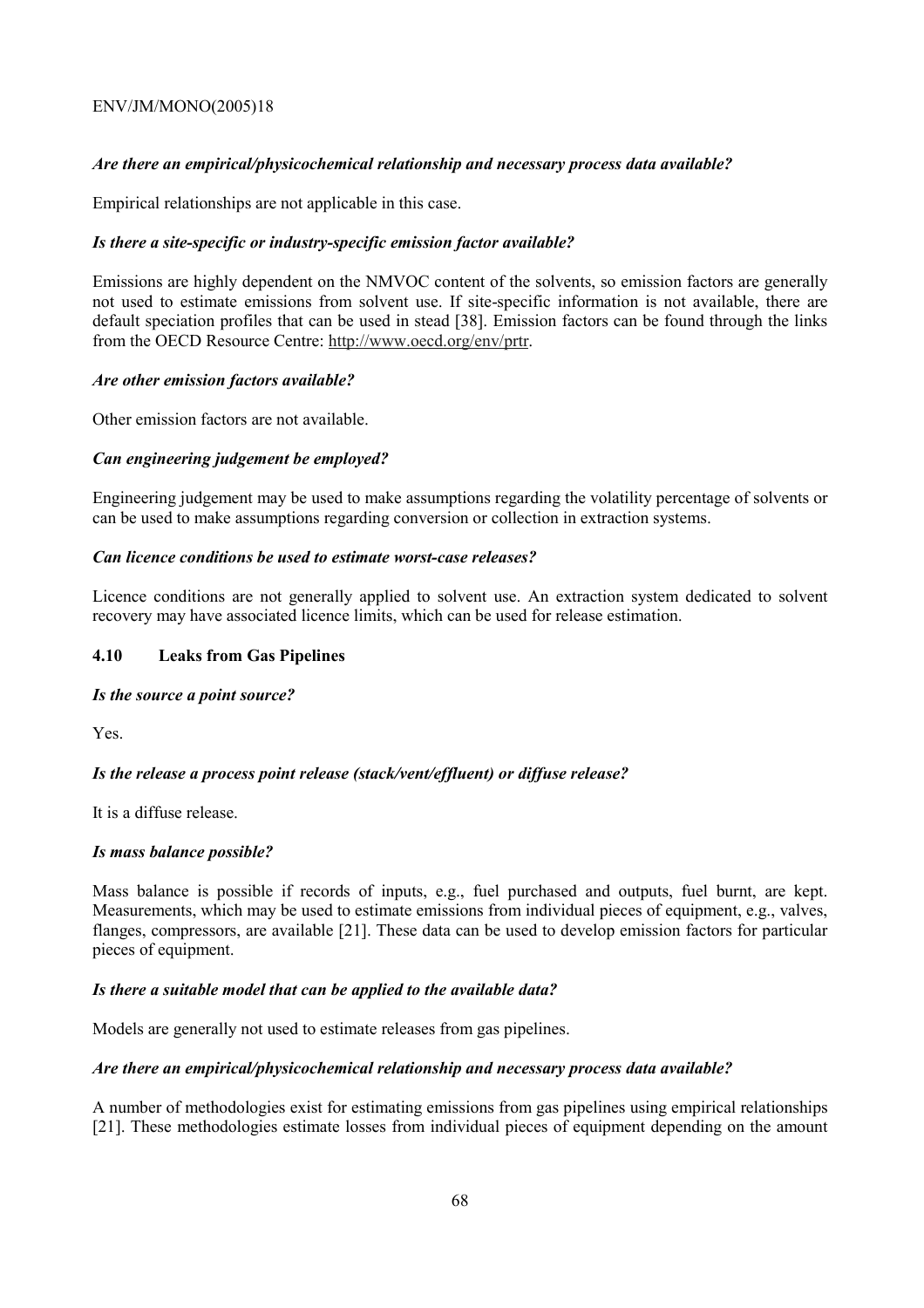## *Are there an empirical/physicochemical relationship and necessary process data available?*

Empirical relationships are not applicable in this case.

## *Is there a site-specific or industry-specific emission factor available?*

Emissions are highly dependent on the NMVOC content of the solvents, so emission factors are generally not used to estimate emissions from solvent use. If site-specific information is not available, there are default speciation profiles that can be used in stead [38]. Emission factors can be found through the links from the OECD Resource Centre: http://www.oecd.org/env/prtr.

### *Are other emission factors available?*

Other emission factors are not available.

## *Can engineering judgement be employed?*

Engineering judgement may be used to make assumptions regarding the volatility percentage of solvents or can be used to make assumptions regarding conversion or collection in extraction systems.

### *Can licence conditions be used to estimate worst-case releases?*

Licence conditions are not generally applied to solvent use. An extraction system dedicated to solvent recovery may have associated licence limits, which can be used for release estimation.

## **4.10 Leaks from Gas Pipelines**

## *Is the source a point source?*

Yes.

## *Is the release a process point release (stack/vent/effluent) or diffuse release?*

It is a diffuse release.

## *Is mass balance possible?*

Mass balance is possible if records of inputs, e.g., fuel purchased and outputs, fuel burnt, are kept. Measurements, which may be used to estimate emissions from individual pieces of equipment, e.g., valves, flanges, compressors, are available [21]. These data can be used to develop emission factors for particular pieces of equipment.

## *Is there a suitable model that can be applied to the available data?*

Models are generally not used to estimate releases from gas pipelines.

## *Are there an empirical/physicochemical relationship and necessary process data available?*

A number of methodologies exist for estimating emissions from gas pipelines using empirical relationships [21]. These methodologies estimate losses from individual pieces of equipment depending on the amount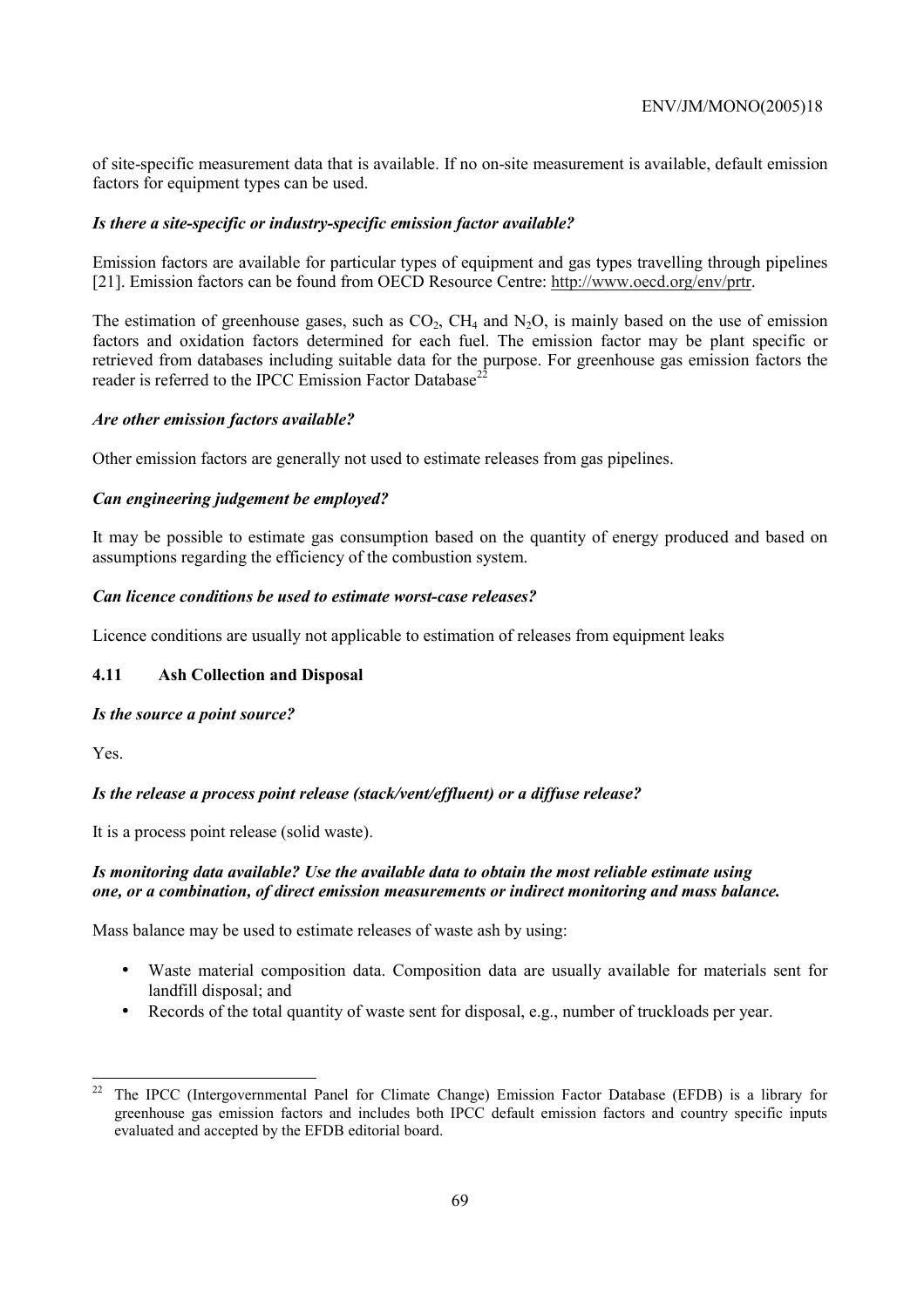of site-specific measurement data that is available. If no on-site measurement is available, default emission factors for equipment types can be used.

## *Is there a site-specific or industry-specific emission factor available?*

Emission factors are available for particular types of equipment and gas types travelling through pipelines [21]. Emission factors can be found from OECD Resource Centre: http://www.oecd.org/env/prtr.

The estimation of greenhouse gases, such as  $CO<sub>2</sub>$ , CH<sub>4</sub> and N<sub>2</sub>O, is mainly based on the use of emission factors and oxidation factors determined for each fuel. The emission factor may be plant specific or retrieved from databases including suitable data for the purpose. For greenhouse gas emission factors the reader is referred to the IPCC Emission Factor Database<sup>2</sup>

## *Are other emission factors available?*

Other emission factors are generally not used to estimate releases from gas pipelines.

## *Can engineering judgement be employed?*

It may be possible to estimate gas consumption based on the quantity of energy produced and based on assumptions regarding the efficiency of the combustion system.

## *Can licence conditions be used to estimate worst-case releases?*

Licence conditions are usually not applicable to estimation of releases from equipment leaks

# **4.11 Ash Collection and Disposal**

## *Is the source a point source?*

Yes.

# *Is the release a process point release (stack/vent/effluent) or a diffuse release?*

It is a process point release (solid waste).

## *Is monitoring data available? Use the available data to obtain the most reliable estimate using one, or a combination, of direct emission measurements or indirect monitoring and mass balance.*

Mass balance may be used to estimate releases of waste ash by using:

- Waste material composition data. Composition data are usually available for materials sent for landfill disposal; and
- Records of the total quantity of waste sent for disposal, e.g., number of truckloads per year.

<sup>22</sup> The IPCC (Intergovernmental Panel for Climate Change) Emission Factor Database (EFDB) is a library for greenhouse gas emission factors and includes both IPCC default emission factors and country specific inputs evaluated and accepted by the EFDB editorial board.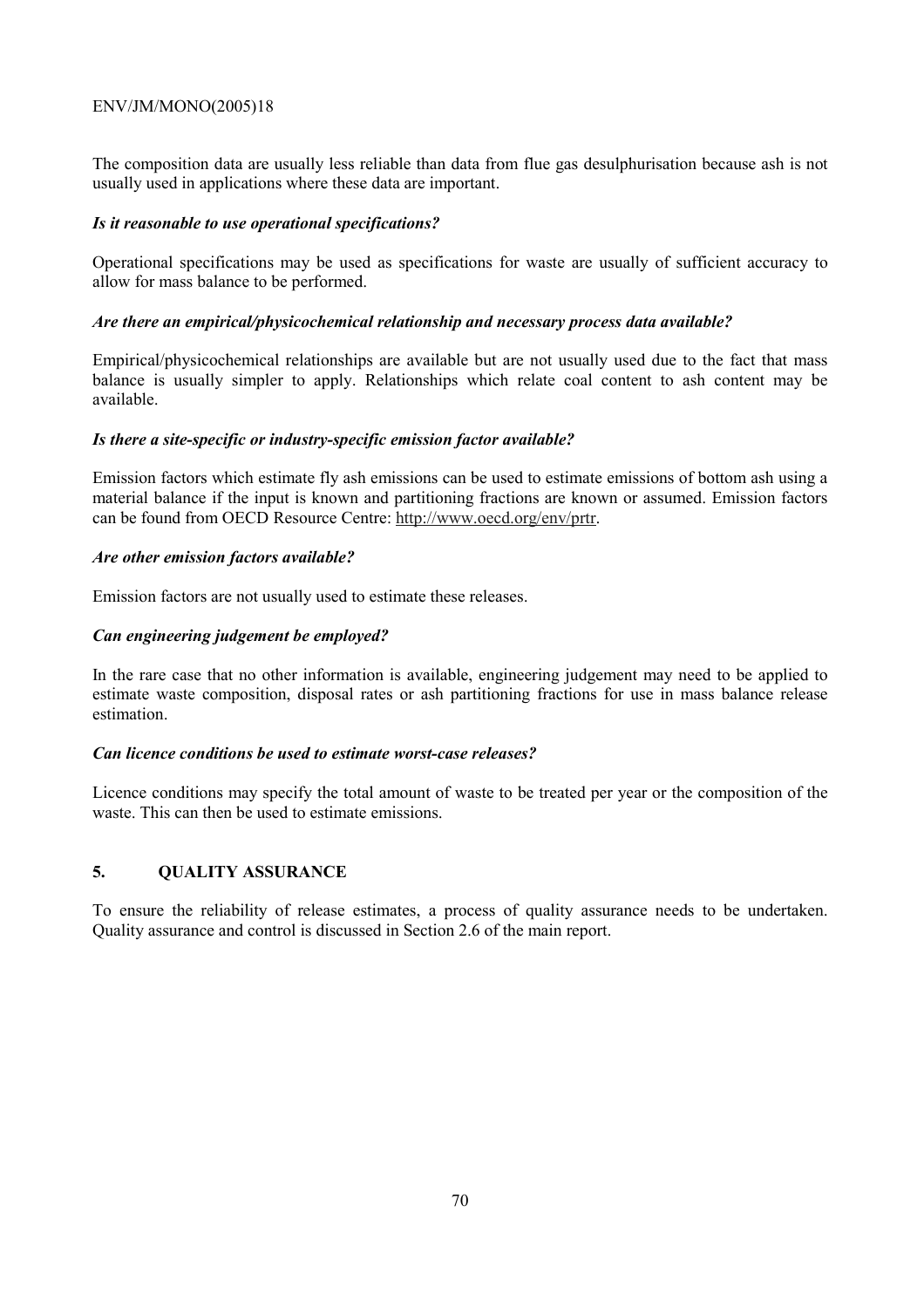The composition data are usually less reliable than data from flue gas desulphurisation because ash is not usually used in applications where these data are important.

## *Is it reasonable to use operational specifications?*

Operational specifications may be used as specifications for waste are usually of sufficient accuracy to allow for mass balance to be performed.

## *Are there an empirical/physicochemical relationship and necessary process data available?*

Empirical/physicochemical relationships are available but are not usually used due to the fact that mass balance is usually simpler to apply. Relationships which relate coal content to ash content may be available.

## *Is there a site-specific or industry-specific emission factor available?*

Emission factors which estimate fly ash emissions can be used to estimate emissions of bottom ash using a material balance if the input is known and partitioning fractions are known or assumed. Emission factors can be found from OECD Resource Centre: http://www.oecd.org/env/prtr.

## *Are other emission factors available?*

Emission factors are not usually used to estimate these releases.

## *Can engineering judgement be employed?*

In the rare case that no other information is available, engineering judgement may need to be applied to estimate waste composition, disposal rates or ash partitioning fractions for use in mass balance release estimation.

## *Can licence conditions be used to estimate worst-case releases?*

Licence conditions may specify the total amount of waste to be treated per year or the composition of the waste. This can then be used to estimate emissions.

# **5. QUALITY ASSURANCE**

To ensure the reliability of release estimates, a process of quality assurance needs to be undertaken. Quality assurance and control is discussed in Section 2.6 of the main report.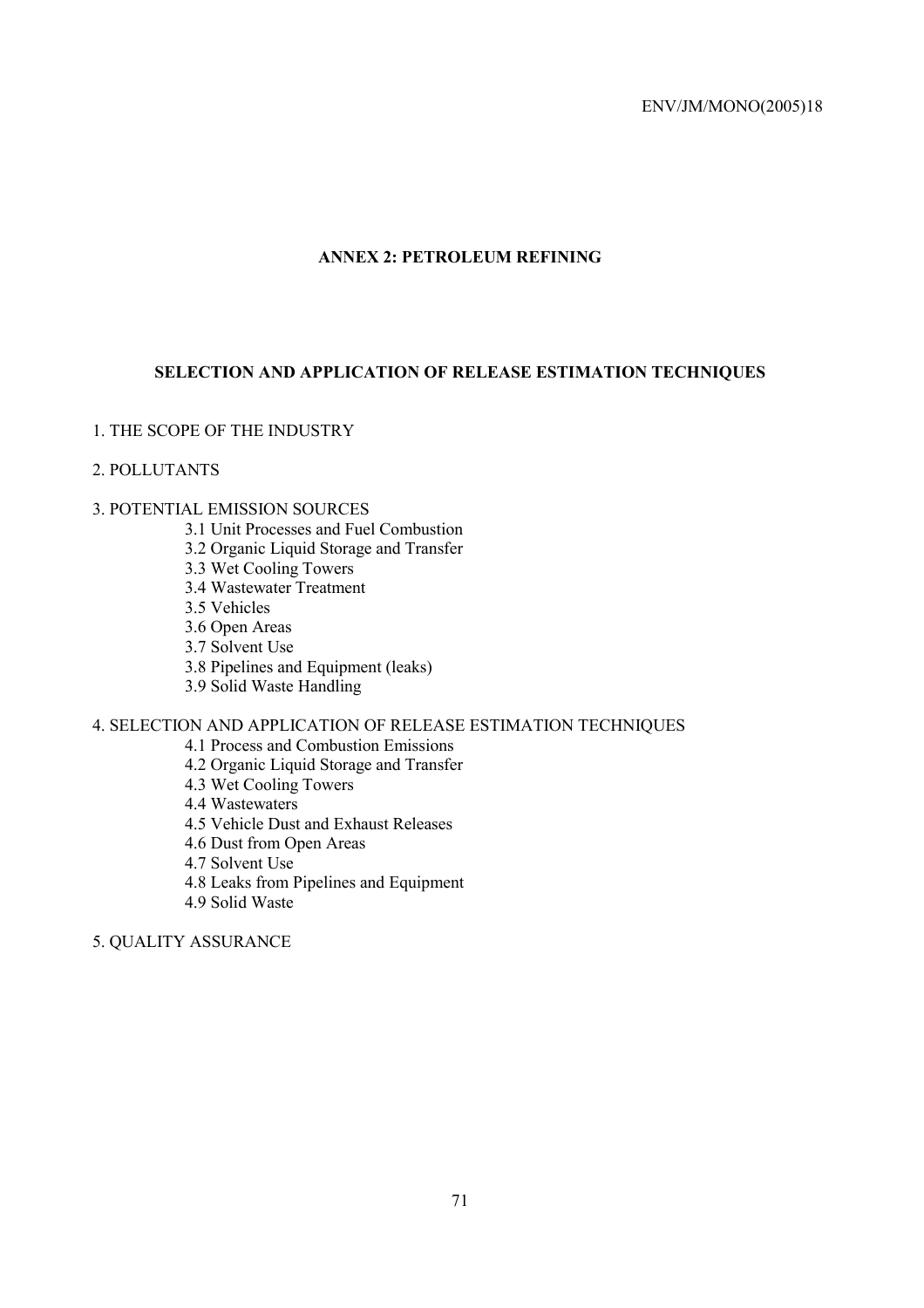## **ANNEX 2: PETROLEUM REFINING**

## **SELECTION AND APPLICATION OF RELEASE ESTIMATION TECHNIQUES**

## 1. THE SCOPE OF THE INDUSTRY

## 2. POLLUTANTS

## 3. POTENTIAL EMISSION SOURCES

- 3.1 Unit Processes and Fuel Combustion
- 3.2 Organic Liquid Storage and Transfer
- 3.3 Wet Cooling Towers
- 3.4 Wastewater Treatment
- 3.5 Vehicles
- 3.6 Open Areas
- 3.7 Solvent Use
- 3.8 Pipelines and Equipment (leaks)
- 3.9 Solid Waste Handling

# 4. SELECTION AND APPLICATION OF RELEASE ESTIMATION TECHNIQUES

- 4.1 Process and Combustion Emissions
- 4.2 Organic Liquid Storage and Transfer
- 4.3 Wet Cooling Towers
- 4.4 Wastewaters
- 4.5 Vehicle Dust and Exhaust Releases
- 4.6 Dust from Open Areas
- 4.7 Solvent Use
- 4.8 Leaks from Pipelines and Equipment
- 4.9 Solid Waste

## 5. QUALITY ASSURANCE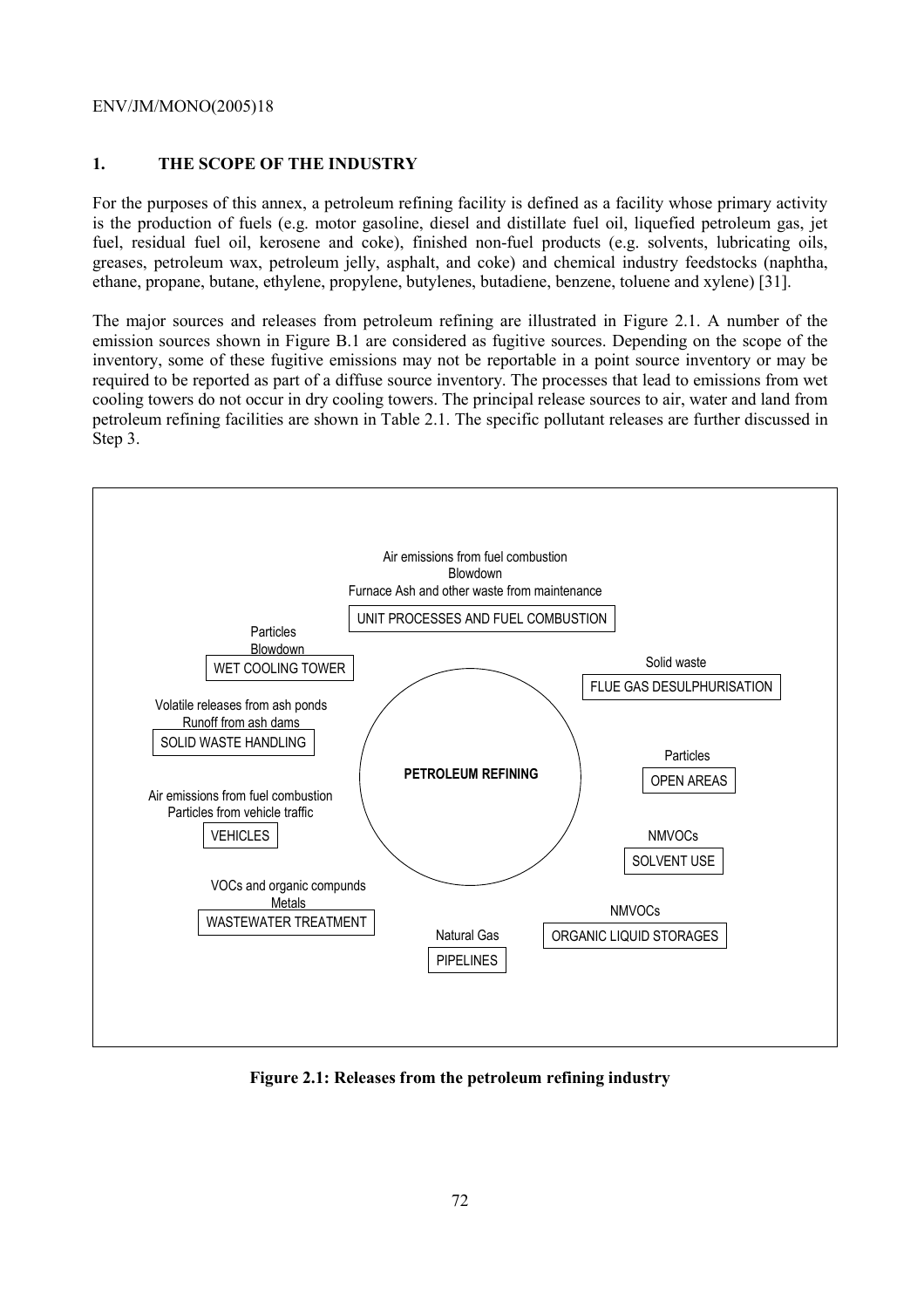# **1. THE SCOPE OF THE INDUSTRY**

For the purposes of this annex, a petroleum refining facility is defined as a facility whose primary activity is the production of fuels (e.g. motor gasoline, diesel and distillate fuel oil, liquefied petroleum gas, jet fuel, residual fuel oil, kerosene and coke), finished non-fuel products (e.g. solvents, lubricating oils, greases, petroleum wax, petroleum jelly, asphalt, and coke) and chemical industry feedstocks (naphtha, ethane, propane, butane, ethylene, propylene, butylenes, butadiene, benzene, toluene and xylene) [31].

The major sources and releases from petroleum refining are illustrated in Figure 2.1. A number of the emission sources shown in Figure B.1 are considered as fugitive sources. Depending on the scope of the inventory, some of these fugitive emissions may not be reportable in a point source inventory or may be required to be reported as part of a diffuse source inventory. The processes that lead to emissions from wet cooling towers do not occur in dry cooling towers. The principal release sources to air, water and land from petroleum refining facilities are shown in Table 2.1. The specific pollutant releases are further discussed in Step 3.



**Figure 2.1: Releases from the petroleum refining industry**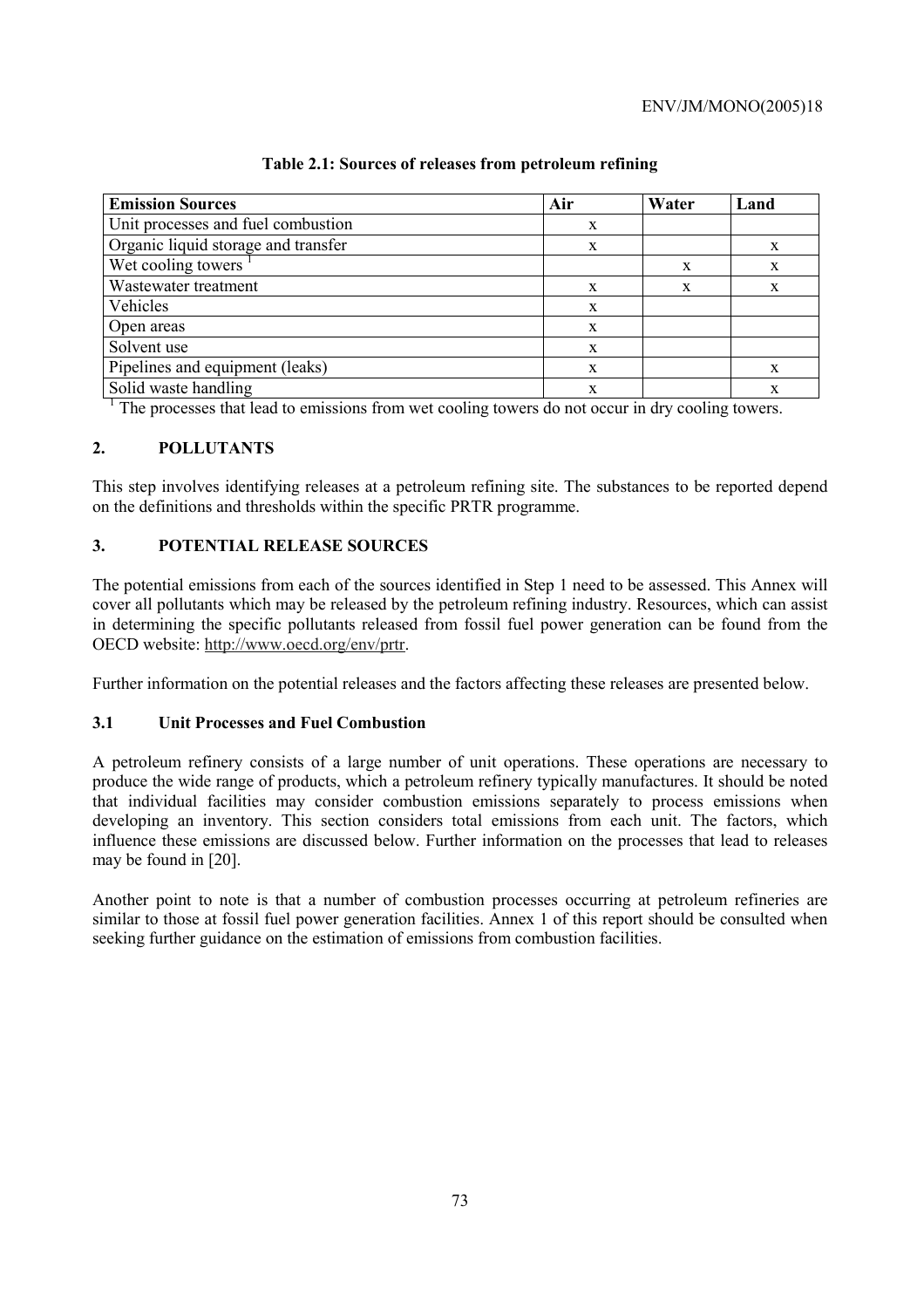| <b>Emission Sources</b>             | Air | Water | Land |
|-------------------------------------|-----|-------|------|
| Unit processes and fuel combustion  | X   |       |      |
| Organic liquid storage and transfer | X   |       | X    |
| Wet cooling towers                  |     | x     | X    |
| Wastewater treatment                | X   | X     | X    |
| Vehicles                            | X   |       |      |
| Open areas                          | X   |       |      |
| Solvent use                         | X   |       |      |
| Pipelines and equipment (leaks)     | X   |       | X    |
| Solid waste handling                | X   |       | X    |

# **Table 2.1: Sources of releases from petroleum refining**

<sup>1</sup> The processes that lead to emissions from wet cooling towers do not occur in dry cooling towers.

# **2. POLLUTANTS**

This step involves identifying releases at a petroleum refining site. The substances to be reported depend on the definitions and thresholds within the specific PRTR programme.

# **3. POTENTIAL RELEASE SOURCES**

The potential emissions from each of the sources identified in Step 1 need to be assessed. This Annex will cover all pollutants which may be released by the petroleum refining industry. Resources, which can assist in determining the specific pollutants released from fossil fuel power generation can be found from the OECD website: http://www.oecd.org/env/prtr.

Further information on the potential releases and the factors affecting these releases are presented below.

# **3.1 Unit Processes and Fuel Combustion**

A petroleum refinery consists of a large number of unit operations. These operations are necessary to produce the wide range of products, which a petroleum refinery typically manufactures. It should be noted that individual facilities may consider combustion emissions separately to process emissions when developing an inventory. This section considers total emissions from each unit. The factors, which influence these emissions are discussed below. Further information on the processes that lead to releases may be found in [20].

Another point to note is that a number of combustion processes occurring at petroleum refineries are similar to those at fossil fuel power generation facilities. Annex 1 of this report should be consulted when seeking further guidance on the estimation of emissions from combustion facilities.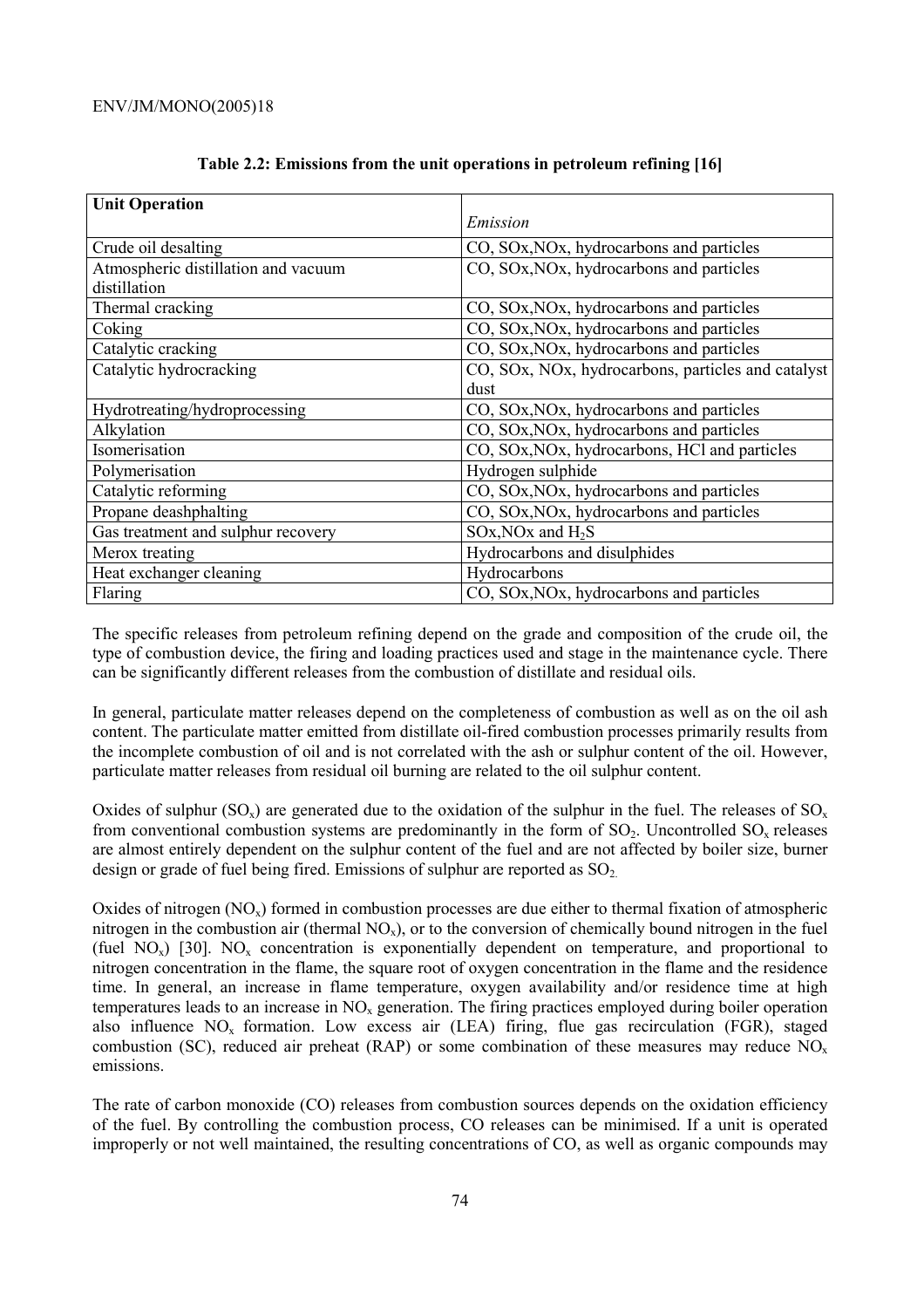| <b>Unit Operation</b>               |                                                    |  |
|-------------------------------------|----------------------------------------------------|--|
|                                     | Emission                                           |  |
| Crude oil desalting                 | CO, SOx, NOx, hydrocarbons and particles           |  |
| Atmospheric distillation and vacuum | CO, SOx, NOx, hydrocarbons and particles           |  |
| distillation                        |                                                    |  |
| Thermal cracking                    | CO, SOx, NOx, hydrocarbons and particles           |  |
| Coking                              | CO, SOx, NOx, hydrocarbons and particles           |  |
| Catalytic cracking                  | CO, SOx, NOx, hydrocarbons and particles           |  |
| Catalytic hydrocracking             | CO, SOx, NOx, hydrocarbons, particles and catalyst |  |
|                                     | dust                                               |  |
| Hydrotreating/hydroprocessing       | CO, SOx, NOx, hydrocarbons and particles           |  |
| Alkylation                          | CO, SOx, NOx, hydrocarbons and particles           |  |
| Isomerisation                       | CO, SOx, NOx, hydrocarbons, HCl and particles      |  |
| Polymerisation                      | Hydrogen sulphide                                  |  |
| Catalytic reforming                 | CO, SOx, NOx, hydrocarbons and particles           |  |
| Propane deashphalting               | CO, SOx, NOx, hydrocarbons and particles           |  |
| Gas treatment and sulphur recovery  | $SOx, NOx$ and $H_2S$                              |  |
| Merox treating                      | Hydrocarbons and disulphides                       |  |
| Heat exchanger cleaning             | Hydrocarbons                                       |  |
| Flaring                             | CO, SOx, NOx, hydrocarbons and particles           |  |

| Table 2.2: Emissions from the unit operations in petroleum refining [16] |
|--------------------------------------------------------------------------|
|--------------------------------------------------------------------------|

The specific releases from petroleum refining depend on the grade and composition of the crude oil, the type of combustion device, the firing and loading practices used and stage in the maintenance cycle. There can be significantly different releases from the combustion of distillate and residual oils.

In general, particulate matter releases depend on the completeness of combustion as well as on the oil ash content. The particulate matter emitted from distillate oil-fired combustion processes primarily results from the incomplete combustion of oil and is not correlated with the ash or sulphur content of the oil. However, particulate matter releases from residual oil burning are related to the oil sulphur content.

Oxides of sulphur  $(SO<sub>x</sub>)$  are generated due to the oxidation of the sulphur in the fuel. The releases of  $SO<sub>x</sub>$ from conventional combustion systems are predominantly in the form of  $SO_2$ . Uncontrolled  $SO<sub>x</sub>$  releases are almost entirely dependent on the sulphur content of the fuel and are not affected by boiler size, burner design or grade of fuel being fired. Emissions of sulphur are reported as  $SO<sub>2</sub>$ .

Oxides of nitrogen  $(NO_x)$  formed in combustion processes are due either to thermal fixation of atmospheric nitrogen in the combustion air (thermal  $NO_x$ ), or to the conversion of chemically bound nitrogen in the fuel (fuel  $NO<sub>x</sub>$ ) [30].  $NO<sub>x</sub>$  concentration is exponentially dependent on temperature, and proportional to nitrogen concentration in the flame, the square root of oxygen concentration in the flame and the residence time. In general, an increase in flame temperature, oxygen availability and/or residence time at high temperatures leads to an increase in  $NO<sub>x</sub>$  generation. The firing practices employed during boiler operation also influence  $NO_x$  formation. Low excess air (LEA) firing, flue gas recirculation (FGR), staged combustion (SC), reduced air preheat (RAP) or some combination of these measures may reduce  $NO<sub>x</sub>$ emissions.

The rate of carbon monoxide (CO) releases from combustion sources depends on the oxidation efficiency of the fuel. By controlling the combustion process, CO releases can be minimised. If a unit is operated improperly or not well maintained, the resulting concentrations of CO, as well as organic compounds may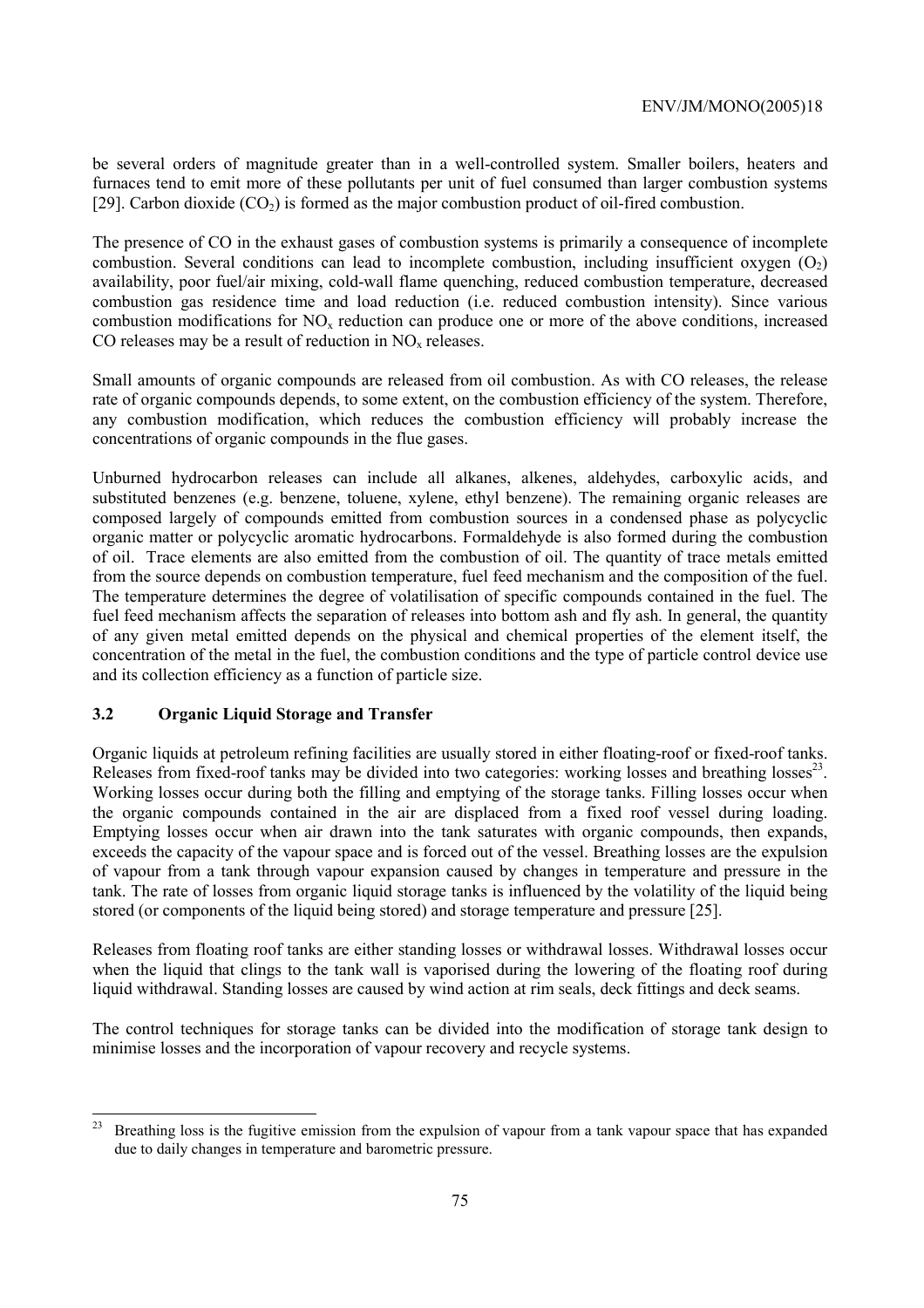be several orders of magnitude greater than in a well-controlled system. Smaller boilers, heaters and furnaces tend to emit more of these pollutants per unit of fuel consumed than larger combustion systems [29]. Carbon dioxide  $(CO<sub>2</sub>)$  is formed as the major combustion product of oil-fired combustion.

The presence of CO in the exhaust gases of combustion systems is primarily a consequence of incomplete combustion. Several conditions can lead to incomplete combustion, including insufficient oxygen  $(O<sub>2</sub>)$ availability, poor fuel/air mixing, cold-wall flame quenching, reduced combustion temperature, decreased combustion gas residence time and load reduction (i.e. reduced combustion intensity). Since various combustion modifications for NOx reduction can produce one or more of the above conditions, increased CO releases may be a result of reduction in  $NO<sub>x</sub>$  releases.

Small amounts of organic compounds are released from oil combustion. As with CO releases, the release rate of organic compounds depends, to some extent, on the combustion efficiency of the system. Therefore, any combustion modification, which reduces the combustion efficiency will probably increase the concentrations of organic compounds in the flue gases.

Unburned hydrocarbon releases can include all alkanes, alkenes, aldehydes, carboxylic acids, and substituted benzenes (e.g. benzene, toluene, xylene, ethyl benzene). The remaining organic releases are composed largely of compounds emitted from combustion sources in a condensed phase as polycyclic organic matter or polycyclic aromatic hydrocarbons. Formaldehyde is also formed during the combustion of oil. Trace elements are also emitted from the combustion of oil. The quantity of trace metals emitted from the source depends on combustion temperature, fuel feed mechanism and the composition of the fuel. The temperature determines the degree of volatilisation of specific compounds contained in the fuel. The fuel feed mechanism affects the separation of releases into bottom ash and fly ash. In general, the quantity of any given metal emitted depends on the physical and chemical properties of the element itself, the concentration of the metal in the fuel, the combustion conditions and the type of particle control device use and its collection efficiency as a function of particle size.

## **3.2 Organic Liquid Storage and Transfer**

Organic liquids at petroleum refining facilities are usually stored in either floating-roof or fixed-roof tanks. Releases from fixed-roof tanks may be divided into two categories: working losses and breathing losses $^{23}$ . Working losses occur during both the filling and emptying of the storage tanks. Filling losses occur when the organic compounds contained in the air are displaced from a fixed roof vessel during loading. Emptying losses occur when air drawn into the tank saturates with organic compounds, then expands, exceeds the capacity of the vapour space and is forced out of the vessel. Breathing losses are the expulsion of vapour from a tank through vapour expansion caused by changes in temperature and pressure in the tank. The rate of losses from organic liquid storage tanks is influenced by the volatility of the liquid being stored (or components of the liquid being stored) and storage temperature and pressure [25].

Releases from floating roof tanks are either standing losses or withdrawal losses. Withdrawal losses occur when the liquid that clings to the tank wall is vaporised during the lowering of the floating roof during liquid withdrawal. Standing losses are caused by wind action at rim seals, deck fittings and deck seams.

The control techniques for storage tanks can be divided into the modification of storage tank design to minimise losses and the incorporation of vapour recovery and recycle systems.

 $23$ Breathing loss is the fugitive emission from the expulsion of vapour from a tank vapour space that has expanded due to daily changes in temperature and barometric pressure.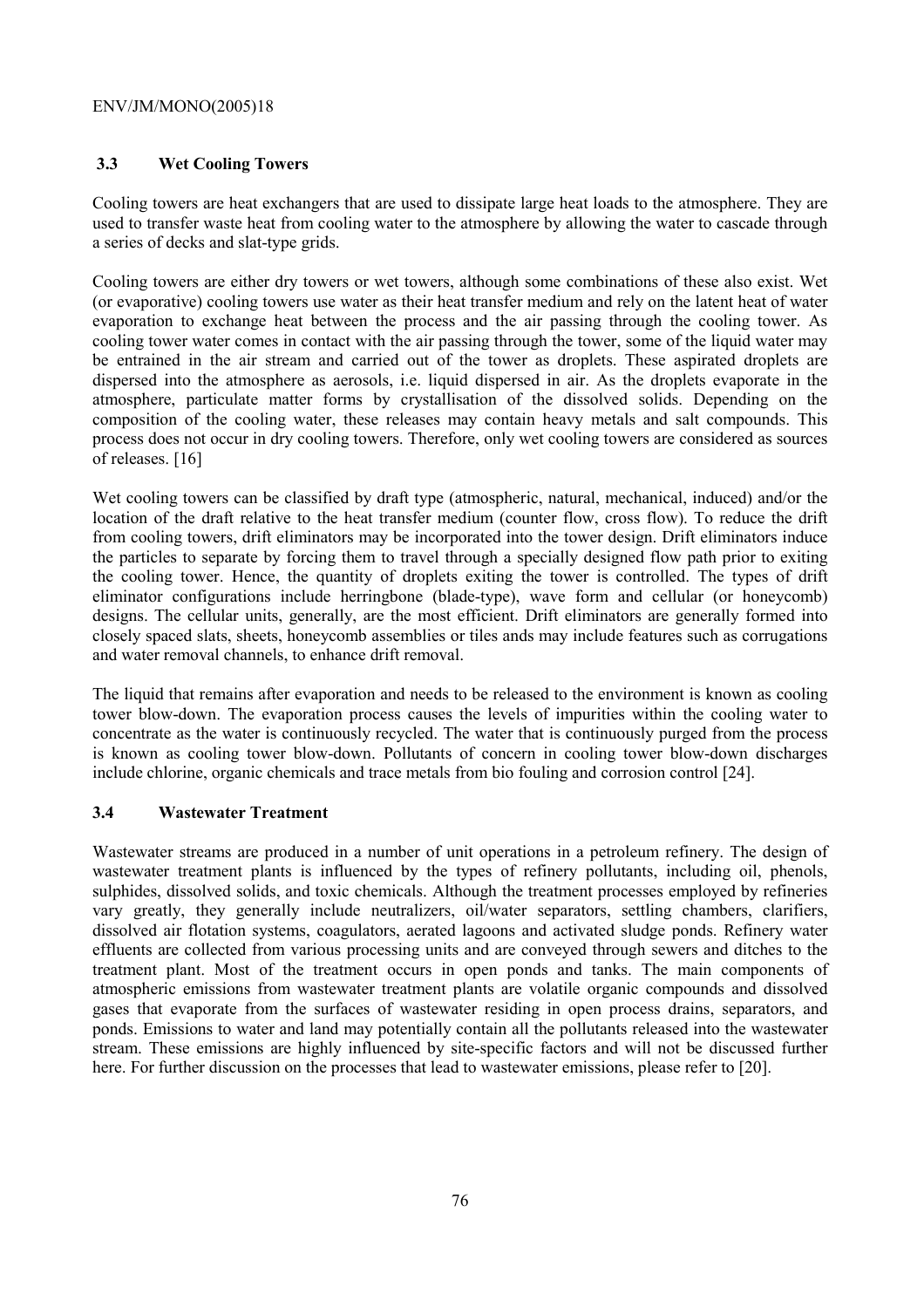# **3.3 Wet Cooling Towers**

Cooling towers are heat exchangers that are used to dissipate large heat loads to the atmosphere. They are used to transfer waste heat from cooling water to the atmosphere by allowing the water to cascade through a series of decks and slat-type grids.

Cooling towers are either dry towers or wet towers, although some combinations of these also exist. Wet (or evaporative) cooling towers use water as their heat transfer medium and rely on the latent heat of water evaporation to exchange heat between the process and the air passing through the cooling tower. As cooling tower water comes in contact with the air passing through the tower, some of the liquid water may be entrained in the air stream and carried out of the tower as droplets. These aspirated droplets are dispersed into the atmosphere as aerosols, i.e. liquid dispersed in air. As the droplets evaporate in the atmosphere, particulate matter forms by crystallisation of the dissolved solids. Depending on the composition of the cooling water, these releases may contain heavy metals and salt compounds. This process does not occur in dry cooling towers. Therefore, only wet cooling towers are considered as sources of releases. [16]

Wet cooling towers can be classified by draft type (atmospheric, natural, mechanical, induced) and/or the location of the draft relative to the heat transfer medium (counter flow, cross flow). To reduce the drift from cooling towers, drift eliminators may be incorporated into the tower design. Drift eliminators induce the particles to separate by forcing them to travel through a specially designed flow path prior to exiting the cooling tower. Hence, the quantity of droplets exiting the tower is controlled. The types of drift eliminator configurations include herringbone (blade-type), wave form and cellular (or honeycomb) designs. The cellular units, generally, are the most efficient. Drift eliminators are generally formed into closely spaced slats, sheets, honeycomb assemblies or tiles ands may include features such as corrugations and water removal channels, to enhance drift removal.

The liquid that remains after evaporation and needs to be released to the environment is known as cooling tower blow-down. The evaporation process causes the levels of impurities within the cooling water to concentrate as the water is continuously recycled. The water that is continuously purged from the process is known as cooling tower blow-down. Pollutants of concern in cooling tower blow-down discharges include chlorine, organic chemicals and trace metals from bio fouling and corrosion control [24].

## **3.4 Wastewater Treatment**

Wastewater streams are produced in a number of unit operations in a petroleum refinery. The design of wastewater treatment plants is influenced by the types of refinery pollutants, including oil, phenols, sulphides, dissolved solids, and toxic chemicals. Although the treatment processes employed by refineries vary greatly, they generally include neutralizers, oil/water separators, settling chambers, clarifiers, dissolved air flotation systems, coagulators, aerated lagoons and activated sludge ponds. Refinery water effluents are collected from various processing units and are conveyed through sewers and ditches to the treatment plant. Most of the treatment occurs in open ponds and tanks. The main components of atmospheric emissions from wastewater treatment plants are volatile organic compounds and dissolved gases that evaporate from the surfaces of wastewater residing in open process drains, separators, and ponds. Emissions to water and land may potentially contain all the pollutants released into the wastewater stream. These emissions are highly influenced by site-specific factors and will not be discussed further here. For further discussion on the processes that lead to wastewater emissions, please refer to [20].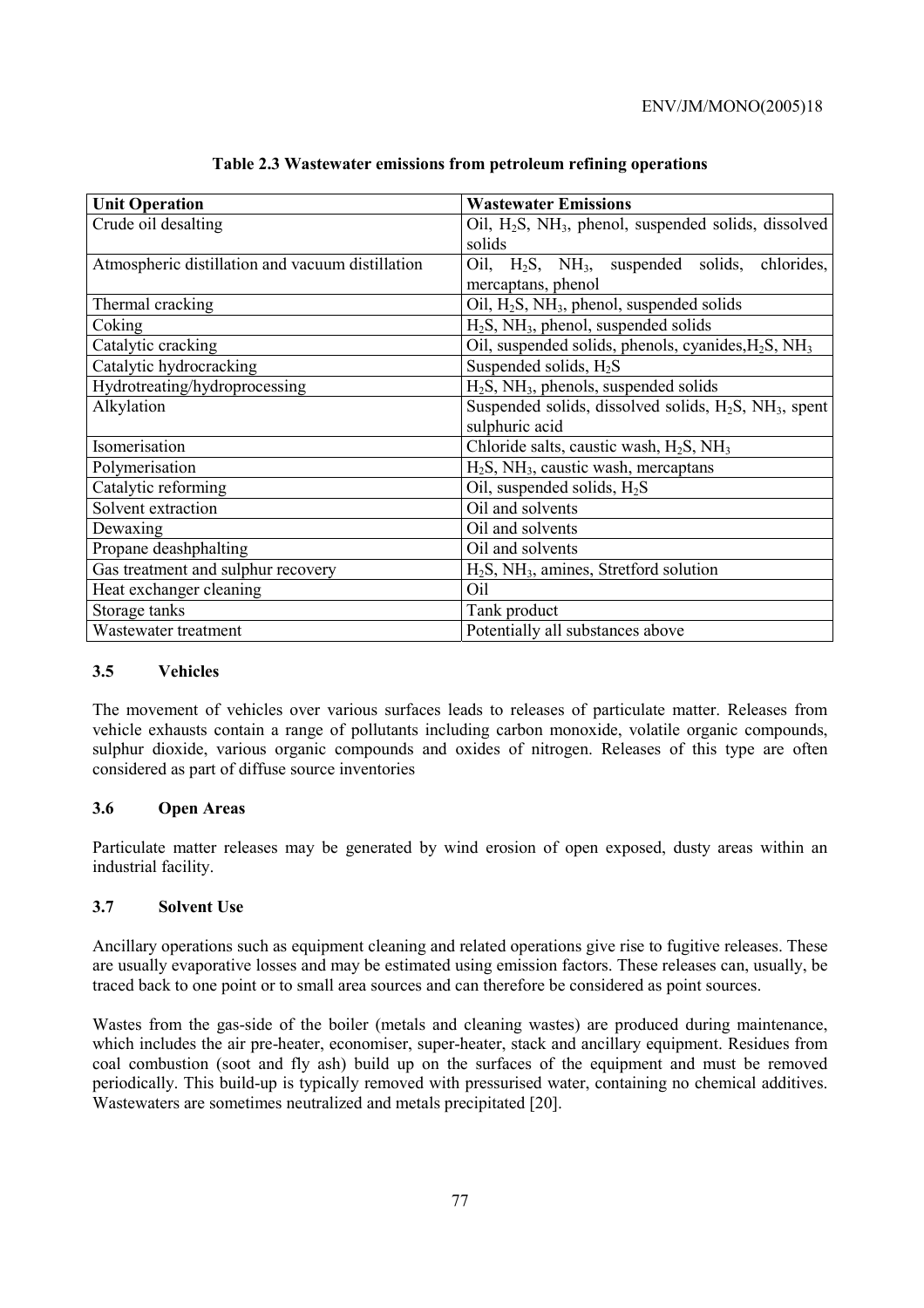| <b>Unit Operation</b>                            | <b>Wastewater Emissions</b>                                                  |  |  |
|--------------------------------------------------|------------------------------------------------------------------------------|--|--|
| Crude oil desalting                              | Oil, H <sub>2</sub> S, NH <sub>3</sub> , phenol, suspended solids, dissolved |  |  |
|                                                  | solids                                                                       |  |  |
| Atmospheric distillation and vacuum distillation | Oil, $H_2S$ , NH <sub>3</sub> , suspended solids,<br>chlorides,              |  |  |
|                                                  | mercaptans, phenol                                                           |  |  |
| Thermal cracking                                 | Oil, $H_2S$ , NH <sub>3</sub> , phenol, suspended solids                     |  |  |
| Coking                                           | $H_2S$ , NH <sub>3</sub> , phenol, suspended solids                          |  |  |
| Catalytic cracking                               | Oil, suspended solids, phenols, cyanides, $H_2S$ , $NH_3$                    |  |  |
| Catalytic hydrocracking                          | Suspended solids, $H_2S$                                                     |  |  |
| Hydrotreating/hydroprocessing                    | $H_2S$ , NH <sub>3</sub> , phenols, suspended solids                         |  |  |
| Alkylation                                       | Suspended solids, dissolved solids, $H_2S$ , NH <sub>3</sub> , spent         |  |  |
|                                                  | sulphuric acid                                                               |  |  |
| Isomerisation                                    | Chloride salts, caustic wash, $H_2S$ , NH <sub>3</sub>                       |  |  |
| Polymerisation                                   | $H_2S$ , NH <sub>3</sub> , caustic wash, mercaptans                          |  |  |
| Catalytic reforming                              | Oil, suspended solids, $H_2S$                                                |  |  |
| Solvent extraction                               | Oil and solvents                                                             |  |  |
| Dewaxing                                         | Oil and solvents                                                             |  |  |
| Propane deashphalting                            | Oil and solvents                                                             |  |  |
| Gas treatment and sulphur recovery               | $H_2S$ , NH <sub>3</sub> , amines, Stretford solution                        |  |  |
| Heat exchanger cleaning                          | Oil                                                                          |  |  |
| Storage tanks                                    | Tank product                                                                 |  |  |
| Wastewater treatment                             | Potentially all substances above                                             |  |  |

### **Table 2.3 Wastewater emissions from petroleum refining operations**

### **3.5 Vehicles**

The movement of vehicles over various surfaces leads to releases of particulate matter. Releases from vehicle exhausts contain a range of pollutants including carbon monoxide, volatile organic compounds, sulphur dioxide, various organic compounds and oxides of nitrogen. Releases of this type are often considered as part of diffuse source inventories

### **3.6 Open Areas**

Particulate matter releases may be generated by wind erosion of open exposed, dusty areas within an industrial facility.

### **3.7 Solvent Use**

Ancillary operations such as equipment cleaning and related operations give rise to fugitive releases. These are usually evaporative losses and may be estimated using emission factors. These releases can, usually, be traced back to one point or to small area sources and can therefore be considered as point sources.

Wastes from the gas-side of the boiler (metals and cleaning wastes) are produced during maintenance, which includes the air pre-heater, economiser, super-heater, stack and ancillary equipment. Residues from coal combustion (soot and fly ash) build up on the surfaces of the equipment and must be removed periodically. This build-up is typically removed with pressurised water, containing no chemical additives. Wastewaters are sometimes neutralized and metals precipitated [20].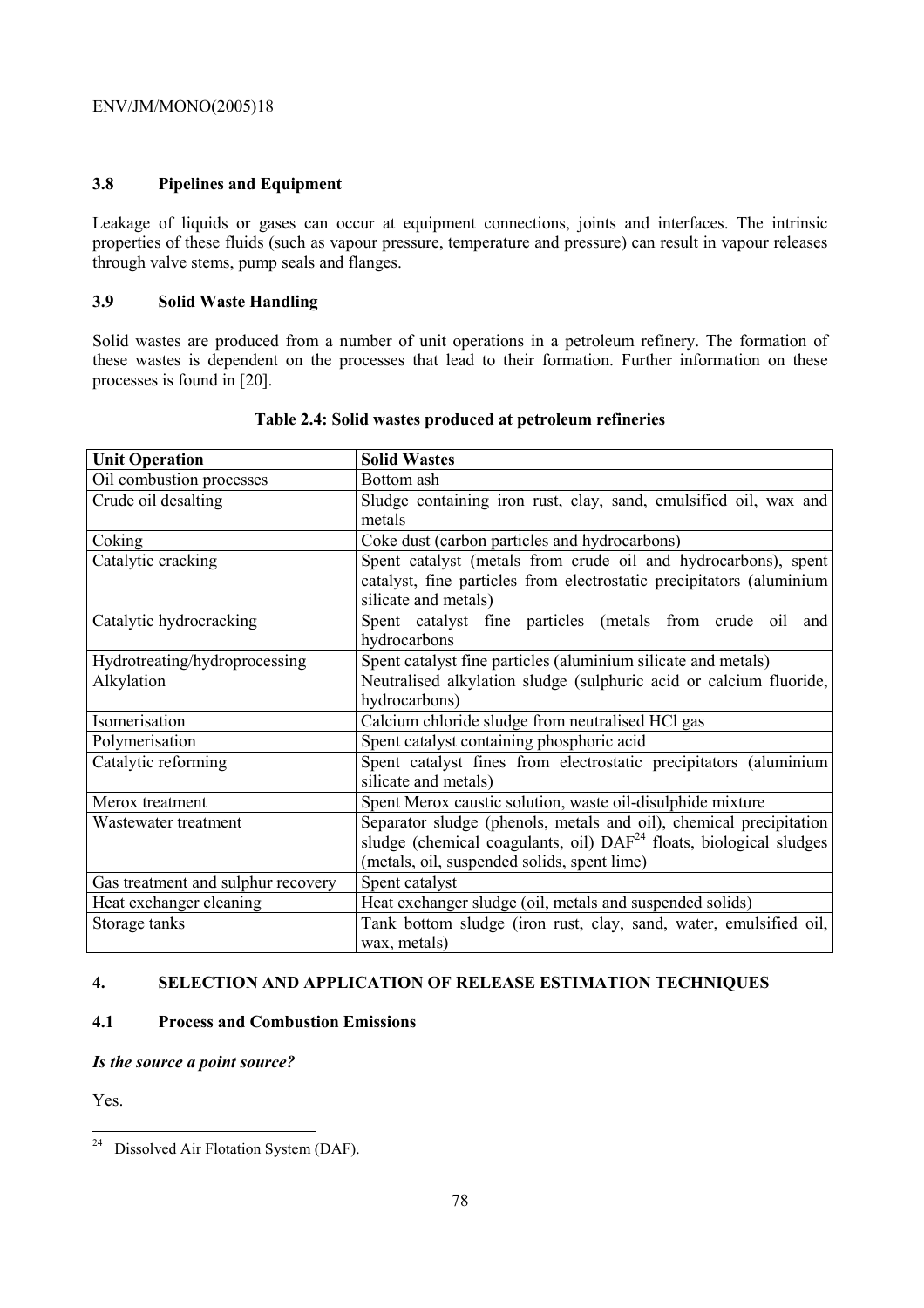## **3.8 Pipelines and Equipment**

Leakage of liquids or gases can occur at equipment connections, joints and interfaces. The intrinsic properties of these fluids (such as vapour pressure, temperature and pressure) can result in vapour releases through valve stems, pump seals and flanges.

# **3.9 Solid Waste Handling**

Solid wastes are produced from a number of unit operations in a petroleum refinery. The formation of these wastes is dependent on the processes that lead to their formation. Further information on these processes is found in [20].

| <b>Unit Operation</b>              | <b>Solid Wastes</b>                                                  |  |
|------------------------------------|----------------------------------------------------------------------|--|
| Oil combustion processes           | Bottom ash                                                           |  |
| Crude oil desalting                | Sludge containing iron rust, clay, sand, emulsified oil, wax and     |  |
|                                    | metals                                                               |  |
| Coking                             | Coke dust (carbon particles and hydrocarbons)                        |  |
| Catalytic cracking                 | Spent catalyst (metals from crude oil and hydrocarbons), spent       |  |
|                                    | catalyst, fine particles from electrostatic precipitators (aluminium |  |
|                                    | silicate and metals)                                                 |  |
| Catalytic hydrocracking            | Spent catalyst fine particles (metals from crude oil and             |  |
|                                    | hydrocarbons                                                         |  |
| Hydrotreating/hydroprocessing      | Spent catalyst fine particles (aluminium silicate and metals)        |  |
| Alkylation                         | Neutralised alkylation sludge (sulphuric acid or calcium fluoride,   |  |
|                                    | hydrocarbons)                                                        |  |
| Isomerisation                      | Calcium chloride sludge from neutralised HCl gas                     |  |
| Polymerisation                     | Spent catalyst containing phosphoric acid                            |  |
| Catalytic reforming                | Spent catalyst fines from electrostatic precipitators (aluminium     |  |
|                                    | silicate and metals)                                                 |  |
| Merox treatment                    | Spent Merox caustic solution, waste oil-disulphide mixture           |  |
| Wastewater treatment               | Separator sludge (phenols, metals and oil), chemical precipitation   |  |
|                                    | sludge (chemical coagulants, oil) $DAF24$ floats, biological sludges |  |
|                                    | (metals, oil, suspended solids, spent lime)                          |  |
| Gas treatment and sulphur recovery | Spent catalyst                                                       |  |
| Heat exchanger cleaning            | Heat exchanger sludge (oil, metals and suspended solids)             |  |
| Storage tanks                      | Tank bottom sludge (iron rust, clay, sand, water, emulsified oil,    |  |
|                                    | wax, metals)                                                         |  |

## **Table 2.4: Solid wastes produced at petroleum refineries**

# **4. SELECTION AND APPLICATION OF RELEASE ESTIMATION TECHNIQUES**

## **4.1 Process and Combustion Emissions**

*Is the source a point source?* 

Yes.

<sup>24</sup> Dissolved Air Flotation System (DAF).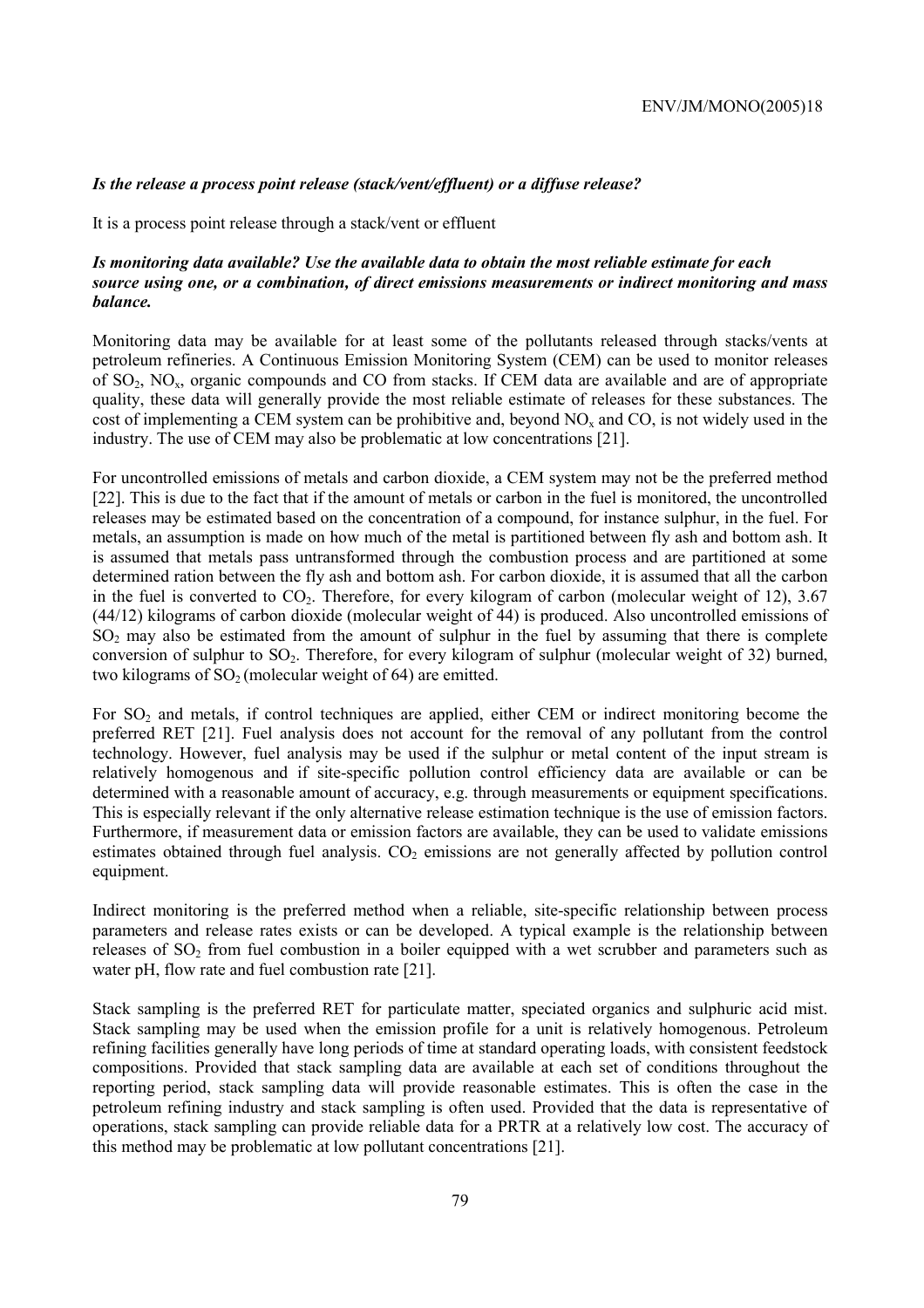### *Is the release a process point release (stack/vent/effluent) or a diffuse release?*

It is a process point release through a stack/vent or effluent

## *Is monitoring data available? Use the available data to obtain the most reliable estimate for each source using one, or a combination, of direct emissions measurements or indirect monitoring and mass balance.*

Monitoring data may be available for at least some of the pollutants released through stacks/vents at petroleum refineries. A Continuous Emission Monitoring System (CEM) can be used to monitor releases of  $SO_2$ ,  $NO_x$ , organic compounds and CO from stacks. If CEM data are available and are of appropriate quality, these data will generally provide the most reliable estimate of releases for these substances. The cost of implementing a CEM system can be prohibitive and, beyond NO<sub>x</sub> and CO, is not widely used in the industry. The use of CEM may also be problematic at low concentrations [21].

For uncontrolled emissions of metals and carbon dioxide, a CEM system may not be the preferred method [22]. This is due to the fact that if the amount of metals or carbon in the fuel is monitored, the uncontrolled releases may be estimated based on the concentration of a compound, for instance sulphur, in the fuel. For metals, an assumption is made on how much of the metal is partitioned between fly ash and bottom ash. It is assumed that metals pass untransformed through the combustion process and are partitioned at some determined ration between the fly ash and bottom ash. For carbon dioxide, it is assumed that all the carbon in the fuel is converted to  $CO<sub>2</sub>$ . Therefore, for every kilogram of carbon (molecular weight of 12), 3.67 (44/12) kilograms of carbon dioxide (molecular weight of 44) is produced. Also uncontrolled emissions of  $SO<sub>2</sub>$  may also be estimated from the amount of sulphur in the fuel by assuming that there is complete conversion of sulphur to  $SO<sub>2</sub>$ . Therefore, for every kilogram of sulphur (molecular weight of 32) burned, two kilograms of  $SO<sub>2</sub>$  (molecular weight of 64) are emitted.

For SO<sub>2</sub> and metals, if control techniques are applied, either CEM or indirect monitoring become the preferred RET [21]. Fuel analysis does not account for the removal of any pollutant from the control technology. However, fuel analysis may be used if the sulphur or metal content of the input stream is relatively homogenous and if site-specific pollution control efficiency data are available or can be determined with a reasonable amount of accuracy, e.g. through measurements or equipment specifications. This is especially relevant if the only alternative release estimation technique is the use of emission factors. Furthermore, if measurement data or emission factors are available, they can be used to validate emissions estimates obtained through fuel analysis.  $CO<sub>2</sub>$  emissions are not generally affected by pollution control equipment.

Indirect monitoring is the preferred method when a reliable, site-specific relationship between process parameters and release rates exists or can be developed. A typical example is the relationship between releases of  $SO_2$  from fuel combustion in a boiler equipped with a wet scrubber and parameters such as water pH, flow rate and fuel combustion rate [21].

Stack sampling is the preferred RET for particulate matter, speciated organics and sulphuric acid mist. Stack sampling may be used when the emission profile for a unit is relatively homogenous. Petroleum refining facilities generally have long periods of time at standard operating loads, with consistent feedstock compositions. Provided that stack sampling data are available at each set of conditions throughout the reporting period, stack sampling data will provide reasonable estimates. This is often the case in the petroleum refining industry and stack sampling is often used. Provided that the data is representative of operations, stack sampling can provide reliable data for a PRTR at a relatively low cost. The accuracy of this method may be problematic at low pollutant concentrations [21].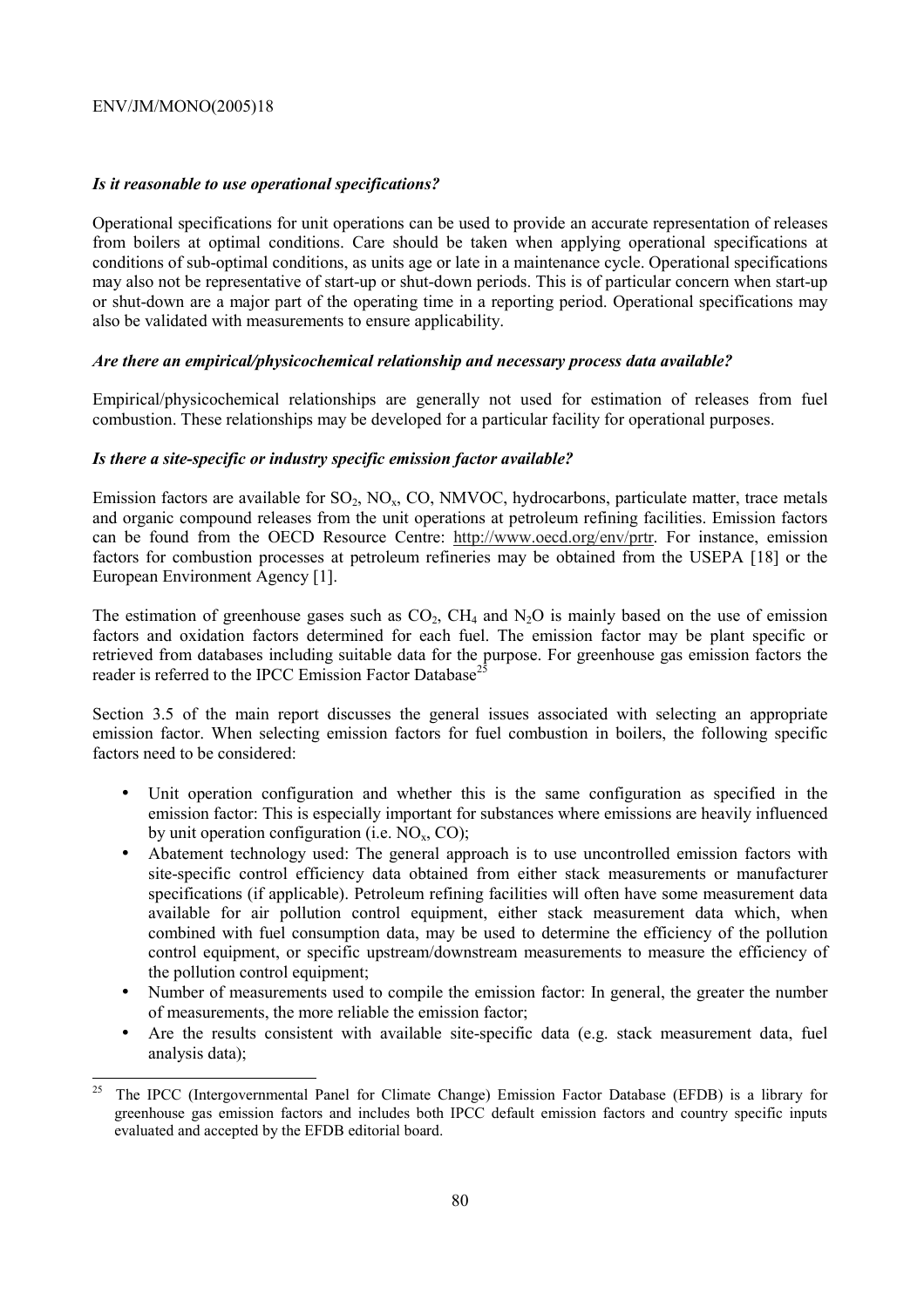### *Is it reasonable to use operational specifications?*

Operational specifications for unit operations can be used to provide an accurate representation of releases from boilers at optimal conditions. Care should be taken when applying operational specifications at conditions of sub-optimal conditions, as units age or late in a maintenance cycle. Operational specifications may also not be representative of start-up or shut-down periods. This is of particular concern when start-up or shut-down are a major part of the operating time in a reporting period. Operational specifications may also be validated with measurements to ensure applicability.

### *Are there an empirical/physicochemical relationship and necessary process data available?*

Empirical/physicochemical relationships are generally not used for estimation of releases from fuel combustion. These relationships may be developed for a particular facility for operational purposes.

### *Is there a site-specific or industry specific emission factor available?*

Emission factors are available for  $SO_2$ ,  $NO_x$ ,  $CO$ ,  $NMVOC$ , hydrocarbons, particulate matter, trace metals and organic compound releases from the unit operations at petroleum refining facilities. Emission factors can be found from the OECD Resource Centre: http://www.oecd.org/env/prtr. For instance, emission factors for combustion processes at petroleum refineries may be obtained from the USEPA [18] or the European Environment Agency [1].

The estimation of greenhouse gases such as  $CO<sub>2</sub>$ ,  $CH<sub>4</sub>$  and  $N<sub>2</sub>O$  is mainly based on the use of emission factors and oxidation factors determined for each fuel. The emission factor may be plant specific or retrieved from databases including suitable data for the purpose. For greenhouse gas emission factors the reader is referred to the IPCC Emission Factor Database<sup>2</sup>

Section 3.5 of the main report discusses the general issues associated with selecting an appropriate emission factor. When selecting emission factors for fuel combustion in boilers, the following specific factors need to be considered:

- Unit operation configuration and whether this is the same configuration as specified in the emission factor: This is especially important for substances where emissions are heavily influenced by unit operation configuration (i.e.  $NO<sub>x</sub>$ , CO);
- Abatement technology used: The general approach is to use uncontrolled emission factors with site-specific control efficiency data obtained from either stack measurements or manufacturer specifications (if applicable). Petroleum refining facilities will often have some measurement data available for air pollution control equipment, either stack measurement data which, when combined with fuel consumption data, may be used to determine the efficiency of the pollution control equipment, or specific upstream/downstream measurements to measure the efficiency of the pollution control equipment;
- Number of measurements used to compile the emission factor: In general, the greater the number of measurements, the more reliable the emission factor;
- Are the results consistent with available site-specific data (e.g. stack measurement data, fuel analysis data);

<sup>25</sup> The IPCC (Intergovernmental Panel for Climate Change) Emission Factor Database (EFDB) is a library for greenhouse gas emission factors and includes both IPCC default emission factors and country specific inputs evaluated and accepted by the EFDB editorial board.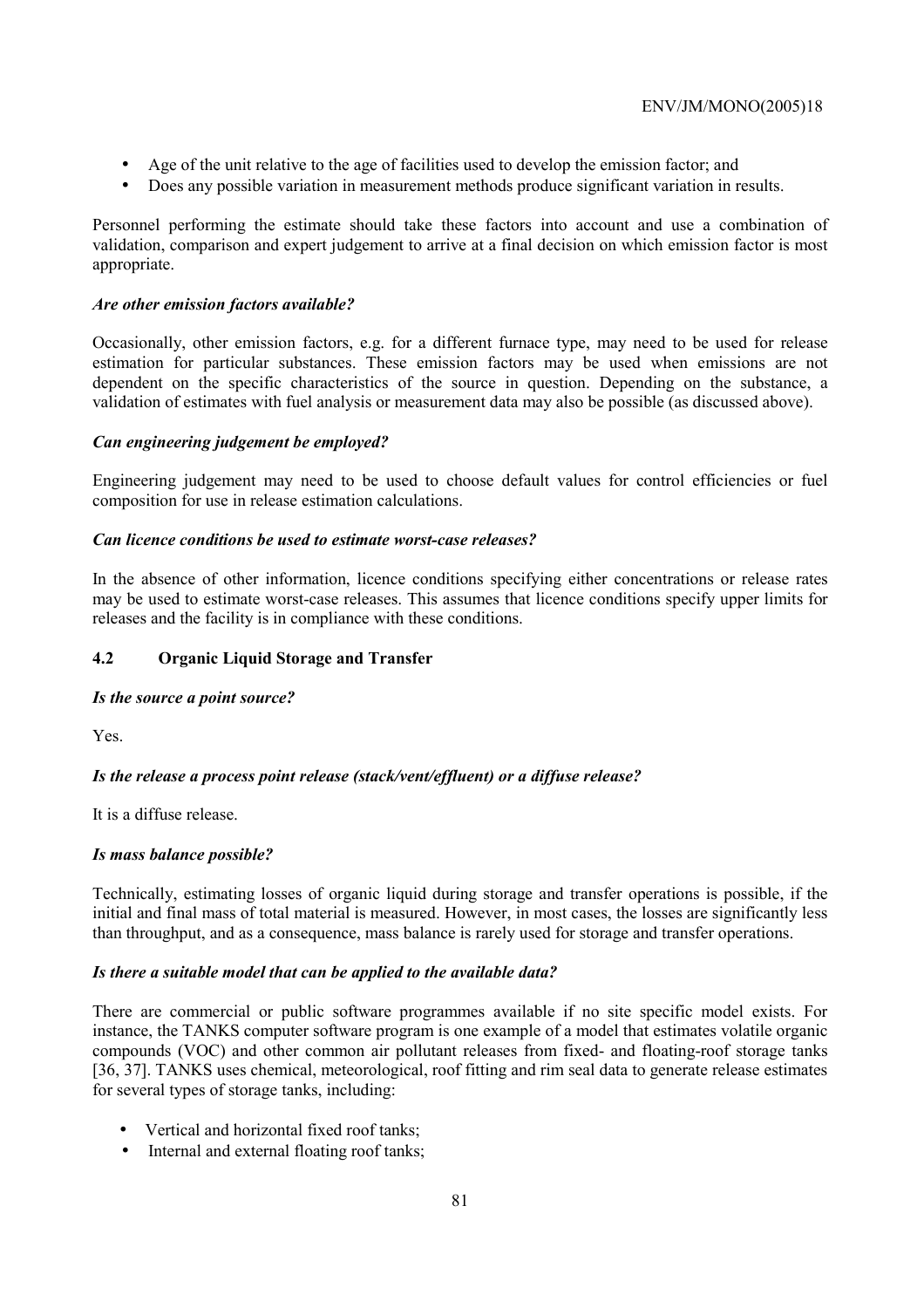- Age of the unit relative to the age of facilities used to develop the emission factor; and
- Does any possible variation in measurement methods produce significant variation in results.

Personnel performing the estimate should take these factors into account and use a combination of validation, comparison and expert judgement to arrive at a final decision on which emission factor is most appropriate.

### *Are other emission factors available?*

Occasionally, other emission factors, e.g. for a different furnace type, may need to be used for release estimation for particular substances. These emission factors may be used when emissions are not dependent on the specific characteristics of the source in question. Depending on the substance, a validation of estimates with fuel analysis or measurement data may also be possible (as discussed above).

### *Can engineering judgement be employed?*

Engineering judgement may need to be used to choose default values for control efficiencies or fuel composition for use in release estimation calculations.

### *Can licence conditions be used to estimate worst-case releases?*

In the absence of other information, licence conditions specifying either concentrations or release rates may be used to estimate worst-case releases. This assumes that licence conditions specify upper limits for releases and the facility is in compliance with these conditions.

## **4.2 Organic Liquid Storage and Transfer**

## *Is the source a point source?*

Yes.

## *Is the release a process point release (stack/vent/effluent) or a diffuse release?*

It is a diffuse release.

## *Is mass balance possible?*

Technically, estimating losses of organic liquid during storage and transfer operations is possible, if the initial and final mass of total material is measured. However, in most cases, the losses are significantly less than throughput, and as a consequence, mass balance is rarely used for storage and transfer operations.

## *Is there a suitable model that can be applied to the available data?*

There are commercial or public software programmes available if no site specific model exists. For instance, the TANKS computer software program is one example of a model that estimates volatile organic compounds (VOC) and other common air pollutant releases from fixed- and floating-roof storage tanks [36, 37]. TANKS uses chemical, meteorological, roof fitting and rim seal data to generate release estimates for several types of storage tanks, including:

- Vertical and horizontal fixed roof tanks;
- Internal and external floating roof tanks;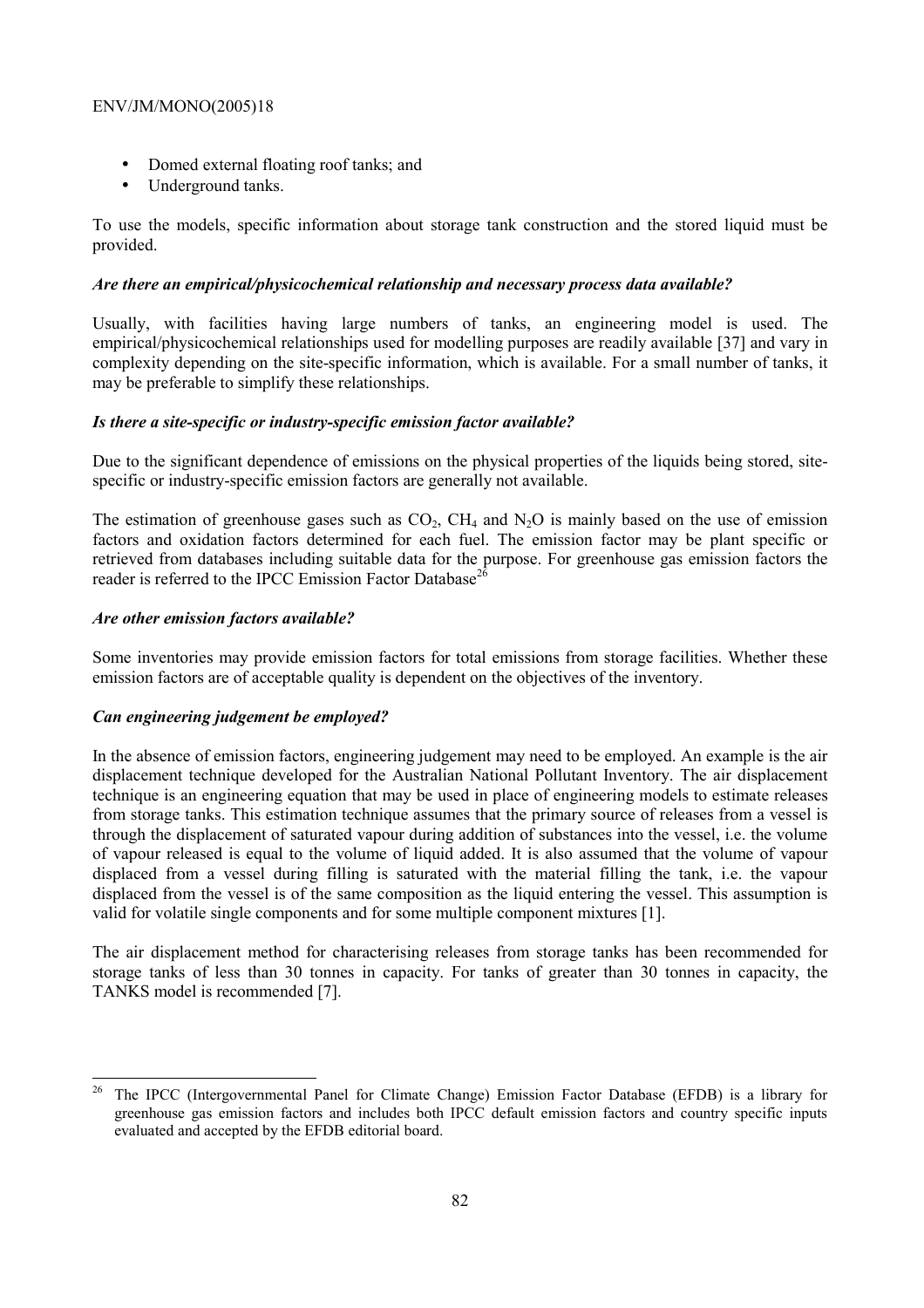- Domed external floating roof tanks; and
- Underground tanks.

To use the models, specific information about storage tank construction and the stored liquid must be provided.

## *Are there an empirical/physicochemical relationship and necessary process data available?*

Usually, with facilities having large numbers of tanks, an engineering model is used. The empirical/physicochemical relationships used for modelling purposes are readily available [37] and vary in complexity depending on the site-specific information, which is available. For a small number of tanks, it may be preferable to simplify these relationships.

# *Is there a site-specific or industry-specific emission factor available?*

Due to the significant dependence of emissions on the physical properties of the liquids being stored, sitespecific or industry-specific emission factors are generally not available.

The estimation of greenhouse gases such as  $CO<sub>2</sub>$ , CH<sub>4</sub> and N<sub>2</sub>O is mainly based on the use of emission factors and oxidation factors determined for each fuel. The emission factor may be plant specific or retrieved from databases including suitable data for the purpose. For greenhouse gas emission factors the reader is referred to the IPCC Emission Factor Database<sup>2</sup>

## *Are other emission factors available?*

Some inventories may provide emission factors for total emissions from storage facilities. Whether these emission factors are of acceptable quality is dependent on the objectives of the inventory.

# *Can engineering judgement be employed?*

In the absence of emission factors, engineering judgement may need to be employed. An example is the air displacement technique developed for the Australian National Pollutant Inventory. The air displacement technique is an engineering equation that may be used in place of engineering models to estimate releases from storage tanks. This estimation technique assumes that the primary source of releases from a vessel is through the displacement of saturated vapour during addition of substances into the vessel, i.e. the volume of vapour released is equal to the volume of liquid added. It is also assumed that the volume of vapour displaced from a vessel during filling is saturated with the material filling the tank, i.e. the vapour displaced from the vessel is of the same composition as the liquid entering the vessel. This assumption is valid for volatile single components and for some multiple component mixtures [1].

The air displacement method for characterising releases from storage tanks has been recommended for storage tanks of less than 30 tonnes in capacity. For tanks of greater than 30 tonnes in capacity, the TANKS model is recommended [7].

<sup>26</sup> <sup>26</sup> The IPCC (Intergovernmental Panel for Climate Change) Emission Factor Database (EFDB) is a library for greenhouse gas emission factors and includes both IPCC default emission factors and country specific inputs evaluated and accepted by the EFDB editorial board.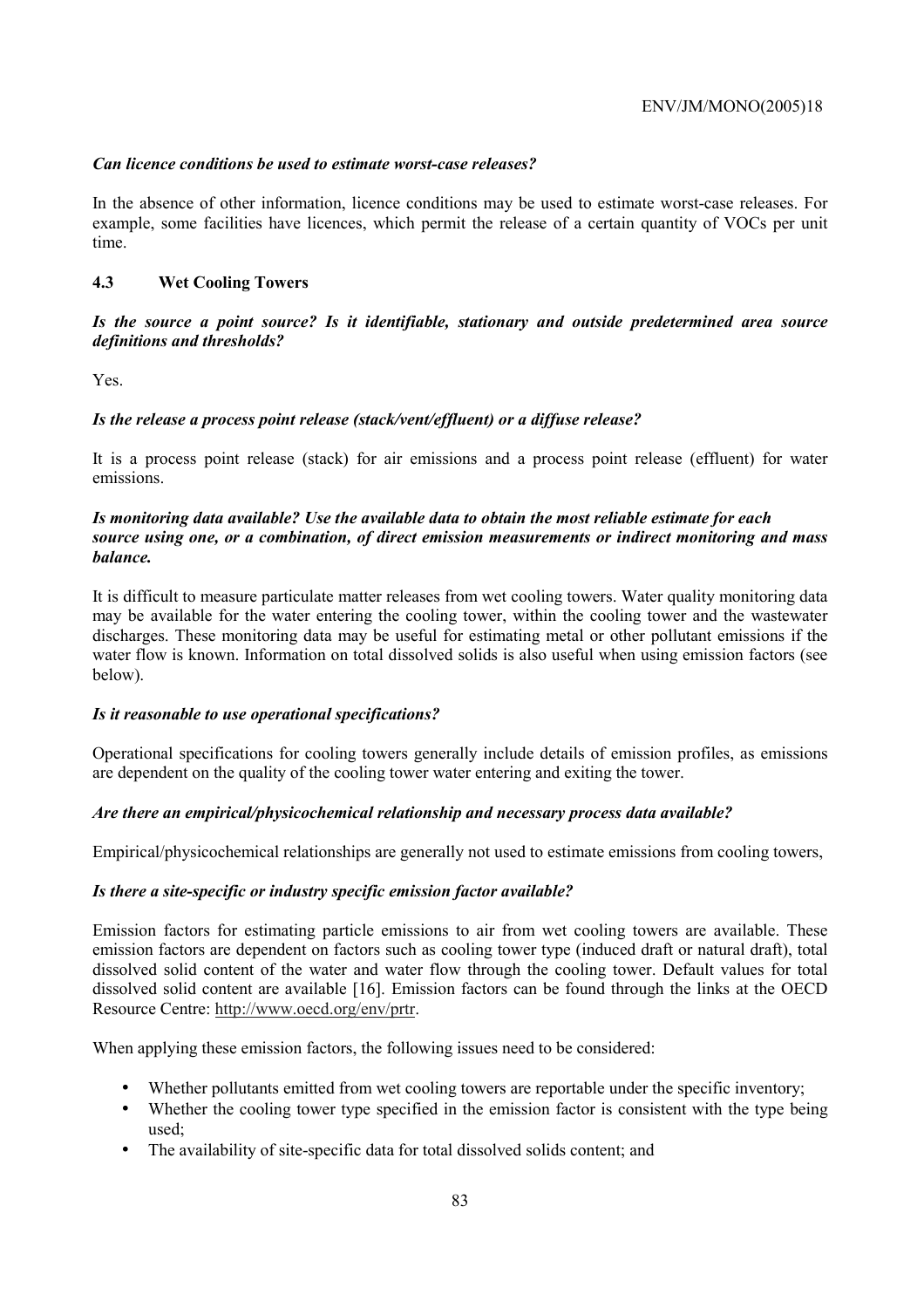## *Can licence conditions be used to estimate worst-case releases?*

In the absence of other information, licence conditions may be used to estimate worst-case releases. For example, some facilities have licences, which permit the release of a certain quantity of VOCs per unit time.

# **4.3 Wet Cooling Towers**

*Is the source a point source? Is it identifiable, stationary and outside predetermined area source definitions and thresholds?* 

Yes.

## *Is the release a process point release (stack/vent/effluent) or a diffuse release?*

It is a process point release (stack) for air emissions and a process point release (effluent) for water emissions.

### *Is monitoring data available? Use the available data to obtain the most reliable estimate for each source using one, or a combination, of direct emission measurements or indirect monitoring and mass balance.*

It is difficult to measure particulate matter releases from wet cooling towers. Water quality monitoring data may be available for the water entering the cooling tower, within the cooling tower and the wastewater discharges. These monitoring data may be useful for estimating metal or other pollutant emissions if the water flow is known. Information on total dissolved solids is also useful when using emission factors (see below).

## *Is it reasonable to use operational specifications?*

Operational specifications for cooling towers generally include details of emission profiles, as emissions are dependent on the quality of the cooling tower water entering and exiting the tower.

## *Are there an empirical/physicochemical relationship and necessary process data available?*

Empirical/physicochemical relationships are generally not used to estimate emissions from cooling towers,

## *Is there a site-specific or industry specific emission factor available?*

Emission factors for estimating particle emissions to air from wet cooling towers are available. These emission factors are dependent on factors such as cooling tower type (induced draft or natural draft), total dissolved solid content of the water and water flow through the cooling tower. Default values for total dissolved solid content are available [16]. Emission factors can be found through the links at the OECD Resource Centre: http://www.oecd.org/env/prtr.

When applying these emission factors, the following issues need to be considered:

- Whether pollutants emitted from wet cooling towers are reportable under the specific inventory;
- Whether the cooling tower type specified in the emission factor is consistent with the type being used;
- The availability of site-specific data for total dissolved solids content; and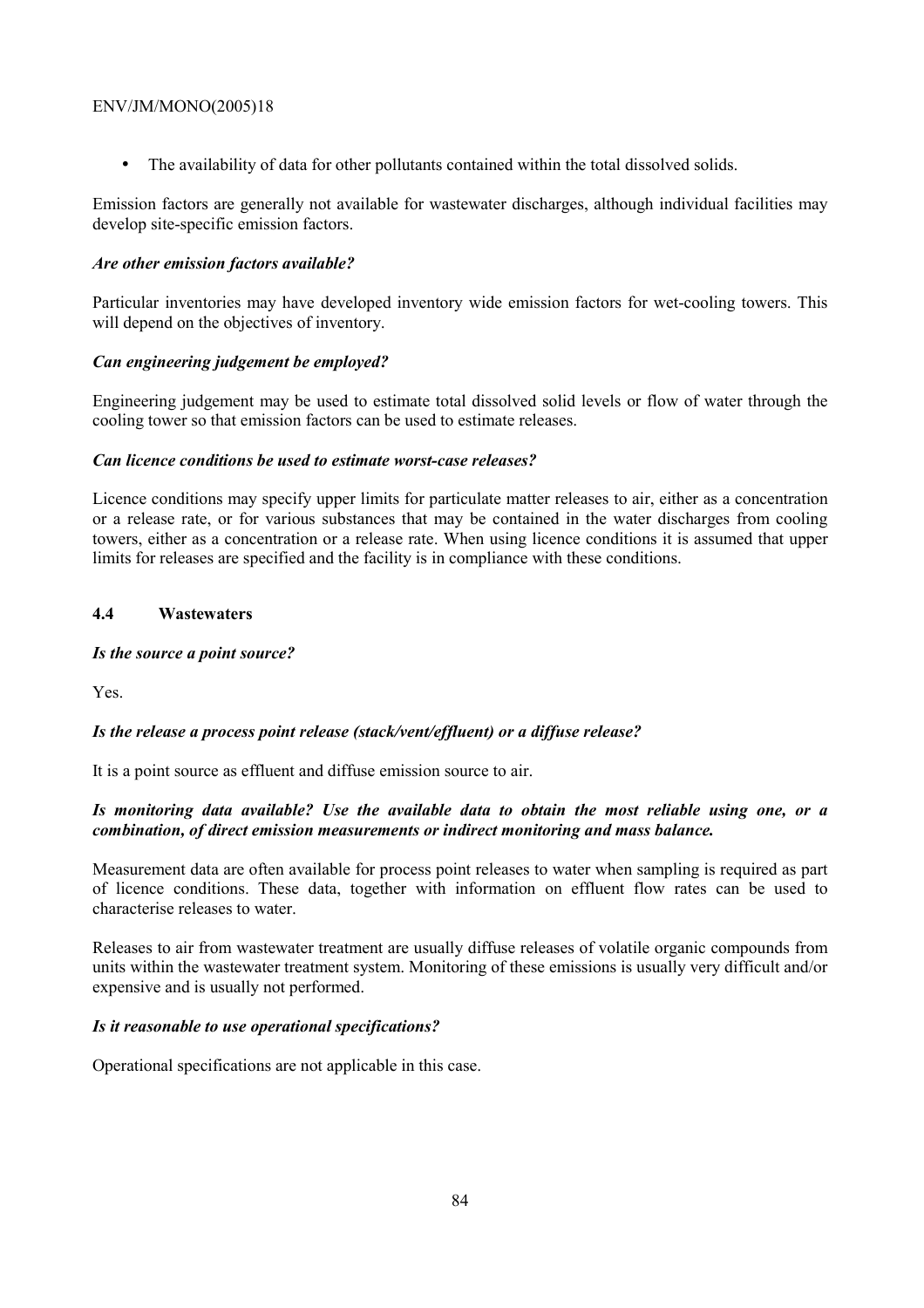• The availability of data for other pollutants contained within the total dissolved solids.

Emission factors are generally not available for wastewater discharges, although individual facilities may develop site-specific emission factors.

## *Are other emission factors available?*

Particular inventories may have developed inventory wide emission factors for wet-cooling towers. This will depend on the objectives of inventory.

## *Can engineering judgement be employed?*

Engineering judgement may be used to estimate total dissolved solid levels or flow of water through the cooling tower so that emission factors can be used to estimate releases.

### *Can licence conditions be used to estimate worst-case releases?*

Licence conditions may specify upper limits for particulate matter releases to air, either as a concentration or a release rate, or for various substances that may be contained in the water discharges from cooling towers, either as a concentration or a release rate. When using licence conditions it is assumed that upper limits for releases are specified and the facility is in compliance with these conditions.

## **4.4 Wastewaters**

### *Is the source a point source?*

Yes.

## *Is the release a process point release (stack/vent/effluent) or a diffuse release?*

It is a point source as effluent and diffuse emission source to air.

## *Is monitoring data available? Use the available data to obtain the most reliable using one, or a combination, of direct emission measurements or indirect monitoring and mass balance.*

Measurement data are often available for process point releases to water when sampling is required as part of licence conditions. These data, together with information on effluent flow rates can be used to characterise releases to water.

Releases to air from wastewater treatment are usually diffuse releases of volatile organic compounds from units within the wastewater treatment system. Monitoring of these emissions is usually very difficult and/or expensive and is usually not performed.

## *Is it reasonable to use operational specifications?*

Operational specifications are not applicable in this case.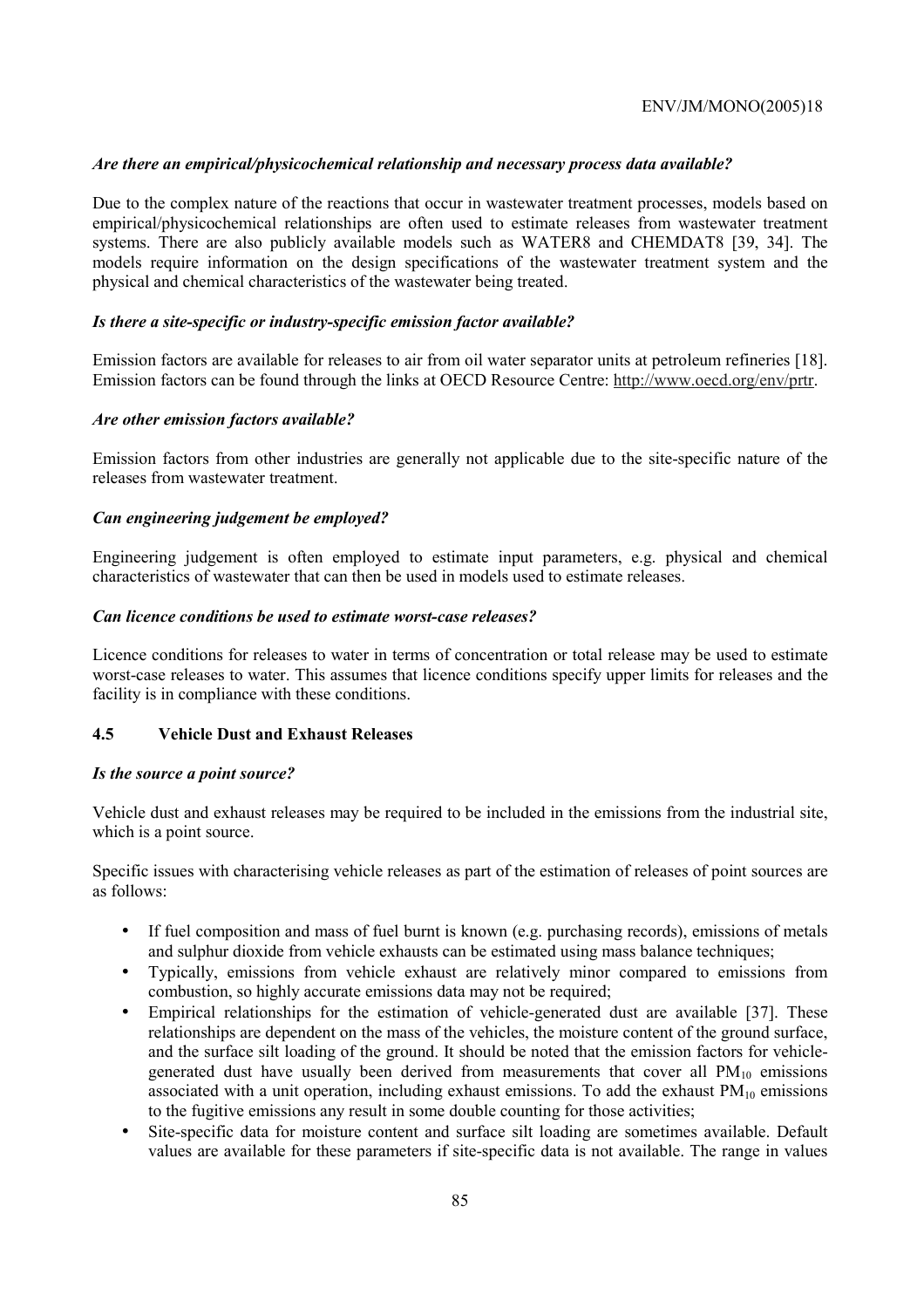## *Are there an empirical/physicochemical relationship and necessary process data available?*

Due to the complex nature of the reactions that occur in wastewater treatment processes, models based on empirical/physicochemical relationships are often used to estimate releases from wastewater treatment systems. There are also publicly available models such as WATER8 and CHEMDAT8 [39, 34]. The models require information on the design specifications of the wastewater treatment system and the physical and chemical characteristics of the wastewater being treated.

### *Is there a site-specific or industry-specific emission factor available?*

Emission factors are available for releases to air from oil water separator units at petroleum refineries [18]. Emission factors can be found through the links at OECD Resource Centre: http://www.oecd.org/env/prtr.

### *Are other emission factors available?*

Emission factors from other industries are generally not applicable due to the site-specific nature of the releases from wastewater treatment.

### *Can engineering judgement be employed?*

Engineering judgement is often employed to estimate input parameters, e.g. physical and chemical characteristics of wastewater that can then be used in models used to estimate releases.

### *Can licence conditions be used to estimate worst-case releases?*

Licence conditions for releases to water in terms of concentration or total release may be used to estimate worst-case releases to water. This assumes that licence conditions specify upper limits for releases and the facility is in compliance with these conditions.

## **4.5 Vehicle Dust and Exhaust Releases**

### *Is the source a point source?*

Vehicle dust and exhaust releases may be required to be included in the emissions from the industrial site, which is a point source.

Specific issues with characterising vehicle releases as part of the estimation of releases of point sources are as follows:

- If fuel composition and mass of fuel burnt is known (e.g. purchasing records), emissions of metals and sulphur dioxide from vehicle exhausts can be estimated using mass balance techniques;
- Typically, emissions from vehicle exhaust are relatively minor compared to emissions from combustion, so highly accurate emissions data may not be required;
- Empirical relationships for the estimation of vehicle-generated dust are available [37]. These relationships are dependent on the mass of the vehicles, the moisture content of the ground surface, and the surface silt loading of the ground. It should be noted that the emission factors for vehiclegenerated dust have usually been derived from measurements that cover all  $PM_{10}$  emissions associated with a unit operation, including exhaust emissions. To add the exhaust  $PM_{10}$  emissions to the fugitive emissions any result in some double counting for those activities;
- Site-specific data for moisture content and surface silt loading are sometimes available. Default values are available for these parameters if site-specific data is not available. The range in values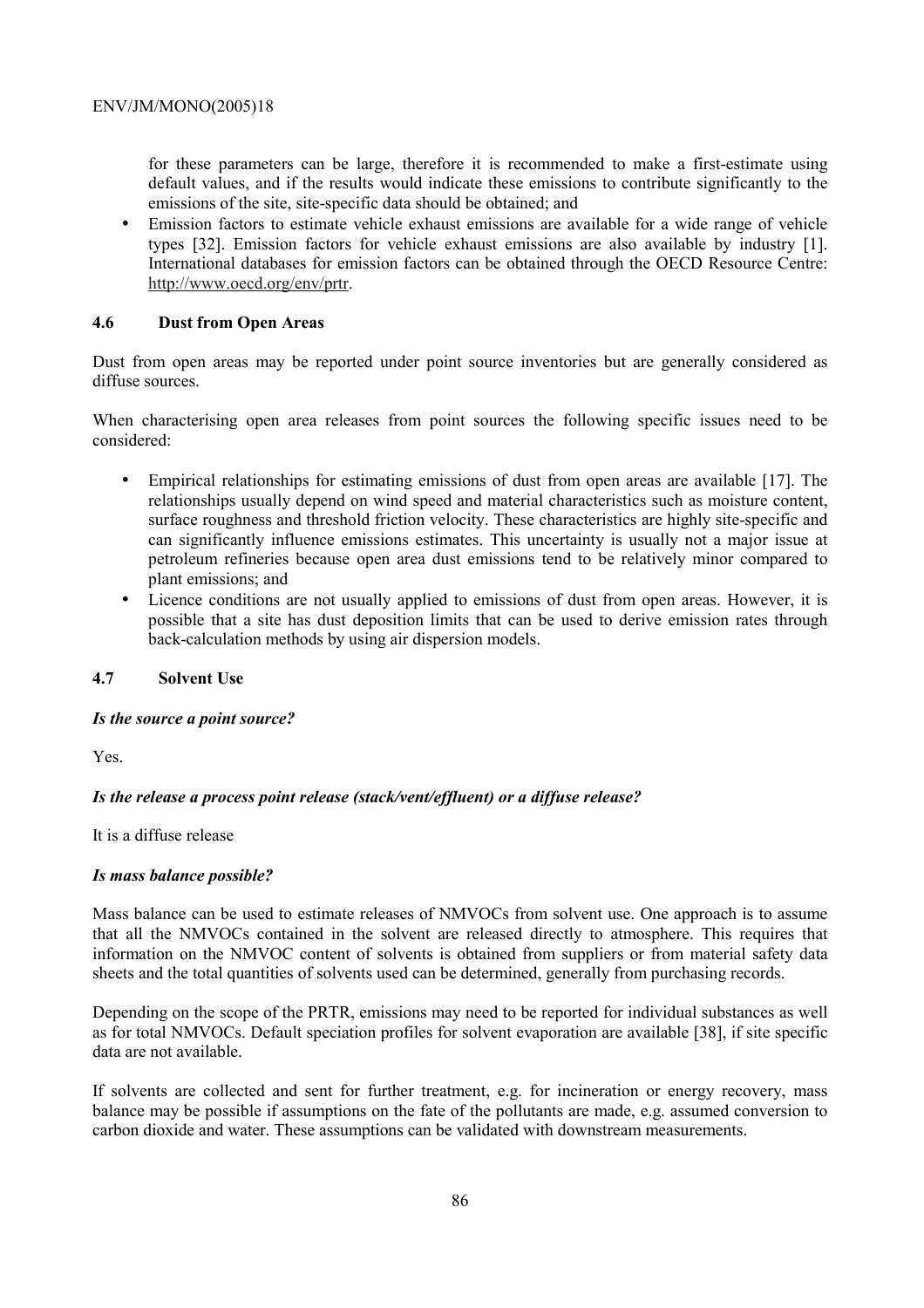for these parameters can be large, therefore it is recommended to make a first-estimate using default values, and if the results would indicate these emissions to contribute significantly to the emissions of the site, site-specific data should be obtained; and

• Emission factors to estimate vehicle exhaust emissions are available for a wide range of vehicle types [32]. Emission factors for vehicle exhaust emissions are also available by industry [1]. International databases for emission factors can be obtained through the OECD Resource Centre: http://www.oecd.org/env/prtr.

### **4.6 Dust from Open Areas**

Dust from open areas may be reported under point source inventories but are generally considered as diffuse sources

When characterising open area releases from point sources the following specific issues need to be considered:

- Empirical relationships for estimating emissions of dust from open areas are available [17]. The relationships usually depend on wind speed and material characteristics such as moisture content, surface roughness and threshold friction velocity. These characteristics are highly site-specific and can significantly influence emissions estimates. This uncertainty is usually not a major issue at petroleum refineries because open area dust emissions tend to be relatively minor compared to plant emissions; and
- Licence conditions are not usually applied to emissions of dust from open areas. However, it is possible that a site has dust deposition limits that can be used to derive emission rates through back-calculation methods by using air dispersion models.

## **4.7 Solvent Use**

### *Is the source a point source?*

Yes.

## *Is the release a process point release (stack/vent/effluent) or a diffuse release?*

It is a diffuse release

## *Is mass balance possible?*

Mass balance can be used to estimate releases of NMVOCs from solvent use. One approach is to assume that all the NMVOCs contained in the solvent are released directly to atmosphere. This requires that information on the NMVOC content of solvents is obtained from suppliers or from material safety data sheets and the total quantities of solvents used can be determined, generally from purchasing records.

Depending on the scope of the PRTR, emissions may need to be reported for individual substances as well as for total NMVOCs. Default speciation profiles for solvent evaporation are available [38], if site specific data are not available.

If solvents are collected and sent for further treatment, e.g. for incineration or energy recovery, mass balance may be possible if assumptions on the fate of the pollutants are made, e.g. assumed conversion to carbon dioxide and water. These assumptions can be validated with downstream measurements.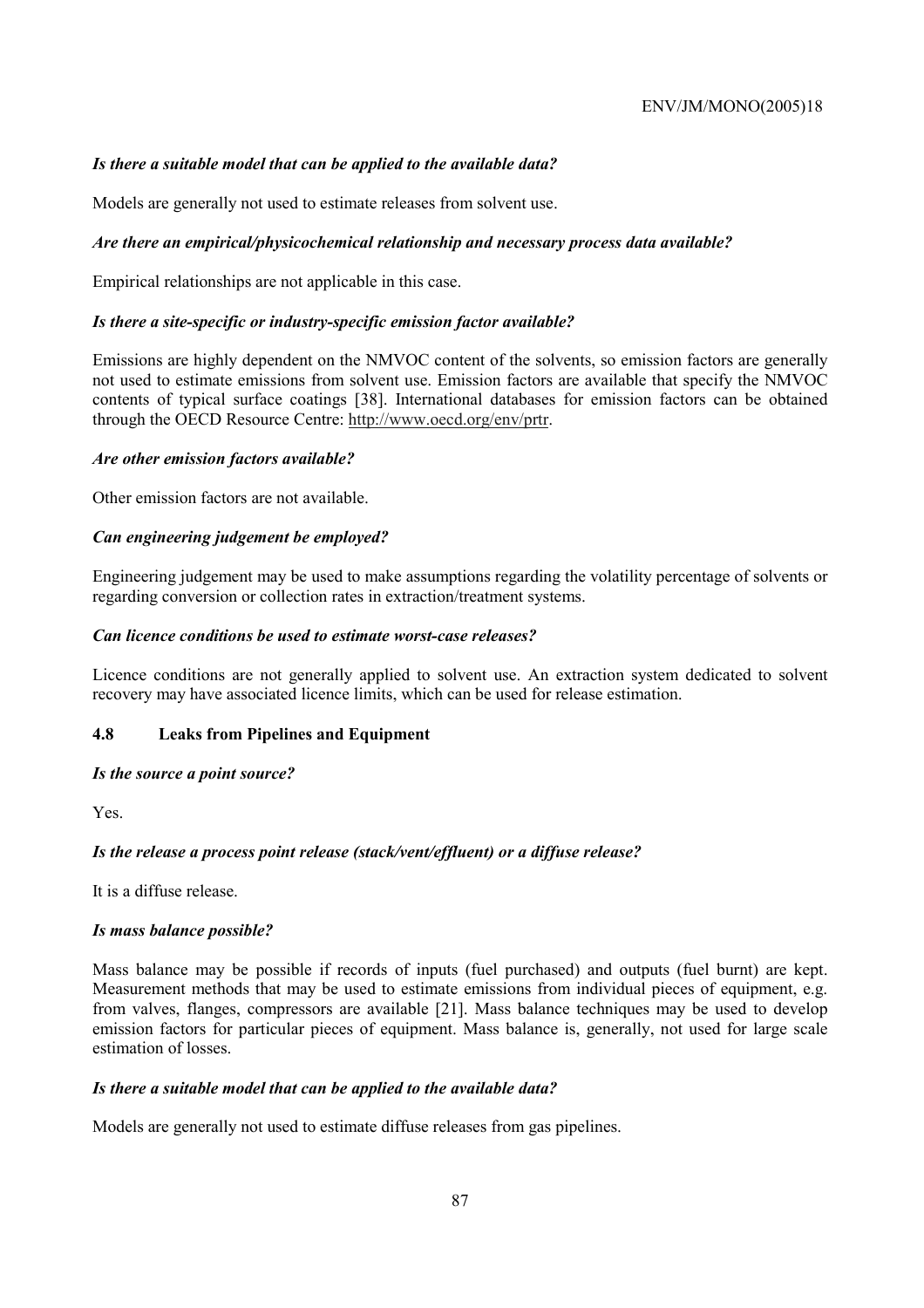# *Is there a suitable model that can be applied to the available data?*

Models are generally not used to estimate releases from solvent use.

# *Are there an empirical/physicochemical relationship and necessary process data available?*

Empirical relationships are not applicable in this case.

## *Is there a site-specific or industry-specific emission factor available?*

Emissions are highly dependent on the NMVOC content of the solvents, so emission factors are generally not used to estimate emissions from solvent use. Emission factors are available that specify the NMVOC contents of typical surface coatings [38]. International databases for emission factors can be obtained through the OECD Resource Centre: http://www.oecd.org/env/prtr.

# *Are other emission factors available?*

Other emission factors are not available.

# *Can engineering judgement be employed?*

Engineering judgement may be used to make assumptions regarding the volatility percentage of solvents or regarding conversion or collection rates in extraction/treatment systems.

# *Can licence conditions be used to estimate worst-case releases?*

Licence conditions are not generally applied to solvent use. An extraction system dedicated to solvent recovery may have associated licence limits, which can be used for release estimation.

# **4.8 Leaks from Pipelines and Equipment**

## *Is the source a point source?*

Yes.

# *Is the release a process point release (stack/vent/effluent) or a diffuse release?*

It is a diffuse release.

## *Is mass balance possible?*

Mass balance may be possible if records of inputs (fuel purchased) and outputs (fuel burnt) are kept. Measurement methods that may be used to estimate emissions from individual pieces of equipment, e.g. from valves, flanges, compressors are available [21]. Mass balance techniques may be used to develop emission factors for particular pieces of equipment. Mass balance is, generally, not used for large scale estimation of losses.

## *Is there a suitable model that can be applied to the available data?*

Models are generally not used to estimate diffuse releases from gas pipelines.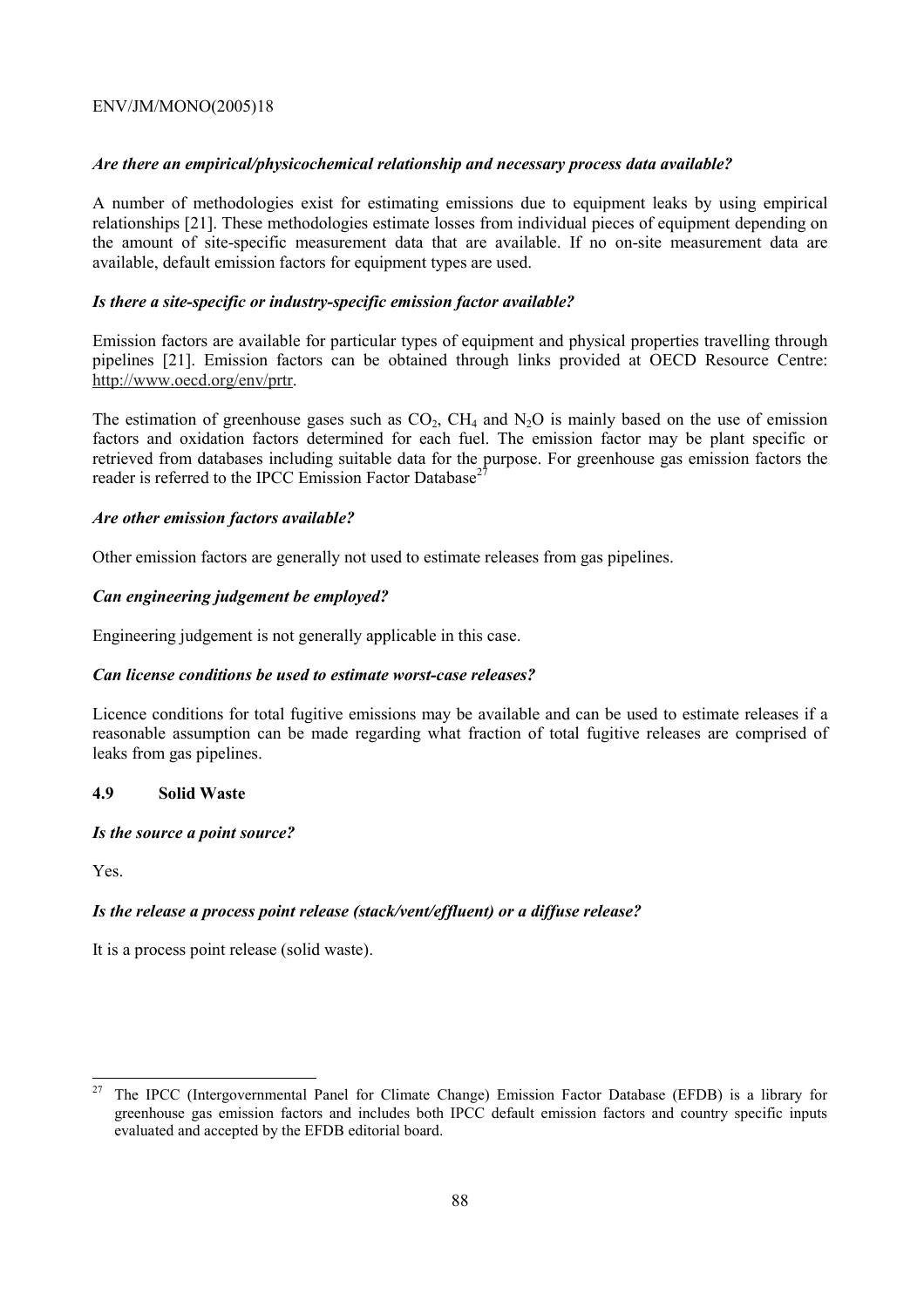# *Are there an empirical/physicochemical relationship and necessary process data available?*

A number of methodologies exist for estimating emissions due to equipment leaks by using empirical relationships [21]. These methodologies estimate losses from individual pieces of equipment depending on the amount of site-specific measurement data that are available. If no on-site measurement data are available, default emission factors for equipment types are used.

## *Is there a site-specific or industry-specific emission factor available?*

Emission factors are available for particular types of equipment and physical properties travelling through pipelines [21]. Emission factors can be obtained through links provided at OECD Resource Centre: http://www.oecd.org/env/prtr.

The estimation of greenhouse gases such as  $CO<sub>2</sub>$ ,  $CH<sub>4</sub>$  and  $N<sub>2</sub>O$  is mainly based on the use of emission factors and oxidation factors determined for each fuel. The emission factor may be plant specific or retrieved from databases including suitable data for the purpose. For greenhouse gas emission factors the reader is referred to the IPCC Emission Factor Database<sup>2</sup>

## *Are other emission factors available?*

Other emission factors are generally not used to estimate releases from gas pipelines.

# *Can engineering judgement be employed?*

Engineering judgement is not generally applicable in this case.

## *Can license conditions be used to estimate worst-case releases?*

Licence conditions for total fugitive emissions may be available and can be used to estimate releases if a reasonable assumption can be made regarding what fraction of total fugitive releases are comprised of leaks from gas pipelines.

## **4.9 Solid Waste**

## *Is the source a point source?*

Yes.

# *Is the release a process point release (stack/vent/effluent) or a diffuse release?*

It is a process point release (solid waste).

<sup>27</sup> The IPCC (Intergovernmental Panel for Climate Change) Emission Factor Database (EFDB) is a library for greenhouse gas emission factors and includes both IPCC default emission factors and country specific inputs evaluated and accepted by the EFDB editorial board.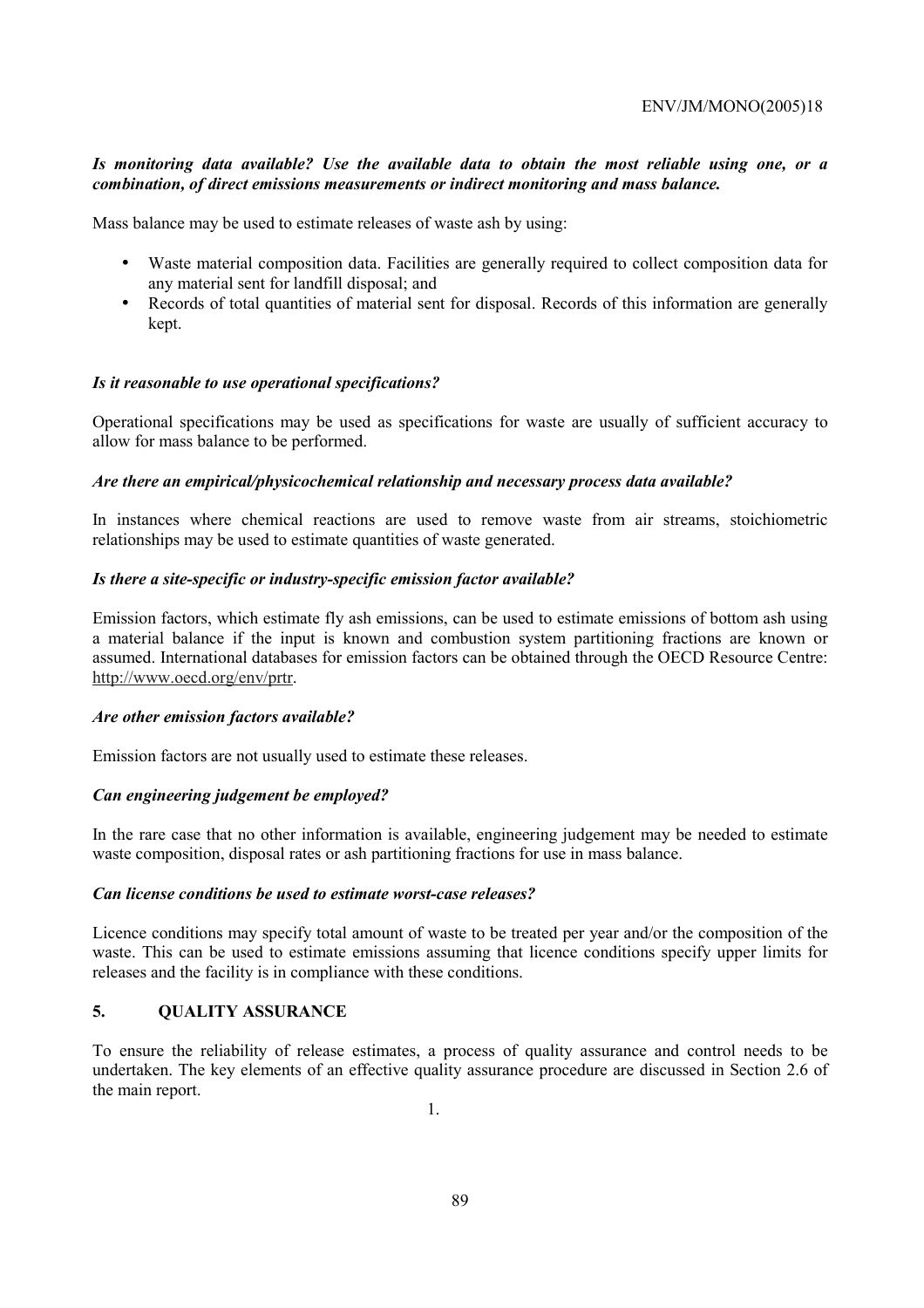### *Is monitoring data available? Use the available data to obtain the most reliable using one, or a combination, of direct emissions measurements or indirect monitoring and mass balance.*

Mass balance may be used to estimate releases of waste ash by using:

- Waste material composition data. Facilities are generally required to collect composition data for any material sent for landfill disposal; and
- Records of total quantities of material sent for disposal. Records of this information are generally kept.

## *Is it reasonable to use operational specifications?*

Operational specifications may be used as specifications for waste are usually of sufficient accuracy to allow for mass balance to be performed.

### *Are there an empirical/physicochemical relationship and necessary process data available?*

In instances where chemical reactions are used to remove waste from air streams, stoichiometric relationships may be used to estimate quantities of waste generated.

### *Is there a site-specific or industry-specific emission factor available?*

Emission factors, which estimate fly ash emissions, can be used to estimate emissions of bottom ash using a material balance if the input is known and combustion system partitioning fractions are known or assumed. International databases for emission factors can be obtained through the OECD Resource Centre: http://www.oecd.org/env/prtr.

### *Are other emission factors available?*

Emission factors are not usually used to estimate these releases.

## *Can engineering judgement be employed?*

In the rare case that no other information is available, engineering judgement may be needed to estimate waste composition, disposal rates or ash partitioning fractions for use in mass balance.

### *Can license conditions be used to estimate worst-case releases?*

Licence conditions may specify total amount of waste to be treated per year and/or the composition of the waste. This can be used to estimate emissions assuming that licence conditions specify upper limits for releases and the facility is in compliance with these conditions.

## **5. QUALITY ASSURANCE**

To ensure the reliability of release estimates, a process of quality assurance and control needs to be undertaken. The key elements of an effective quality assurance procedure are discussed in Section 2.6 of the main report.

1.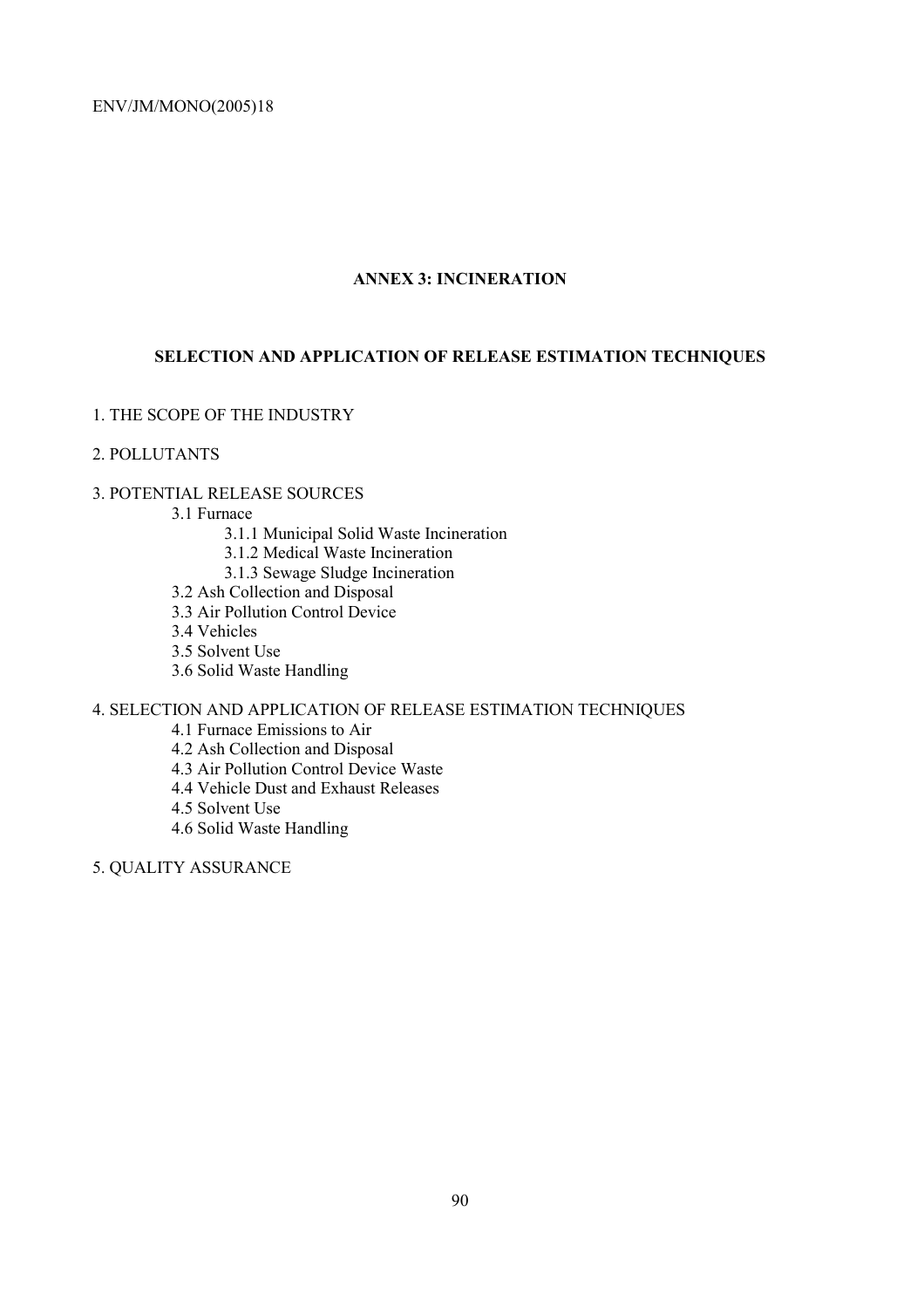## **ANNEX 3: INCINERATION**

# **SELECTION AND APPLICATION OF RELEASE ESTIMATION TECHNIQUES**

# 1. THE SCOPE OF THE INDUSTRY

# 2. POLLUTANTS

# 3. POTENTIAL RELEASE SOURCES

3.1 Furnace

- 3.1.1 Municipal Solid Waste Incineration
- 3.1.2 Medical Waste Incineration
- 3.1.3 Sewage Sludge Incineration
- 3.2 Ash Collection and Disposal
- 3.3 Air Pollution Control Device
- 3.4 Vehicles
- 3.5 Solvent Use
- 3.6 Solid Waste Handling

# 4. SELECTION AND APPLICATION OF RELEASE ESTIMATION TECHNIQUES

- 4.1 Furnace Emissions to Air
	- 4.2 Ash Collection and Disposal
	- 4.3 Air Pollution Control Device Waste
	- 4.4 Vehicle Dust and Exhaust Releases
	- 4.5 Solvent Use
	- 4.6 Solid Waste Handling

5. QUALITY ASSURANCE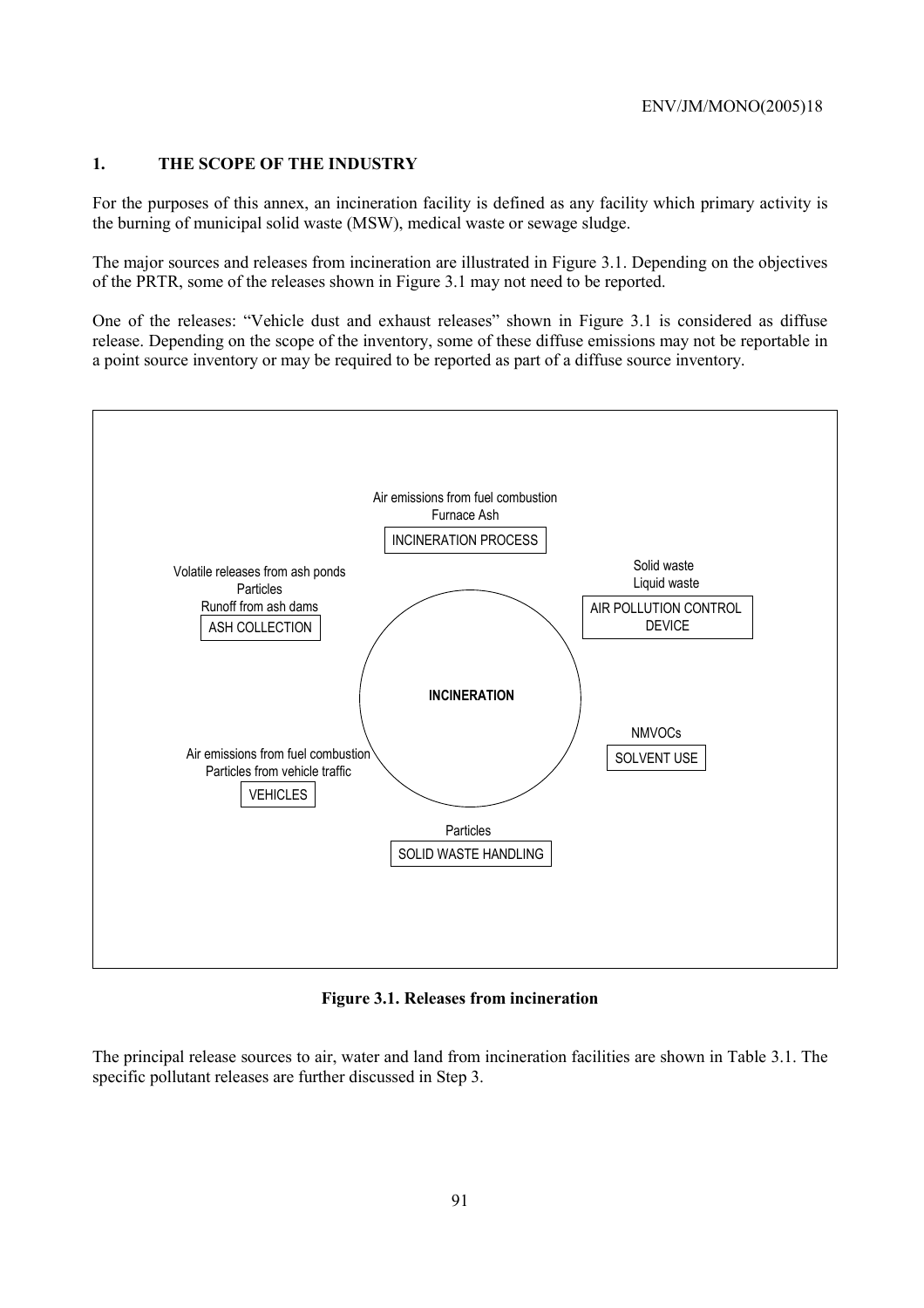# **1. THE SCOPE OF THE INDUSTRY**

For the purposes of this annex, an incineration facility is defined as any facility which primary activity is the burning of municipal solid waste (MSW), medical waste or sewage sludge.

The major sources and releases from incineration are illustrated in Figure 3.1. Depending on the objectives of the PRTR, some of the releases shown in Figure 3.1 may not need to be reported.

One of the releases: "Vehicle dust and exhaust releases" shown in Figure 3.1 is considered as diffuse release. Depending on the scope of the inventory, some of these diffuse emissions may not be reportable in a point source inventory or may be required to be reported as part of a diffuse source inventory.



**Figure 3.1. Releases from incineration** 

The principal release sources to air, water and land from incineration facilities are shown in Table 3.1. The specific pollutant releases are further discussed in Step 3.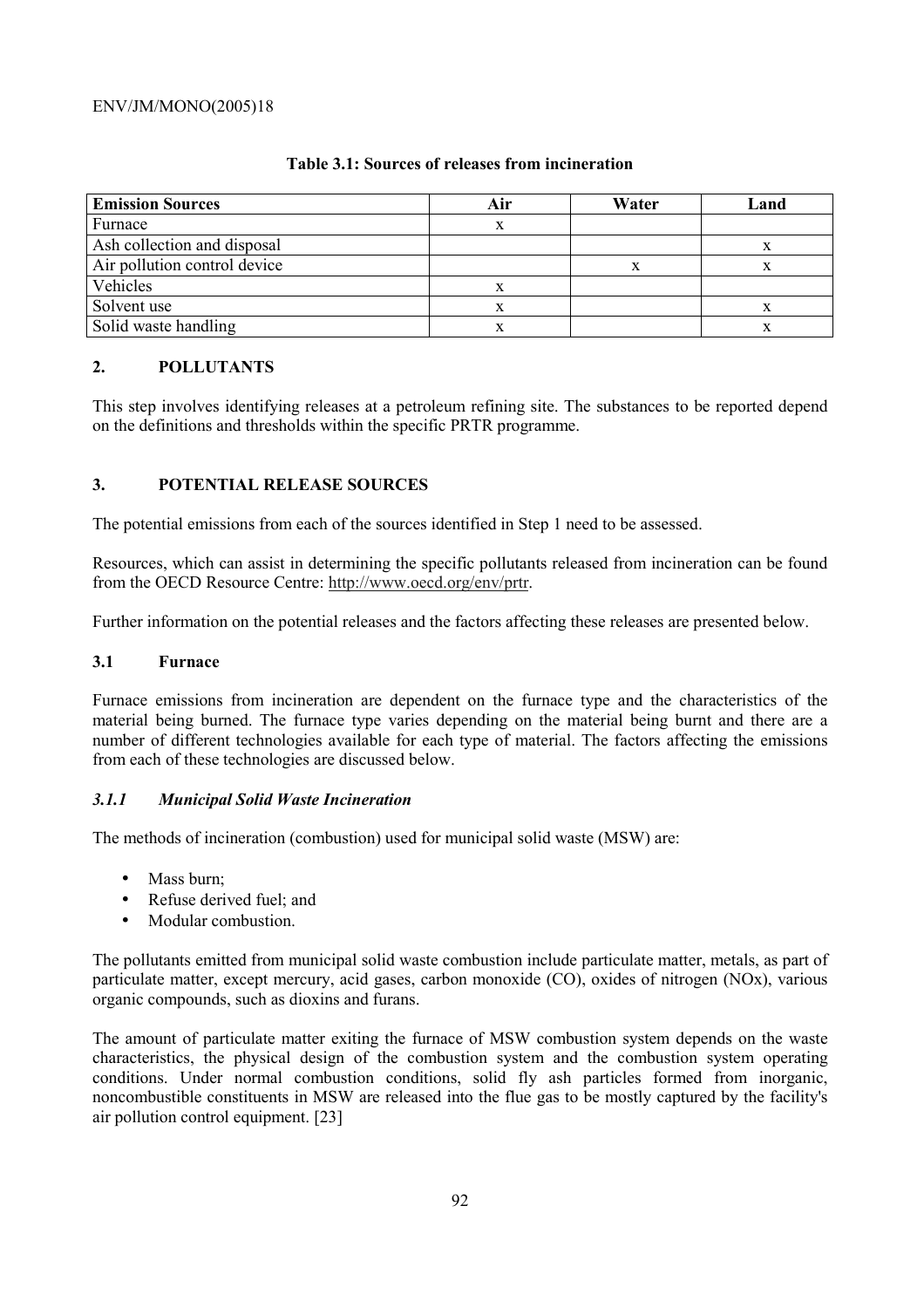| <b>Emission Sources</b>      | Air | Water | Land |
|------------------------------|-----|-------|------|
| Furnace                      |     |       |      |
| Ash collection and disposal  |     |       |      |
| Air pollution control device |     |       |      |
| Vehicles                     |     |       |      |
| Solvent use                  |     |       | X    |
| Solid waste handling         |     |       |      |

## **Table 3.1: Sources of releases from incineration**

# **2. POLLUTANTS**

This step involves identifying releases at a petroleum refining site. The substances to be reported depend on the definitions and thresholds within the specific PRTR programme.

# **3. POTENTIAL RELEASE SOURCES**

The potential emissions from each of the sources identified in Step 1 need to be assessed.

Resources, which can assist in determining the specific pollutants released from incineration can be found from the OECD Resource Centre: http://www.oecd.org/env/prtr.

Further information on the potential releases and the factors affecting these releases are presented below.

### **3.1 Furnace**

Furnace emissions from incineration are dependent on the furnace type and the characteristics of the material being burned. The furnace type varies depending on the material being burnt and there are a number of different technologies available for each type of material. The factors affecting the emissions from each of these technologies are discussed below.

## *3.1.1 Municipal Solid Waste Incineration*

The methods of incineration (combustion) used for municipal solid waste (MSW) are:

- Mass burn:
- Refuse derived fuel; and
- Modular combustion.

The pollutants emitted from municipal solid waste combustion include particulate matter, metals, as part of particulate matter, except mercury, acid gases, carbon monoxide (CO), oxides of nitrogen (NOx), various organic compounds, such as dioxins and furans.

The amount of particulate matter exiting the furnace of MSW combustion system depends on the waste characteristics, the physical design of the combustion system and the combustion system operating conditions. Under normal combustion conditions, solid fly ash particles formed from inorganic, noncombustible constituents in MSW are released into the flue gas to be mostly captured by the facility's air pollution control equipment. [23]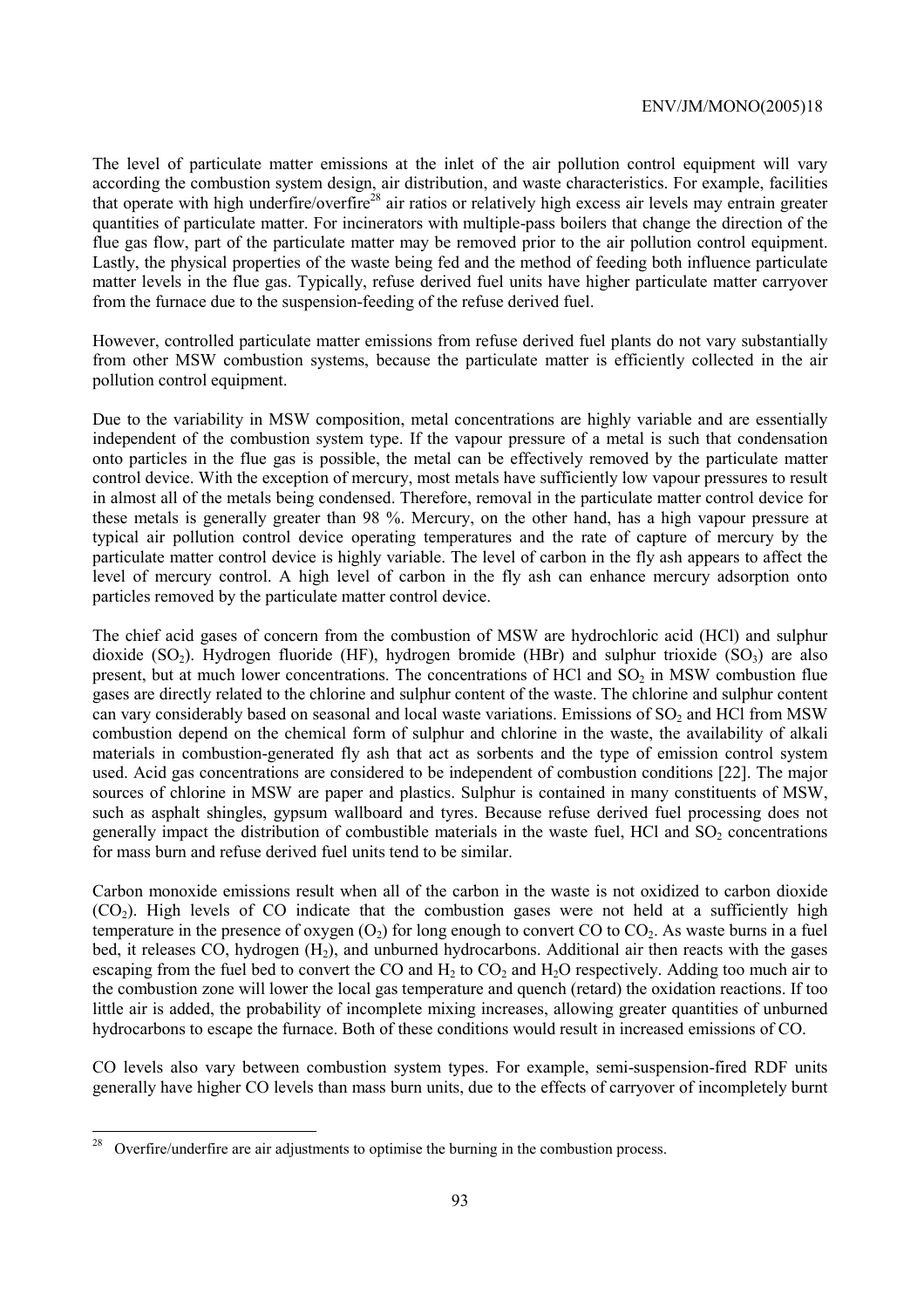The level of particulate matter emissions at the inlet of the air pollution control equipment will vary according the combustion system design, air distribution, and waste characteristics. For example, facilities that operate with high underfire/overfire<sup>28</sup> air ratios or relatively high excess air levels may entrain greater quantities of particulate matter. For incinerators with multiple-pass boilers that change the direction of the flue gas flow, part of the particulate matter may be removed prior to the air pollution control equipment. Lastly, the physical properties of the waste being fed and the method of feeding both influence particulate matter levels in the flue gas. Typically, refuse derived fuel units have higher particulate matter carryover from the furnace due to the suspension-feeding of the refuse derived fuel.

However, controlled particulate matter emissions from refuse derived fuel plants do not vary substantially from other MSW combustion systems, because the particulate matter is efficiently collected in the air pollution control equipment.

Due to the variability in MSW composition, metal concentrations are highly variable and are essentially independent of the combustion system type. If the vapour pressure of a metal is such that condensation onto particles in the flue gas is possible, the metal can be effectively removed by the particulate matter control device. With the exception of mercury, most metals have sufficiently low vapour pressures to result in almost all of the metals being condensed. Therefore, removal in the particulate matter control device for these metals is generally greater than 98 %. Mercury, on the other hand, has a high vapour pressure at typical air pollution control device operating temperatures and the rate of capture of mercury by the particulate matter control device is highly variable. The level of carbon in the fly ash appears to affect the level of mercury control. A high level of carbon in the fly ash can enhance mercury adsorption onto particles removed by the particulate matter control device.

The chief acid gases of concern from the combustion of MSW are hydrochloric acid (HCl) and sulphur dioxide  $(SO<sub>2</sub>)$ . Hydrogen fluoride (HF), hydrogen bromide (HBr) and sulphur trioxide  $(SO<sub>3</sub>)$  are also present, but at much lower concentrations. The concentrations of HCl and  $SO<sub>2</sub>$  in MSW combustion flue gases are directly related to the chlorine and sulphur content of the waste. The chlorine and sulphur content can vary considerably based on seasonal and local waste variations. Emissions of  $SO<sub>2</sub>$  and HCl from MSW combustion depend on the chemical form of sulphur and chlorine in the waste, the availability of alkali materials in combustion-generated fly ash that act as sorbents and the type of emission control system used. Acid gas concentrations are considered to be independent of combustion conditions [22]. The major sources of chlorine in MSW are paper and plastics. Sulphur is contained in many constituents of MSW, such as asphalt shingles, gypsum wallboard and tyres. Because refuse derived fuel processing does not generally impact the distribution of combustible materials in the waste fuel. HCl and  $SO<sub>2</sub>$  concentrations for mass burn and refuse derived fuel units tend to be similar.

Carbon monoxide emissions result when all of the carbon in the waste is not oxidized to carbon dioxide  $(CO<sub>2</sub>)$ . High levels of CO indicate that the combustion gases were not held at a sufficiently high temperature in the presence of oxygen  $(O_2)$  for long enough to convert CO to  $CO_2$ . As waste burns in a fuel bed, it releases  $CO$ , hydrogen  $(H_2)$ , and unburned hydrocarbons. Additional air then reacts with the gases escaping from the fuel bed to convert the CO and  $H_2$  to CO<sub>2</sub> and  $H_2O$  respectively. Adding too much air to the combustion zone will lower the local gas temperature and quench (retard) the oxidation reactions. If too little air is added, the probability of incomplete mixing increases, allowing greater quantities of unburned hydrocarbons to escape the furnace. Both of these conditions would result in increased emissions of CO.

CO levels also vary between combustion system types. For example, semi-suspension-fired RDF units generally have higher CO levels than mass burn units, due to the effects of carryover of incompletely burnt

 $28\,$ Overfire/underfire are air adjustments to optimise the burning in the combustion process.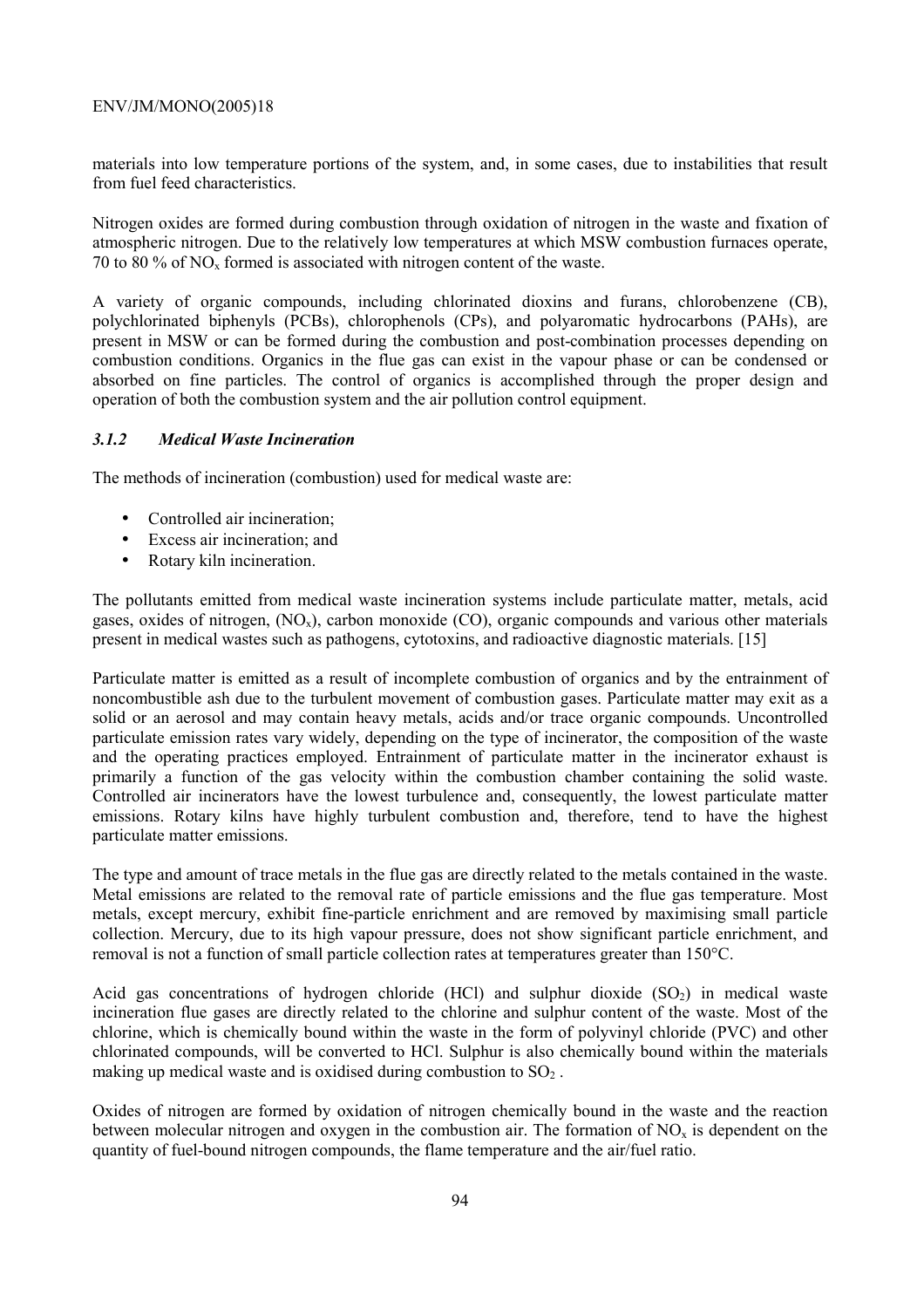materials into low temperature portions of the system, and, in some cases, due to instabilities that result from fuel feed characteristics.

Nitrogen oxides are formed during combustion through oxidation of nitrogen in the waste and fixation of atmospheric nitrogen. Due to the relatively low temperatures at which MSW combustion furnaces operate, 70 to 80  $\%$  of NO<sub>x</sub> formed is associated with nitrogen content of the waste.

A variety of organic compounds, including chlorinated dioxins and furans, chlorobenzene (CB), polychlorinated biphenyls (PCBs), chlorophenols (CPs), and polyaromatic hydrocarbons (PAHs), are present in MSW or can be formed during the combustion and post-combination processes depending on combustion conditions. Organics in the flue gas can exist in the vapour phase or can be condensed or absorbed on fine particles. The control of organics is accomplished through the proper design and operation of both the combustion system and the air pollution control equipment.

## *3.1.2 Medical Waste Incineration*

The methods of incineration (combustion) used for medical waste are:

- Controlled air incineration;
- Excess air incineration; and
- Rotary kiln incineration.

The pollutants emitted from medical waste incineration systems include particulate matter, metals, acid gases, oxides of nitrogen,  $(NO_x)$ , carbon monoxide  $(CO)$ , organic compounds and various other materials present in medical wastes such as pathogens, cytotoxins, and radioactive diagnostic materials. [15]

Particulate matter is emitted as a result of incomplete combustion of organics and by the entrainment of noncombustible ash due to the turbulent movement of combustion gases. Particulate matter may exit as a solid or an aerosol and may contain heavy metals, acids and/or trace organic compounds. Uncontrolled particulate emission rates vary widely, depending on the type of incinerator, the composition of the waste and the operating practices employed. Entrainment of particulate matter in the incinerator exhaust is primarily a function of the gas velocity within the combustion chamber containing the solid waste. Controlled air incinerators have the lowest turbulence and, consequently, the lowest particulate matter emissions. Rotary kilns have highly turbulent combustion and, therefore, tend to have the highest particulate matter emissions.

The type and amount of trace metals in the flue gas are directly related to the metals contained in the waste. Metal emissions are related to the removal rate of particle emissions and the flue gas temperature. Most metals, except mercury, exhibit fine-particle enrichment and are removed by maximising small particle collection. Mercury, due to its high vapour pressure, does not show significant particle enrichment, and removal is not a function of small particle collection rates at temperatures greater than 150°C.

Acid gas concentrations of hydrogen chloride (HCl) and sulphur dioxide  $(SO<sub>2</sub>)$  in medical waste incineration flue gases are directly related to the chlorine and sulphur content of the waste. Most of the chlorine, which is chemically bound within the waste in the form of polyvinyl chloride (PVC) and other chlorinated compounds, will be converted to HCl. Sulphur is also chemically bound within the materials making up medical waste and is oxidised during combustion to  $SO<sub>2</sub>$ .

Oxides of nitrogen are formed by oxidation of nitrogen chemically bound in the waste and the reaction between molecular nitrogen and oxygen in the combustion air. The formation of  $NO<sub>x</sub>$  is dependent on the quantity of fuel-bound nitrogen compounds, the flame temperature and the air/fuel ratio.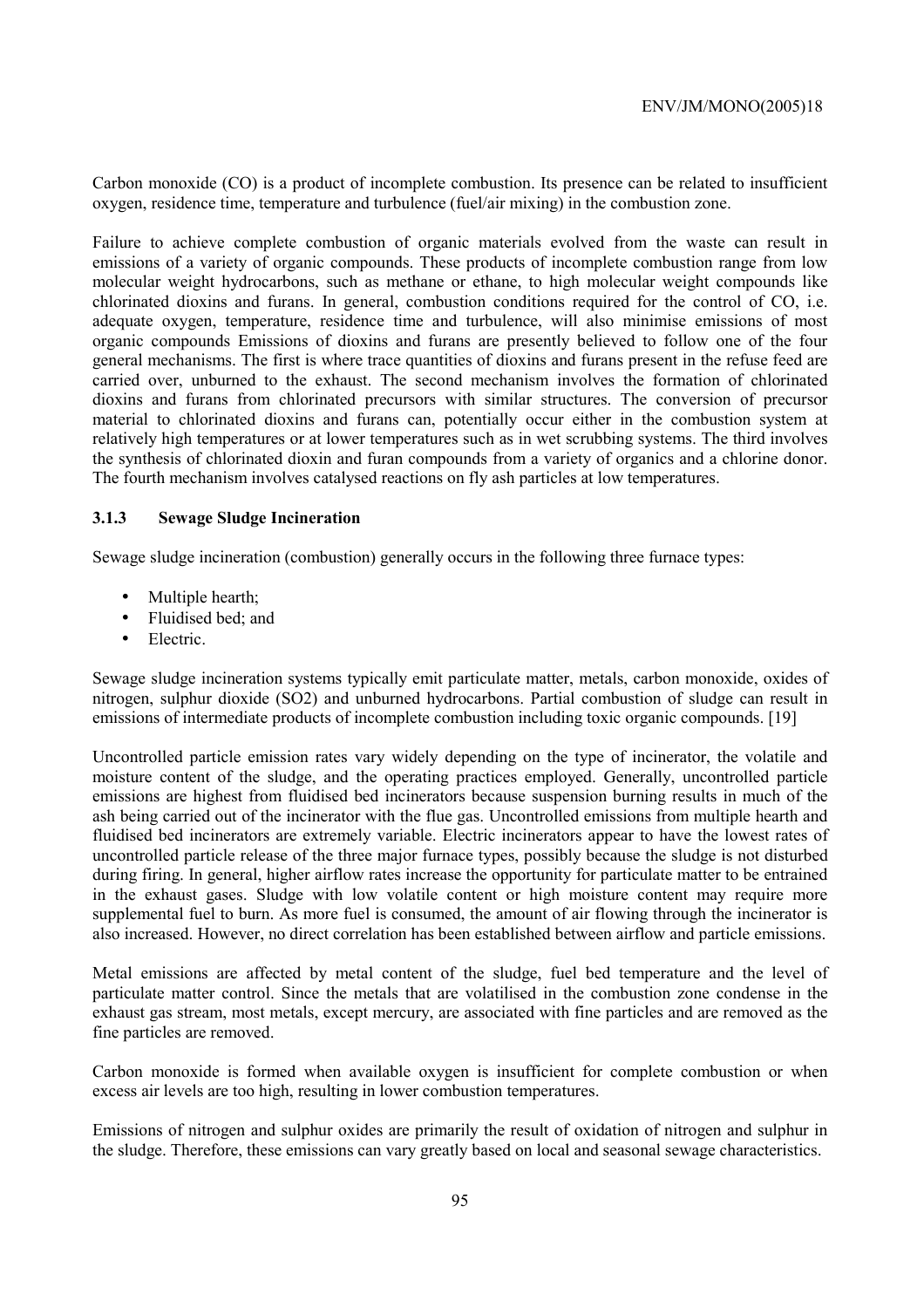Carbon monoxide (CO) is a product of incomplete combustion. Its presence can be related to insufficient oxygen, residence time, temperature and turbulence (fuel/air mixing) in the combustion zone.

Failure to achieve complete combustion of organic materials evolved from the waste can result in emissions of a variety of organic compounds. These products of incomplete combustion range from low molecular weight hydrocarbons, such as methane or ethane, to high molecular weight compounds like chlorinated dioxins and furans. In general, combustion conditions required for the control of CO, i.e. adequate oxygen, temperature, residence time and turbulence, will also minimise emissions of most organic compounds Emissions of dioxins and furans are presently believed to follow one of the four general mechanisms. The first is where trace quantities of dioxins and furans present in the refuse feed are carried over, unburned to the exhaust. The second mechanism involves the formation of chlorinated dioxins and furans from chlorinated precursors with similar structures. The conversion of precursor material to chlorinated dioxins and furans can, potentially occur either in the combustion system at relatively high temperatures or at lower temperatures such as in wet scrubbing systems. The third involves the synthesis of chlorinated dioxin and furan compounds from a variety of organics and a chlorine donor. The fourth mechanism involves catalysed reactions on fly ash particles at low temperatures.

### **3.1.3 Sewage Sludge Incineration**

Sewage sludge incineration (combustion) generally occurs in the following three furnace types:

- Multiple hearth;
- Fluidised bed; and
- Electric.

Sewage sludge incineration systems typically emit particulate matter, metals, carbon monoxide, oxides of nitrogen, sulphur dioxide (SO2) and unburned hydrocarbons. Partial combustion of sludge can result in emissions of intermediate products of incomplete combustion including toxic organic compounds. [19]

Uncontrolled particle emission rates vary widely depending on the type of incinerator, the volatile and moisture content of the sludge, and the operating practices employed. Generally, uncontrolled particle emissions are highest from fluidised bed incinerators because suspension burning results in much of the ash being carried out of the incinerator with the flue gas. Uncontrolled emissions from multiple hearth and fluidised bed incinerators are extremely variable. Electric incinerators appear to have the lowest rates of uncontrolled particle release of the three major furnace types, possibly because the sludge is not disturbed during firing. In general, higher airflow rates increase the opportunity for particulate matter to be entrained in the exhaust gases. Sludge with low volatile content or high moisture content may require more supplemental fuel to burn. As more fuel is consumed, the amount of air flowing through the incinerator is also increased. However, no direct correlation has been established between airflow and particle emissions.

Metal emissions are affected by metal content of the sludge, fuel bed temperature and the level of particulate matter control. Since the metals that are volatilised in the combustion zone condense in the exhaust gas stream, most metals, except mercury, are associated with fine particles and are removed as the fine particles are removed.

Carbon monoxide is formed when available oxygen is insufficient for complete combustion or when excess air levels are too high, resulting in lower combustion temperatures.

Emissions of nitrogen and sulphur oxides are primarily the result of oxidation of nitrogen and sulphur in the sludge. Therefore, these emissions can vary greatly based on local and seasonal sewage characteristics.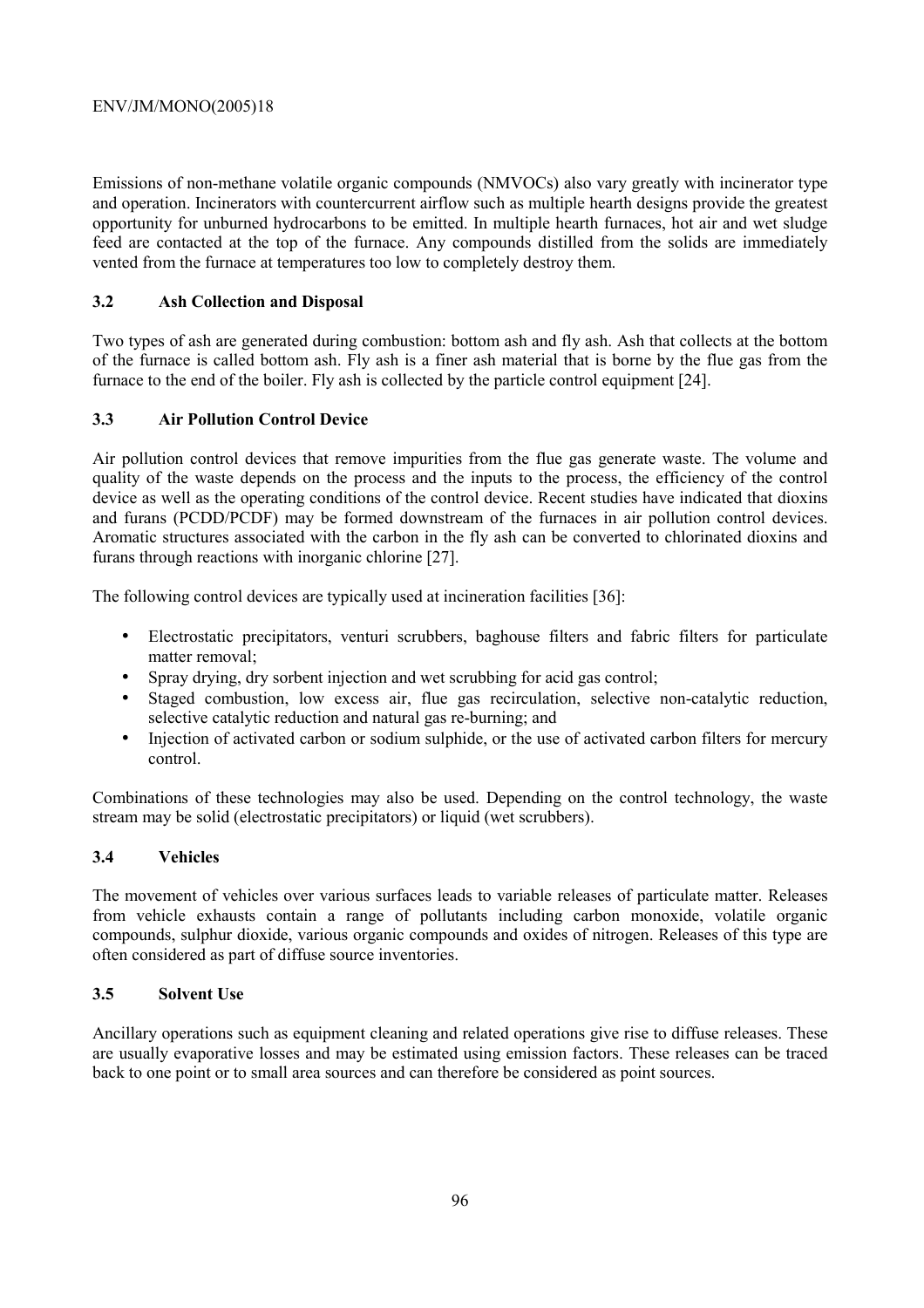Emissions of non-methane volatile organic compounds (NMVOCs) also vary greatly with incinerator type and operation. Incinerators with countercurrent airflow such as multiple hearth designs provide the greatest opportunity for unburned hydrocarbons to be emitted. In multiple hearth furnaces, hot air and wet sludge feed are contacted at the top of the furnace. Any compounds distilled from the solids are immediately vented from the furnace at temperatures too low to completely destroy them.

# **3.2 Ash Collection and Disposal**

Two types of ash are generated during combustion: bottom ash and fly ash. Ash that collects at the bottom of the furnace is called bottom ash. Fly ash is a finer ash material that is borne by the flue gas from the furnace to the end of the boiler. Fly ash is collected by the particle control equipment [24].

# **3.3 Air Pollution Control Device**

Air pollution control devices that remove impurities from the flue gas generate waste. The volume and quality of the waste depends on the process and the inputs to the process, the efficiency of the control device as well as the operating conditions of the control device. Recent studies have indicated that dioxins and furans (PCDD/PCDF) may be formed downstream of the furnaces in air pollution control devices. Aromatic structures associated with the carbon in the fly ash can be converted to chlorinated dioxins and furans through reactions with inorganic chlorine [27].

The following control devices are typically used at incineration facilities [36]:

- Electrostatic precipitators, venturi scrubbers, baghouse filters and fabric filters for particulate matter removal;
- Spray drying, dry sorbent injection and wet scrubbing for acid gas control;
- Staged combustion, low excess air, flue gas recirculation, selective non-catalytic reduction, selective catalytic reduction and natural gas re-burning; and
- Injection of activated carbon or sodium sulphide, or the use of activated carbon filters for mercury control.

Combinations of these technologies may also be used. Depending on the control technology, the waste stream may be solid (electrostatic precipitators) or liquid (wet scrubbers).

## **3.4 Vehicles**

The movement of vehicles over various surfaces leads to variable releases of particulate matter. Releases from vehicle exhausts contain a range of pollutants including carbon monoxide, volatile organic compounds, sulphur dioxide, various organic compounds and oxides of nitrogen. Releases of this type are often considered as part of diffuse source inventories.

## **3.5 Solvent Use**

Ancillary operations such as equipment cleaning and related operations give rise to diffuse releases. These are usually evaporative losses and may be estimated using emission factors. These releases can be traced back to one point or to small area sources and can therefore be considered as point sources.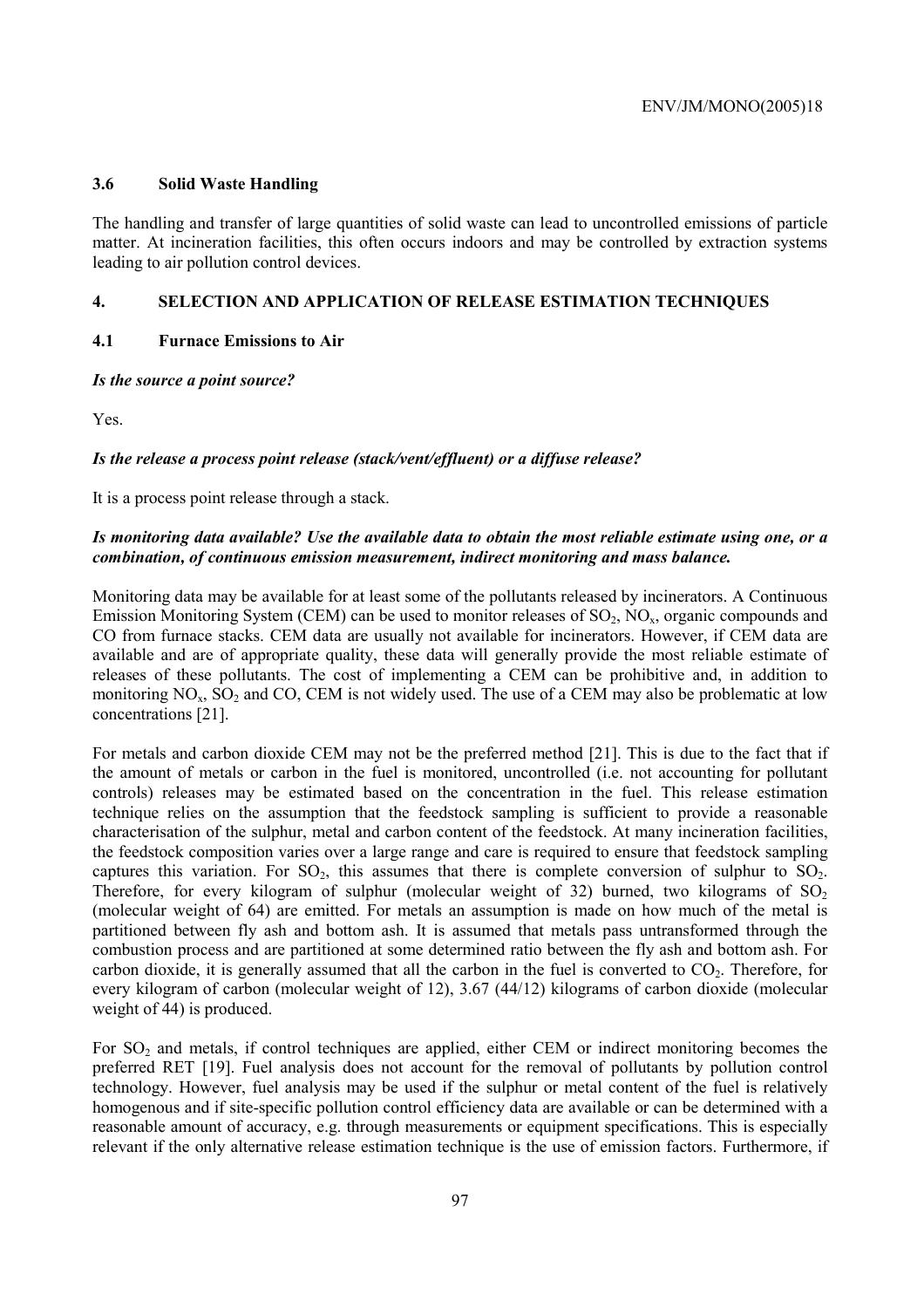### **3.6 Solid Waste Handling**

The handling and transfer of large quantities of solid waste can lead to uncontrolled emissions of particle matter. At incineration facilities, this often occurs indoors and may be controlled by extraction systems leading to air pollution control devices.

### **4. SELECTION AND APPLICATION OF RELEASE ESTIMATION TECHNIQUES**

### **4.1 Furnace Emissions to Air**

### *Is the source a point source?*

Yes.

### *Is the release a process point release (stack/vent/effluent) or a diffuse release?*

It is a process point release through a stack.

## *Is monitoring data available? Use the available data to obtain the most reliable estimate using one, or a combination, of continuous emission measurement, indirect monitoring and mass balance.*

Monitoring data may be available for at least some of the pollutants released by incinerators. A Continuous Emission Monitoring System (CEM) can be used to monitor releases of  $SO_2$ ,  $NO_x$ , organic compounds and CO from furnace stacks. CEM data are usually not available for incinerators. However, if CEM data are available and are of appropriate quality, these data will generally provide the most reliable estimate of releases of these pollutants. The cost of implementing a CEM can be prohibitive and, in addition to monitoring  $NO_x$ ,  $SO_2$  and  $CO$ , CEM is not widely used. The use of a CEM may also be problematic at low concentrations [21].

For metals and carbon dioxide CEM may not be the preferred method [21]. This is due to the fact that if the amount of metals or carbon in the fuel is monitored, uncontrolled (i.e. not accounting for pollutant controls) releases may be estimated based on the concentration in the fuel. This release estimation technique relies on the assumption that the feedstock sampling is sufficient to provide a reasonable characterisation of the sulphur, metal and carbon content of the feedstock. At many incineration facilities, the feedstock composition varies over a large range and care is required to ensure that feedstock sampling captures this variation. For  $SO_2$ , this assumes that there is complete conversion of sulphur to  $SO_2$ . Therefore, for every kilogram of sulphur (molecular weight of  $32$ ) burned, two kilograms of  $SO<sub>2</sub>$ (molecular weight of 64) are emitted. For metals an assumption is made on how much of the metal is partitioned between fly ash and bottom ash. It is assumed that metals pass untransformed through the combustion process and are partitioned at some determined ratio between the fly ash and bottom ash. For carbon dioxide, it is generally assumed that all the carbon in the fuel is converted to  $CO<sub>2</sub>$ . Therefore, for every kilogram of carbon (molecular weight of 12), 3.67 (44/12) kilograms of carbon dioxide (molecular weight of 44) is produced.

For  $SO_2$  and metals, if control techniques are applied, either CEM or indirect monitoring becomes the preferred RET [19]. Fuel analysis does not account for the removal of pollutants by pollution control technology. However, fuel analysis may be used if the sulphur or metal content of the fuel is relatively homogenous and if site-specific pollution control efficiency data are available or can be determined with a reasonable amount of accuracy, e.g. through measurements or equipment specifications. This is especially relevant if the only alternative release estimation technique is the use of emission factors. Furthermore, if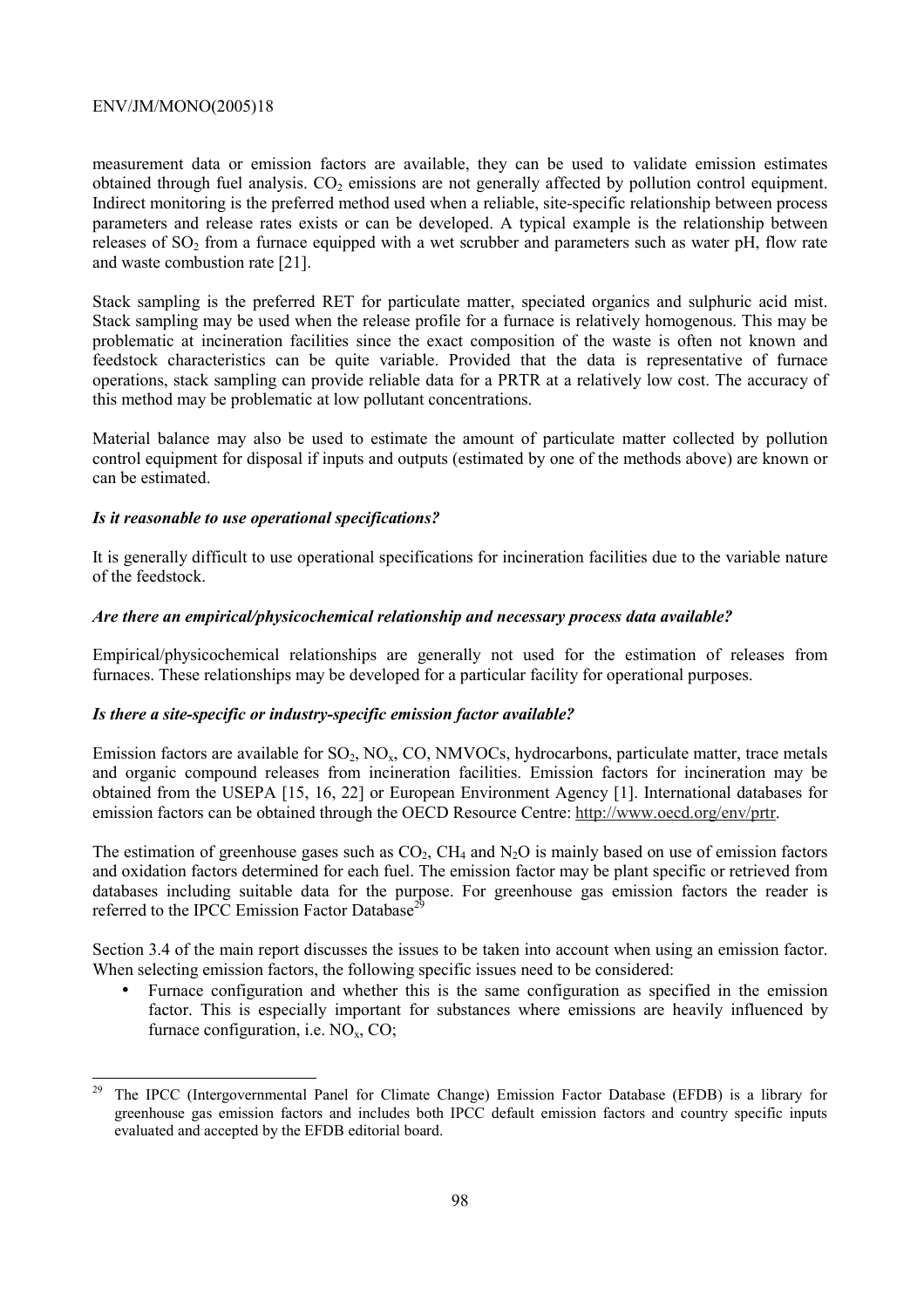measurement data or emission factors are available, they can be used to validate emission estimates obtained through fuel analysis.  $CO<sub>2</sub>$  emissions are not generally affected by pollution control equipment. Indirect monitoring is the preferred method used when a reliable, site-specific relationship between process parameters and release rates exists or can be developed. A typical example is the relationship between releases of  $SO_2$  from a furnace equipped with a wet scrubber and parameters such as water pH, flow rate and waste combustion rate [21].

Stack sampling is the preferred RET for particulate matter, speciated organics and sulphuric acid mist. Stack sampling may be used when the release profile for a furnace is relatively homogenous. This may be problematic at incineration facilities since the exact composition of the waste is often not known and feedstock characteristics can be quite variable. Provided that the data is representative of furnace operations, stack sampling can provide reliable data for a PRTR at a relatively low cost. The accuracy of this method may be problematic at low pollutant concentrations.

Material balance may also be used to estimate the amount of particulate matter collected by pollution control equipment for disposal if inputs and outputs (estimated by one of the methods above) are known or can be estimated.

## *Is it reasonable to use operational specifications?*

It is generally difficult to use operational specifications for incineration facilities due to the variable nature of the feedstock.

### *Are there an empirical/physicochemical relationship and necessary process data available?*

Empirical/physicochemical relationships are generally not used for the estimation of releases from furnaces. These relationships may be developed for a particular facility for operational purposes.

## *Is there a site-specific or industry-specific emission factor available?*

Emission factors are available for  $SO_2$ ,  $NO_x$ ,  $CO$ ,  $NMVOCs$ , hydrocarbons, particulate matter, trace metals and organic compound releases from incineration facilities. Emission factors for incineration may be obtained from the USEPA [15, 16, 22] or European Environment Agency [1]. International databases for emission factors can be obtained through the OECD Resource Centre: http://www.oecd.org/env/prtr.

The estimation of greenhouse gases such as  $CO<sub>2</sub>$ ,  $CH<sub>4</sub>$  and  $N<sub>2</sub>O$  is mainly based on use of emission factors and oxidation factors determined for each fuel. The emission factor may be plant specific or retrieved from databases including suitable data for the purpose. For greenhouse gas emission factors the reader is referred to the IPCC Emission Factor Database<sup>29</sup>

Section 3.4 of the main report discusses the issues to be taken into account when using an emission factor. When selecting emission factors, the following specific issues need to be considered:

• Furnace configuration and whether this is the same configuration as specified in the emission factor. This is especially important for substances where emissions are heavily influenced by furnace configuration, i.e.  $NO<sub>x</sub>$ , CO;

<sup>29</sup> The IPCC (Intergovernmental Panel for Climate Change) Emission Factor Database (EFDB) is a library for greenhouse gas emission factors and includes both IPCC default emission factors and country specific inputs evaluated and accepted by the EFDB editorial board.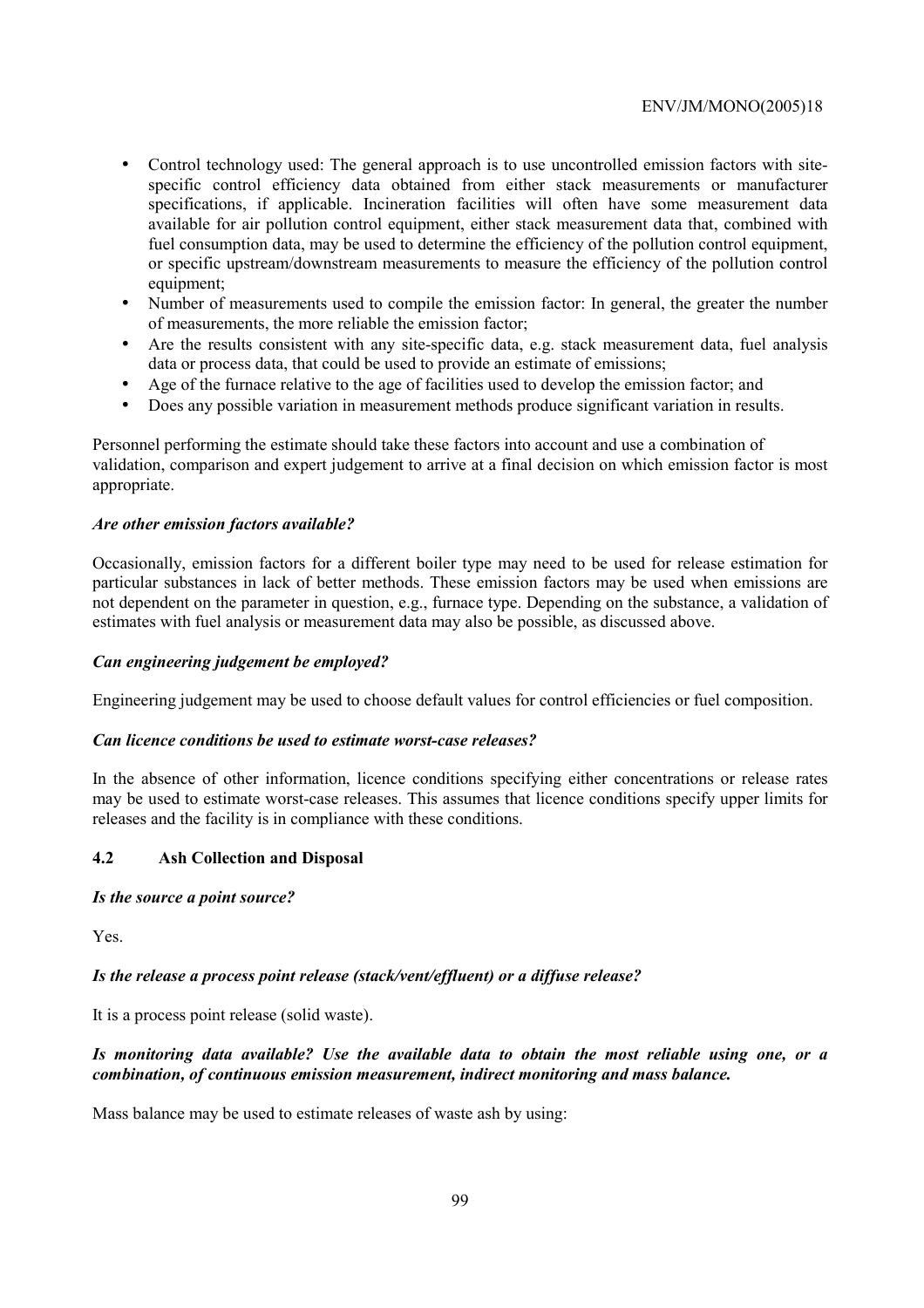- Control technology used: The general approach is to use uncontrolled emission factors with sitespecific control efficiency data obtained from either stack measurements or manufacturer specifications, if applicable. Incineration facilities will often have some measurement data available for air pollution control equipment, either stack measurement data that, combined with fuel consumption data, may be used to determine the efficiency of the pollution control equipment, or specific upstream/downstream measurements to measure the efficiency of the pollution control equipment;
- Number of measurements used to compile the emission factor: In general, the greater the number of measurements, the more reliable the emission factor;
- Are the results consistent with any site-specific data, e.g. stack measurement data, fuel analysis data or process data, that could be used to provide an estimate of emissions;
- Age of the furnace relative to the age of facilities used to develop the emission factor; and
- Does any possible variation in measurement methods produce significant variation in results.

Personnel performing the estimate should take these factors into account and use a combination of validation, comparison and expert judgement to arrive at a final decision on which emission factor is most appropriate.

## *Are other emission factors available?*

Occasionally, emission factors for a different boiler type may need to be used for release estimation for particular substances in lack of better methods. These emission factors may be used when emissions are not dependent on the parameter in question, e.g., furnace type. Depending on the substance, a validation of estimates with fuel analysis or measurement data may also be possible, as discussed above.

## *Can engineering judgement be employed?*

Engineering judgement may be used to choose default values for control efficiencies or fuel composition.

## *Can licence conditions be used to estimate worst-case releases?*

In the absence of other information, licence conditions specifying either concentrations or release rates may be used to estimate worst-case releases. This assumes that licence conditions specify upper limits for releases and the facility is in compliance with these conditions.

## **4.2 Ash Collection and Disposal**

## *Is the source a point source?*

Yes.

## *Is the release a process point release (stack/vent/effluent) or a diffuse release?*

It is a process point release (solid waste).

# *Is monitoring data available? Use the available data to obtain the most reliable using one, or a combination, of continuous emission measurement, indirect monitoring and mass balance.*

Mass balance may be used to estimate releases of waste ash by using: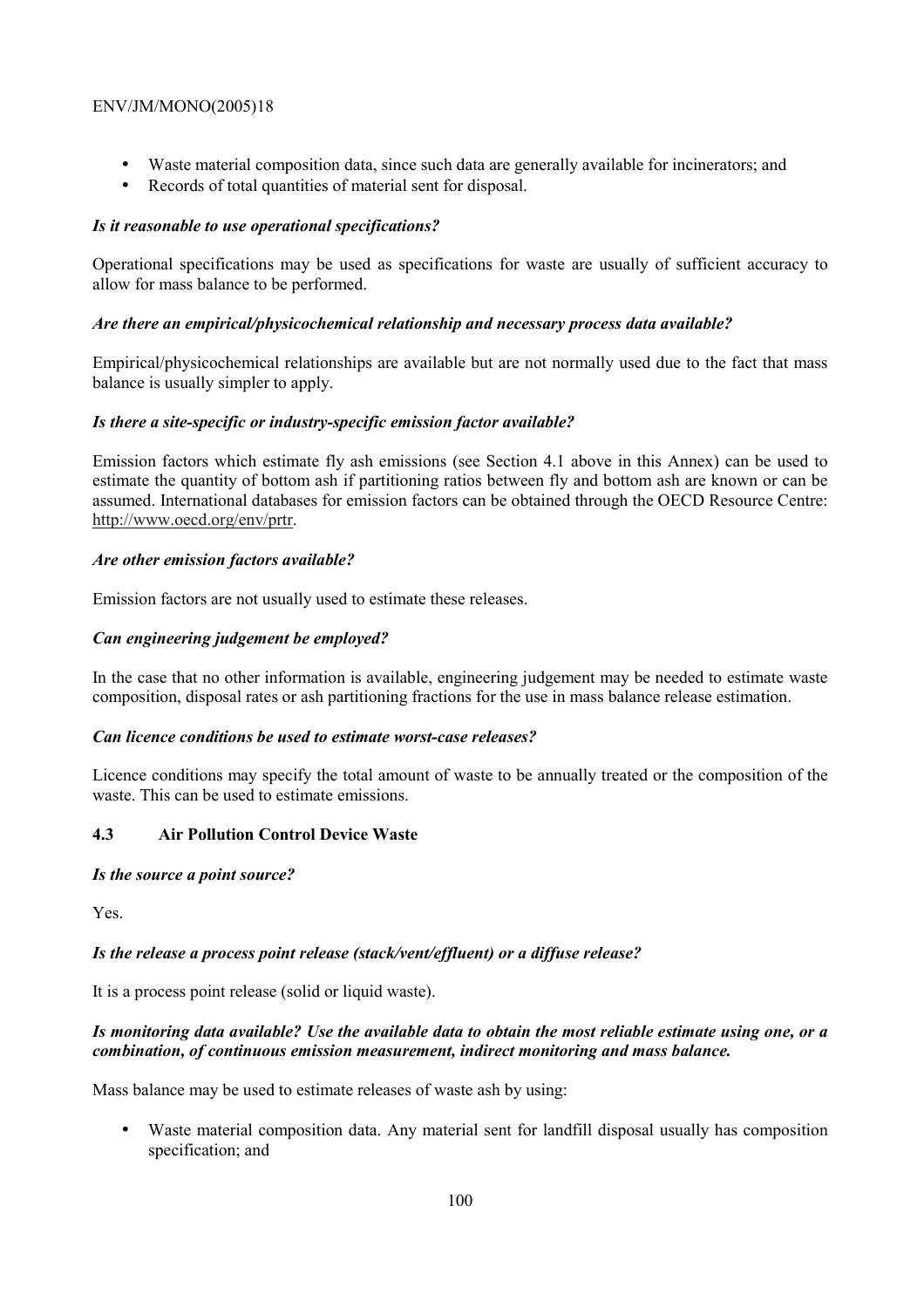- Waste material composition data, since such data are generally available for incinerators; and
- Records of total quantities of material sent for disposal.

## *Is it reasonable to use operational specifications?*

Operational specifications may be used as specifications for waste are usually of sufficient accuracy to allow for mass balance to be performed.

## *Are there an empirical/physicochemical relationship and necessary process data available?*

Empirical/physicochemical relationships are available but are not normally used due to the fact that mass balance is usually simpler to apply.

## *Is there a site-specific or industry-specific emission factor available?*

Emission factors which estimate fly ash emissions (see Section 4.1 above in this Annex) can be used to estimate the quantity of bottom ash if partitioning ratios between fly and bottom ash are known or can be assumed. International databases for emission factors can be obtained through the OECD Resource Centre: http://www.oecd.org/env/prtr.

# *Are other emission factors available?*

Emission factors are not usually used to estimate these releases.

# *Can engineering judgement be employed?*

In the case that no other information is available, engineering judgement may be needed to estimate waste composition, disposal rates or ash partitioning fractions for the use in mass balance release estimation.

## *Can licence conditions be used to estimate worst-case releases?*

Licence conditions may specify the total amount of waste to be annually treated or the composition of the waste. This can be used to estimate emissions.

# **4.3 Air Pollution Control Device Waste**

## *Is the source a point source?*

Yes.

# *Is the release a process point release (stack/vent/effluent) or a diffuse release?*

It is a process point release (solid or liquid waste).

# *Is monitoring data available? Use the available data to obtain the most reliable estimate using one, or a combination, of continuous emission measurement, indirect monitoring and mass balance.*

Mass balance may be used to estimate releases of waste ash by using:

• Waste material composition data. Any material sent for landfill disposal usually has composition specification; and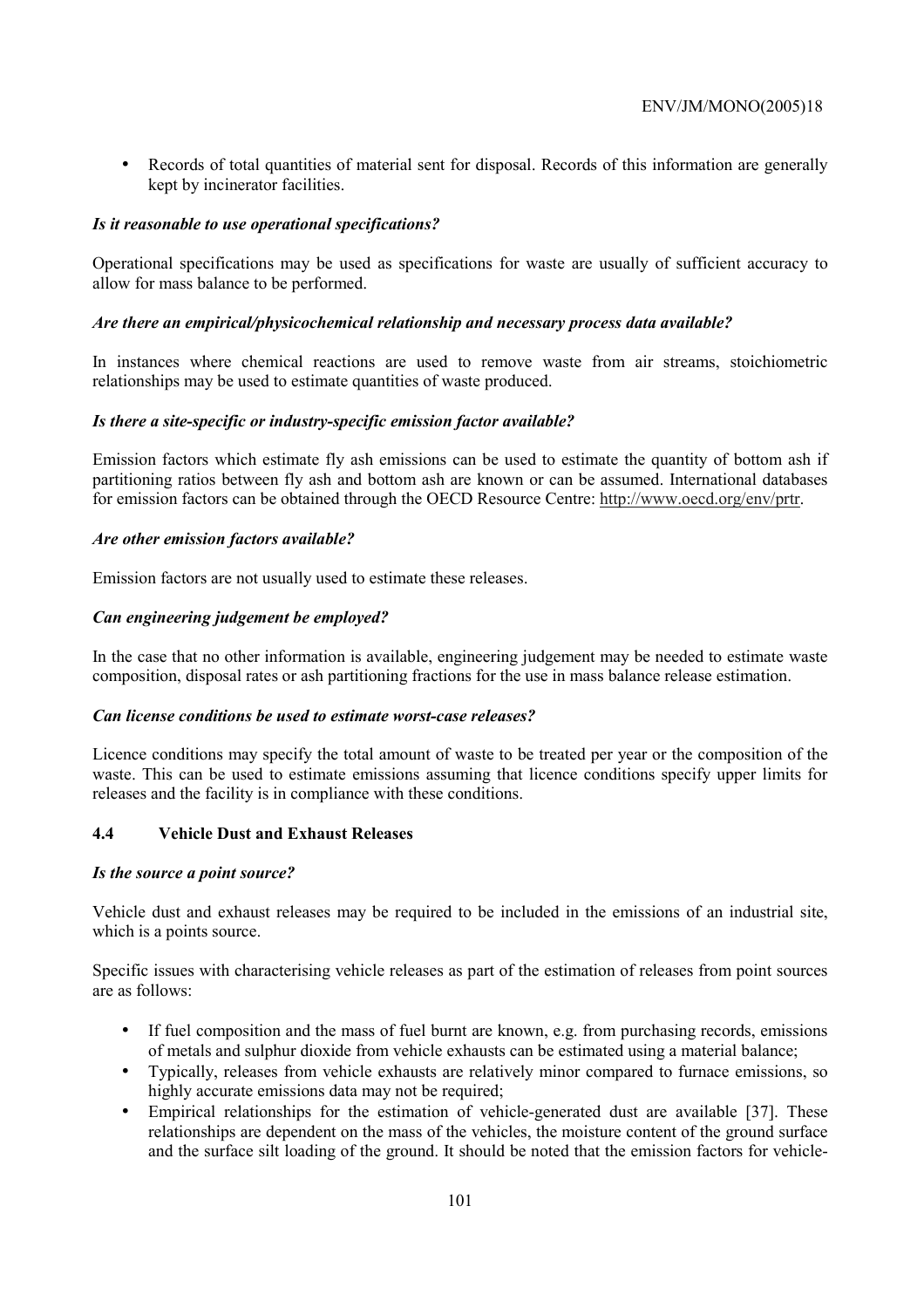• Records of total quantities of material sent for disposal. Records of this information are generally kept by incinerator facilities.

# *Is it reasonable to use operational specifications?*

Operational specifications may be used as specifications for waste are usually of sufficient accuracy to allow for mass balance to be performed.

## *Are there an empirical/physicochemical relationship and necessary process data available?*

In instances where chemical reactions are used to remove waste from air streams, stoichiometric relationships may be used to estimate quantities of waste produced.

## *Is there a site-specific or industry-specific emission factor available?*

Emission factors which estimate fly ash emissions can be used to estimate the quantity of bottom ash if partitioning ratios between fly ash and bottom ash are known or can be assumed. International databases for emission factors can be obtained through the OECD Resource Centre: http://www.oecd.org/env/prtr.

# *Are other emission factors available?*

Emission factors are not usually used to estimate these releases.

# *Can engineering judgement be employed?*

In the case that no other information is available, engineering judgement may be needed to estimate waste composition, disposal rates or ash partitioning fractions for the use in mass balance release estimation.

## *Can license conditions be used to estimate worst-case releases?*

Licence conditions may specify the total amount of waste to be treated per year or the composition of the waste. This can be used to estimate emissions assuming that licence conditions specify upper limits for releases and the facility is in compliance with these conditions.

## **4.4 Vehicle Dust and Exhaust Releases**

## *Is the source a point source?*

Vehicle dust and exhaust releases may be required to be included in the emissions of an industrial site, which is a points source.

Specific issues with characterising vehicle releases as part of the estimation of releases from point sources are as follows:

- If fuel composition and the mass of fuel burnt are known, e.g. from purchasing records, emissions of metals and sulphur dioxide from vehicle exhausts can be estimated using a material balance;
- Typically, releases from vehicle exhausts are relatively minor compared to furnace emissions, so highly accurate emissions data may not be required;
- Empirical relationships for the estimation of vehicle-generated dust are available [37]. These relationships are dependent on the mass of the vehicles, the moisture content of the ground surface and the surface silt loading of the ground. It should be noted that the emission factors for vehicle-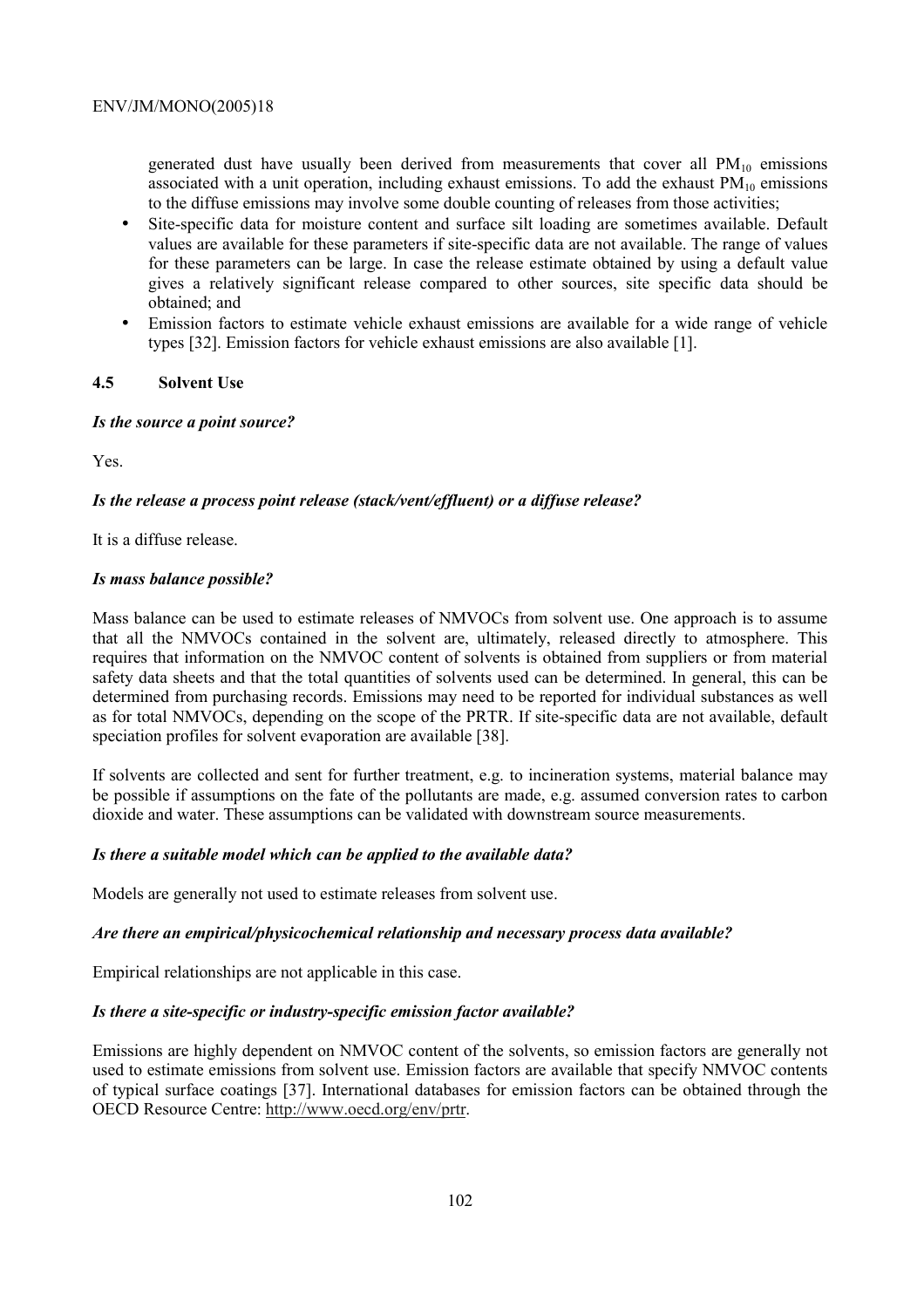generated dust have usually been derived from measurements that cover all  $PM_{10}$  emissions associated with a unit operation, including exhaust emissions. To add the exhaust  $PM_{10}$  emissions to the diffuse emissions may involve some double counting of releases from those activities;

- Site-specific data for moisture content and surface silt loading are sometimes available. Default values are available for these parameters if site-specific data are not available. The range of values for these parameters can be large. In case the release estimate obtained by using a default value gives a relatively significant release compared to other sources, site specific data should be obtained; and
- Emission factors to estimate vehicle exhaust emissions are available for a wide range of vehicle types [32]. Emission factors for vehicle exhaust emissions are also available [1].

## **4.5 Solvent Use**

### *Is the source a point source?*

Yes.

## *Is the release a process point release (stack/vent/effluent) or a diffuse release?*

It is a diffuse release.

### *Is mass balance possible?*

Mass balance can be used to estimate releases of NMVOCs from solvent use. One approach is to assume that all the NMVOCs contained in the solvent are, ultimately, released directly to atmosphere. This requires that information on the NMVOC content of solvents is obtained from suppliers or from material safety data sheets and that the total quantities of solvents used can be determined. In general, this can be determined from purchasing records. Emissions may need to be reported for individual substances as well as for total NMVOCs, depending on the scope of the PRTR. If site-specific data are not available, default speciation profiles for solvent evaporation are available [38].

If solvents are collected and sent for further treatment, e.g. to incineration systems, material balance may be possible if assumptions on the fate of the pollutants are made, e.g. assumed conversion rates to carbon dioxide and water. These assumptions can be validated with downstream source measurements.

## *Is there a suitable model which can be applied to the available data?*

Models are generally not used to estimate releases from solvent use.

### *Are there an empirical/physicochemical relationship and necessary process data available?*

Empirical relationships are not applicable in this case.

## *Is there a site-specific or industry-specific emission factor available?*

Emissions are highly dependent on NMVOC content of the solvents, so emission factors are generally not used to estimate emissions from solvent use. Emission factors are available that specify NMVOC contents of typical surface coatings [37]. International databases for emission factors can be obtained through the OECD Resource Centre: http://www.oecd.org/env/prtr.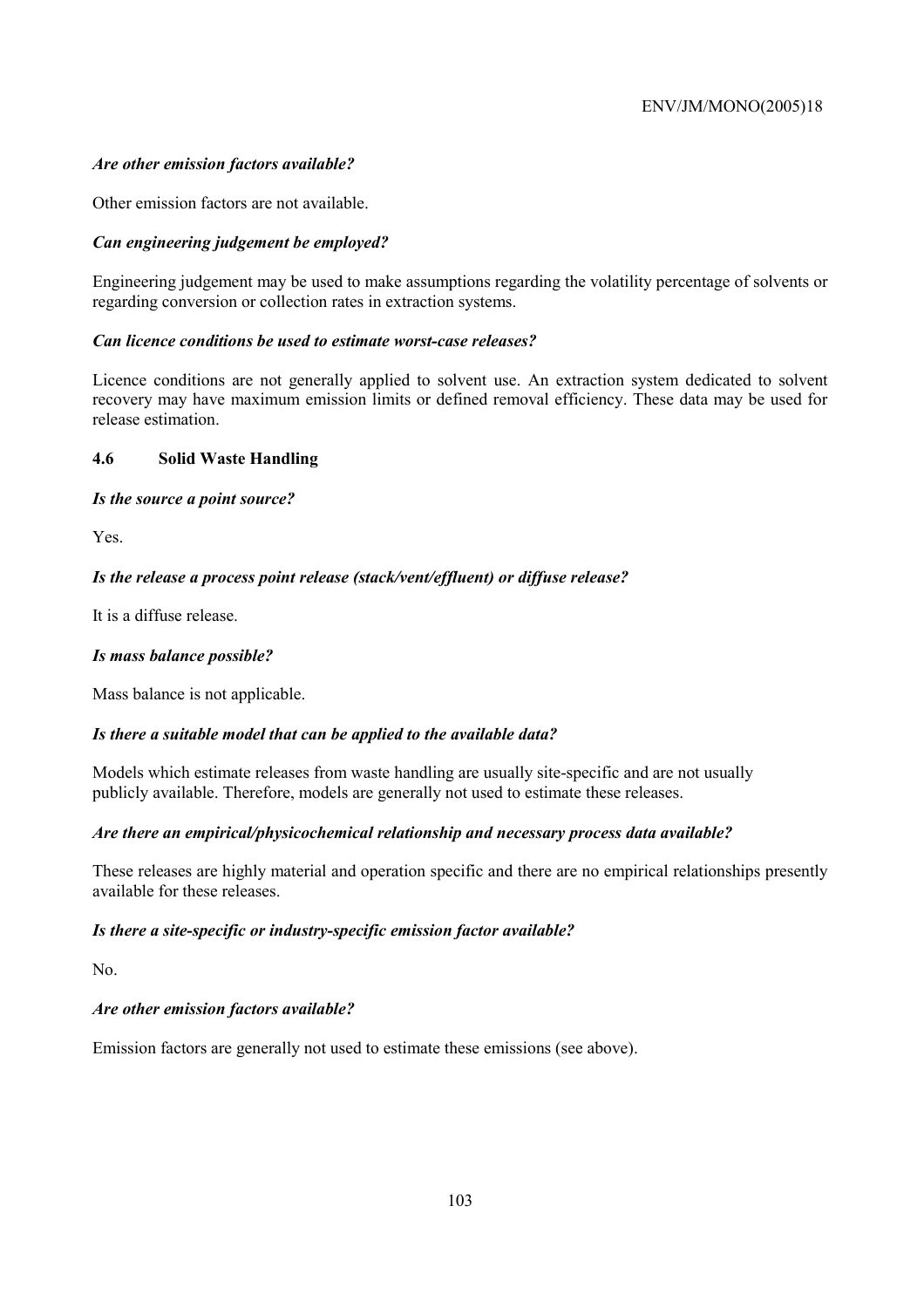## *Are other emission factors available?*

Other emission factors are not available.

# *Can engineering judgement be employed?*

Engineering judgement may be used to make assumptions regarding the volatility percentage of solvents or regarding conversion or collection rates in extraction systems.

## *Can licence conditions be used to estimate worst-case releases?*

Licence conditions are not generally applied to solvent use. An extraction system dedicated to solvent recovery may have maximum emission limits or defined removal efficiency. These data may be used for release estimation.

# **4.6 Solid Waste Handling**

# *Is the source a point source?*

Yes.

# *Is the release a process point release (stack/vent/effluent) or diffuse release?*

It is a diffuse release.

## *Is mass balance possible?*

Mass balance is not applicable.

# *Is there a suitable model that can be applied to the available data?*

Models which estimate releases from waste handling are usually site-specific and are not usually publicly available. Therefore, models are generally not used to estimate these releases.

## *Are there an empirical/physicochemical relationship and necessary process data available?*

These releases are highly material and operation specific and there are no empirical relationships presently available for these releases.

## *Is there a site-specific or industry-specific emission factor available?*

No.

## *Are other emission factors available?*

Emission factors are generally not used to estimate these emissions (see above).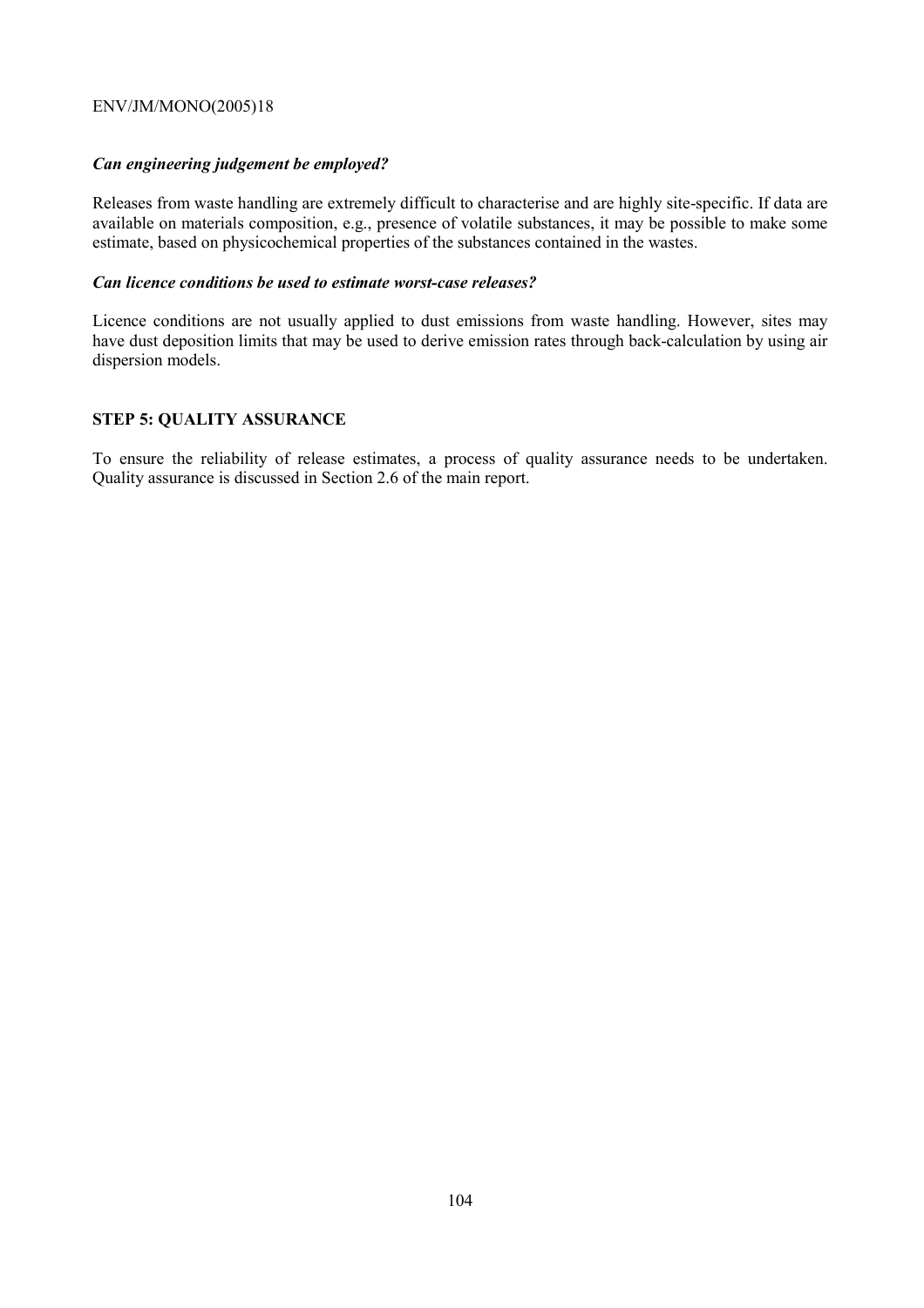# *Can engineering judgement be employed?*

Releases from waste handling are extremely difficult to characterise and are highly site-specific. If data are available on materials composition, e.g., presence of volatile substances, it may be possible to make some estimate, based on physicochemical properties of the substances contained in the wastes.

# *Can licence conditions be used to estimate worst-case releases?*

Licence conditions are not usually applied to dust emissions from waste handling. However, sites may have dust deposition limits that may be used to derive emission rates through back-calculation by using air dispersion models.

## **STEP 5: QUALITY ASSURANCE**

To ensure the reliability of release estimates, a process of quality assurance needs to be undertaken. Quality assurance is discussed in Section 2.6 of the main report.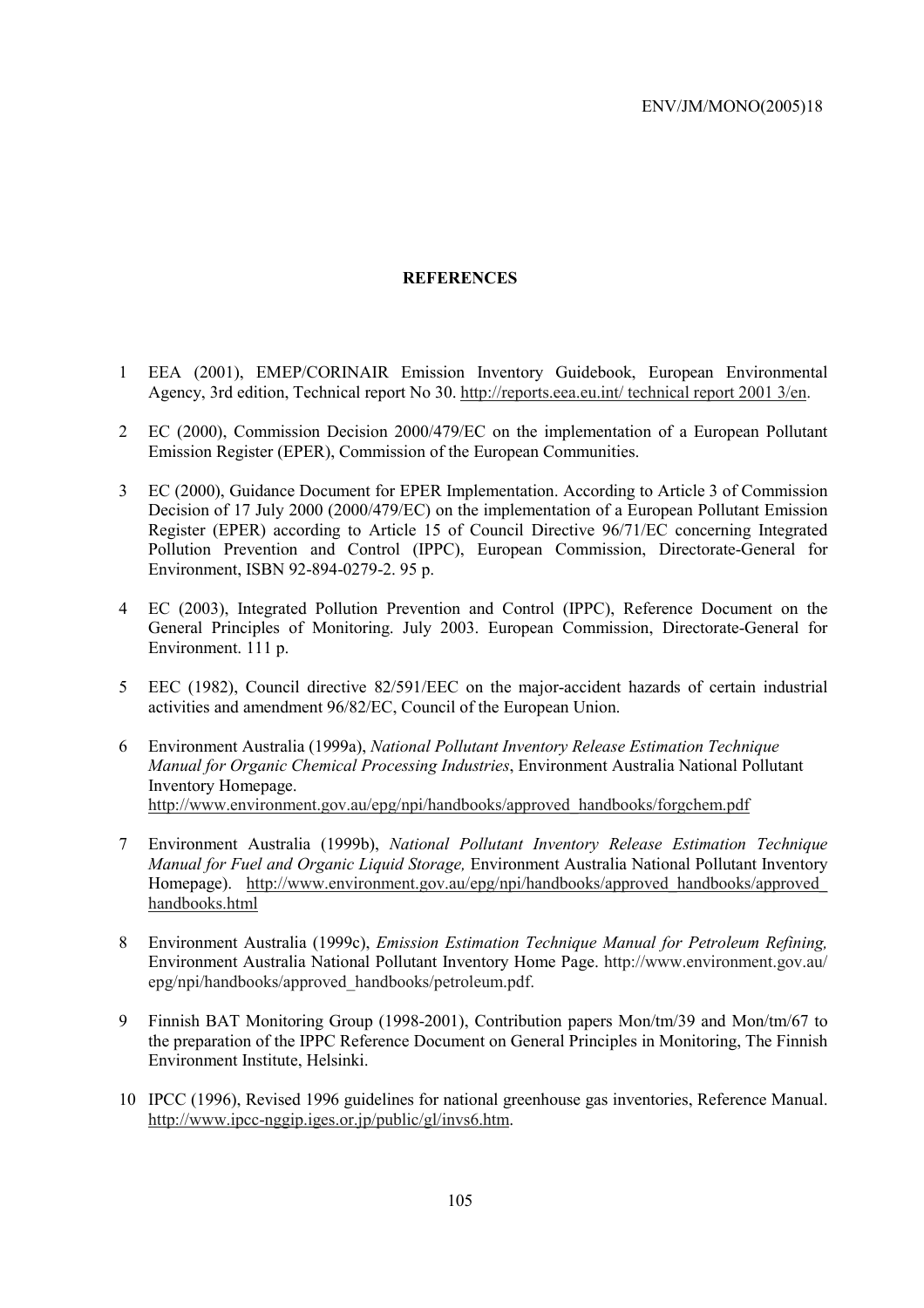### **REFERENCES**

- 1 EEA (2001), EMEP/CORINAIR Emission Inventory Guidebook, European Environmental Agency, 3rd edition, Technical report No 30. http://reports.eea.eu.int/ technical report 2001 3/en.
- 2 EC (2000), Commission Decision 2000/479/EC on the implementation of a European Pollutant Emission Register (EPER), Commission of the European Communities.
- 3 EC (2000), Guidance Document for EPER Implementation. According to Article 3 of Commission Decision of 17 July 2000 (2000/479/EC) on the implementation of a European Pollutant Emission Register (EPER) according to Article 15 of Council Directive 96/71/EC concerning Integrated Pollution Prevention and Control (IPPC), European Commission, Directorate-General for Environment, ISBN 92-894-0279-2. 95 p.
- 4 EC (2003), Integrated Pollution Prevention and Control (IPPC), Reference Document on the General Principles of Monitoring. July 2003. European Commission, Directorate-General for Environment. 111 p.
- 5 EEC (1982), Council directive 82/591/EEC on the major-accident hazards of certain industrial activities and amendment 96/82/EC, Council of the European Union.
- 6 Environment Australia (1999a), *National Pollutant Inventory Release Estimation Technique Manual for Organic Chemical Processing Industries*, Environment Australia National Pollutant Inventory Homepage. http://www.environment.gov.au/epg/npi/handbooks/approved\_handbooks/forgchem.pdf
- 7 Environment Australia (1999b), *National Pollutant Inventory Release Estimation Technique Manual for Fuel and Organic Liquid Storage,* Environment Australia National Pollutant Inventory Homepage). http://www.environment.gov.au/epg/npi/handbooks/approved\_handbooks/approved\_ handbooks.html
- 8 Environment Australia (1999c), *Emission Estimation Technique Manual for Petroleum Refining,*  Environment Australia National Pollutant Inventory Home Page. http://www.environment.gov.au/ epg/npi/handbooks/approved\_handbooks/petroleum.pdf.
- 9 Finnish BAT Monitoring Group (1998-2001), Contribution papers Mon/tm/39 and Mon/tm/67 to the preparation of the IPPC Reference Document on General Principles in Monitoring, The Finnish Environment Institute, Helsinki.
- 10 IPCC (1996), Revised 1996 guidelines for national greenhouse gas inventories, Reference Manual. http://www.ipcc-nggip.iges.or.jp/public/gl/invs6.htm.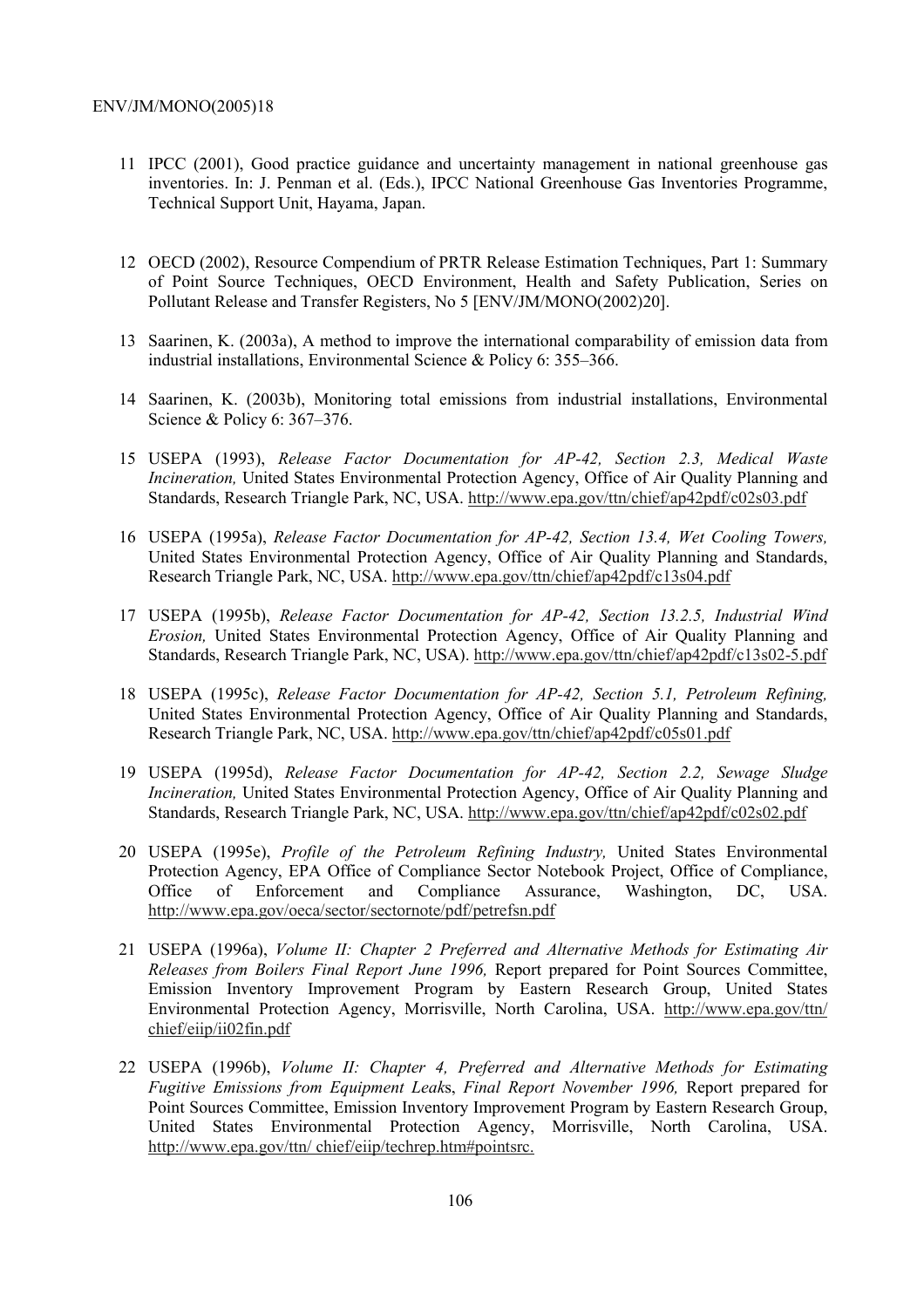- 11 IPCC (2001), Good practice guidance and uncertainty management in national greenhouse gas inventories. In: J. Penman et al. (Eds.), IPCC National Greenhouse Gas Inventories Programme, Technical Support Unit, Hayama, Japan.
- 12 OECD (2002), Resource Compendium of PRTR Release Estimation Techniques, Part 1: Summary of Point Source Techniques, OECD Environment, Health and Safety Publication, Series on Pollutant Release and Transfer Registers, No 5 [ENV/JM/MONO(2002)20].
- 13 Saarinen, K. (2003a), A method to improve the international comparability of emission data from industrial installations, Environmental Science & Policy 6: 355–366.
- 14 Saarinen, K. (2003b), Monitoring total emissions from industrial installations, Environmental Science & Policy 6: 367–376.
- 15 USEPA (1993), *Release Factor Documentation for AP-42, Section 2.3, Medical Waste Incineration,* United States Environmental Protection Agency, Office of Air Quality Planning and Standards, Research Triangle Park, NC, USA. http://www.epa.gov/ttn/chief/ap42pdf/c02s03.pdf
- 16 USEPA (1995a), *Release Factor Documentation for AP-42, Section 13.4, Wet Cooling Towers,* United States Environmental Protection Agency, Office of Air Quality Planning and Standards, Research Triangle Park, NC, USA. http://www.epa.gov/ttn/chief/ap42pdf/c13s04.pdf
- 17 USEPA (1995b), *Release Factor Documentation for AP-42, Section 13.2.5, Industrial Wind Erosion,* United States Environmental Protection Agency, Office of Air Quality Planning and Standards, Research Triangle Park, NC, USA). http://www.epa.gov/ttn/chief/ap42pdf/c13s02-5.pdf
- 18 USEPA (1995c), *Release Factor Documentation for AP-42, Section 5.1, Petroleum Refining,*  United States Environmental Protection Agency, Office of Air Quality Planning and Standards, Research Triangle Park, NC, USA. http://www.epa.gov/ttn/chief/ap42pdf/c05s01.pdf
- 19 USEPA (1995d), *Release Factor Documentation for AP-42, Section 2.2, Sewage Sludge Incineration*, United States Environmental Protection Agency, Office of Air Quality Planning and Standards, Research Triangle Park, NC, USA. http://www.epa.gov/ttn/chief/ap42pdf/c02s02.pdf
- 20 USEPA (1995e), *Profile of the Petroleum Refining Industry,* United States Environmental Protection Agency, EPA Office of Compliance Sector Notebook Project, Office of Compliance, Office of Enforcement and Compliance Assurance, Washington, DC, USA. http://www.epa.gov/oeca/sector/sectornote/pdf/petrefsn.pdf
- 21 USEPA (1996a), *Volume II: Chapter 2 Preferred and Alternative Methods for Estimating Air Releases from Boilers Final Report June 1996,* Report prepared for Point Sources Committee, Emission Inventory Improvement Program by Eastern Research Group, United States Environmental Protection Agency, Morrisville, North Carolina, USA. http://www.epa.gov/ttn/ chief/eiip/ii02fin.pdf
- 22 USEPA (1996b), *Volume II: Chapter 4, Preferred and Alternative Methods for Estimating Fugitive Emissions from Equipment Leak*s, *Final Report November 1996,* Report prepared for Point Sources Committee, Emission Inventory Improvement Program by Eastern Research Group, United States Environmental Protection Agency, Morrisville, North Carolina, USA. http://www.epa.gov/ttn/ chief/eiip/techrep.htm#pointsrc.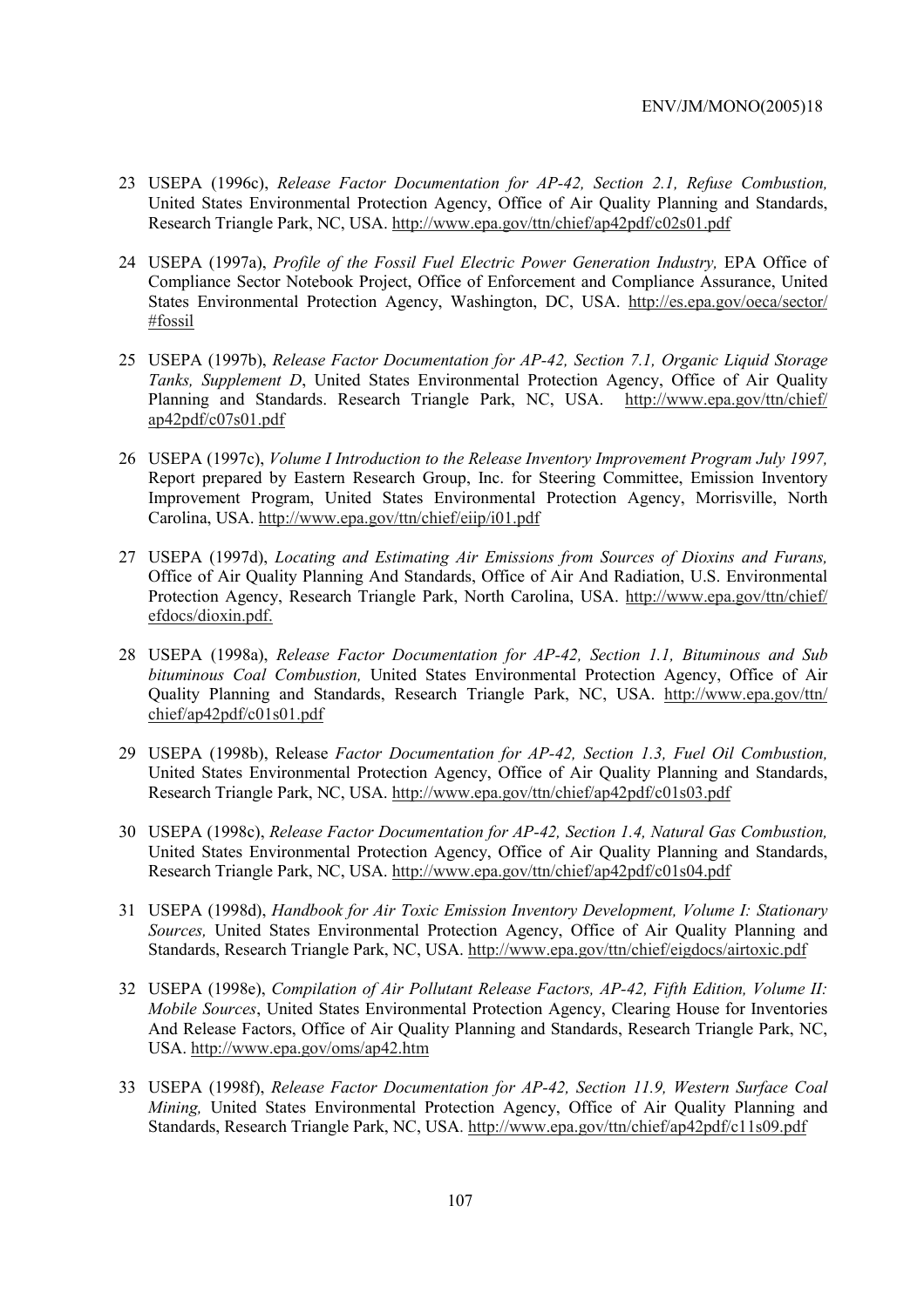- 23 USEPA (1996c), *Release Factor Documentation for AP-42, Section 2.1, Refuse Combustion,*  United States Environmental Protection Agency, Office of Air Quality Planning and Standards, Research Triangle Park, NC, USA. http://www.epa.gov/ttn/chief/ap42pdf/c02s01.pdf
- 24 USEPA (1997a), *Profile of the Fossil Fuel Electric Power Generation Industry,* EPA Office of Compliance Sector Notebook Project, Office of Enforcement and Compliance Assurance, United States Environmental Protection Agency, Washington, DC, USA. http://es.epa.gov/oeca/sector/ #fossil
- 25 USEPA (1997b), *Release Factor Documentation for AP-42, Section 7.1, Organic Liquid Storage Tanks, Supplement D*, United States Environmental Protection Agency, Office of Air Quality Planning and Standards. Research Triangle Park, NC, USA. http://www.epa.gov/ttn/chief/ ap42pdf/c07s01.pdf
- 26 USEPA (1997c), *Volume I Introduction to the Release Inventory Improvement Program July 1997,* Report prepared by Eastern Research Group, Inc. for Steering Committee, Emission Inventory Improvement Program, United States Environmental Protection Agency, Morrisville, North Carolina, USA. http://www.epa.gov/ttn/chief/eiip/i01.pdf
- 27 USEPA (1997d), *Locating and Estimating Air Emissions from Sources of Dioxins and Furans,*  Office of Air Quality Planning And Standards, Office of Air And Radiation, U.S. Environmental Protection Agency, Research Triangle Park, North Carolina, USA. http://www.epa.gov/ttn/chief/ efdocs/dioxin.pdf.
- 28 USEPA (1998a), *Release Factor Documentation for AP-42, Section 1.1, Bituminous and Sub bituminous Coal Combustion,* United States Environmental Protection Agency, Office of Air Quality Planning and Standards, Research Triangle Park, NC, USA. http://www.epa.gov/ttn/ chief/ap42pdf/c01s01.pdf
- 29 USEPA (1998b), Release *Factor Documentation for AP-42, Section 1.3, Fuel Oil Combustion,* United States Environmental Protection Agency, Office of Air Quality Planning and Standards, Research Triangle Park, NC, USA. http://www.epa.gov/ttn/chief/ap42pdf/c01s03.pdf
- 30 USEPA (1998c), *Release Factor Documentation for AP-42, Section 1.4, Natural Gas Combustion,* United States Environmental Protection Agency, Office of Air Quality Planning and Standards, Research Triangle Park, NC, USA. http://www.epa.gov/ttn/chief/ap42pdf/c01s04.pdf
- 31 USEPA (1998d), *Handbook for Air Toxic Emission Inventory Development, Volume I: Stationary Sources,* United States Environmental Protection Agency, Office of Air Quality Planning and Standards, Research Triangle Park, NC, USA. http://www.epa.gov/ttn/chief/eigdocs/airtoxic.pdf
- 32 USEPA (1998e), *Compilation of Air Pollutant Release Factors, AP-42, Fifth Edition, Volume II: Mobile Sources*, United States Environmental Protection Agency, Clearing House for Inventories And Release Factors, Office of Air Quality Planning and Standards, Research Triangle Park, NC, USA. http://www.epa.gov/oms/ap42.htm
- 33 USEPA (1998f), *Release Factor Documentation for AP-42, Section 11.9, Western Surface Coal Mining,* United States Environmental Protection Agency, Office of Air Quality Planning and Standards, Research Triangle Park, NC, USA. http://www.epa.gov/ttn/chief/ap42pdf/c11s09.pdf